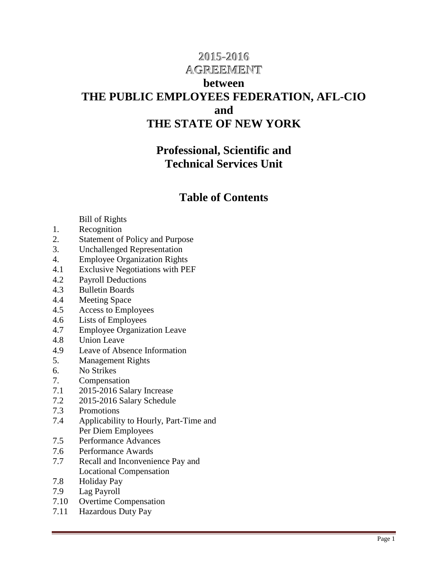# **2015-2016 AGREEMENT**

## **between THE PUBLIC EMPLOYEES FEDERATION, AFL-CIO and THE STATE OF NEW YORK**

## **Professional, Scientific and Technical Services Unit**

## **Table of Contents**

## Bill of Rights

- 1. Recognition
- 2. Statement of Policy and Purpose
- 3. Unchallenged Representation
- 4. Employee Organization Rights
- 4.1 Exclusive Negotiations with PEF
- 4.2 Payroll Deductions
- 4.3 Bulletin Boards
- 4.4 Meeting Space
- 4.5 Access to Employees
- 4.6 Lists of Employees
- 4.7 Employee Organization Leave
- 4.8 Union Leave
- 4.9 Leave of Absence Information
- 5. Management Rights
- 6. No Strikes
- 7. Compensation
- 7.1 2015-2016 Salary Increase
- 7.2 2015-2016 Salary Schedule
- 7.3 Promotions
- 7.4 Applicability to Hourly, Part-Time and Per Diem Employees
- 7.5 Performance Advances
- 7.6 Performance Awards
- 7.7 Recall and Inconvenience Pay and Locational Compensation
- 7.8 Holiday Pay
- 7.9 Lag Payroll
- 7.10 Overtime Compensation
- 7.11 Hazardous Duty Pay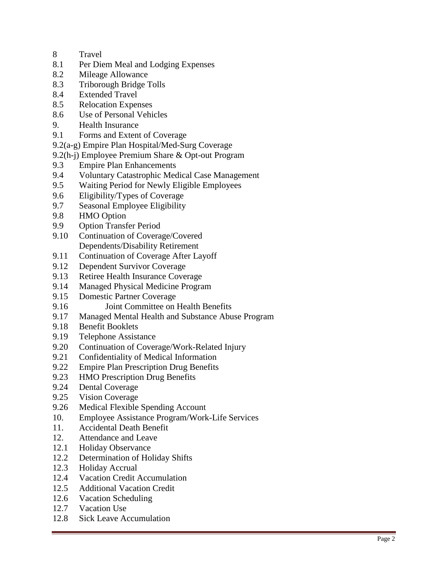- 8 Travel
- 8.1 Per Diem Meal and Lodging Expenses
- 8.2 Mileage Allowance
- 8.3 Triborough Bridge Tolls
- 8.4 Extended Travel
- 8.5 Relocation Expenses
- 8.6 Use of Personal Vehicles
- 9. Health Insurance
- 9.1 Forms and Extent of Coverage
- 9.2(a-g) Empire Plan Hospital/Med-Surg Coverage
- 9.2(h-j) Employee Premium Share & Opt-out Program
- 9.3 Empire Plan Enhancements
- 9.4 Voluntary Catastrophic Medical Case Management
- 9.5 Waiting Period for Newly Eligible Employees
- 9.6 Eligibility/Types of Coverage
- 9.7 Seasonal Employee Eligibility
- 9.8 HMO Option
- 9.9 Option Transfer Period
- 9.10 Continuation of Coverage/Covered Dependents/Disability Retirement
- 9.11 Continuation of Coverage After Layoff
- 9.12 Dependent Survivor Coverage
- 9.13 Retiree Health Insurance Coverage
- 9.14 Managed Physical Medicine Program
- 9.15 Domestic Partner Coverage
- 9.16 Joint Committee on Health Benefits
- 9.17 Managed Mental Health and Substance Abuse Program
- 9.18 Benefit Booklets
- 9.19 Telephone Assistance
- 9.20 Continuation of Coverage/Work-Related Injury
- 9.21 Confidentiality of Medical Information<br>9.22 Empire Plan Prescription Drug Benefits
- **Empire Plan Prescription Drug Benefits**
- 9.23 HMO Prescription Drug Benefits
- 9.24 Dental Coverage
- 9.25 Vision Coverage
- 9.26 Medical Flexible Spending Account
- 10. Employee Assistance Program/Work -Life Services
- 11. Accidental Death Benefit
- 12. Attendance and Leave
- 12.1 Holiday Observance
- 12.2 Determination of Holiday Shifts
- 12.3 Holiday Accrual
- 12.4 Vacation Credit Accumulation
- 12.5 Additional Vacation Credit
- 12.6 Vacation Scheduling
- 12.7 Vacation Use
- 12.8 Sick Leave Accumulation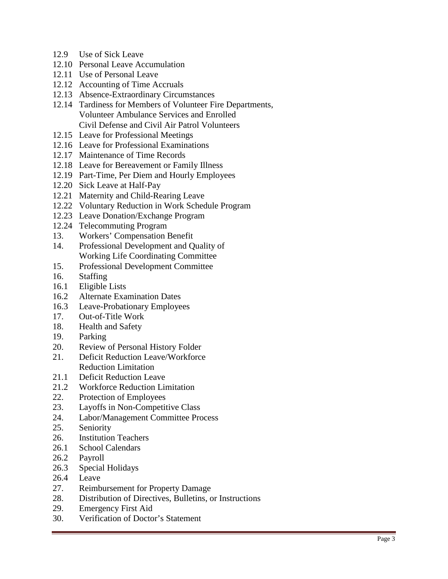- 12.9 Use of Sick Leave
- 12.10 Personal Leave Accumulation
- 12.11 Use of Personal Leave
- 12.12 Accounting of Time Accruals
- 12.13 Absence -Extraordinary Circumstances
- 12.14 Tardiness for Members of Volunteer Fire Departments, Volunteer Ambulance Services and Enrolled Civil Defense and Civil Air Patrol Volunteers
- 12.15 Leave for Professional Meetings
- 12.16 Leave for Professional Examinations
- 12.17 Maintenance of Time Records
- 12.18 Leave for Bereavement or Family Illness
- 12.19 Part -Time, Per Diem and Hourly Employees
- 12.20 Sick Leave at Half-Pay
- 12.21 Maternity and Child-Rearing Leave
- 12.22 Voluntary Reduction in Work Schedule Program
- 12.23 Leave Donation/Exchange Program
- 12.24 Telecommuting Program
- 13. Workers' Compensation Benefit
- 14. Professional Development and Quality of Working Life Coordinating Committee
- 15. Professional Development Committee
- 16. Staffing
- 16.1 Eligible Lists
- 16.2 Alternate Examination Dates
- 16.3 Leave-Probationary Employees
- 17. Out-of-Title Work
- 18. Health and Safety
- 19. Parking
- 20. Review of Personal History Folder
- 21. Deficit Reduction Leave/Workforce Reduction Limitation
- 21.1 Deficit Reduction Leave
- 21.2 Workforce Reduction Limitation
- 22. Protection of Employees
- 23. Layoffs in Non -Competitive Class
- 24. Labor/Management Committee Process
- 25. Seniority
- 26. Institution Teachers
- 26.1 School Calendars
- 26.2 Payroll
- 26.3 Special Holidays
- 26.4 Leave
- 27. Reimbursement for Property Damage
- 28. Distribution of Directives, Bulletins, or Instructions
- 29. Emergency First Aid
- 30. Verification of Doctor's Statement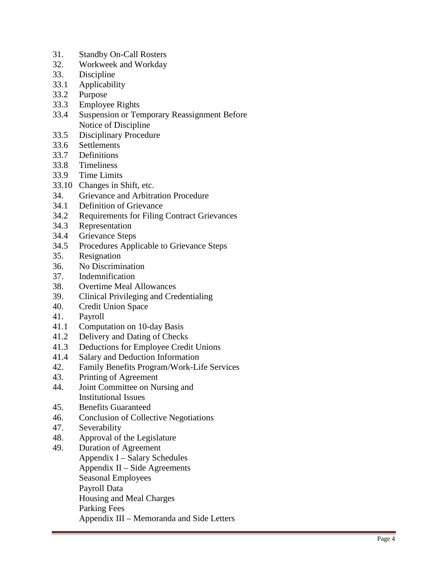- 31. Standby On-Call Rosters
- 32. Workweek and Workday
- 33. Discipline
- 33.1 Applicability
- 33.2 Purpose
- 33.3 Employee Rights
- 33.4 Suspension or Temporary Reassignment Before Notice of Discipline
- 33.5 Disciplinary Procedure
- 33.6 Settlements
- 33.7 Definitions
- 33.8 Timeliness
- 33.9 Time Limits
- 33.10 Changes in Shift, etc.
- 34. Grievance and Arbitration Procedure
- 34.1 Definition of Grievance
- 34.2 Requirements for Filing Contract Grievances
- 34.3 Representation
- 34.4 Grievance Steps
- 34.5 Procedures Applicable to Grievance Steps
- 35. Resignation
- 36. No Discrimination
- 37. Indemnification
- 38. Overtime Meal Allowances
- 39. Clinical Privileging and Credentialing
- 40. Credit Union Space<br>41. Payroll
- Payroll
- 41.1 Computation on 10-day Basis
- 41.2 Delivery and Dating of Checks
- 41.3 Deductions for Employee Credit Unions
- 41.4 Salary and Deduction Information<br>42. Family Benefits Program/Work-Li
- 42. Family Benefits Program/Work -Life Services
- 43. Printing of Agreement
- 44. Joint Committee on Nursing and Institutional Issues
- 45. Benefits Guaranteed
- 46. Conclusion of Collective Negotiations
- 47. Severability
- 48. Approval of the Legislature
- 49. Duration of Agreement
	- Appendix I Salary Schedules Appendix  $II$  – Side Agreements Seasonal Employees Payroll Data Housing and Meal Charges Parking Fees Appendix III – Memoranda and Side Letters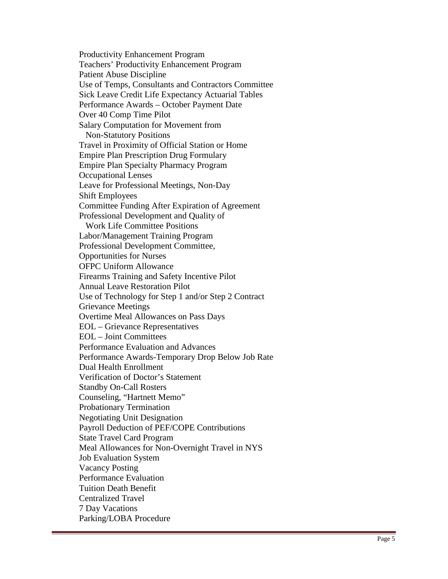Productivity Enhancement Program Teachers' Productivity Enhancement Program Patient Abuse Discipline Use of Temps, Consultants and Contractors Committee Sick Leave Credit Life Expectancy Actuarial Tables Performance Awards – October Payment Date Over 40 Comp Time Pilot Salary Computation for Movement from Non-Statutory Positions Travel in Proximity of Official Station or Home Empire Plan Prescription Drug Formulary Empire Plan Specialty Pharmacy Program Occupational Lenses Leave for Professional Meetings, Non-Day Shift Employees Committee Funding After Expiration of Agreement Professional Development and Quality of Work Life Committee Positions Labor/Management Training Program Professional Development Committee, Opportunities for Nurses OFPC Uniform Allowance Firearms Training and Safety Incentive Pilot Annual Leave Restoration Pilot Use of Technology for Step 1 and/or Step 2 Contract Grievance Meetings Overtime Meal Allowances on Pass Days EOL – Grievance Representatives EOL – Joint Committees Performance Evaluation and Advances Performance Awards-Temporary Drop Below Job Rate Dual Health Enrollment Verification of Doctor's Statement Standby On-Call Rosters Counseling, "Hartnett Memo" Probationary Termination Negotiating Unit Designation Payroll Deduction of PEF/COPE Contributions State Travel Card Program Meal Allowances for Non-Overnight Travel in NYS Job Evaluation System Vacancy Posting Performance Evaluation Tuition Death Benefit Centralized Travel 7 Day Vacations Parking/LOBA Procedure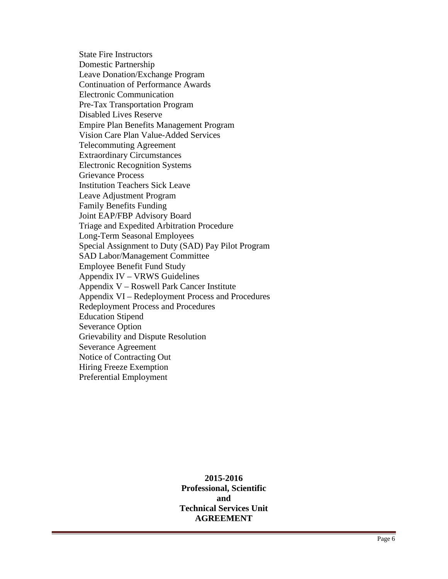State Fire Instructors Domestic Partnership Leave Donation/Exchange Program Continuation of Performance Awards Electronic Communication Pre-Tax Transportation Program Disabled Lives Reserve Empire Plan Benefits Management Program Vision Care Plan Value-Added Services Telecommuting Agreement Extraordinary Circumstances Electronic Recognition Systems Grievance Process Institution Teachers Sick Leave Leave Adjustment Program Family Benefits Funding Joint EAP/FBP Advisory Board Triage and Expedited Arbitration Procedure Long-Term Seasonal Employees Special Assignment to Duty (SAD) Pay Pilot Program SAD Labor/Management Committee Employee Benefit Fund Study Appendix IV – VRWS Guidelines Appendix V – Roswell Park Cancer Institute Appendix VI – Redeployment Process and Procedures Redeployment Process and Procedures Education Stipend Severance Option Grievability and Dispute Resolution Severance Agreement Notice of Contracting Out Hiring Freeze Exemption Preferential Employment

> **2015-2016 Professional, Scientific and Technical Services Unit AGREEMENT**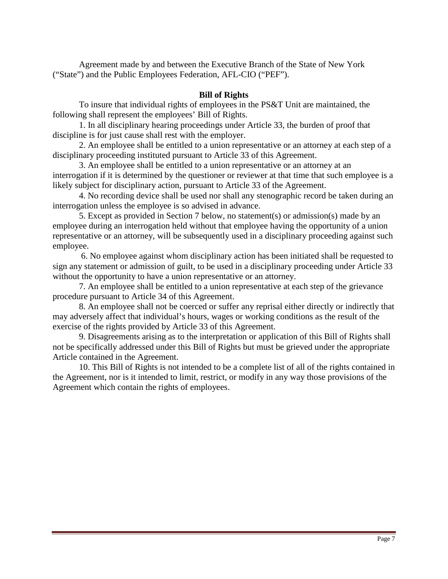Agreement made by and between the Executive Branch of the State of New York ("State") and the Public Employees Federation, AFL-CIO ("PEF").

#### **Bill of Rights**

 To insure that individual rights of employees in the PS&T Unit are maintained, the following shall represent the employees' Bill of Rights.

 1. In all disciplinary hearing proceedings under Article 33, the burden of proof that discipline is for just cause shall rest with the employer.

 2. An employee shall be entitled to a union representative or an attorney at each step of a disciplinary proceeding instituted pursuant to Article 33 of this Agreement.

 3. An employee shall be entitled to a union representative or an attorney at an interrogation if it is determined by the questioner or reviewer at that time that such employee is a likely subject for disciplinary action, pursuant to Article 33 of the Agreement.

 4. No recording device shall be used nor shall any stenographic record be taken during an interrogation unless the employee is so advised in advance.

 5. Except as provided in Section 7 below, no statement(s) or admission(s) made by an employee during an interrogation held without that employee having the opportunity of a union representative or an attorney, will be subsequently used in a disciplinary proceeding against such employee.

 6. No employee against whom disciplinary action has been initiated shall be requested to sign any statement or admission of guilt, to be used in a disciplinary proceeding under Article 33 without the opportunity to have a union representative or an attorney.

 7. An employee shall be entitled to a union representative at each step of the grievance procedure pursuant to Article 34 of this Agreement.

 8. An employee shall not be coerced or suffer any reprisal either directly or indirectly that may adversely affect that individual's hours, wages or working conditions as the result of the exercise of the rights provided by Article 33 of this Agreement.

 9. Disagreements arising as to the interpretation or application of this Bill of Rights shall not be specifically addressed under this Bill of Rights but must be grieved under the appropriate Article contained in the Agreement.

 10. This Bill of Rights is not intended to be a complete list of all of the rights contained in the Agreement, nor is it intended to limit, restrict, or modify in any way those provisions of the Agreement which contain the rights of employees.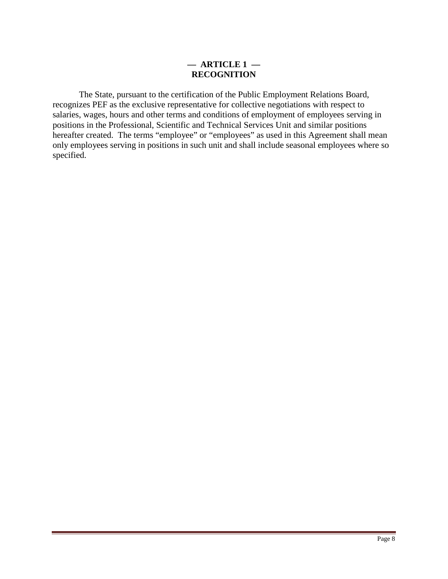#### **— ARTICLE 1 — RECOGNITION**

 The State, pursuant to the certification of the Public Employment Relations Board, recognizes PEF as the exclusive representative for collective negotiations with respect to salaries, wages, hours and other terms and conditions of employment of employees serving in positions in the Professional, Scientific and Technical Services Unit and similar positions hereafter created. The terms "employee" or "employees" as used in this Agreement shall mean only employees serving in positions in such unit and shall include seasonal employees where so specified.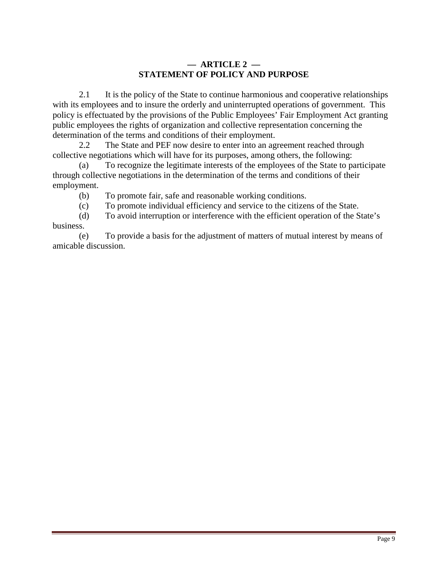### **— ARTICLE 2 — STATEMENT OF POLICY AND PURPOSE**

 2.1 It is the policy of the State to continue harmonious and cooperative relationships with its employees and to insure the orderly and uninterrupted operations of government. This policy is effectuated by the provisions of the Public Employees' Fair Employment Act granting public employees the rights of organization and collective representation concerning the determination of the terms and conditions of their employment.

 2.2 The State and PEF now desire to enter into an agreement reached through collective negotiations which will have for its purposes, among others, the following:

 (a) To recognize the legitimate interests of the employees of the State to participate through collective negotiations in the determination of the terms and conditions of their employment.

(b) To promote fair, safe and reasonable working conditions.

(c) To promote individual efficiency and service to the citizens of the State.

 (d) To avoid interruption or interference with the efficient operation of the State's business.

(e) To provide a basis for the adjustment of matters of mutual interest by means of amicable discussion.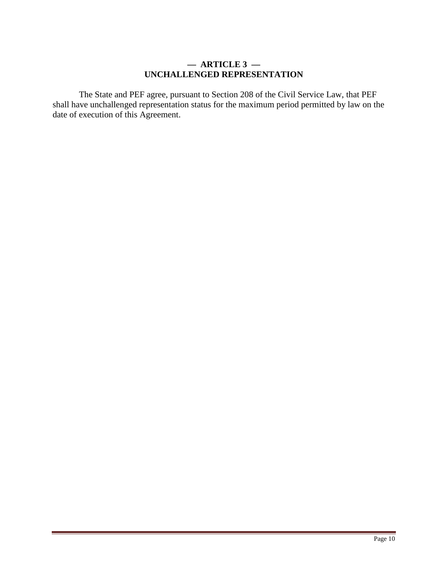#### **— ARTICLE 3 — UNCHALLENGED REPRESENTATION**

 The State and PEF agree, pursuant to Section 208 of the Civil Service Law, that PEF shall have unchallenged representation status for the maximum period permitted by law on the date of execution of this Agreement.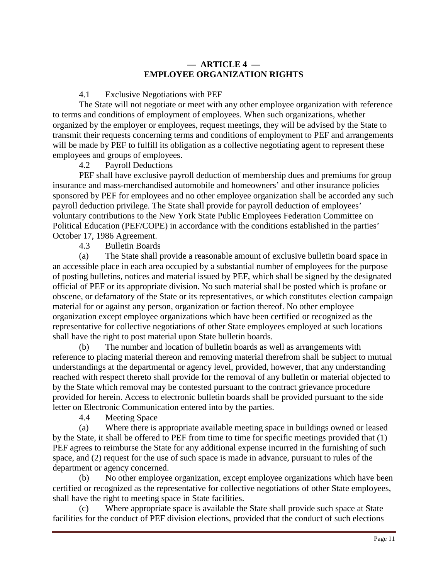### **— ARTICLE 4 — EMPLOYEE ORGANIZATION RIGHTS**

4.1 Exclusive Negotiations with PEF

The State will not negotiate or meet with any other employee organization with reference to terms and conditions of employment of employees. When such organizations, whether organized by the employer or employees, request meetings, they will be advised by the State to transmit their requests concerning terms and conditions of employment to PEF and arrangements will be made by PEF to fulfill its obligation as a collective negotiating agent to represent these employees and groups of employees.

4.2 Payroll Deductions

 PEF shall have exclusive payroll deduction of membership dues and premiums for group insurance and mass-merchandised automobile and homeowners' and other insurance policies sponsored by PEF for employees and no other employee organization shall be accorded any such payroll deduction privilege. The State shall provide for payroll deduction of employees' voluntary contributions to the New York State Public Employees Federation Committee on Political Education (PEF/COPE) in accordance with the conditions established in the parties' October 17, 1986 Agreement.

4.3 Bulletin Boards

(a) The State shall provide a reasonable amount of exclusive bulletin board space in an accessible place in each area occupied by a substantial number of employees for the purpose of posting bulletins, notices and material issued by PEF, which shall be signed by the designated official of PEF or its appropriate division. No such material shall be posted which is profane or obscene, or defamatory of the State or its representatives, or which constitutes election campaign material for or against any person, organization or faction thereof. No other employee organization except employee organizations which have been certified or recognized as the representative for collective negotiations of other State employees employed at such locations shall have the right to post material upon State bulletin boards.

(b) The number and location of bulletin boards as well as arrangements with reference to placing material thereon and removing material therefrom shall be subject to mutual understandings at the departmental or agency level, provided, however, that any understanding reached with respect thereto shall provide for the removal of any bulletin or material objected to by the State which removal may be contested pursuant to the contract grievance procedure provided for herein. Access to electronic bulletin boards shall be provided pursuant to the side letter on Electronic Communication entered into by the parties.

4.4 Meeting Space

(a) Where there is appropriate available meeting space in buildings owned or leased by the State, it shall be offered to PEF from time to time for specific meetings provided that (1) PEF agrees to reimburse the State for any additional expense incurred in the furnishing of such space, and (2) request for the use of such space is made in advance, pursuant to rules of the department or agency concerned.

(b) No other employee organization, except employee organizations which have been certified or recognized as the representative for collective negotiations of other State employees, shall have the right to meeting space in State facilities.

(c) Where appropriate space is available the State shall provide such space at State facilities for the conduct of PEF division elections, provided that the conduct of such elections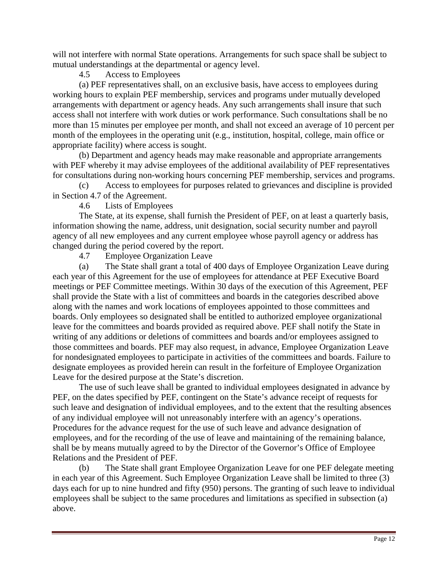will not interfere with normal State operations. Arrangements for such space shall be subject to mutual understandings at the departmental or agency level.

### 4.5 Access to Employees

(a) PEF representatives shall, on an exclusive basis, have access to employees during working hours to explain PEF membership, services and programs under mutually developed arrangements with department or agency heads. Any such arrangements shall insure that such access shall not interfere with work duties or work performance. Such consultations shall be no more than 15 minutes per employee per month, and shall not exceed an average of 10 percent per month of the employees in the operating unit (e.g., institution, hospital, college, main office or appropriate facility) where access is sought.

(b) Department and agency heads may make reasonable and appropriate arrangements with PEF whereby it may advise employees of the additional availability of PEF representatives for consultations during non-working hours concerning PEF membership, services and programs.

(c) Access to employees for purposes related to grievances and discipline is provided in Section 4.7 of the Agreement.

4.6 Lists of Employees

 The State, at its expense, shall furnish the President of PEF, on at least a quarterly basis, information showing the name, address, unit designation, social security number and payroll agency of all new employees and any current employee whose payroll agency or address has changed during the period covered by the report.

4.7 Employee Organization Leave

(a) The State shall grant a total of 400 days of Employee Organization Leave during each year of this Agreement for the use of employees for attendance at PEF Executive Board meetings or PEF Committee meetings. Within 30 days of the execution of this Agreement, PEF shall provide the State with a list of committees and boards in the categories described above along with the names and work locations of employees appointed to those committees and boards. Only employees so designated shall be entitled to authorized employee organizational leave for the committees and boards provided as required above. PEF shall notify the State in writing of any additions or deletions of committees and boards and/or employees assigned to those committees and boards. PEF may also request, in advance, Employee Organization Leave for nondesignated employees to participate in activities of the committees and boards. Failure to designate employees as provided herein can result in the forfeiture of Employee Organization Leave for the desired purpose at the State's discretion.

 The use of such leave shall be granted to individual employees designated in advance by PEF, on the dates specified by PEF, contingent on the State's advance receipt of requests for such leave and designation of individual employees, and to the extent that the resulting absences of any individual employee will not unreasonably interfere with an agency's operations. Procedures for the advance request for the use of such leave and advance designation of employees, and for the recording of the use of leave and maintaining of the remaining balance, shall be by means mutually agreed to by the Director of the Governor's Office of Employee Relations and the President of PEF.

(b) The State shall grant Employee Organization Leave for one PEF delegate meeting in each year of this Agreement. Such Employee Organization Leave shall be limited to three (3) days each for up to nine hundred and fifty (950) persons. The granting of such leave to individual employees shall be subject to the same procedures and limitations as specified in subsection (a) above.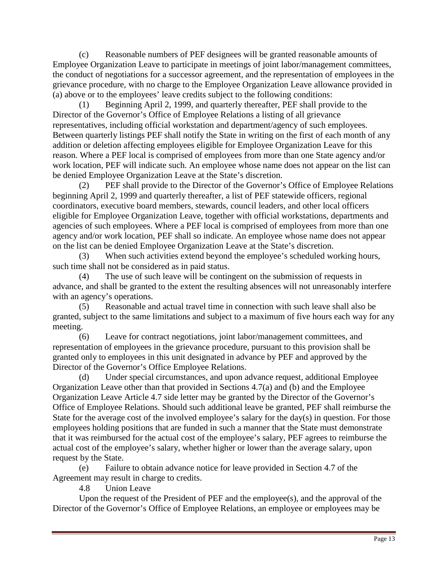(c) Reasonable numbers of PEF designees will be granted reasonable amounts of Employee Organization Leave to participate in meetings of joint labor/management committees, the conduct of negotiations for a successor agreement, and the representation of employees in the grievance procedure, with no charge to the Employee Organization Leave allowance provided in (a) above or to the employees' leave credits subject to the following conditions:

(1) Beginning April 2, 1999, and quarterly thereafter, PEF shall provide to the Director of the Governor's Office of Employee Relations a listing of all grievance representatives, including official workstation and department/agency of such employees. Between quarterly listings PEF shall notify the State in writing on the first of each month of any addition or deletion affecting employees eligible for Employee Organization Leave for this reason. Where a PEF local is comprised of employees from more than one State agency and/or work location, PEF will indicate such. An employee whose name does not appear on the list can be denied Employee Organization Leave at the State's discretion.

(2) PEF shall provide to the Director of the Governor's Office of Employee Relations beginning April 2, 1999 and quarterly thereafter, a list of PEF statewide officers, regional coordinators, executive board members, stewards, council leaders, and other local officers eligible for Employee Organization Leave, together with official workstations, departments and agencies of such employees. Where a PEF local is comprised of employees from more than one agency and/or work location, PEF shall so indicate. An employee whose name does not appear on the list can be denied Employee Organization Leave at the State's discretion.

(3) When such activities extend beyond the employee's scheduled working hours, such time shall not be considered as in paid status.

(4) The use of such leave will be contingent on the submission of requests in advance, and shall be granted to the extent the resulting absences will not unreasonably interfere with an agency's operations.

(5) Reasonable and actual travel time in connection with such leave shall also be granted, subject to the same limitations and subject to a maximum of five hours each way for any meeting.

(6) Leave for contract negotiations, joint labor/management committees, and representation of employees in the grievance procedure, pursuant to this provision shall be granted only to employees in this unit designated in advance by PEF and approved by the Director of the Governor's Office Employee Relations.

(d) Under special circumstances, and upon advance request, additional Employee Organization Leave other than that provided in Sections 4.7(a) and (b) and the Employee Organization Leave Article 4.7 side letter may be granted by the Director of the Governor's Office of Employee Relations. Should such additional leave be granted, PEF shall reimburse the State for the average cost of the involved employee's salary for the day(s) in question. For those employees holding positions that are funded in such a manner that the State must demonstrate that it was reimbursed for the actual cost of the employee's salary, PEF agrees to reimburse the actual cost of the employee's salary, whether higher or lower than the average salary, upon request by the State.

(e) Failure to obtain advance notice for leave provided in Section 4.7 of the Agreement may result in charge to credits.

4.8 Union Leave

 Upon the request of the President of PEF and the employee(s), and the approval of the Director of the Governor's Office of Employee Relations, an employee or employees may be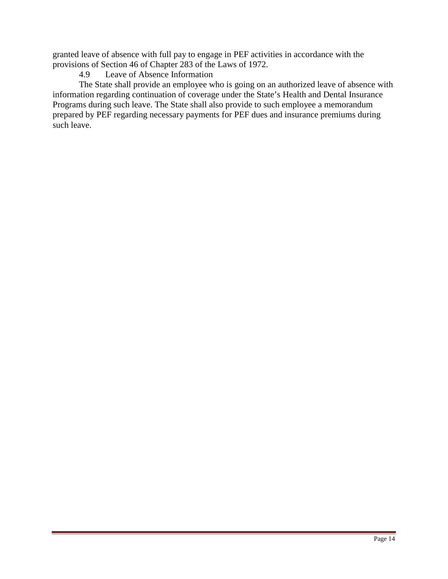granted leave of absence with full pay to engage in PEF activities in accordance with the provisions of Section 46 of Chapter 283 of the Laws of 1972.

### 4.9 Leave of Absence Information

 The State shall provide an employee who is going on an authorized leave of absence with information regarding continuation of coverage under the State's Health and Dental Insurance Programs during such leave. The State shall also provide to such employee a memorandum prepared by PEF regarding necessary payments for PEF dues and insurance premiums during such leave.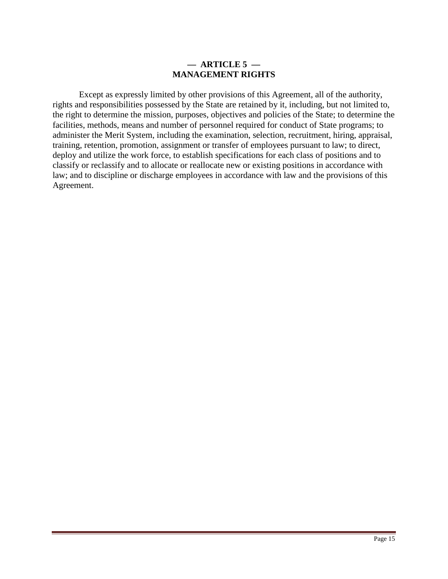#### **— ARTICLE 5 — MANAGEMENT RIGHTS**

 Except as expressly limited by other provisions of this Agreement, all of the authority, rights and responsibilities possessed by the State are retained by it, including, but not limited to, the right to determine the mission, purposes, objectives and policies of the State; to determine the facilities, methods, means and number of personnel required for conduct of State programs; to administer the Merit System, including the examination, selection, recruitment, hiring, appraisal, training, retention, promotion, assignment or transfer of employees pursuant to law; to direct, deploy and utilize the work force, to establish specifications for each class of positions and to classify or reclassify and to allocate or reallocate new or existing positions in accordance with law; and to discipline or discharge employees in accordance with law and the provisions of this Agreement.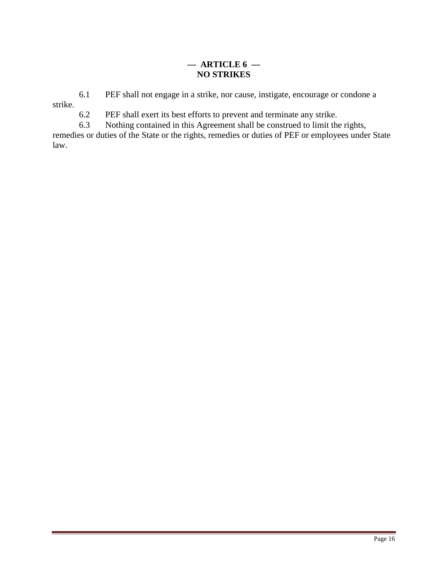## **— ARTICLE 6 — NO STRIKES**

6.1 PEF shall not engage in a strike, nor cause, instigate, encourage or condone a

strike.

6.2 PEF shall exert its best efforts to prevent and terminate any strike.

6.3 Nothing contained in this Agreement shall be construed to limit the rights,

remedies or duties of the State or the rights, remedies or duties of PEF or employees under State law.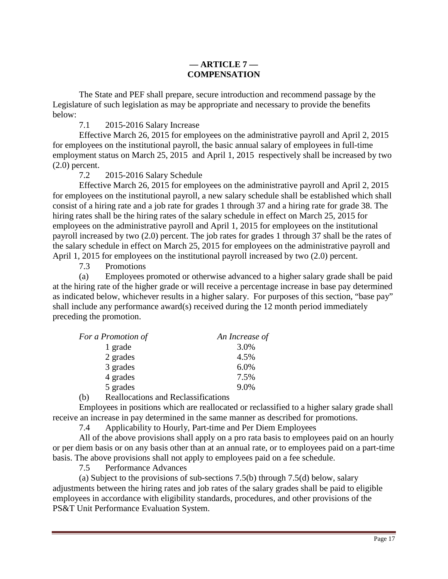### **— ARTICLE 7 — COMPENSATION**

The State and PEF shall prepare, secure introduction and recommend passage by the Legislature of such legislation as may be appropriate and necessary to provide the benefits below:

7.1 2015-2016 Salary Increase

Effective March 26, 2015 for employees on the administrative payroll and April 2, 2015 for employees on the institutional payroll, the basic annual salary of employees in full-time employment status on March 25, 2015 and April 1, 2015 respectively shall be increased by two (2.0) percent.

7.2 2015-2016 Salary Schedule

Effective March 26, 2015 for employees on the administrative payroll and April 2, 2015 for employees on the institutional payroll, a new salary schedule shall be established which shall consist of a hiring rate and a job rate for grades 1 through 37 and a hiring rate for grade 38. The hiring rates shall be the hiring rates of the salary schedule in effect on March 25, 2015 for employees on the administrative payroll and April 1, 2015 for employees on the institutional payroll increased by two (2.0) percent. The job rates for grades 1 through 37 shall be the rates of the salary schedule in effect on March 25, 2015 for employees on the administrative payroll and April 1, 2015 for employees on the institutional payroll increased by two (2.0) percent.

7.3 Promotions

(a) Employees promoted or otherwise advanced to a higher salary grade shall be paid at the hiring rate of the higher grade or will receive a percentage increase in base pay determined as indicated below, whichever results in a higher salary. For purposes of this section, "base pay" shall include any performance award(s) received during the 12 month period immediately preceding the promotion.

| For a Promotion of                                 | An Increase of |
|----------------------------------------------------|----------------|
| 1 grade                                            | 3.0%           |
| 2 grades                                           | 4.5%           |
| 3 grades                                           | 6.0%           |
| 4 grades                                           | 7.5%           |
| 5 grades                                           | 9.0%           |
| $\mathbf{r}$ and the set of $\mathbf{r}$<br>$\sim$ |                |

(b) Reallocations and Reclassifications

Employees in positions which are reallocated or reclassified to a higher salary grade shall receive an increase in pay determined in the same manner as described for promotions.

7.4 Applicability to Hourly, Part-time and Per Diem Employees

 All of the above provisions shall apply on a pro rata basis to employees paid on an hourly or per diem basis or on any basis other than at an annual rate, or to employees paid on a part-time basis. The above provisions shall not apply to employees paid on a fee schedule.

7.5 Performance Advances

 (a) Subject to the provisions of sub-sections 7.5(b) through 7.5(d) below, salary adjustments between the hiring rates and job rates of the salary grades shall be paid to eligible employees in accordance with eligibility standards, procedures, and other provisions of the PS&T Unit Performance Evaluation System.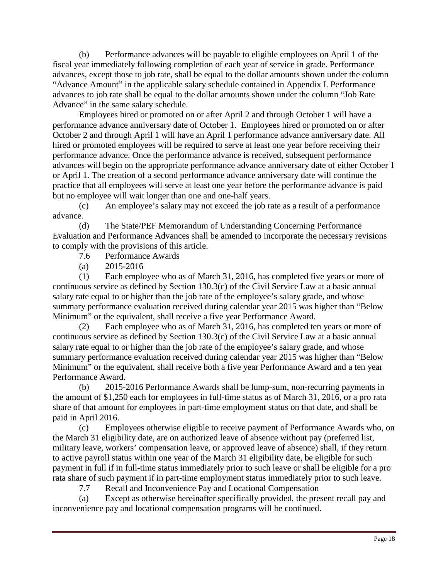(b) Performance advances will be payable to eligible employees on April 1 of the fiscal year immediately following completion of each year of service in grade. Performance advances, except those to job rate, shall be equal to the dollar amounts shown under the column "Advance Amount" in the applicable salary schedule contained in Appendix I. Performance advances to job rate shall be equal to the dollar amounts shown under the column "Job Rate Advance" in the same salary schedule.

 Employees hired or promoted on or after April 2 and through October 1 will have a performance advance anniversary date of October 1. Employees hired or promoted on or after October 2 and through April 1 will have an April 1 performance advance anniversary date. All hired or promoted employees will be required to serve at least one year before receiving their performance advance. Once the performance advance is received, subsequent performance advances will begin on the appropriate performance advance anniversary date of either October 1 or April 1. The creation of a second performance advance anniversary date will continue the practice that all employees will serve at least one year before the performance advance is paid but no employee will wait longer than one and one-half years.

(c) An employee's salary may not exceed the job rate as a result of a performance advance.

(d) The State/PEF Memorandum of Understanding Concerning Performance Evaluation and Performance Advances shall be amended to incorporate the necessary revisions to comply with the provisions of this article.

- 7.6 Performance Awards
- (a) 2015-2016

(1) Each employee who as of March 31, 2016, has completed five years or more of continuous service as defined by Section 130.3(c) of the Civil Service Law at a basic annual salary rate equal to or higher than the job rate of the employee's salary grade, and whose summary performance evaluation received during calendar year 2015 was higher than "Below Minimum" or the equivalent, shall receive a five year Performance Award.

(2) Each employee who as of March 31, 2016, has completed ten years or more of continuous service as defined by Section 130.3(c) of the Civil Service Law at a basic annual salary rate equal to or higher than the job rate of the employee's salary grade, and whose summary performance evaluation received during calendar year 2015 was higher than "Below Minimum" or the equivalent, shall receive both a five year Performance Award and a ten year Performance Award.

(b) 2015-2016 Performance Awards shall be lump-sum, non-recurring payments in the amount of \$1,250 each for employees in full-time status as of March 31, 2016, or a pro rata share of that amount for employees in part-time employment status on that date, and shall be paid in April 2016.

(c) Employees otherwise eligible to receive payment of Performance Awards who, on the March 31 eligibility date, are on authorized leave of absence without pay (preferred list, military leave, workers' compensation leave, or approved leave of absence) shall, if they return to active payroll status within one year of the March 31 eligibility date, be eligible for such payment in full if in full-time status immediately prior to such leave or shall be eligible for a pro rata share of such payment if in part-time employment status immediately prior to such leave.

7.7 Recall and Inconvenience Pay and Locational Compensation

(a) Except as otherwise hereinafter specifically provided, the present recall pay and inconvenience pay and locational compensation programs will be continued.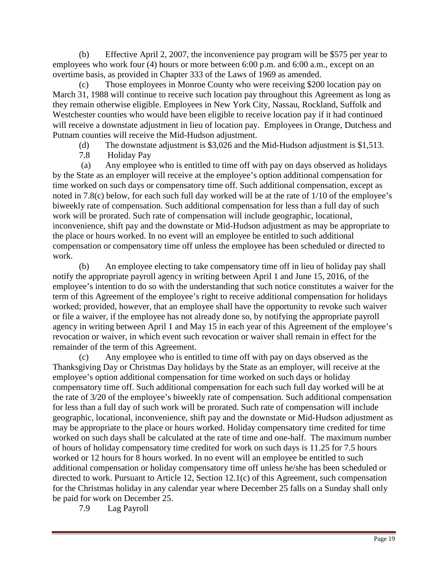(b) Effective April 2, 2007, the inconvenience pay program will be \$575 per year to employees who work four (4) hours or more between 6:00 p.m. and 6:00 a.m., except on an overtime basis, as provided in Chapter 333 of the Laws of 1969 as amended.

(c) Those employees in Monroe County who were receiving \$200 location pay on March 31, 1988 will continue to receive such location pay throughout this Agreement as long as they remain otherwise eligible. Employees in New York City, Nassau, Rockland, Suffolk and Westchester counties who would have been eligible to receive location pay if it had continued will receive a downstate adjustment in lieu of location pay. Employees in Orange, Dutchess and Putnam counties will receive the Mid-Hudson adjustment.

(d) The downstate adjustment is \$3,026 and the Mid-Hudson adjustment is \$1,513.

7.8 Holiday Pay

 (a) Any employee who is entitled to time off with pay on days observed as holidays by the State as an employer will receive at the employee's option additional compensation for time worked on such days or compensatory time off. Such additional compensation, except as noted in 7.8(c) below, for each such full day worked will be at the rate of 1/10 of the employee's biweekly rate of compensation. Such additional compensation for less than a full day of such work will be prorated. Such rate of compensation will include geographic, locational, inconvenience, shift pay and the downstate or Mid-Hudson adjustment as may be appropriate to the place or hours worked. In no event will an employee be entitled to such additional compensation or compensatory time off unless the employee has been scheduled or directed to work.

(b) An employee electing to take compensatory time off in lieu of holiday pay shall notify the appropriate payroll agency in writing between April 1 and June 15, 2016, of the employee's intention to do so with the understanding that such notice constitutes a waiver for the term of this Agreement of the employee's right to receive additional compensation for holidays worked; provided, however, that an employee shall have the opportunity to revoke such waiver or file a waiver, if the employee has not already done so, by notifying the appropriate payroll agency in writing between April 1 and May 15 in each year of this Agreement of the employee's revocation or waiver, in which event such revocation or waiver shall remain in effect for the remainder of the term of this Agreement.

(c) Any employee who is entitled to time off with pay on days observed as the Thanksgiving Day or Christmas Day holidays by the State as an employer, will receive at the employee's option additional compensation for time worked on such days or holiday compensatory time off. Such additional compensation for each such full day worked will be at the rate of 3/20 of the employee's biweekly rate of compensation. Such additional compensation for less than a full day of such work will be prorated. Such rate of compensation will include geographic, locational, inconvenience, shift pay and the downstate or Mid-Hudson adjustment as may be appropriate to the place or hours worked. Holiday compensatory time credited for time worked on such days shall be calculated at the rate of time and one-half. The maximum number of hours of holiday compensatory time credited for work on such days is 11.25 for 7.5 hours worked or 12 hours for 8 hours worked. In no event will an employee be entitled to such additional compensation or holiday compensatory time off unless he/she has been scheduled or directed to work. Pursuant to Article 12, Section 12.1(c) of this Agreement, such compensation for the Christmas holiday in any calendar year where December 25 falls on a Sunday shall only be paid for work on December 25.

7.9 Lag Payroll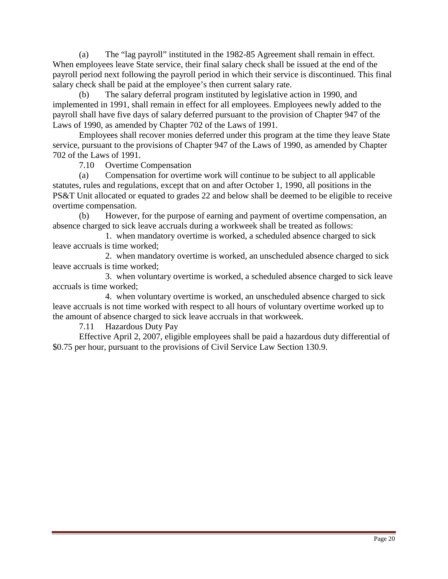(a) The "lag payroll" instituted in the 1982-85 Agreement shall remain in effect. When employees leave State service, their final salary check shall be issued at the end of the payroll period next following the payroll period in which their service is discontinued. This final salary check shall be paid at the employee's then current salary rate.

(b) The salary deferral program instituted by legislative action in 1990, and implemented in 1991, shall remain in effect for all employees. Employees newly added to the payroll shall have five days of salary deferred pursuant to the provision of Chapter 947 of the Laws of 1990, as amended by Chapter 702 of the Laws of 1991.

Employees shall recover monies deferred under this program at the time they leave State service, pursuant to the provisions of Chapter 947 of the Laws of 1990, as amended by Chapter 702 of the Laws of 1991.

7.10 Overtime Compensation

(a) Compensation for overtime work will continue to be subject to all applicable statutes, rules and regulations, except that on and after October 1, 1990, all positions in the PS&T Unit allocated or equated to grades 22 and below shall be deemed to be eligible to receive overtime compensation.

(b) However, for the purpose of earning and payment of overtime compensation, an absence charged to sick leave accruals during a workweek shall be treated as follows:

 1. when mandatory overtime is worked, a scheduled absence charged to sick leave accruals is time worked;

 2. when mandatory overtime is worked, an unscheduled absence charged to sick leave accruals is time worked;

 3. when voluntary overtime is worked, a scheduled absence charged to sick leave accruals is time worked;

 4. when voluntary overtime is worked, an unscheduled absence charged to sick leave accruals is not time worked with respect to all hours of voluntary overtime worked up to the amount of absence charged to sick leave accruals in that workweek.

7.11 Hazardous Duty Pay

 Effective April 2, 2007, eligible employees shall be paid a hazardous duty differential of \$0.75 per hour, pursuant to the provisions of Civil Service Law Section 130.9.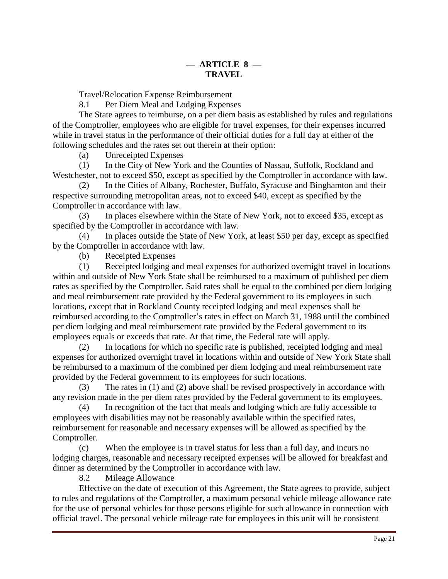Travel/Relocation Expense Reimbursement

8.1 Per Diem Meal and Lodging Expenses

The State agrees to reimburse, on a per diem basis as established by rules and regulations of the Comptroller, employees who are eligible for travel expenses, for their expenses incurred while in travel status in the performance of their official duties for a full day at either of the following schedules and the rates set out therein at their option:

(a) Unreceipted Expenses

(1) In the City of New York and the Counties of Nassau, Suffolk, Rockland and Westchester, not to exceed \$50, except as specified by the Comptroller in accordance with law.

(2) In the Cities of Albany, Rochester, Buffalo, Syracuse and Binghamton and their respective surrounding metropolitan areas, not to exceed \$40, except as specified by the Comptroller in accordance with law.

(3) In places elsewhere within the State of New York, not to exceed \$35, except as specified by the Comptroller in accordance with law.

(4) In places outside the State of New York, at least \$50 per day, except as specified by the Comptroller in accordance with law.

(b) Receipted Expenses

(1) Receipted lodging and meal expenses for authorized overnight travel in locations within and outside of New York State shall be reimbursed to a maximum of published per diem rates as specified by the Comptroller. Said rates shall be equal to the combined per diem lodging and meal reimbursement rate provided by the Federal government to its employees in such locations, except that in Rockland County receipted lodging and meal expenses shall be reimbursed according to the Comptroller's rates in effect on March 31, 1988 until the combined per diem lodging and meal reimbursement rate provided by the Federal government to its employees equals or exceeds that rate. At that time, the Federal rate will apply.

(2) In locations for which no specific rate is published, receipted lodging and meal expenses for authorized overnight travel in locations within and outside of New York State shall be reimbursed to a maximum of the combined per diem lodging and meal reimbursement rate provided by the Federal government to its employees for such locations.

(3) The rates in (1) and (2) above shall be revised prospectively in accordance with any revision made in the per diem rates provided by the Federal government to its employees.

(4) In recognition of the fact that meals and lodging which are fully accessible to employees with disabilities may not be reasonably available within the specified rates, reimbursement for reasonable and necessary expenses will be allowed as specified by the Comptroller.

(c) When the employee is in travel status for less than a full day, and incurs no lodging charges, reasonable and necessary receipted expenses will be allowed for breakfast and dinner as determined by the Comptroller in accordance with law.

8.2 Mileage Allowance

 Effective on the date of execution of this Agreement, the State agrees to provide, subject to rules and regulations of the Comptroller, a maximum personal vehicle mileage allowance rate for the use of personal vehicles for those persons eligible for such allowance in connection with official travel. The personal vehicle mileage rate for employees in this unit will be consistent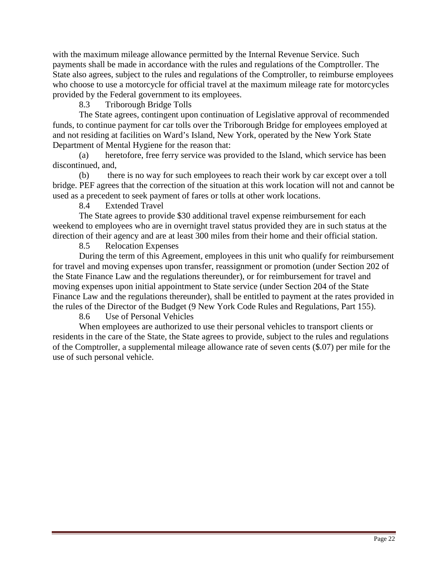with the maximum mileage allowance permitted by the Internal Revenue Service. Such payments shall be made in accordance with the rules and regulations of the Comptroller. The State also agrees, subject to the rules and regulations of the Comptroller, to reimburse employees who choose to use a motorcycle for official travel at the maximum mileage rate for motorcycles provided by the Federal government to its employees.

8.3 Triborough Bridge Tolls

The State agrees, contingent upon continuation of Legislative approval of recommended funds, to continue payment for car tolls over the Triborough Bridge for employees employed at and not residing at facilities on Ward's Island, New York, operated by the New York State Department of Mental Hygiene for the reason that:

(a) heretofore, free ferry service was provided to the Island, which service has been discontinued, and,

(b) there is no way for such employees to reach their work by car except over a toll bridge. PEF agrees that the correction of the situation at this work location will not and cannot be used as a precedent to seek payment of fares or tolls at other work locations.

8.4 Extended Travel

 The State agrees to provide \$30 additional travel expense reimbursement for each weekend to employees who are in overnight travel status provided they are in such status at the direction of their agency and are at least 300 miles from their home and their official station.

8.5 Relocation Expenses

During the term of this Agreement, employees in this unit who qualify for reimbursement for travel and moving expenses upon transfer, reassignment or promotion (under Section 202 of the State Finance Law and the regulations thereunder), or for reimbursement for travel and moving expenses upon initial appointment to State service (under Section 204 of the State Finance Law and the regulations thereunder), shall be entitled to payment at the rates provided in the rules of the Director of the Budget (9 New York Code Rules and Regulations, Part 155).

8.6 Use of Personal Vehicles

 When employees are authorized to use their personal vehicles to transport clients or residents in the care of the State, the State agrees to provide, subject to the rules and regulations of the Comptroller, a supplemental mileage allowance rate of seven cents (\$.07) per mile for the use of such personal vehicle.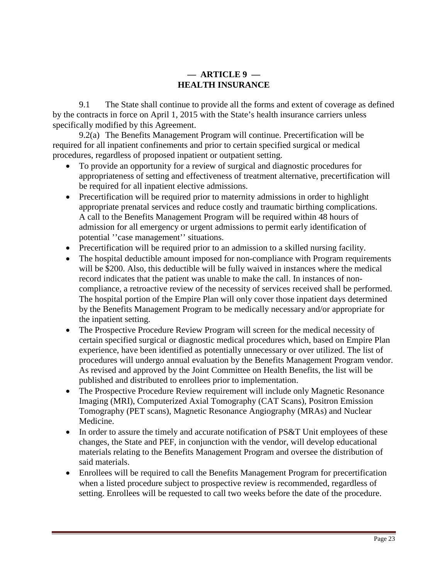## **— ARTICLE 9 — HEALTH INSURANCE**

 9.1 The State shall continue to provide all the forms and extent of coverage as defined by the contracts in force on April 1, 2015 with the State's health insurance carriers unless specifically modified by this Agreement.

 9.2(a) The Benefits Management Program will continue. Precertification will be required for all inpatient confinements and prior to certain specified surgical or medical procedures, regardless of proposed inpatient or outpatient setting.

- To provide an opportunity for a review of surgical and diagnostic procedures for appropriateness of setting and effectiveness of treatment alternative, precertification will be required for all inpatient elective admissions.
- Precertification will be required prior to maternity admissions in order to highlight appropriate prenatal services and reduce costly and traumatic birthing complications. A call to the Benefits Management Program will be required within 48 hours of admission for all emergency or urgent admissions to permit early identification of potential ''case management'' situations.
- Precertification will be required prior to an admission to a skilled nursing facility.
- The hospital deductible amount imposed for non-compliance with Program requirements will be \$200. Also, this deductible will be fully waived in instances where the medical record indicates that the patient was unable to make the call. In instances of noncompliance, a retroactive review of the necessity of services received shall be performed. The hospital portion of the Empire Plan will only cover those inpatient days determined by the Benefits Management Program to be medically necessary and/or appropriate for the inpatient setting.
- The Prospective Procedure Review Program will screen for the medical necessity of certain specified surgical or diagnostic medical procedures which, based on Empire Plan experience, have been identified as potentially unnecessary or over utilized. The list of procedures will undergo annual evaluation by the Benefits Management Program vendor. As revised and approved by the Joint Committee on Health Benefits, the list will be published and distributed to enrollees prior to implementation.
- The Prospective Procedure Review requirement will include only Magnetic Resonance Imaging (MRI), Computerized Axial Tomography (CAT Scans), Positron Emission Tomography (PET scans), Magnetic Resonance Angiography (MRAs) and Nuclear Medicine.
- In order to assure the timely and accurate notification of PS&T Unit employees of these changes, the State and PEF, in conjunction with the vendor, will develop educational materials relating to the Benefits Management Program and oversee the distribution of said materials.
- Enrollees will be required to call the Benefits Management Program for precertification when a listed procedure subject to prospective review is recommended, regardless of setting. Enrollees will be requested to call two weeks before the date of the procedure.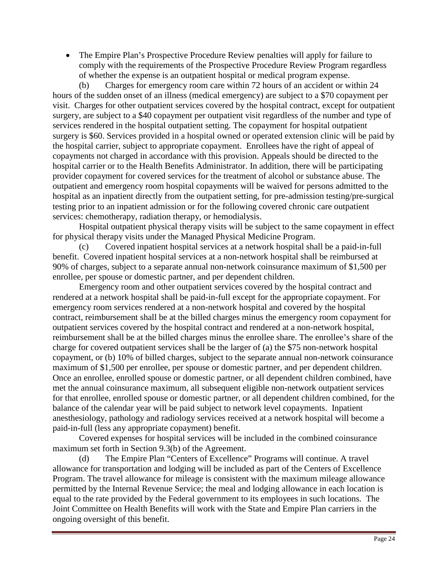• The Empire Plan's Prospective Procedure Review penalties will apply for failure to comply with the requirements of the Prospective Procedure Review Program regardless of whether the expense is an outpatient hospital or medical program expense.

(b) Charges for emergency room care within 72 hours of an accident or within 24 hours of the sudden onset of an illness (medical emergency) are subject to a \$70 copayment per visit. Charges for other outpatient services covered by the hospital contract, except for outpatient surgery, are subject to a \$40 copayment per outpatient visit regardless of the number and type of services rendered in the hospital outpatient setting. The copayment for hospital outpatient surgery is \$60. Services provided in a hospital owned or operated extension clinic will be paid by the hospital carrier, subject to appropriate copayment. Enrollees have the right of appeal of copayments not charged in accordance with this provision. Appeals should be directed to the hospital carrier or to the Health Benefits Administrator. In addition, there will be participating provider copayment for covered services for the treatment of alcohol or substance abuse. The outpatient and emergency room hospital copayments will be waived for persons admitted to the hospital as an inpatient directly from the outpatient setting, for pre-admission testing/pre-surgical testing prior to an inpatient admission or for the following covered chronic care outpatient services: chemotherapy, radiation therapy, or hemodialysis.

Hospital outpatient physical therapy visits will be subject to the same copayment in effect for physical therapy visits under the Managed Physical Medicine Program.

(c) Covered inpatient hospital services at a network hospital shall be a paid-in-full benefit. Covered inpatient hospital services at a non-network hospital shall be reimbursed at 90% of charges, subject to a separate annual non-network coinsurance maximum of \$1,500 per enrollee, per spouse or domestic partner, and per dependent children.

 Emergency room and other outpatient services covered by the hospital contract and rendered at a network hospital shall be paid-in-full except for the appropriate copayment. For emergency room services rendered at a non-network hospital and covered by the hospital contract, reimbursement shall be at the billed charges minus the emergency room copayment for outpatient services covered by the hospital contract and rendered at a non-network hospital, reimbursement shall be at the billed charges minus the enrollee share. The enrollee's share of the charge for covered outpatient services shall be the larger of (a) the \$75 non-network hospital copayment, or (b) 10% of billed charges, subject to the separate annual non-network coinsurance maximum of \$1,500 per enrollee, per spouse or domestic partner, and per dependent children. Once an enrollee, enrolled spouse or domestic partner, or all dependent children combined, have met the annual coinsurance maximum, all subsequent eligible non-network outpatient services for that enrollee, enrolled spouse or domestic partner, or all dependent children combined, for the balance of the calendar year will be paid subject to network level copayments. Inpatient anesthesiology, pathology and radiology services received at a network hospital will become a paid-in-full (less any appropriate copayment) benefit.

 Covered expenses for hospital services will be included in the combined coinsurance maximum set forth in Section 9.3(b) of the Agreement.

(d) The Empire Plan "Centers of Excellence" Programs will continue. A travel allowance for transportation and lodging will be included as part of the Centers of Excellence Program. The travel allowance for mileage is consistent with the maximum mileage allowance permitted by the Internal Revenue Service; the meal and lodging allowance in each location is equal to the rate provided by the Federal government to its employees in such locations. The Joint Committee on Health Benefits will work with the State and Empire Plan carriers in the ongoing oversight of this benefit.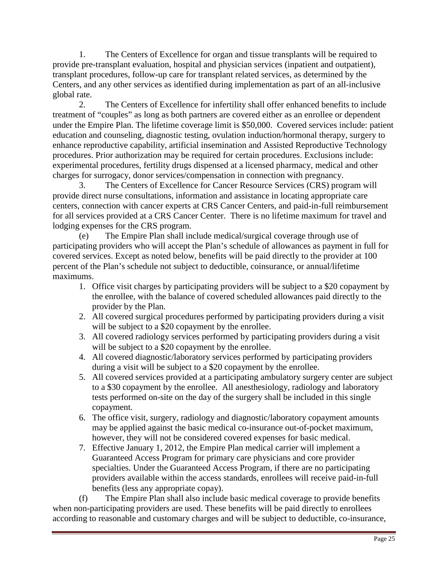1. The Centers of Excellence for organ and tissue transplants will be required to provide pre-transplant evaluation, hospital and physician services (inpatient and outpatient), transplant procedures, follow-up care for transplant related services, as determined by the Centers, and any other services as identified during implementation as part of an all-inclusive global rate.

 2. The Centers of Excellence for infertility shall offer enhanced benefits to include treatment of "couples" as long as both partners are covered either as an enrollee or dependent under the Empire Plan. The lifetime coverage limit is \$50,000. Covered services include: patient education and counseling, diagnostic testing, ovulation induction/hormonal therapy, surgery to enhance reproductive capability, artificial insemination and Assisted Reproductive Technology procedures. Prior authorization may be required for certain procedures. Exclusions include: experimental procedures, fertility drugs dispensed at a licensed pharmacy, medical and other charges for surrogacy, donor services/compensation in connection with pregnancy.

 3. The Centers of Excellence for Cancer Resource Services (CRS) program will provide direct nurse consultations, information and assistance in locating appropriate care centers, connection with cancer experts at CRS Cancer Centers, and paid-in-full reimbursement for all services provided at a CRS Cancer Center. There is no lifetime maximum for travel and lodging expenses for the CRS program.

(e) The Empire Plan shall include medical/surgical coverage through use of participating providers who will accept the Plan's schedule of allowances as payment in full for covered services. Except as noted below, benefits will be paid directly to the provider at 100 percent of the Plan's schedule not subject to deductible, coinsurance, or annual/lifetime maximums.

- 1. Office visit charges by participating providers will be subject to a \$20 copayment by the enrollee, with the balance of covered scheduled allowances paid directly to the provider by the Plan.
- 2. All covered surgical procedures performed by participating providers during a visit will be subject to a \$20 copayment by the enrollee.
- 3. All covered radiology services performed by participating providers during a visit will be subject to a \$20 copayment by the enrollee.
- 4. All covered diagnostic/laboratory services performed by participating providers during a visit will be subject to a \$20 copayment by the enrollee.
- 5. All covered services provided at a participating ambulatory surgery center are subject to a \$30 copayment by the enrollee. All anesthesiology, radiology and laboratory tests performed on-site on the day of the surgery shall be included in this single copayment.
- 6. The office visit, surgery, radiology and diagnostic/laboratory copayment amounts may be applied against the basic medical co-insurance out-of-pocket maximum, however, they will not be considered covered expenses for basic medical.
- 7. Effective January 1, 2012, the Empire Plan medical carrier will implement a Guaranteed Access Program for primary care physicians and core provider specialties. Under the Guaranteed Access Program, if there are no participating providers available within the access standards, enrollees will receive paid-in-full benefits (less any appropriate copay).

(f) The Empire Plan shall also include basic medical coverage to provide benefits when non-participating providers are used. These benefits will be paid directly to enrollees according to reasonable and customary charges and will be subject to deductible, co-insurance,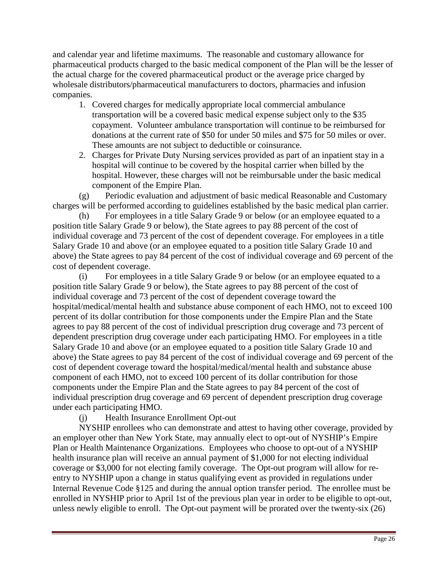and calendar year and lifetime maximums. The reasonable and customary allowance for pharmaceutical products charged to the basic medical component of the Plan will be the lesser of the actual charge for the covered pharmaceutical product or the average price charged by wholesale distributors/pharmaceutical manufacturers to doctors, pharmacies and infusion companies.

- 1. Covered charges for medically appropriate local commercial ambulance transportation will be a covered basic medical expense subject only to the \$35 copayment. Volunteer ambulance transportation will continue to be reimbursed for donations at the current rate of \$50 for under 50 miles and \$75 for 50 miles or over. These amounts are not subject to deductible or coinsurance.
- 2. Charges for Private Duty Nursing services provided as part of an inpatient stay in a hospital will continue to be covered by the hospital carrier when billed by the hospital. However, these charges will not be reimbursable under the basic medical component of the Empire Plan.

(g) Periodic evaluation and adjustment of basic medical Reasonable and Customary charges will be performed according to guidelines established by the basic medical plan carrier.

(h) For employees in a title Salary Grade 9 or below (or an employee equated to a position title Salary Grade 9 or below), the State agrees to pay 88 percent of the cost of individual coverage and 73 percent of the cost of dependent coverage. For employees in a title Salary Grade 10 and above (or an employee equated to a position title Salary Grade 10 and above) the State agrees to pay 84 percent of the cost of individual coverage and 69 percent of the cost of dependent coverage.

(i) For employees in a title Salary Grade 9 or below (or an employee equated to a position title Salary Grade 9 or below), the State agrees to pay 88 percent of the cost of individual coverage and 73 percent of the cost of dependent coverage toward the hospital/medical/mental health and substance abuse component of each HMO, not to exceed 100 percent of its dollar contribution for those components under the Empire Plan and the State agrees to pay 88 percent of the cost of individual prescription drug coverage and 73 percent of dependent prescription drug coverage under each participating HMO. For employees in a title Salary Grade 10 and above (or an employee equated to a position title Salary Grade 10 and above) the State agrees to pay 84 percent of the cost of individual coverage and 69 percent of the cost of dependent coverage toward the hospital/medical/mental health and substance abuse component of each HMO, not to exceed 100 percent of its dollar contribution for those components under the Empire Plan and the State agrees to pay 84 percent of the cost of individual prescription drug coverage and 69 percent of dependent prescription drug coverage under each participating HMO.

#### (j) Health Insurance Enrollment Opt-out

 NYSHIP enrollees who can demonstrate and attest to having other coverage, provided by an employer other than New York State, may annually elect to opt-out of NYSHIP's Empire Plan or Health Maintenance Organizations. Employees who choose to opt-out of a NYSHIP health insurance plan will receive an annual payment of \$1,000 for not electing individual coverage or \$3,000 for not electing family coverage. The Opt-out program will allow for reentry to NYSHIP upon a change in status qualifying event as provided in regulations under Internal Revenue Code §125 and during the annual option transfer period. The enrollee must be enrolled in NYSHIP prior to April 1st of the previous plan year in order to be eligible to opt-out, unless newly eligible to enroll. The Opt-out payment will be prorated over the twenty-six (26)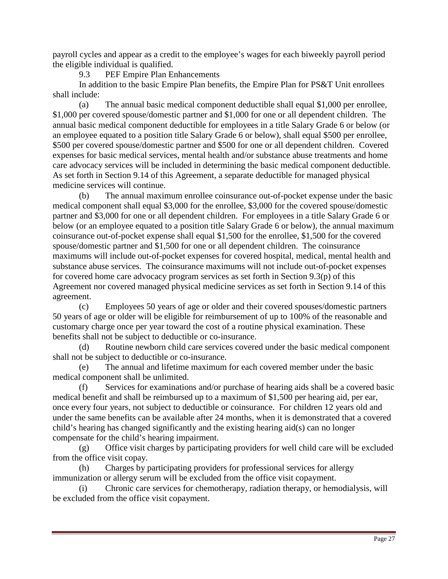payroll cycles and appear as a credit to the employee's wages for each biweekly payroll period the eligible individual is qualified.

9.3 PEF Empire Plan Enhancements

 In addition to the basic Empire Plan benefits, the Empire Plan for PS&T Unit enrollees shall include:

(a) The annual basic medical component deductible shall equal \$1,000 per enrollee, \$1,000 per covered spouse/domestic partner and \$1,000 for one or all dependent children. The annual basic medical component deductible for employees in a title Salary Grade 6 or below (or an employee equated to a position title Salary Grade 6 or below), shall equal \$500 per enrollee, \$500 per covered spouse/domestic partner and \$500 for one or all dependent children. Covered expenses for basic medical services, mental health and/or substance abuse treatments and home care advocacy services will be included in determining the basic medical component deductible. As set forth in Section 9.14 of this Agreement, a separate deductible for managed physical medicine services will continue.

(b) The annual maximum enrollee coinsurance out-of-pocket expense under the basic medical component shall equal \$3,000 for the enrollee, \$3,000 for the covered spouse/domestic partner and \$3,000 for one or all dependent children. For employees in a title Salary Grade 6 or below (or an employee equated to a position title Salary Grade 6 or below), the annual maximum coinsurance out-of-pocket expense shall equal \$1,500 for the enrollee, \$1,500 for the covered spouse/domestic partner and \$1,500 for one or all dependent children. The coinsurance maximums will include out-of-pocket expenses for covered hospital, medical, mental health and substance abuse services. The coinsurance maximums will not include out-of-pocket expenses for covered home care advocacy program services as set forth in Section 9.3(p) of this Agreement nor covered managed physical medicine services as set forth in Section 9.14 of this agreement.

(c) Employees 50 years of age or older and their covered spouses/domestic partners 50 years of age or older will be eligible for reimbursement of up to 100% of the reasonable and customary charge once per year toward the cost of a routine physical examination. These benefits shall not be subject to deductible or co-insurance.

(d) Routine newborn child care services covered under the basic medical component shall not be subject to deductible or co-insurance.

(e) The annual and lifetime maximum for each covered member under the basic medical component shall be unlimited.

(f) Services for examinations and/or purchase of hearing aids shall be a covered basic medical benefit and shall be reimbursed up to a maximum of \$1,500 per hearing aid, per ear, once every four years, not subject to deductible or coinsurance. For children 12 years old and under the same benefits can be available after 24 months, when it is demonstrated that a covered child's hearing has changed significantly and the existing hearing aid(s) can no longer compensate for the child's hearing impairment.

(g) Office visit charges by participating providers for well child care will be excluded from the office visit copay.

(h) Charges by participating providers for professional services for allergy immunization or allergy serum will be excluded from the office visit copayment.

(i) Chronic care services for chemotherapy, radiation therapy, or hemodialysis, will be excluded from the office visit copayment.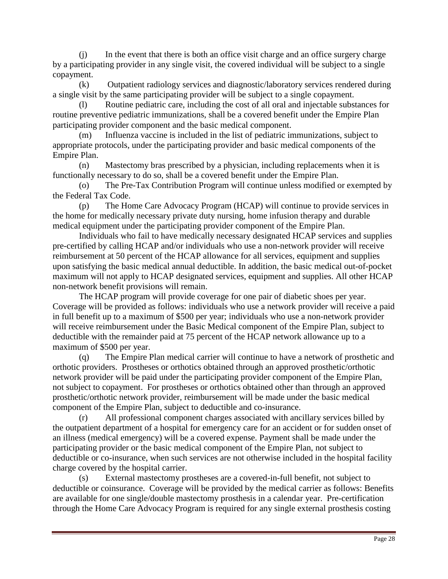(j) In the event that there is both an office visit charge and an office surgery charge by a participating provider in any single visit, the covered individual will be subject to a single copayment.

(k) Outpatient radiology services and diagnostic/laboratory services rendered during a single visit by the same participating provider will be subject to a single copayment.

(l) Routine pediatric care, including the cost of all oral and injectable substances for routine preventive pediatric immunizations, shall be a covered benefit under the Empire Plan participating provider component and the basic medical component.

(m) Influenza vaccine is included in the list of pediatric immunizations, subject to appropriate protocols, under the participating provider and basic medical components of the Empire Plan.

(n) Mastectomy bras prescribed by a physician, including replacements when it is functionally necessary to do so, shall be a covered benefit under the Empire Plan.

(o) The Pre-Tax Contribution Program will continue unless modified or exempted by the Federal Tax Code.

(p) The Home Care Advocacy Program (HCAP) will continue to provide services in the home for medically necessary private duty nursing, home infusion therapy and durable medical equipment under the participating provider component of the Empire Plan.

 Individuals who fail to have medically necessary designated HCAP services and supplies pre-certified by calling HCAP and/or individuals who use a non-network provider will receive reimbursement at 50 percent of the HCAP allowance for all services, equipment and supplies upon satisfying the basic medical annual deductible. In addition, the basic medical out-of-pocket maximum will not apply to HCAP designated services, equipment and supplies. All other HCAP non-network benefit provisions will remain.

 The HCAP program will provide coverage for one pair of diabetic shoes per year. Coverage will be provided as follows: individuals who use a network provider will receive a paid in full benefit up to a maximum of \$500 per year; individuals who use a non-network provider will receive reimbursement under the Basic Medical component of the Empire Plan, subject to deductible with the remainder paid at 75 percent of the HCAP network allowance up to a maximum of \$500 per year.

(q) The Empire Plan medical carrier will continue to have a network of prosthetic and orthotic providers. Prostheses or orthotics obtained through an approved prosthetic/orthotic network provider will be paid under the participating provider component of the Empire Plan, not subject to copayment. For prostheses or orthotics obtained other than through an approved prosthetic/orthotic network provider, reimbursement will be made under the basic medical component of the Empire Plan, subject to deductible and co-insurance.

(r) All professional component charges associated with ancillary services billed by the outpatient department of a hospital for emergency care for an accident or for sudden onset of an illness (medical emergency) will be a covered expense. Payment shall be made under the participating provider or the basic medical component of the Empire Plan, not subject to deductible or co-insurance, when such services are not otherwise included in the hospital facility charge covered by the hospital carrier.

(s) External mastectomy prostheses are a covered-in-full benefit, not subject to deductible or coinsurance. Coverage will be provided by the medical carrier as follows: Benefits are available for one single/double mastectomy prosthesis in a calendar year. Pre-certification through the Home Care Advocacy Program is required for any single external prosthesis costing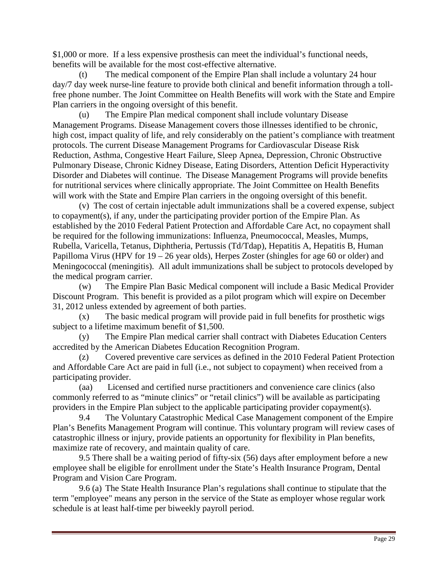\$1,000 or more. If a less expensive prosthesis can meet the individual's functional needs, benefits will be available for the most cost-effective alternative.

(t) The medical component of the Empire Plan shall include a voluntary 24 hour day/7 day week nurse-line feature to provide both clinical and benefit information through a tollfree phone number. The Joint Committee on Health Benefits will work with the State and Empire Plan carriers in the ongoing oversight of this benefit.

(u) The Empire Plan medical component shall include voluntary Disease Management Programs. Disease Management covers those illnesses identified to be chronic, high cost, impact quality of life, and rely considerably on the patient's compliance with treatment protocols. The current Disease Management Programs for Cardiovascular Disease Risk Reduction, Asthma, Congestive Heart Failure, Sleep Apnea, Depression, Chronic Obstructive Pulmonary Disease, Chronic Kidney Disease, Eating Disorders, Attention Deficit Hyperactivity Disorder and Diabetes will continue. The Disease Management Programs will provide benefits for nutritional services where clinically appropriate. The Joint Committee on Health Benefits will work with the State and Empire Plan carriers in the ongoing oversight of this benefit.

 (v) The cost of certain injectable adult immunizations shall be a covered expense, subject to copayment(s), if any, under the participating provider portion of the Empire Plan. As established by the 2010 Federal Patient Protection and Affordable Care Act, no copayment shall be required for the following immunizations: Influenza, Pneumococcal, Measles, Mumps, Rubella, Varicella, Tetanus, Diphtheria, Pertussis (Td/Tdap), Hepatitis A, Hepatitis B, Human Papilloma Virus (HPV for 19 – 26 year olds), Herpes Zoster (shingles for age 60 or older) and Meningococcal (meningitis). All adult immunizations shall be subject to protocols developed by the medical program carrier.

(w) The Empire Plan Basic Medical component will include a Basic Medical Provider Discount Program. This benefit is provided as a pilot program which will expire on December 31, 2012 unless extended by agreement of both parties.

(x) The basic medical program will provide paid in full benefits for prosthetic wigs subject to a lifetime maximum benefit of \$1,500.

(y) The Empire Plan medical carrier shall contract with Diabetes Education Centers accredited by the American Diabetes Education Recognition Program.

(z) Covered preventive care services as defined in the 2010 Federal Patient Protection and Affordable Care Act are paid in full (i.e., not subject to copayment) when received from a participating provider.

(aa) Licensed and certified nurse practitioners and convenience care clinics (also commonly referred to as "minute clinics" or "retail clinics") will be available as participating providers in the Empire Plan subject to the applicable participating provider copayment(s).

 9.4 The Voluntary Catastrophic Medical Case Management component of the Empire Plan's Benefits Management Program will continue. This voluntary program will review cases of catastrophic illness or injury, provide patients an opportunity for flexibility in Plan benefits, maximize rate of recovery, and maintain quality of care.

 9.5 There shall be a waiting period of fifty-six (56) days after employment before a new employee shall be eligible for enrollment under the State's Health Insurance Program, Dental Program and Vision Care Program.

 9.6 (a) The State Health Insurance Plan's regulations shall continue to stipulate that the term "employee" means any person in the service of the State as employer whose regular work schedule is at least half-time per biweekly payroll period.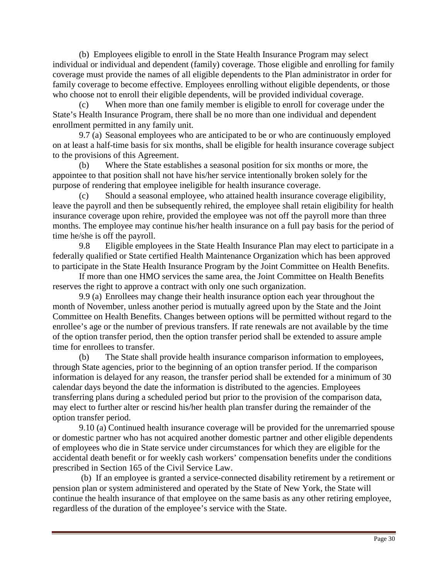(b) Employees eligible to enroll in the State Health Insurance Program may select individual or individual and dependent (family) coverage. Those eligible and enrolling for family coverage must provide the names of all eligible dependents to the Plan administrator in order for family coverage to become effective. Employees enrolling without eligible dependents, or those who choose not to enroll their eligible dependents, will be provided individual coverage.

(c) When more than one family member is eligible to enroll for coverage under the State's Health Insurance Program, there shall be no more than one individual and dependent enrollment permitted in any family unit.

 9.7 (a) Seasonal employees who are anticipated to be or who are continuously employed on at least a half-time basis for six months, shall be eligible for health insurance coverage subject to the provisions of this Agreement.

(b) Where the State establishes a seasonal position for six months or more, the appointee to that position shall not have his/her service intentionally broken solely for the purpose of rendering that employee ineligible for health insurance coverage.

(c) Should a seasonal employee, who attained health insurance coverage eligibility, leave the payroll and then be subsequently rehired, the employee shall retain eligibility for health insurance coverage upon rehire, provided the employee was not off the payroll more than three months. The employee may continue his/her health insurance on a full pay basis for the period of time he/she is off the payroll.

 9.8 Eligible employees in the State Health Insurance Plan may elect to participate in a federally qualified or State certified Health Maintenance Organization which has been approved to participate in the State Health Insurance Program by the Joint Committee on Health Benefits.

If more than one HMO services the same area, the Joint Committee on Health Benefits reserves the right to approve a contract with only one such organization.

 9.9 (a) Enrollees may change their health insurance option each year throughout the month of November, unless another period is mutually agreed upon by the State and the Joint Committee on Health Benefits. Changes between options will be permitted without regard to the enrollee's age or the number of previous transfers. If rate renewals are not available by the time of the option transfer period, then the option transfer period shall be extended to assure ample time for enrollees to transfer.

(b) The State shall provide health insurance comparison information to employees, through State agencies, prior to the beginning of an option transfer period. If the comparison information is delayed for any reason, the transfer period shall be extended for a minimum of 30 calendar days beyond the date the information is distributed to the agencies. Employees transferring plans during a scheduled period but prior to the provision of the comparison data, may elect to further alter or rescind his/her health plan transfer during the remainder of the option transfer period.

 9.10 (a) Continued health insurance coverage will be provided for the unremarried spouse or domestic partner who has not acquired another domestic partner and other eligible dependents of employees who die in State service under circumstances for which they are eligible for the accidental death benefit or for weekly cash workers' compensation benefits under the conditions prescribed in Section 165 of the Civil Service Law.

 (b) If an employee is granted a service-connected disability retirement by a retirement or pension plan or system administered and operated by the State of New York, the State will continue the health insurance of that employee on the same basis as any other retiring employee, regardless of the duration of the employee's service with the State.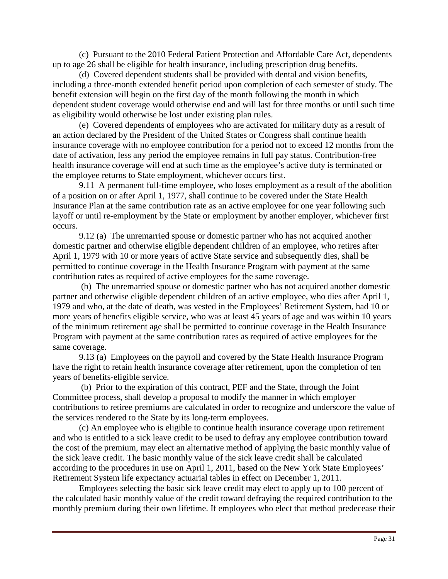(c) Pursuant to the 2010 Federal Patient Protection and Affordable Care Act, dependents up to age 26 shall be eligible for health insurance, including prescription drug benefits.

 (d) Covered dependent students shall be provided with dental and vision benefits, including a three-month extended benefit period upon completion of each semester of study. The benefit extension will begin on the first day of the month following the month in which dependent student coverage would otherwise end and will last for three months or until such time as eligibility would otherwise be lost under existing plan rules.

 (e) Covered dependents of employees who are activated for military duty as a result of an action declared by the President of the United States or Congress shall continue health insurance coverage with no employee contribution for a period not to exceed 12 months from the date of activation, less any period the employee remains in full pay status. Contribution-free health insurance coverage will end at such time as the employee's active duty is terminated or the employee returns to State employment, whichever occurs first.

 9.11 A permanent full-time employee, who loses employment as a result of the abolition of a position on or after April 1, 1977, shall continue to be covered under the State Health Insurance Plan at the same contribution rate as an active employee for one year following such layoff or until re-employment by the State or employment by another employer, whichever first occurs.

 9.12 (a) The unremarried spouse or domestic partner who has not acquired another domestic partner and otherwise eligible dependent children of an employee, who retires after April 1, 1979 with 10 or more years of active State service and subsequently dies, shall be permitted to continue coverage in the Health Insurance Program with payment at the same contribution rates as required of active employees for the same coverage.

 (b) The unremarried spouse or domestic partner who has not acquired another domestic partner and otherwise eligible dependent children of an active employee, who dies after April 1, 1979 and who, at the date of death, was vested in the Employees' Retirement System, had 10 or more years of benefits eligible service, who was at least 45 years of age and was within 10 years of the minimum retirement age shall be permitted to continue coverage in the Health Insurance Program with payment at the same contribution rates as required of active employees for the same coverage.

 9.13 (a) Employees on the payroll and covered by the State Health Insurance Program have the right to retain health insurance coverage after retirement, upon the completion of ten years of benefits-eligible service.

 (b) Prior to the expiration of this contract, PEF and the State, through the Joint Committee process, shall develop a proposal to modify the manner in which employer contributions to retiree premiums are calculated in order to recognize and underscore the value of the services rendered to the State by its long-term employees.

 (c) An employee who is eligible to continue health insurance coverage upon retirement and who is entitled to a sick leave credit to be used to defray any employee contribution toward the cost of the premium, may elect an alternative method of applying the basic monthly value of the sick leave credit. The basic monthly value of the sick leave credit shall be calculated according to the procedures in use on April 1, 2011, based on the New York State Employees' Retirement System life expectancy actuarial tables in effect on December 1, 2011.

Employees selecting the basic sick leave credit may elect to apply up to 100 percent of the calculated basic monthly value of the credit toward defraying the required contribution to the monthly premium during their own lifetime. If employees who elect that method predecease their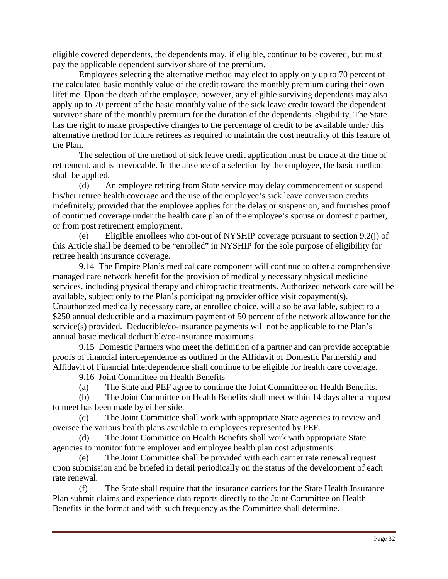eligible covered dependents, the dependents may, if eligible, continue to be covered, but must pay the applicable dependent survivor share of the premium.

Employees selecting the alternative method may elect to apply only up to 70 percent of the calculated basic monthly value of the credit toward the monthly premium during their own lifetime. Upon the death of the employee, however, any eligible surviving dependents may also apply up to 70 percent of the basic monthly value of the sick leave credit toward the dependent survivor share of the monthly premium for the duration of the dependents' eligibility. The State has the right to make prospective changes to the percentage of credit to be available under this alternative method for future retirees as required to maintain the cost neutrality of this feature of the Plan.

The selection of the method of sick leave credit application must be made at the time of retirement, and is irrevocable. In the absence of a selection by the employee, the basic method shall be applied.

 (d) An employee retiring from State service may delay commencement or suspend his/her retiree health coverage and the use of the employee's sick leave conversion credits indefinitely, provided that the employee applies for the delay or suspension, and furnishes proof of continued coverage under the health care plan of the employee's spouse or domestic partner, or from post retirement employment.

(e) Eligible enrollees who opt-out of NYSHIP coverage pursuant to section 9.2(j) of this Article shall be deemed to be "enrolled" in NYSHIP for the sole purpose of eligibility for retiree health insurance coverage.

 9.14 The Empire Plan's medical care component will continue to offer a comprehensive managed care network benefit for the provision of medically necessary physical medicine services, including physical therapy and chiropractic treatments. Authorized network care will be available, subject only to the Plan's participating provider office visit copayment(s). Unauthorized medically necessary care, at enrollee choice, will also be available, subject to a \$250 annual deductible and a maximum payment of 50 percent of the network allowance for the service(s) provided. Deductible/co-insurance payments will not be applicable to the Plan's annual basic medical deductible/co-insurance maximums.

 9.15 Domestic Partners who meet the definition of a partner and can provide acceptable proofs of financial interdependence as outlined in the Affidavit of Domestic Partnership and Affidavit of Financial Interdependence shall continue to be eligible for health care coverage.

9.16 Joint Committee on Health Benefits

(a) The State and PEF agree to continue the Joint Committee on Health Benefits.

(b) The Joint Committee on Health Benefits shall meet within 14 days after a request to meet has been made by either side.

(c) The Joint Committee shall work with appropriate State agencies to review and oversee the various health plans available to employees represented by PEF.

(d) The Joint Committee on Health Benefits shall work with appropriate State agencies to monitor future employer and employee health plan cost adjustments.

(e) The Joint Committee shall be provided with each carrier rate renewal request upon submission and be briefed in detail periodically on the status of the development of each rate renewal.

(f) The State shall require that the insurance carriers for the State Health Insurance Plan submit claims and experience data reports directly to the Joint Committee on Health Benefits in the format and with such frequency as the Committee shall determine.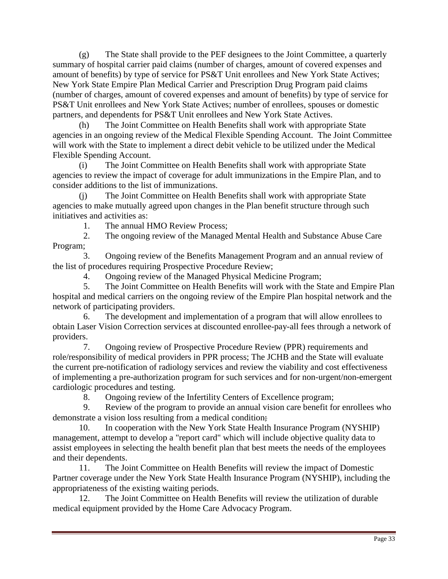(g) The State shall provide to the PEF designees to the Joint Committee, a quarterly summary of hospital carrier paid claims (number of charges, amount of covered expenses and amount of benefits) by type of service for PS&T Unit enrollees and New York State Actives; New York State Empire Plan Medical Carrier and Prescription Drug Program paid claims (number of charges, amount of covered expenses and amount of benefits) by type of service for PS&T Unit enrollees and New York State Actives; number of enrollees, spouses or domestic partners, and dependents for PS&T Unit enrollees and New York State Actives.

(h) The Joint Committee on Health Benefits shall work with appropriate State agencies in an ongoing review of the Medical Flexible Spending Account. The Joint Committee will work with the State to implement a direct debit vehicle to be utilized under the Medical Flexible Spending Account.

(i) The Joint Committee on Health Benefits shall work with appropriate State agencies to review the impact of coverage for adult immunizations in the Empire Plan, and to consider additions to the list of immunizations.

(j) The Joint Committee on Health Benefits shall work with appropriate State agencies to make mutually agreed upon changes in the Plan benefit structure through such initiatives and activities as:

1. The annual HMO Review Process;

 2. The ongoing review of the Managed Mental Health and Substance Abuse Care Program;

 3. Ongoing review of the Benefits Management Program and an annual review of the list of procedures requiring Prospective Procedure Review;

4. Ongoing review of the Managed Physical Medicine Program;

 5. The Joint Committee on Health Benefits will work with the State and Empire Plan hospital and medical carriers on the ongoing review of the Empire Plan hospital network and the network of participating providers.

 6. The development and implementation of a program that will allow enrollees to obtain Laser Vision Correction services at discounted enrollee-pay-all fees through a network of providers.

 7. Ongoing review of Prospective Procedure Review (PPR) requirements and role/responsibility of medical providers in PPR process; The JCHB and the State will evaluate the current pre-notification of radiology services and review the viability and cost effectiveness of implementing a pre-authorization program for such services and for non-urgent/non-emergent cardiologic procedures and testing.

8. Ongoing review of the Infertility Centers of Excellence program;

 9. Review of the program to provide an annual vision care benefit for enrollees who demonstrate a vision loss resulting from a medical condition;

 10. In cooperation with the New York State Health Insurance Program (NYSHIP) management, attempt to develop a "report card" which will include objective quality data to assist employees in selecting the health benefit plan that best meets the needs of the employees and their dependents.

 11. The Joint Committee on Health Benefits will review the impact of Domestic Partner coverage under the New York State Health Insurance Program (NYSHIP), including the appropriateness of the existing waiting periods.

 12. The Joint Committee on Health Benefits will review the utilization of durable medical equipment provided by the Home Care Advocacy Program.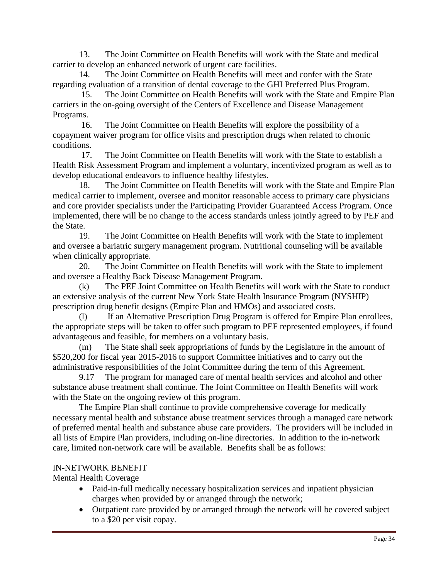13. The Joint Committee on Health Benefits will work with the State and medical carrier to develop an enhanced network of urgent care facilities.

 14. The Joint Committee on Health Benefits will meet and confer with the State regarding evaluation of a transition of dental coverage to the GHI Preferred Plus Program.

 15. The Joint Committee on Health Benefits will work with the State and Empire Plan carriers in the on-going oversight of the Centers of Excellence and Disease Management Programs.

 16. The Joint Committee on Health Benefits will explore the possibility of a copayment waiver program for office visits and prescription drugs when related to chronic conditions.

 17. The Joint Committee on Health Benefits will work with the State to establish a Health Risk Assessment Program and implement a voluntary, incentivized program as well as to develop educational endeavors to influence healthy lifestyles.

 18. The Joint Committee on Health Benefits will work with the State and Empire Plan medical carrier to implement, oversee and monitor reasonable access to primary care physicians and core provider specialists under the Participating Provider Guaranteed Access Program. Once implemented, there will be no change to the access standards unless jointly agreed to by PEF and the State.

 19. The Joint Committee on Health Benefits will work with the State to implement and oversee a bariatric surgery management program. Nutritional counseling will be available when clinically appropriate.

 20. The Joint Committee on Health Benefits will work with the State to implement and oversee a Healthy Back Disease Management Program.

(k) The PEF Joint Committee on Health Benefits will work with the State to conduct an extensive analysis of the current New York State Health Insurance Program (NYSHIP) prescription drug benefit designs (Empire Plan and HMOs) and associated costs.

(l) If an Alternative Prescription Drug Program is offered for Empire Plan enrollees, the appropriate steps will be taken to offer such program to PEF represented employees, if found advantageous and feasible, for members on a voluntary basis.

(m) The State shall seek appropriations of funds by the Legislature in the amount of \$520,200 for fiscal year 2015-2016 to support Committee initiatives and to carry out the administrative responsibilities of the Joint Committee during the term of this Agreement.

 9.17 The program for managed care of mental health services and alcohol and other substance abuse treatment shall continue. The Joint Committee on Health Benefits will work with the State on the ongoing review of this program.

 The Empire Plan shall continue to provide comprehensive coverage for medically necessary mental health and substance abuse treatment services through a managed care network of preferred mental health and substance abuse care providers. The providers will be included in all lists of Empire Plan providers, including on-line directories. In addition to the in-network care, limited non-network care will be available. Benefits shall be as follows:

#### IN-NETWORK BENEFIT

Mental Health Coverage

- Paid-in-full medically necessary hospitalization services and inpatient physician charges when provided by or arranged through the network;
- Outpatient care provided by or arranged through the network will be covered subject to a \$20 per visit copay.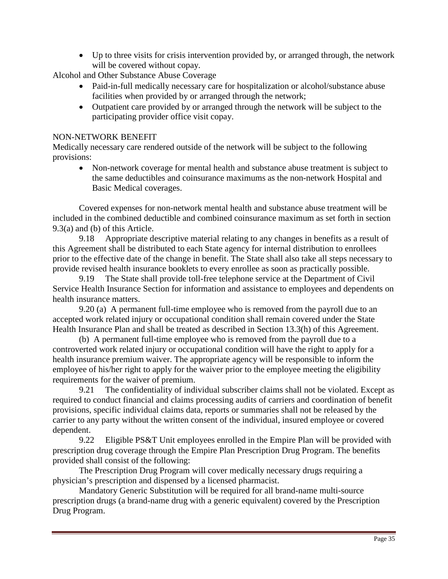• Up to three visits for crisis intervention provided by, or arranged through, the network will be covered without copay.

Alcohol and Other Substance Abuse Coverage

- Paid-in-full medically necessary care for hospitalization or alcohol/substance abuse facilities when provided by or arranged through the network;
- Outpatient care provided by or arranged through the network will be subject to the participating provider office visit copay.

#### NON-NETWORK BENEFIT

Medically necessary care rendered outside of the network will be subject to the following provisions:

• Non-network coverage for mental health and substance abuse treatment is subject to the same deductibles and coinsurance maximums as the non-network Hospital and Basic Medical coverages.

 Covered expenses for non-network mental health and substance abuse treatment will be included in the combined deductible and combined coinsurance maximum as set forth in section 9.3(a) and (b) of this Article.

 9.18 Appropriate descriptive material relating to any changes in benefits as a result of this Agreement shall be distributed to each State agency for internal distribution to enrollees prior to the effective date of the change in benefit. The State shall also take all steps necessary to provide revised health insurance booklets to every enrollee as soon as practically possible.

 9.19 The State shall provide toll-free telephone service at the Department of Civil Service Health Insurance Section for information and assistance to employees and dependents on health insurance matters.

 9.20 (a) A permanent full-time employee who is removed from the payroll due to an accepted work related injury or occupational condition shall remain covered under the State Health Insurance Plan and shall be treated as described in Section 13.3(h) of this Agreement.

 (b) A permanent full-time employee who is removed from the payroll due to a controverted work related injury or occupational condition will have the right to apply for a health insurance premium waiver. The appropriate agency will be responsible to inform the employee of his/her right to apply for the waiver prior to the employee meeting the eligibility requirements for the waiver of premium.

 9.21 The confidentiality of individual subscriber claims shall not be violated. Except as required to conduct financial and claims processing audits of carriers and coordination of benefit provisions, specific individual claims data, reports or summaries shall not be released by the carrier to any party without the written consent of the individual, insured employee or covered dependent.

 9.22 Eligible PS&T Unit employees enrolled in the Empire Plan will be provided with prescription drug coverage through the Empire Plan Prescription Drug Program. The benefits provided shall consist of the following:

The Prescription Drug Program will cover medically necessary drugs requiring a physician's prescription and dispensed by a licensed pharmacist.

 Mandatory Generic Substitution will be required for all brand-name multi-source prescription drugs (a brand-name drug with a generic equivalent) covered by the Prescription Drug Program.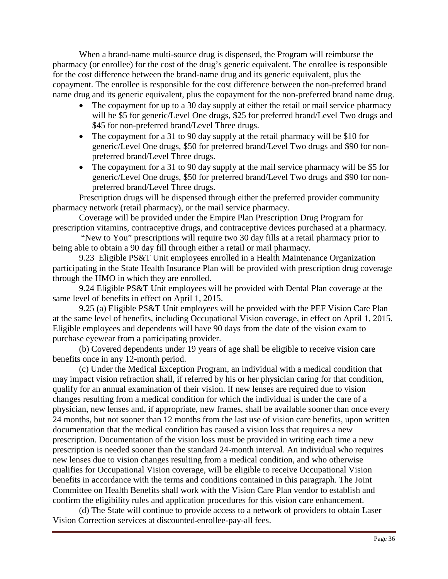When a brand-name multi-source drug is dispensed, the Program will reimburse the pharmacy (or enrollee) for the cost of the drug's generic equivalent. The enrollee is responsible for the cost difference between the brand-name drug and its generic equivalent, plus the copayment. The enrollee is responsible for the cost difference between the non-preferred brand name drug and its generic equivalent, plus the copayment for the non-preferred brand name drug.

- The copayment for up to a 30 day supply at either the retail or mail service pharmacy will be \$5 for generic/Level One drugs, \$25 for preferred brand/Level Two drugs and \$45 for non-preferred brand/Level Three drugs.
- The copayment for a 31 to 90 day supply at the retail pharmacy will be \$10 for generic/Level One drugs, \$50 for preferred brand/Level Two drugs and \$90 for nonpreferred brand/Level Three drugs.
- The copayment for a 31 to 90 day supply at the mail service pharmacy will be \$5 for generic/Level One drugs, \$50 for preferred brand/Level Two drugs and \$90 for nonpreferred brand/Level Three drugs.

 Prescription drugs will be dispensed through either the preferred provider community pharmacy network (retail pharmacy), or the mail service pharmacy.

 Coverage will be provided under the Empire Plan Prescription Drug Program for prescription vitamins, contraceptive drugs, and contraceptive devices purchased at a pharmacy.

 "New to You" prescriptions will require two 30 day fills at a retail pharmacy prior to being able to obtain a 90 day fill through either a retail or mail pharmacy.

 9.23 Eligible PS&T Unit employees enrolled in a Health Maintenance Organization participating in the State Health Insurance Plan will be provided with prescription drug coverage through the HMO in which they are enrolled.

9.24 Eligible PS&T Unit employees will be provided with Dental Plan coverage at the same level of benefits in effect on April 1, 2015.

 9.25 (a) Eligible PS&T Unit employees will be provided with the PEF Vision Care Plan at the same level of benefits, including Occupational Vision coverage, in effect on April 1, 2015. Eligible employees and dependents will have 90 days from the date of the vision exam to purchase eyewear from a participating provider.

 (b) Covered dependents under 19 years of age shall be eligible to receive vision care benefits once in any 12-month period.

(c) Under the Medical Exception Program, an individual with a medical condition that may impact vision refraction shall, if referred by his or her physician caring for that condition, qualify for an annual examination of their vision. If new lenses are required due to vision changes resulting from a medical condition for which the individual is under the care of a physician, new lenses and, if appropriate, new frames, shall be available sooner than once every 24 months, but not sooner than 12 months from the last use of vision care benefits, upon written documentation that the medical condition has caused a vision loss that requires a new prescription. Documentation of the vision loss must be provided in writing each time a new prescription is needed sooner than the standard 24-month interval. An individual who requires new lenses due to vision changes resulting from a medical condition, and who otherwise qualifies for Occupational Vision coverage, will be eligible to receive Occupational Vision benefits in accordance with the terms and conditions contained in this paragraph. The Joint Committee on Health Benefits shall work with the Vision Care Plan vendor to establish and confirm the eligibility rules and application procedures for this vision care enhancement.

 (d) The State will continue to provide access to a network of providers to obtain Laser Vision Correction services at discounted enrollee-pay-all fees.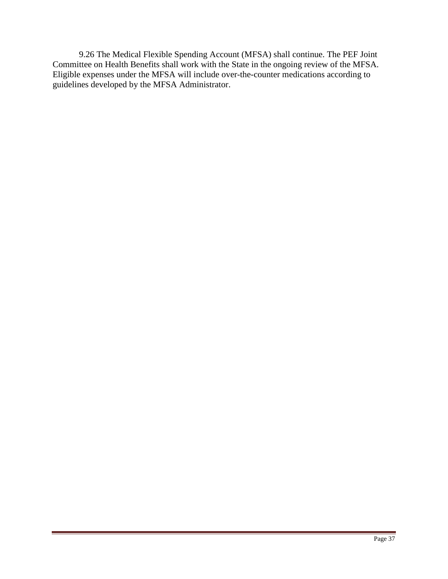9.26 The Medical Flexible Spending Account (MFSA) shall continue. The PEF Joint Committee on Health Benefits shall work with the State in the ongoing review of the MFSA. Eligible expenses under the MFSA will include over-the-counter medications according to guidelines developed by the MFSA Administrator.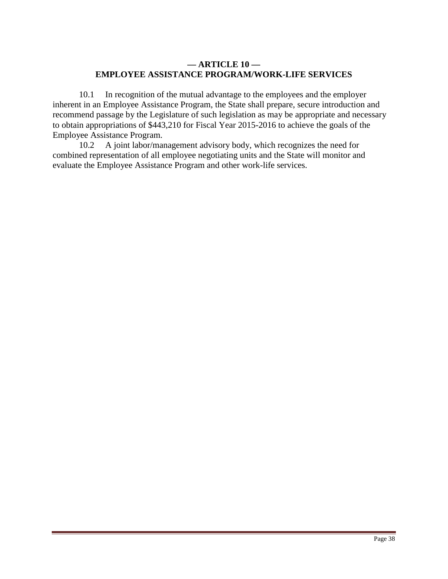# **— ARTICLE 10 — EMPLOYEE ASSISTANCE PROGRAM/WORK-LIFE SERVICES**

 10.1 In recognition of the mutual advantage to the employees and the employer inherent in an Employee Assistance Program, the State shall prepare, secure introduction and recommend passage by the Legislature of such legislation as may be appropriate and necessary to obtain appropriations of \$443,210 for Fiscal Year 2015-2016 to achieve the goals of the Employee Assistance Program.

 10.2 A joint labor/management advisory body, which recognizes the need for combined representation of all employee negotiating units and the State will monitor and evaluate the Employee Assistance Program and other work-life services.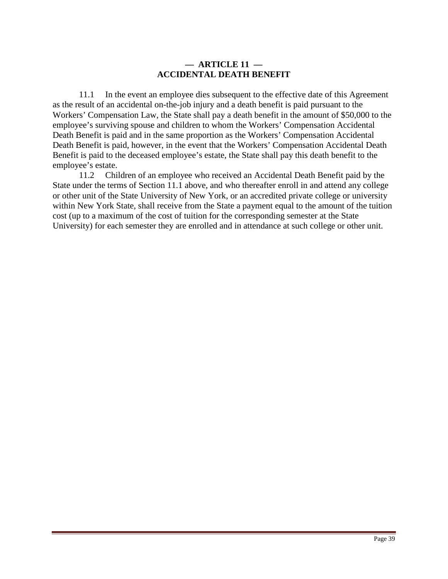# **— ARTICLE 11 — ACCIDENTAL DEATH BENEFIT**

 11.1 In the event an employee dies subsequent to the effective date of this Agreement as the result of an accidental on-the-job injury and a death benefit is paid pursuant to the Workers' Compensation Law, the State shall pay a death benefit in the amount of \$50,000 to the employee's surviving spouse and children to whom the Workers' Compensation Accidental Death Benefit is paid and in the same proportion as the Workers' Compensation Accidental Death Benefit is paid, however, in the event that the Workers' Compensation Accidental Death Benefit is paid to the deceased employee's estate, the State shall pay this death benefit to the employee's estate.

 11.2 Children of an employee who received an Accidental Death Benefit paid by the State under the terms of Section 11.1 above, and who thereafter enroll in and attend any college or other unit of the State University of New York, or an accredited private college or university within New York State, shall receive from the State a payment equal to the amount of the tuition cost (up to a maximum of the cost of tuition for the corresponding semester at the State University) for each semester they are enrolled and in attendance at such college or other unit.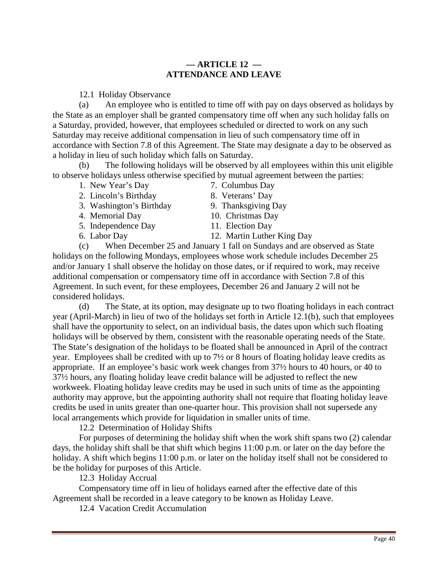# **— ARTICLE 12 — ATTENDANCE AND LEAVE**

12.1 Holiday Observance

(a) An employee who is entitled to time off with pay on days observed as holidays by the State as an employer shall be granted compensatory time off when any such holiday falls on a Saturday, provided, however, that employees scheduled or directed to work on any such Saturday may receive additional compensation in lieu of such compensatory time off in accordance with Section 7.8 of this Agreement. The State may designate a day to be observed as a holiday in lieu of such holiday which falls on Saturday.

(b) The following holidays will be observed by all employees within this unit eligible to observe holidays unless otherwise specified by mutual agreement between the parties:

- 1. New Year's Day 7. Columbus Day
- 2. Lincoln's Birthday 8. Veterans' Day
- 3. Washington's Birthday 9. Thanksgiving Day
- 
- 5. Independence Day 11. Election Day
- 
- 
- 4. Memorial Day 10. Christmas Day
	-
- 6. Labor Day 12. Martin Luther King Day

(c) When December 25 and January 1 fall on Sundays and are observed as State holidays on the following Mondays, employees whose work schedule includes December 25 and/or January 1 shall observe the holiday on those dates, or if required to work, may receive additional compensation or compensatory time off in accordance with Section 7.8 of this Agreement. In such event, for these employees, December 26 and January 2 will not be considered holidays.

(d) The State, at its option, may designate up to two floating holidays in each contract year (April-March) in lieu of two of the holidays set forth in Article 12.1(b), such that employees shall have the opportunity to select, on an individual basis, the dates upon which such floating holidays will be observed by them, consistent with the reasonable operating needs of the State. The State's designation of the holidays to be floated shall be announced in April of the contract year. Employees shall be credited with up to 7½ or 8 hours of floating holiday leave credits as appropriate. If an employee's basic work week changes from 37½ hours to 40 hours, or 40 to 37½ hours, any floating holiday leave credit balance will be adjusted to reflect the new workweek. Floating holiday leave credits may be used in such units of time as the appointing authority may approve, but the appointing authority shall not require that floating holiday leave credits be used in units greater than one-quarter hour. This provision shall not supersede any local arrangements which provide for liquidation in smaller units of time.

12.2 Determination of Holiday Shifts

 For purposes of determining the holiday shift when the work shift spans two (2) calendar days, the holiday shift shall be that shift which begins 11:00 p.m. or later on the day before the holiday. A shift which begins 11:00 p.m. or later on the holiday itself shall not be considered to be the holiday for purposes of this Article.

12.3 Holiday Accrual

 Compensatory time off in lieu of holidays earned after the effective date of this Agreement shall be recorded in a leave category to be known as Holiday Leave.

12.4 Vacation Credit Accumulation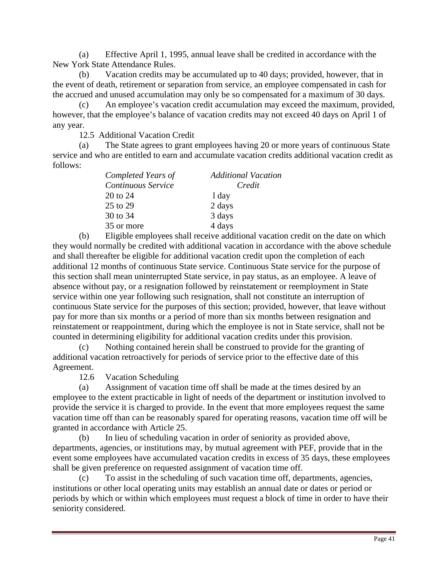(a) Effective April 1, 1995, annual leave shall be credited in accordance with the New York State Attendance Rules.

(b) Vacation credits may be accumulated up to 40 days; provided, however, that in the event of death, retirement or separation from service, an employee compensated in cash for the accrued and unused accumulation may only be so compensated for a maximum of 30 days.

(c) An employee's vacation credit accumulation may exceed the maximum, provided, however, that the employee's balance of vacation credits may not exceed 40 days on April 1 of any year.

12.5 Additional Vacation Credit

(a) The State agrees to grant employees having 20 or more years of continuous State service and who are entitled to earn and accumulate vacation credits additional vacation credit as follows:

| Completed Years of | <b>Additional Vacation</b> |
|--------------------|----------------------------|
| Continuous Service | Credit                     |
| 20 to 24           | 1 day                      |
| 25 to 29           | 2 days                     |
| 30 to 34           | 3 days                     |
| 35 or more         | 4 days                     |

(b) Eligible employees shall receive additional vacation credit on the date on which they would normally be credited with additional vacation in accordance with the above schedule and shall thereafter be eligible for additional vacation credit upon the completion of each additional 12 months of continuous State service. Continuous State service for the purpose of this section shall mean uninterrupted State service, in pay status, as an employee. A leave of absence without pay, or a resignation followed by reinstatement or reemployment in State service within one year following such resignation, shall not constitute an interruption of continuous State service for the purposes of this section; provided, however, that leave without pay for more than six months or a period of more than six months between resignation and reinstatement or reappointment, during which the employee is not in State service, shall not be counted in determining eligibility for additional vacation credits under this provision.

(c) Nothing contained herein shall be construed to provide for the granting of additional vacation retroactively for periods of service prior to the effective date of this Agreement.

12.6 Vacation Scheduling

(a) Assignment of vacation time off shall be made at the times desired by an employee to the extent practicable in light of needs of the department or institution involved to provide the service it is charged to provide. In the event that more employees request the same vacation time off than can be reasonably spared for operating reasons, vacation time off will be granted in accordance with Article 25.

(b) In lieu of scheduling vacation in order of seniority as provided above, departments, agencies, or institutions may, by mutual agreement with PEF, provide that in the event some employees have accumulated vacation credits in excess of 35 days, these employees shall be given preference on requested assignment of vacation time off.

(c) To assist in the scheduling of such vacation time off, departments, agencies, institutions or other local operating units may establish an annual date or dates or period or periods by which or within which employees must request a block of time in order to have their seniority considered.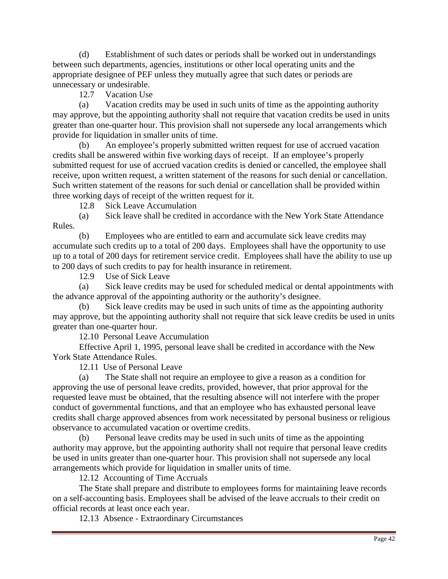(d) Establishment of such dates or periods shall be worked out in understandings between such departments, agencies, institutions or other local operating units and the appropriate designee of PEF unless they mutually agree that such dates or periods are unnecessary or undesirable.

12.7 Vacation Use

(a) Vacation credits may be used in such units of time as the appointing authority may approve, but the appointing authority shall not require that vacation credits be used in units greater than one-quarter hour. This provision shall not supersede any local arrangements which provide for liquidation in smaller units of time.

(b) An employee's properly submitted written request for use of accrued vacation credits shall be answered within five working days of receipt. If an employee's properly submitted request for use of accrued vacation credits is denied or cancelled, the employee shall receive, upon written request, a written statement of the reasons for such denial or cancellation. Such written statement of the reasons for such denial or cancellation shall be provided within three working days of receipt of the written request for it.

12.8 Sick Leave Accumulation

(a) Sick leave shall be credited in accordance with the New York State Attendance Rules.

(b) Employees who are entitled to earn and accumulate sick leave credits may accumulate such credits up to a total of 200 days. Employees shall have the opportunity to use up to a total of 200 days for retirement service credit. Employees shall have the ability to use up to 200 days of such credits to pay for health insurance in retirement.

12.9 Use of Sick Leave

(a) Sick leave credits may be used for scheduled medical or dental appointments with the advance approval of the appointing authority or the authority's designee.

(b) Sick leave credits may be used in such units of time as the appointing authority may approve, but the appointing authority shall not require that sick leave credits be used in units greater than one-quarter hour.

12.10 Personal Leave Accumulation

 Effective April 1, 1995, personal leave shall be credited in accordance with the New York State Attendance Rules.

12.11 Use of Personal Leave

(a) The State shall not require an employee to give a reason as a condition for approving the use of personal leave credits, provided, however, that prior approval for the requested leave must be obtained, that the resulting absence will not interfere with the proper conduct of governmental functions, and that an employee who has exhausted personal leave credits shall charge approved absences from work necessitated by personal business or religious observance to accumulated vacation or overtime credits.

(b) Personal leave credits may be used in such units of time as the appointing authority may approve, but the appointing authority shall not require that personal leave credits be used in units greater than one-quarter hour. This provision shall not supersede any local arrangements which provide for liquidation in smaller units of time.

12.12 Accounting of Time Accruals

 The State shall prepare and distribute to employees forms for maintaining leave records on a self-accounting basis. Employees shall be advised of the leave accruals to their credit on official records at least once each year.

12.13 Absence - Extraordinary Circumstances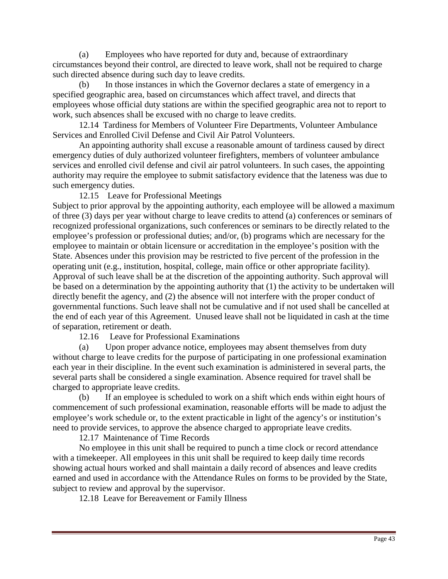(a) Employees who have reported for duty and, because of extraordinary circumstances beyond their control, are directed to leave work, shall not be required to charge such directed absence during such day to leave credits.

(b) In those instances in which the Governor declares a state of emergency in a specified geographic area, based on circumstances which affect travel, and directs that employees whose official duty stations are within the specified geographic area not to report to work, such absences shall be excused with no charge to leave credits.

 12.14 Tardiness for Members of Volunteer Fire Departments, Volunteer Ambulance Services and Enrolled Civil Defense and Civil Air Patrol Volunteers.

 An appointing authority shall excuse a reasonable amount of tardiness caused by direct emergency duties of duly authorized volunteer firefighters, members of volunteer ambulance services and enrolled civil defense and civil air patrol volunteers. In such cases, the appointing authority may require the employee to submit satisfactory evidence that the lateness was due to such emergency duties.

12.15 Leave for Professional Meetings

Subject to prior approval by the appointing authority, each employee will be allowed a maximum of three (3) days per year without charge to leave credits to attend (a) conferences or seminars of recognized professional organizations, such conferences or seminars to be directly related to the employee's profession or professional duties; and/or, (b) programs which are necessary for the employee to maintain or obtain licensure or accreditation in the employee's position with the State. Absences under this provision may be restricted to five percent of the profession in the operating unit (e.g., institution, hospital, college, main office or other appropriate facility). Approval of such leave shall be at the discretion of the appointing authority. Such approval will be based on a determination by the appointing authority that (1) the activity to be undertaken will directly benefit the agency, and (2) the absence will not interfere with the proper conduct of governmental functions. Such leave shall not be cumulative and if not used shall be cancelled at the end of each year of this Agreement. Unused leave shall not be liquidated in cash at the time of separation, retirement or death.

12.16 Leave for Professional Examinations

(a) Upon proper advance notice, employees may absent themselves from duty without charge to leave credits for the purpose of participating in one professional examination each year in their discipline. In the event such examination is administered in several parts, the several parts shall be considered a single examination. Absence required for travel shall be charged to appropriate leave credits.

(b) If an employee is scheduled to work on a shift which ends within eight hours of commencement of such professional examination, reasonable efforts will be made to adjust the employee's work schedule or, to the extent practicable in light of the agency's or institution's need to provide services, to approve the absence charged to appropriate leave credits.

12.17 Maintenance of Time Records

 No employee in this unit shall be required to punch a time clock or record attendance with a timekeeper. All employees in this unit shall be required to keep daily time records showing actual hours worked and shall maintain a daily record of absences and leave credits earned and used in accordance with the Attendance Rules on forms to be provided by the State, subject to review and approval by the supervisor.

12.18 Leave for Bereavement or Family Illness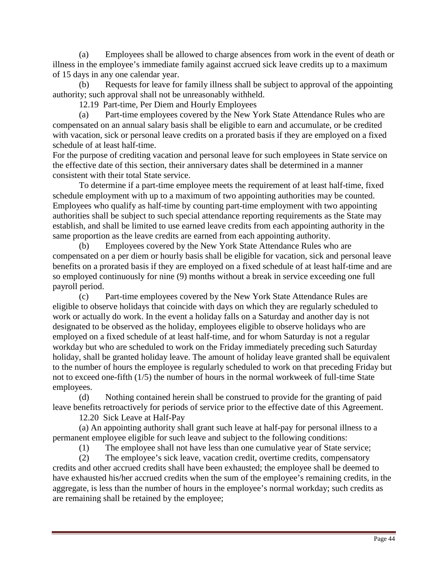(a) Employees shall be allowed to charge absences from work in the event of death or illness in the employee's immediate family against accrued sick leave credits up to a maximum of 15 days in any one calendar year.

(b) Requests for leave for family illness shall be subject to approval of the appointing authority; such approval shall not be unreasonably withheld.

12.19 Part-time, Per Diem and Hourly Employees

(a) Part-time employees covered by the New York State Attendance Rules who are compensated on an annual salary basis shall be eligible to earn and accumulate, or be credited with vacation, sick or personal leave credits on a prorated basis if they are employed on a fixed schedule of at least half-time.

For the purpose of crediting vacation and personal leave for such employees in State service on the effective date of this section, their anniversary dates shall be determined in a manner consistent with their total State service.

 To determine if a part-time employee meets the requirement of at least half-time, fixed schedule employment with up to a maximum of two appointing authorities may be counted. Employees who qualify as half-time by counting part-time employment with two appointing authorities shall be subject to such special attendance reporting requirements as the State may establish, and shall be limited to use earned leave credits from each appointing authority in the same proportion as the leave credits are earned from each appointing authority.

(b) Employees covered by the New York State Attendance Rules who are compensated on a per diem or hourly basis shall be eligible for vacation, sick and personal leave benefits on a prorated basis if they are employed on a fixed schedule of at least half-time and are so employed continuously for nine (9) months without a break in service exceeding one full payroll period.

(c) Part-time employees covered by the New York State Attendance Rules are eligible to observe holidays that coincide with days on which they are regularly scheduled to work or actually do work. In the event a holiday falls on a Saturday and another day is not designated to be observed as the holiday, employees eligible to observe holidays who are employed on a fixed schedule of at least half-time, and for whom Saturday is not a regular workday but who are scheduled to work on the Friday immediately preceding such Saturday holiday, shall be granted holiday leave. The amount of holiday leave granted shall be equivalent to the number of hours the employee is regularly scheduled to work on that preceding Friday but not to exceed one-fifth (1/5) the number of hours in the normal workweek of full-time State employees.

(d) Nothing contained herein shall be construed to provide for the granting of paid leave benefits retroactively for periods of service prior to the effective date of this Agreement.

12.20 Sick Leave at Half-Pay

 (a) An appointing authority shall grant such leave at half-pay for personal illness to a permanent employee eligible for such leave and subject to the following conditions:

(1) The employee shall not have less than one cumulative year of State service;

(2) The employee's sick leave, vacation credit, overtime credits, compensatory credits and other accrued credits shall have been exhausted; the employee shall be deemed to have exhausted his/her accrued credits when the sum of the employee's remaining credits, in the aggregate, is less than the number of hours in the employee's normal workday; such credits as are remaining shall be retained by the employee;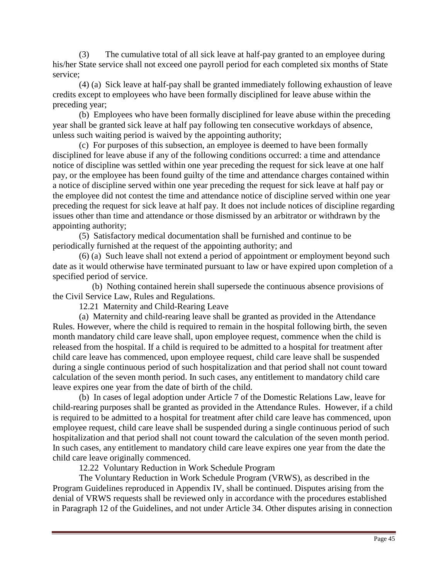(3) The cumulative total of all sick leave at half-pay granted to an employee during his/her State service shall not exceed one payroll period for each completed six months of State service;

(4) (a) Sick leave at half-pay shall be granted immediately following exhaustion of leave credits except to employees who have been formally disciplined for leave abuse within the preceding year;

 (b) Employees who have been formally disciplined for leave abuse within the preceding year shall be granted sick leave at half pay following ten consecutive workdays of absence, unless such waiting period is waived by the appointing authority;

 (c) For purposes of this subsection, an employee is deemed to have been formally disciplined for leave abuse if any of the following conditions occurred: a time and attendance notice of discipline was settled within one year preceding the request for sick leave at one half pay, or the employee has been found guilty of the time and attendance charges contained within a notice of discipline served within one year preceding the request for sick leave at half pay or the employee did not contest the time and attendance notice of discipline served within one year preceding the request for sick leave at half pay. It does not include notices of discipline regarding issues other than time and attendance or those dismissed by an arbitrator or withdrawn by the appointing authority;

 (5) Satisfactory medical documentation shall be furnished and continue to be periodically furnished at the request of the appointing authority; and

 (6) (a) Such leave shall not extend a period of appointment or employment beyond such date as it would otherwise have terminated pursuant to law or have expired upon completion of a specified period of service.

 (b) Nothing contained herein shall supersede the continuous absence provisions of the Civil Service Law, Rules and Regulations.

12.21 Maternity and Child-Rearing Leave

(a) Maternity and child-rearing leave shall be granted as provided in the Attendance Rules. However, where the child is required to remain in the hospital following birth, the seven month mandatory child care leave shall, upon employee request, commence when the child is released from the hospital. If a child is required to be admitted to a hospital for treatment after child care leave has commenced, upon employee request, child care leave shall be suspended during a single continuous period of such hospitalization and that period shall not count toward calculation of the seven month period. In such cases, any entitlement to mandatory child care leave expires one year from the date of birth of the child.

 (b) In cases of legal adoption under Article 7 of the Domestic Relations Law, leave for child-rearing purposes shall be granted as provided in the Attendance Rules. However, if a child is required to be admitted to a hospital for treatment after child care leave has commenced, upon employee request, child care leave shall be suspended during a single continuous period of such hospitalization and that period shall not count toward the calculation of the seven month period. In such cases, any entitlement to mandatory child care leave expires one year from the date the child care leave originally commenced.

12.22 Voluntary Reduction in Work Schedule Program

 The Voluntary Reduction in Work Schedule Program (VRWS), as described in the Program Guidelines reproduced in Appendix IV, shall be continued. Disputes arising from the denial of VRWS requests shall be reviewed only in accordance with the procedures established in Paragraph 12 of the Guidelines, and not under Article 34. Other disputes arising in connection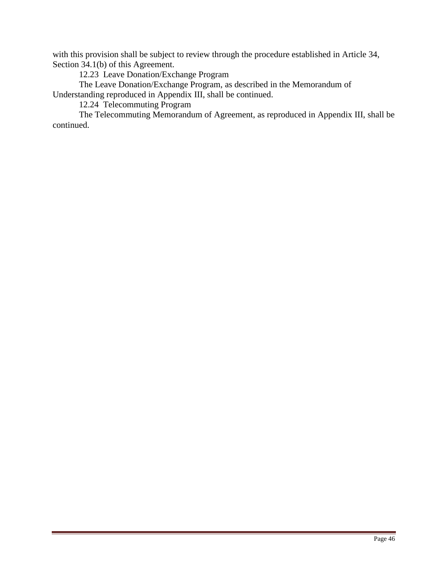with this provision shall be subject to review through the procedure established in Article 34, Section 34.1(b) of this Agreement.

12.23 Leave Donation/Exchange Program

 The Leave Donation/Exchange Program, as described in the Memorandum of Understanding reproduced in Appendix III, shall be continued.

12.24 Telecommuting Program

The Telecommuting Memorandum of Agreement, as reproduced in Appendix III, shall be continued.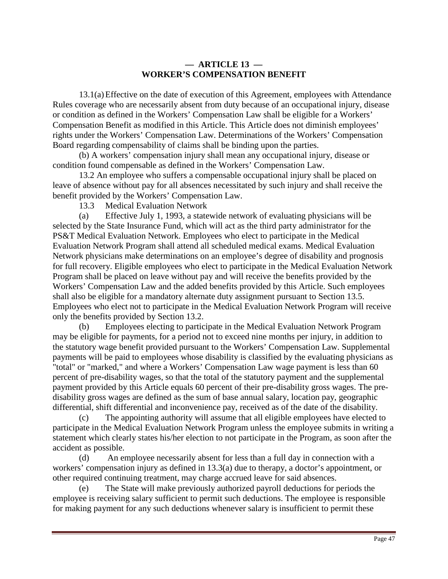# **— ARTICLE 13 — WORKER'S COMPENSATION BENEFIT**

 13.1(a) Effective on the date of execution of this Agreement, employees with Attendance Rules coverage who are necessarily absent from duty because of an occupational injury, disease or condition as defined in the Workers' Compensation Law shall be eligible for a Workers' Compensation Benefit as modified in this Article. This Article does not diminish employees' rights under the Workers' Compensation Law. Determinations of the Workers' Compensation Board regarding compensability of claims shall be binding upon the parties.

 (b) A workers' compensation injury shall mean any occupational injury, disease or condition found compensable as defined in the Workers' Compensation Law.

 13.2 An employee who suffers a compensable occupational injury shall be placed on leave of absence without pay for all absences necessitated by such injury and shall receive the benefit provided by the Workers' Compensation Law.

13.3 Medical Evaluation Network

(a) Effective July 1, 1993, a statewide network of evaluating physicians will be selected by the State Insurance Fund, which will act as the third party administrator for the PS&T Medical Evaluation Network. Employees who elect to participate in the Medical Evaluation Network Program shall attend all scheduled medical exams. Medical Evaluation Network physicians make determinations on an employee's degree of disability and prognosis for full recovery. Eligible employees who elect to participate in the Medical Evaluation Network Program shall be placed on leave without pay and will receive the benefits provided by the Workers' Compensation Law and the added benefits provided by this Article. Such employees shall also be eligible for a mandatory alternate duty assignment pursuant to Section 13.5. Employees who elect not to participate in the Medical Evaluation Network Program will receive only the benefits provided by Section 13.2.

(b) Employees electing to participate in the Medical Evaluation Network Program may be eligible for payments, for a period not to exceed nine months per injury, in addition to the statutory wage benefit provided pursuant to the Workers' Compensation Law. Supplemental payments will be paid to employees whose disability is classified by the evaluating physicians as "total" or "marked," and where a Workers' Compensation Law wage payment is less than 60 percent of pre-disability wages, so that the total of the statutory payment and the supplemental payment provided by this Article equals 60 percent of their pre-disability gross wages. The predisability gross wages are defined as the sum of base annual salary, location pay, geographic differential, shift differential and inconvenience pay, received as of the date of the disability.

(c) The appointing authority will assume that all eligible employees have elected to participate in the Medical Evaluation Network Program unless the employee submits in writing a statement which clearly states his/her election to not participate in the Program, as soon after the accident as possible.

(d) An employee necessarily absent for less than a full day in connection with a workers' compensation injury as defined in 13.3(a) due to therapy, a doctor's appointment, or other required continuing treatment, may charge accrued leave for said absences.

The State will make previously authorized payroll deductions for periods the employee is receiving salary sufficient to permit such deductions. The employee is responsible for making payment for any such deductions whenever salary is insufficient to permit these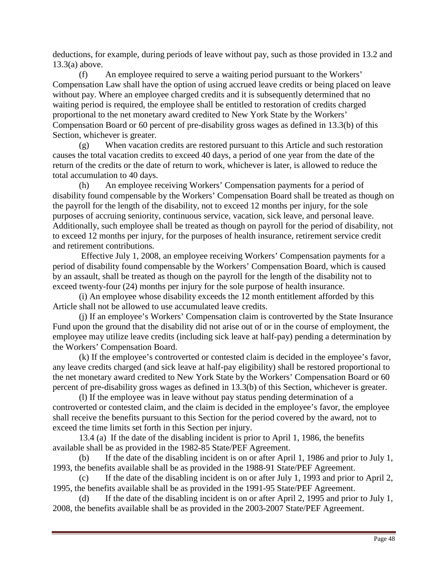deductions, for example, during periods of leave without pay, such as those provided in 13.2 and 13.3(a) above.

(f) An employee required to serve a waiting period pursuant to the Workers' Compensation Law shall have the option of using accrued leave credits or being placed on leave without pay. Where an employee charged credits and it is subsequently determined that no waiting period is required, the employee shall be entitled to restoration of credits charged proportional to the net monetary award credited to New York State by the Workers' Compensation Board or 60 percent of pre-disability gross wages as defined in 13.3(b) of this Section, whichever is greater.

(g) When vacation credits are restored pursuant to this Article and such restoration causes the total vacation credits to exceed 40 days, a period of one year from the date of the return of the credits or the date of return to work, whichever is later, is allowed to reduce the total accumulation to 40 days.

(h) An employee receiving Workers' Compensation payments for a period of disability found compensable by the Workers' Compensation Board shall be treated as though on the payroll for the length of the disability, not to exceed 12 months per injury, for the sole purposes of accruing seniority, continuous service, vacation, sick leave, and personal leave. Additionally, such employee shall be treated as though on payroll for the period of disability, not to exceed 12 months per injury, for the purposes of health insurance, retirement service credit and retirement contributions.

 Effective July 1, 2008, an employee receiving Workers' Compensation payments for a period of disability found compensable by the Workers' Compensation Board, which is caused by an assault, shall be treated as though on the payroll for the length of the disability not to exceed twenty-four (24) months per injury for the sole purpose of health insurance.

(i) An employee whose disability exceeds the 12 month entitlement afforded by this Article shall not be allowed to use accumulated leave credits.

 (j) If an employee's Workers' Compensation claim is controverted by the State Insurance Fund upon the ground that the disability did not arise out of or in the course of employment, the employee may utilize leave credits (including sick leave at half-pay) pending a determination by the Workers' Compensation Board.

(k) If the employee's controverted or contested claim is decided in the employee's favor, any leave credits charged (and sick leave at half-pay eligibility) shall be restored proportional to the net monetary award credited to New York State by the Workers' Compensation Board or 60 percent of pre-disability gross wages as defined in 13.3(b) of this Section, whichever is greater.

(l) If the employee was in leave without pay status pending determination of a controverted or contested claim, and the claim is decided in the employee's favor, the employee shall receive the benefits pursuant to this Section for the period covered by the award, not to exceed the time limits set forth in this Section per injury.

 13.4 (a) If the date of the disabling incident is prior to April 1, 1986, the benefits available shall be as provided in the 1982-85 State/PEF Agreement.

(b) If the date of the disabling incident is on or after April 1, 1986 and prior to July 1, 1993, the benefits available shall be as provided in the 1988-91 State/PEF Agreement.

(c) If the date of the disabling incident is on or after July 1, 1993 and prior to April 2, 1995, the benefits available shall be as provided in the 1991-95 State/PEF Agreement.

(d) If the date of the disabling incident is on or after April 2, 1995 and prior to July 1, 2008, the benefits available shall be as provided in the 2003-2007 State/PEF Agreement.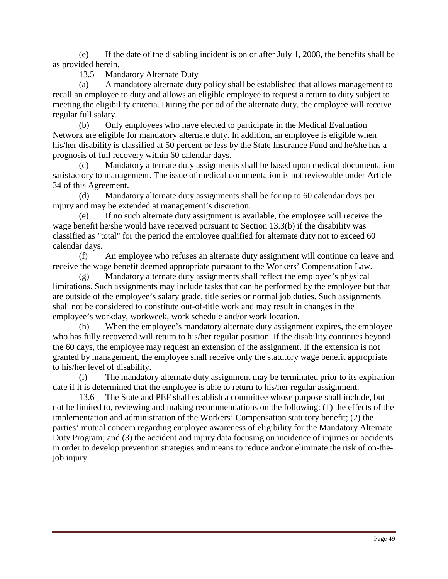(e) If the date of the disabling incident is on or after July 1, 2008, the benefits shall be as provided herein.

13.5 Mandatory Alternate Duty

(a) A mandatory alternate duty policy shall be established that allows management to recall an employee to duty and allows an eligible employee to request a return to duty subject to meeting the eligibility criteria. During the period of the alternate duty, the employee will receive regular full salary.

(b) Only employees who have elected to participate in the Medical Evaluation Network are eligible for mandatory alternate duty. In addition, an employee is eligible when his/her disability is classified at 50 percent or less by the State Insurance Fund and he/she has a prognosis of full recovery within 60 calendar days.

Mandatory alternate duty assignments shall be based upon medical documentation satisfactory to management. The issue of medical documentation is not reviewable under Article 34 of this Agreement.

(d) Mandatory alternate duty assignments shall be for up to 60 calendar days per injury and may be extended at management's discretion.

(e) If no such alternate duty assignment is available, the employee will receive the wage benefit he/she would have received pursuant to Section 13.3(b) if the disability was classified as "total" for the period the employee qualified for alternate duty not to exceed 60 calendar days.

(f) An employee who refuses an alternate duty assignment will continue on leave and receive the wage benefit deemed appropriate pursuant to the Workers' Compensation Law.

(g) Mandatory alternate duty assignments shall reflect the employee's physical limitations. Such assignments may include tasks that can be performed by the employee but that are outside of the employee's salary grade, title series or normal job duties. Such assignments shall not be considered to constitute out-of-title work and may result in changes in the employee's workday, workweek, work schedule and/or work location.

(h) When the employee's mandatory alternate duty assignment expires, the employee who has fully recovered will return to his/her regular position. If the disability continues beyond the 60 days, the employee may request an extension of the assignment. If the extension is not granted by management, the employee shall receive only the statutory wage benefit appropriate to his/her level of disability.

(i) The mandatory alternate duty assignment may be terminated prior to its expiration date if it is determined that the employee is able to return to his/her regular assignment.

 13.6 The State and PEF shall establish a committee whose purpose shall include, but not be limited to, reviewing and making recommendations on the following: (1) the effects of the implementation and administration of the Workers' Compensation statutory benefit; (2) the parties' mutual concern regarding employee awareness of eligibility for the Mandatory Alternate Duty Program; and (3) the accident and injury data focusing on incidence of injuries or accidents in order to develop prevention strategies and means to reduce and/or eliminate the risk of on-thejob injury.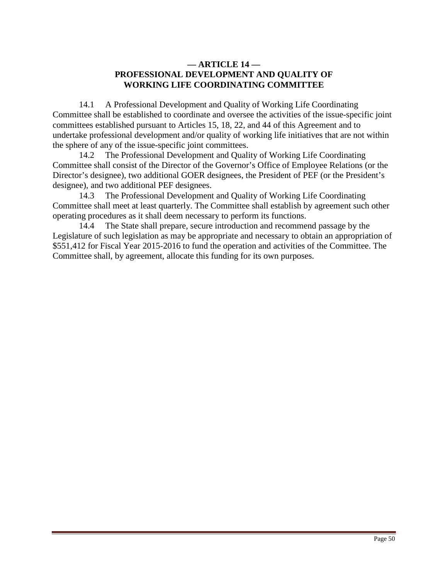# **— ARTICLE 14 — PROFESSIONAL DEVELOPMENT AND QUALITY OF WORKING LIFE COORDINATING COMMITTEE**

 14.1 A Professional Development and Quality of Working Life Coordinating Committee shall be established to coordinate and oversee the activities of the issue-specific joint committees established pursuant to Articles 15, 18, 22, and 44 of this Agreement and to undertake professional development and/or quality of working life initiatives that are not within the sphere of any of the issue-specific joint committees.

 14.2 The Professional Development and Quality of Working Life Coordinating Committee shall consist of the Director of the Governor's Office of Employee Relations (or the Director's designee), two additional GOER designees, the President of PEF (or the President's designee), and two additional PEF designees.

 14.3 The Professional Development and Quality of Working Life Coordinating Committee shall meet at least quarterly. The Committee shall establish by agreement such other operating procedures as it shall deem necessary to perform its functions.

 14.4 The State shall prepare, secure introduction and recommend passage by the Legislature of such legislation as may be appropriate and necessary to obtain an appropriation of \$551,412 for Fiscal Year 2015-2016 to fund the operation and activities of the Committee. The Committee shall, by agreement, allocate this funding for its own purposes.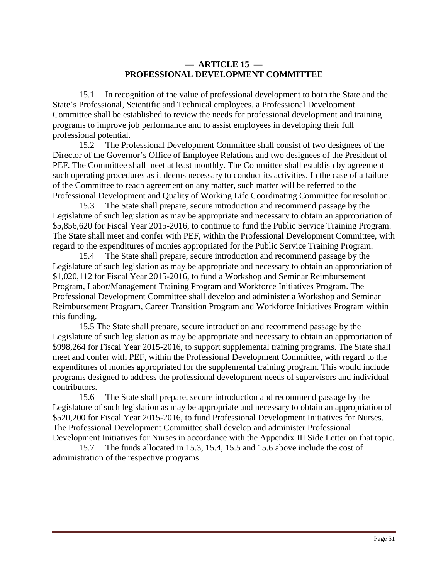## **— ARTICLE 15 — PROFESSIONAL DEVELOPMENT COMMITTEE**

 15.1 In recognition of the value of professional development to both the State and the State's Professional, Scientific and Technical employees, a Professional Development Committee shall be established to review the needs for professional development and training programs to improve job performance and to assist employees in developing their full professional potential.

 15.2 The Professional Development Committee shall consist of two designees of the Director of the Governor's Office of Employee Relations and two designees of the President of PEF. The Committee shall meet at least monthly. The Committee shall establish by agreement such operating procedures as it deems necessary to conduct its activities. In the case of a failure of the Committee to reach agreement on any matter, such matter will be referred to the Professional Development and Quality of Working Life Coordinating Committee for resolution.

 15.3 The State shall prepare, secure introduction and recommend passage by the Legislature of such legislation as may be appropriate and necessary to obtain an appropriation of \$5,856,620 for Fiscal Year 2015-2016, to continue to fund the Public Service Training Program. The State shall meet and confer with PEF, within the Professional Development Committee, with regard to the expenditures of monies appropriated for the Public Service Training Program.

 15.4 The State shall prepare, secure introduction and recommend passage by the Legislature of such legislation as may be appropriate and necessary to obtain an appropriation of \$1,020,112 for Fiscal Year 2015-2016, to fund a Workshop and Seminar Reimbursement Program, Labor/Management Training Program and Workforce Initiatives Program. The Professional Development Committee shall develop and administer a Workshop and Seminar Reimbursement Program, Career Transition Program and Workforce Initiatives Program within this funding.

 15.5 The State shall prepare, secure introduction and recommend passage by the Legislature of such legislation as may be appropriate and necessary to obtain an appropriation of \$998,264 for Fiscal Year 2015-2016, to support supplemental training programs. The State shall meet and confer with PEF, within the Professional Development Committee, with regard to the expenditures of monies appropriated for the supplemental training program. This would include programs designed to address the professional development needs of supervisors and individual contributors.

 15.6 The State shall prepare, secure introduction and recommend passage by the Legislature of such legislation as may be appropriate and necessary to obtain an appropriation of \$520,200 for Fiscal Year 2015-2016, to fund Professional Development Initiatives for Nurses. The Professional Development Committee shall develop and administer Professional Development Initiatives for Nurses in accordance with the Appendix III Side Letter on that topic.

 15.7 The funds allocated in 15.3, 15.4, 15.5 and 15.6 above include the cost of administration of the respective programs.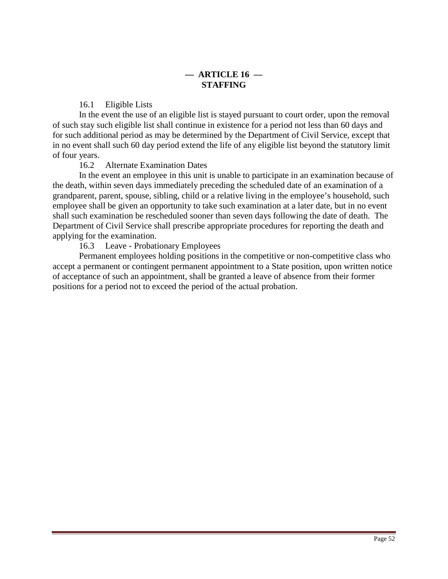# **— ARTICLE 16 — STAFFING**

16.1 Eligible Lists

 In the event the use of an eligible list is stayed pursuant to court order, upon the removal of such stay such eligible list shall continue in existence for a period not less than 60 days and for such additional period as may be determined by the Department of Civil Service, except that in no event shall such 60 day period extend the life of any eligible list beyond the statutory limit of four years.

16.2 Alternate Examination Dates

 In the event an employee in this unit is unable to participate in an examination because of the death, within seven days immediately preceding the scheduled date of an examination of a grandparent, parent, spouse, sibling, child or a relative living in the employee's household, such employee shall be given an opportunity to take such examination at a later date, but in no event shall such examination be rescheduled sooner than seven days following the date of death. The Department of Civil Service shall prescribe appropriate procedures for reporting the death and applying for the examination.

16.3 Leave - Probationary Employees

 Permanent employees holding positions in the competitive or non-competitive class who accept a permanent or contingent permanent appointment to a State position, upon written notice of acceptance of such an appointment, shall be granted a leave of absence from their former positions for a period not to exceed the period of the actual probation.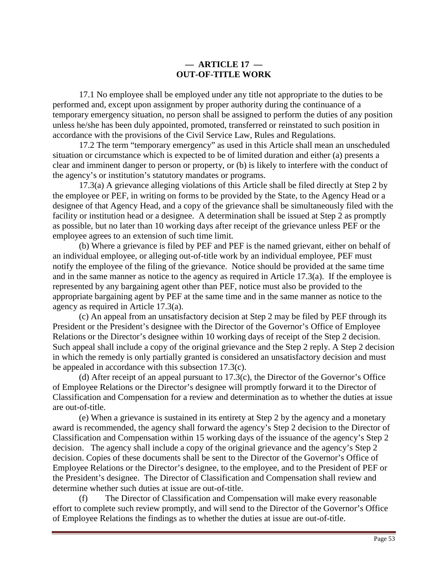# **— ARTICLE 17 — OUT-OF-TITLE WORK**

 17.1 No employee shall be employed under any title not appropriate to the duties to be performed and, except upon assignment by proper authority during the continuance of a temporary emergency situation, no person shall be assigned to perform the duties of any position unless he/she has been duly appointed, promoted, transferred or reinstated to such position in accordance with the provisions of the Civil Service Law, Rules and Regulations.

 17.2 The term "temporary emergency" as used in this Article shall mean an unscheduled situation or circumstance which is expected to be of limited duration and either (a) presents a clear and imminent danger to person or property, or (b) is likely to interfere with the conduct of the agency's or institution's statutory mandates or programs.

 17.3(a) A grievance alleging violations of this Article shall be filed directly at Step 2 by the employee or PEF, in writing on forms to be provided by the State, to the Agency Head or a designee of that Agency Head, and a copy of the grievance shall be simultaneously filed with the facility or institution head or a designee. A determination shall be issued at Step 2 as promptly as possible, but no later than 10 working days after receipt of the grievance unless PEF or the employee agrees to an extension of such time limit.

 (b) Where a grievance is filed by PEF and PEF is the named grievant, either on behalf of an individual employee, or alleging out-of-title work by an individual employee, PEF must notify the employee of the filing of the grievance. Notice should be provided at the same time and in the same manner as notice to the agency as required in Article 17.3(a). If the employee is represented by any bargaining agent other than PEF, notice must also be provided to the appropriate bargaining agent by PEF at the same time and in the same manner as notice to the agency as required in Article 17.3(a).

(c) An appeal from an unsatisfactory decision at Step 2 may be filed by PEF through its President or the President's designee with the Director of the Governor's Office of Employee Relations or the Director's designee within 10 working days of receipt of the Step 2 decision. Such appeal shall include a copy of the original grievance and the Step 2 reply. A Step 2 decision in which the remedy is only partially granted is considered an unsatisfactory decision and must be appealed in accordance with this subsection 17.3(c).

(d) After receipt of an appeal pursuant to 17.3(c), the Director of the Governor's Office of Employee Relations or the Director's designee will promptly forward it to the Director of Classification and Compensation for a review and determination as to whether the duties at issue are out-of-title.

(e) When a grievance is sustained in its entirety at Step 2 by the agency and a monetary award is recommended, the agency shall forward the agency's Step 2 decision to the Director of Classification and Compensation within 15 working days of the issuance of the agency's Step 2 decision. The agency shall include a copy of the original grievance and the agency's Step 2 decision. Copies of these documents shall be sent to the Director of the Governor's Office of Employee Relations or the Director's designee, to the employee, and to the President of PEF or the President's designee. The Director of Classification and Compensation shall review and determine whether such duties at issue are out-of-title.

(f) The Director of Classification and Compensation will make every reasonable effort to complete such review promptly, and will send to the Director of the Governor's Office of Employee Relations the findings as to whether the duties at issue are out-of-title.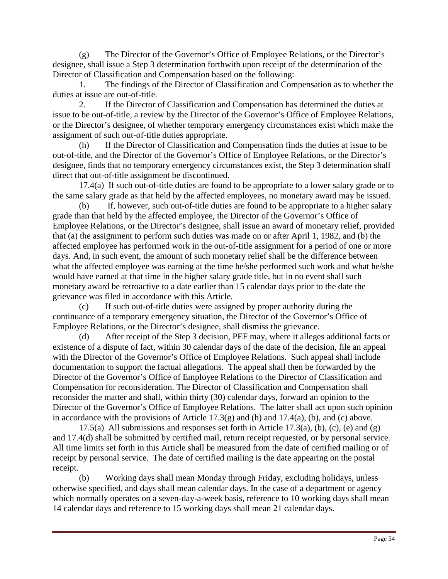(g) The Director of the Governor's Office of Employee Relations, or the Director's designee, shall issue a Step 3 determination forthwith upon receipt of the determination of the Director of Classification and Compensation based on the following:

 1. The findings of the Director of Classification and Compensation as to whether the duties at issue are out-of-title.

 2. If the Director of Classification and Compensation has determined the duties at issue to be out-of-title, a review by the Director of the Governor's Office of Employee Relations, or the Director's designee, of whether temporary emergency circumstances exist which make the assignment of such out-of-title duties appropriate.

(h) If the Director of Classification and Compensation finds the duties at issue to be out-of-title, and the Director of the Governor's Office of Employee Relations, or the Director's designee, finds that no temporary emergency circumstances exist, the Step 3 determination shall direct that out-of-title assignment be discontinued.

 17.4(a) If such out-of-title duties are found to be appropriate to a lower salary grade or to the same salary grade as that held by the affected employees, no monetary award may be issued.

(b) If, however, such out-of-title duties are found to be appropriate to a higher salary grade than that held by the affected employee, the Director of the Governor's Office of Employee Relations, or the Director's designee, shall issue an award of monetary relief, provided that (a) the assignment to perform such duties was made on or after April 1, 1982, and (b) the affected employee has performed work in the out-of-title assignment for a period of one or more days. And, in such event, the amount of such monetary relief shall be the difference between what the affected employee was earning at the time he/she performed such work and what he/she would have earned at that time in the higher salary grade title, but in no event shall such monetary award be retroactive to a date earlier than 15 calendar days prior to the date the grievance was filed in accordance with this Article.

(c) If such out-of-title duties were assigned by proper authority during the continuance of a temporary emergency situation, the Director of the Governor's Office of Employee Relations, or the Director's designee, shall dismiss the grievance.

(d) After receipt of the Step 3 decision, PEF may, where it alleges additional facts or existence of a dispute of fact, within 30 calendar days of the date of the decision, file an appeal with the Director of the Governor's Office of Employee Relations. Such appeal shall include documentation to support the factual allegations. The appeal shall then be forwarded by the Director of the Governor's Office of Employee Relations to the Director of Classification and Compensation for reconsideration. The Director of Classification and Compensation shall reconsider the matter and shall, within thirty (30) calendar days, forward an opinion to the Director of the Governor's Office of Employee Relations. The latter shall act upon such opinion in accordance with the provisions of Article  $17.3(g)$  and  $(h)$  and  $17.4(a)$ ,  $(b)$ , and  $(c)$  above.

17.5(a) All submissions and responses set forth in Article 17.3(a), (b), (c), (e) and (g) and 17.4(d) shall be submitted by certified mail, return receipt requested, or by personal service. All time limits set forth in this Article shall be measured from the date of certified mailing or of receipt by personal service. The date of certified mailing is the date appearing on the postal receipt.

(b) Working days shall mean Monday through Friday, excluding holidays, unless otherwise specified, and days shall mean calendar days. In the case of a department or agency which normally operates on a seven-day-a-week basis, reference to 10 working days shall mean 14 calendar days and reference to 15 working days shall mean 21 calendar days.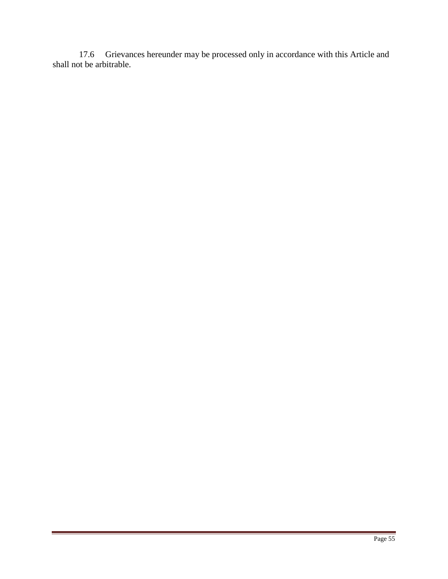17.6 Grievances hereunder may be processed only in accordance with this Article and shall not be arbitrable.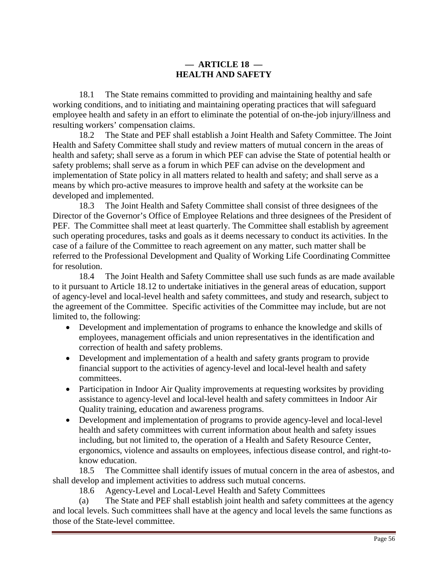# **— ARTICLE 18 — HEALTH AND SAFETY**

 18.1 The State remains committed to providing and maintaining healthy and safe working conditions, and to initiating and maintaining operating practices that will safeguard employee health and safety in an effort to eliminate the potential of on-the-job injury/illness and resulting workers' compensation claims.

 18.2 The State and PEF shall establish a Joint Health and Safety Committee. The Joint Health and Safety Committee shall study and review matters of mutual concern in the areas of health and safety; shall serve as a forum in which PEF can advise the State of potential health or safety problems; shall serve as a forum in which PEF can advise on the development and implementation of State policy in all matters related to health and safety; and shall serve as a means by which pro-active measures to improve health and safety at the worksite can be developed and implemented.

 18.3 The Joint Health and Safety Committee shall consist of three designees of the Director of the Governor's Office of Employee Relations and three designees of the President of PEF. The Committee shall meet at least quarterly. The Committee shall establish by agreement such operating procedures, tasks and goals as it deems necessary to conduct its activities. In the case of a failure of the Committee to reach agreement on any matter, such matter shall be referred to the Professional Development and Quality of Working Life Coordinating Committee for resolution.

 18.4 The Joint Health and Safety Committee shall use such funds as are made available to it pursuant to Article 18.12 to undertake initiatives in the general areas of education, support of agency-level and local-level health and safety committees, and study and research, subject to the agreement of the Committee. Specific activities of the Committee may include, but are not limited to, the following:

- Development and implementation of programs to enhance the knowledge and skills of employees, management officials and union representatives in the identification and correction of health and safety problems.
- Development and implementation of a health and safety grants program to provide financial support to the activities of agency-level and local-level health and safety committees.
- Participation in Indoor Air Quality improvements at requesting worksites by providing assistance to agency-level and local-level health and safety committees in Indoor Air Quality training, education and awareness programs.
- Development and implementation of programs to provide agency-level and local-level health and safety committees with current information about health and safety issues including, but not limited to, the operation of a Health and Safety Resource Center, ergonomics, violence and assaults on employees, infectious disease control, and right-toknow education.

 18.5 The Committee shall identify issues of mutual concern in the area of asbestos, and shall develop and implement activities to address such mutual concerns.

18.6 Agency-Level and Local-Level Health and Safety Committees

(a) The State and PEF shall establish joint health and safety committees at the agency and local levels. Such committees shall have at the agency and local levels the same functions as those of the State-level committee.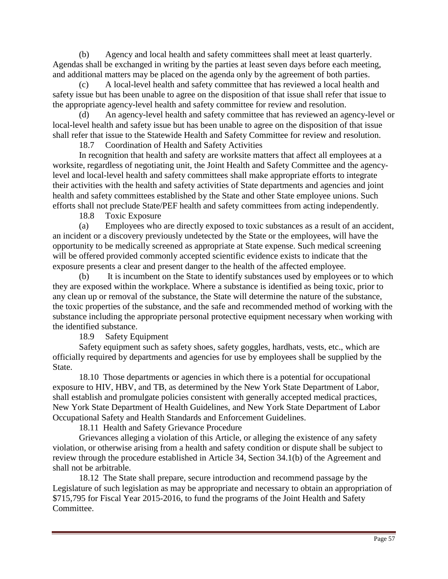(b) Agency and local health and safety committees shall meet at least quarterly. Agendas shall be exchanged in writing by the parties at least seven days before each meeting, and additional matters may be placed on the agenda only by the agreement of both parties.

(c) A local-level health and safety committee that has reviewed a local health and safety issue but has been unable to agree on the disposition of that issue shall refer that issue to the appropriate agency-level health and safety committee for review and resolution.

(d) An agency-level health and safety committee that has reviewed an agency-level or local-level health and safety issue but has been unable to agree on the disposition of that issue shall refer that issue to the Statewide Health and Safety Committee for review and resolution.

18.7 Coordination of Health and Safety Activities

In recognition that health and safety are worksite matters that affect all employees at a worksite, regardless of negotiating unit, the Joint Health and Safety Committee and the agencylevel and local-level health and safety committees shall make appropriate efforts to integrate their activities with the health and safety activities of State departments and agencies and joint health and safety committees established by the State and other State employee unions. Such efforts shall not preclude State/PEF health and safety committees from acting independently.

18.8 Toxic Exposure

(a) Employees who are directly exposed to toxic substances as a result of an accident, an incident or a discovery previously undetected by the State or the employees, will have the opportunity to be medically screened as appropriate at State expense. Such medical screening will be offered provided commonly accepted scientific evidence exists to indicate that the exposure presents a clear and present danger to the health of the affected employee.

(b) It is incumbent on the State to identify substances used by employees or to which they are exposed within the workplace. Where a substance is identified as being toxic, prior to any clean up or removal of the substance, the State will determine the nature of the substance, the toxic properties of the substance, and the safe and recommended method of working with the substance including the appropriate personal protective equipment necessary when working with the identified substance.

18.9 Safety Equipment

 Safety equipment such as safety shoes, safety goggles, hardhats, vests, etc., which are officially required by departments and agencies for use by employees shall be supplied by the State.

 18.10 Those departments or agencies in which there is a potential for occupational exposure to HIV, HBV, and TB, as determined by the New York State Department of Labor, shall establish and promulgate policies consistent with generally accepted medical practices, New York State Department of Health Guidelines, and New York State Department of Labor Occupational Safety and Health Standards and Enforcement Guidelines.

18.11 Health and Safety Grievance Procedure

Grievances alleging a violation of this Article, or alleging the existence of any safety violation, or otherwise arising from a health and safety condition or dispute shall be subject to review through the procedure established in Article 34, Section 34.1(b) of the Agreement and shall not be arbitrable.

 18.12 The State shall prepare, secure introduction and recommend passage by the Legislature of such legislation as may be appropriate and necessary to obtain an appropriation of \$715,795 for Fiscal Year 2015-2016, to fund the programs of the Joint Health and Safety Committee.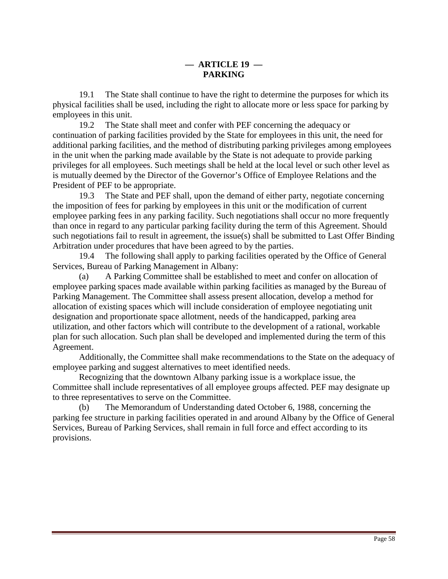19.1 The State shall continue to have the right to determine the purposes for which its physical facilities shall be used, including the right to allocate more or less space for parking by employees in this unit.

 19.2 The State shall meet and confer with PEF concerning the adequacy or continuation of parking facilities provided by the State for employees in this unit, the need for additional parking facilities, and the method of distributing parking privileges among employees in the unit when the parking made available by the State is not adequate to provide parking privileges for all employees. Such meetings shall be held at the local level or such other level as is mutually deemed by the Director of the Governor's Office of Employee Relations and the President of PEF to be appropriate.

 19.3 The State and PEF shall, upon the demand of either party, negotiate concerning the imposition of fees for parking by employees in this unit or the modification of current employee parking fees in any parking facility. Such negotiations shall occur no more frequently than once in regard to any particular parking facility during the term of this Agreement. Should such negotiations fail to result in agreement, the issue(s) shall be submitted to Last Offer Binding Arbitration under procedures that have been agreed to by the parties.

 19.4 The following shall apply to parking facilities operated by the Office of General Services, Bureau of Parking Management in Albany:

(a) A Parking Committee shall be established to meet and confer on allocation of employee parking spaces made available within parking facilities as managed by the Bureau of Parking Management. The Committee shall assess present allocation, develop a method for allocation of existing spaces which will include consideration of employee negotiating unit designation and proportionate space allotment, needs of the handicapped, parking area utilization, and other factors which will contribute to the development of a rational, workable plan for such allocation. Such plan shall be developed and implemented during the term of this Agreement.

 Additionally, the Committee shall make recommendations to the State on the adequacy of employee parking and suggest alternatives to meet identified needs.

 Recognizing that the downtown Albany parking issue is a workplace issue, the Committee shall include representatives of all employee groups affected. PEF may designate up to three representatives to serve on the Committee.

(b) The Memorandum of Understanding dated October 6, 1988, concerning the parking fee structure in parking facilities operated in and around Albany by the Office of General Services, Bureau of Parking Services, shall remain in full force and effect according to its provisions.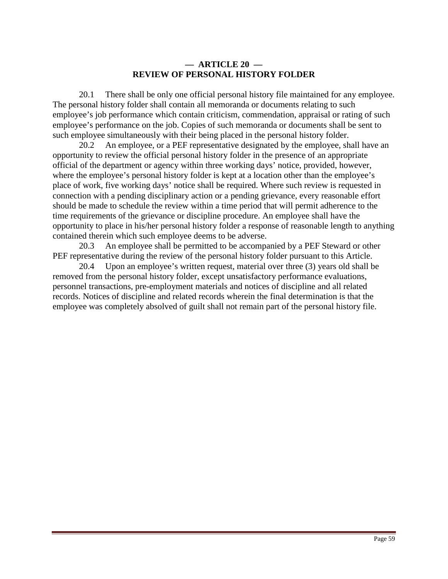#### **— ARTICLE 20 — REVIEW OF PERSONAL HISTORY FOLDER**

 20.1 There shall be only one official personal history file maintained for any employee. The personal history folder shall contain all memoranda or documents relating to such employee's job performance which contain criticism, commendation, appraisal or rating of such employee's performance on the job. Copies of such memoranda or documents shall be sent to such employee simultaneously with their being placed in the personal history folder.

 20.2 An employee, or a PEF representative designated by the employee, shall have an opportunity to review the official personal history folder in the presence of an appropriate official of the department or agency within three working days' notice, provided, however, where the employee's personal history folder is kept at a location other than the employee's place of work, five working days' notice shall be required. Where such review is requested in connection with a pending disciplinary action or a pending grievance, every reasonable effort should be made to schedule the review within a time period that will permit adherence to the time requirements of the grievance or discipline procedure. An employee shall have the opportunity to place in his/her personal history folder a response of reasonable length to anything contained therein which such employee deems to be adverse.

 20.3 An employee shall be permitted to be accompanied by a PEF Steward or other PEF representative during the review of the personal history folder pursuant to this Article.

 20.4 Upon an employee's written request, material over three (3) years old shall be removed from the personal history folder, except unsatisfactory performance evaluations, personnel transactions, pre-employment materials and notices of discipline and all related records. Notices of discipline and related records wherein the final determination is that the employee was completely absolved of guilt shall not remain part of the personal history file.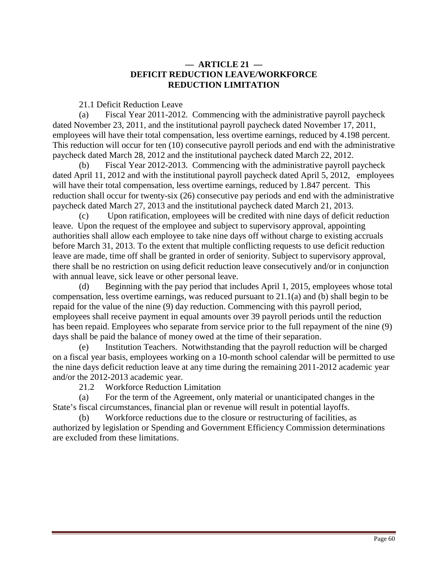## **— ARTICLE 21 — DEFICIT REDUCTION LEAVE/WORKFORCE REDUCTION LIMITATION**

21.1 Deficit Reduction Leave

(a) Fiscal Year 2011-2012. Commencing with the administrative payroll paycheck dated November 23, 2011, and the institutional payroll paycheck dated November 17, 2011, employees will have their total compensation, less overtime earnings, reduced by 4.198 percent. This reduction will occur for ten (10) consecutive payroll periods and end with the administrative paycheck dated March 28, 2012 and the institutional paycheck dated March 22, 2012.

(b) Fiscal Year 2012-2013. Commencing with the administrative payroll paycheck dated April 11, 2012 and with the institutional payroll paycheck dated April 5, 2012, employees will have their total compensation, less overtime earnings, reduced by 1.847 percent. This reduction shall occur for twenty-six (26) consecutive pay periods and end with the administrative paycheck dated March 27, 2013 and the institutional paycheck dated March 21, 2013.

(c) Upon ratification, employees will be credited with nine days of deficit reduction leave. Upon the request of the employee and subject to supervisory approval, appointing authorities shall allow each employee to take nine days off without charge to existing accruals before March 31, 2013. To the extent that multiple conflicting requests to use deficit reduction leave are made, time off shall be granted in order of seniority. Subject to supervisory approval, there shall be no restriction on using deficit reduction leave consecutively and/or in conjunction with annual leave, sick leave or other personal leave.

(d) Beginning with the pay period that includes April 1, 2015, employees whose total compensation, less overtime earnings, was reduced pursuant to 21.1(a) and (b) shall begin to be repaid for the value of the nine (9) day reduction. Commencing with this payroll period, employees shall receive payment in equal amounts over 39 payroll periods until the reduction has been repaid. Employees who separate from service prior to the full repayment of the nine (9) days shall be paid the balance of money owed at the time of their separation.

(e) Institution Teachers. Notwithstanding that the payroll reduction will be charged on a fiscal year basis, employees working on a 10-month school calendar will be permitted to use the nine days deficit reduction leave at any time during the remaining 2011-2012 academic year and/or the 2012-2013 academic year.

21.2 Workforce Reduction Limitation

(a) For the term of the Agreement, only material or unanticipated changes in the State's fiscal circumstances, financial plan or revenue will result in potential layoffs.

(b) Workforce reductions due to the closure or restructuring of facilities, as authorized by legislation or Spending and Government Efficiency Commission determinations are excluded from these limitations.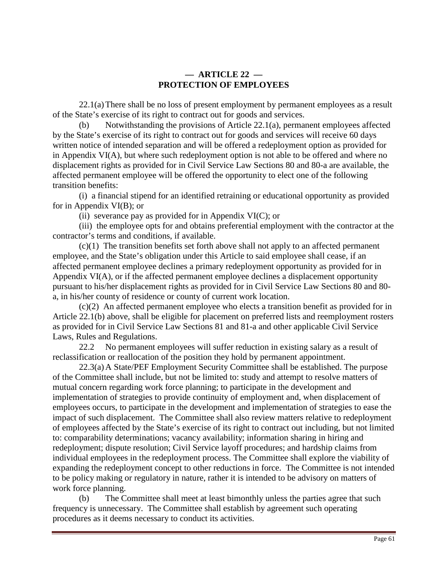# **— ARTICLE 22 — PROTECTION OF EMPLOYEES**

 22.1(a) There shall be no loss of present employment by permanent employees as a result of the State's exercise of its right to contract out for goods and services.

(b) Notwithstanding the provisions of Article 22.1(a), permanent employees affected by the State's exercise of its right to contract out for goods and services will receive 60 days written notice of intended separation and will be offered a redeployment option as provided for in Appendix VI(A), but where such redeployment option is not able to be offered and where no displacement rights as provided for in Civil Service Law Sections 80 and 80-a are available, the affected permanent employee will be offered the opportunity to elect one of the following transition benefits:

 (i) a financial stipend for an identified retraining or educational opportunity as provided for in Appendix VI(B); or

(ii) severance pay as provided for in Appendix  $VI(C)$ ; or

(iii) the employee opts for and obtains preferential employment with the contractor at the contractor's terms and conditions, if available.

 (c)(1) The transition benefits set forth above shall not apply to an affected permanent employee, and the State's obligation under this Article to said employee shall cease, if an affected permanent employee declines a primary redeployment opportunity as provided for in Appendix VI(A), or if the affected permanent employee declines a displacement opportunity pursuant to his/her displacement rights as provided for in Civil Service Law Sections 80 and 80 a, in his/her county of residence or county of current work location.

(c)(2) An affected permanent employee who elects a transition benefit as provided for in Article 22.1(b) above, shall be eligible for placement on preferred lists and reemployment rosters as provided for in Civil Service Law Sections 81 and 81-a and other applicable Civil Service Laws, Rules and Regulations.

 22.2 No permanent employees will suffer reduction in existing salary as a result of reclassification or reallocation of the position they hold by permanent appointment.

 22.3(a) A State/PEF Employment Security Committee shall be established. The purpose of the Committee shall include, but not be limited to: study and attempt to resolve matters of mutual concern regarding work force planning; to participate in the development and implementation of strategies to provide continuity of employment and, when displacement of employees occurs, to participate in the development and implementation of strategies to ease the impact of such displacement. The Committee shall also review matters relative to redeployment of employees affected by the State's exercise of its right to contract out including, but not limited to: comparability determinations; vacancy availability; information sharing in hiring and redeployment; dispute resolution; Civil Service layoff procedures; and hardship claims from individual employees in the redeployment process. The Committee shall explore the viability of expanding the redeployment concept to other reductions in force. The Committee is not intended to be policy making or regulatory in nature, rather it is intended to be advisory on matters of work force planning.

(b) The Committee shall meet at least bimonthly unless the parties agree that such frequency is unnecessary. The Committee shall establish by agreement such operating procedures as it deems necessary to conduct its activities.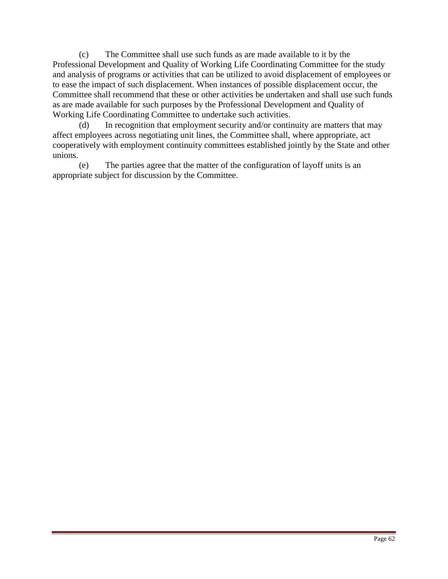(c) The Committee shall use such funds as are made available to it by the Professional Development and Quality of Working Life Coordinating Committee for the study and analysis of programs or activities that can be utilized to avoid displacement of employees or to ease the impact of such displacement. When instances of possible displacement occur, the Committee shall recommend that these or other activities be undertaken and shall use such funds as are made available for such purposes by the Professional Development and Quality of Working Life Coordinating Committee to undertake such activities.

(d) In recognition that employment security and/or continuity are matters that may affect employees across negotiating unit lines, the Committee shall, where appropriate, act cooperatively with employment continuity committees established jointly by the State and other unions.

(e) The parties agree that the matter of the configuration of layoff units is an appropriate subject for discussion by the Committee.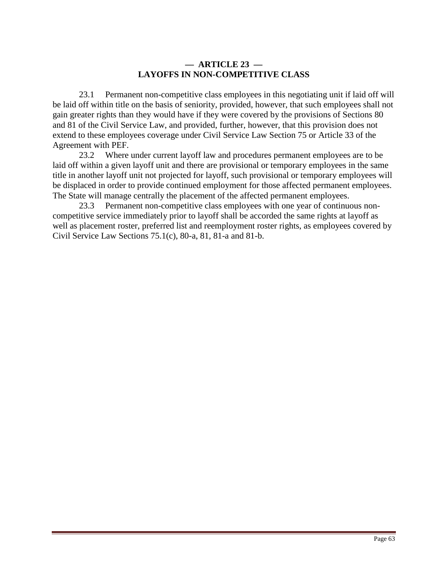# **— ARTICLE 23 — LAYOFFS IN NON-COMPETITIVE CLASS**

 23.1 Permanent non-competitive class employees in this negotiating unit if laid off will be laid off within title on the basis of seniority, provided, however, that such employees shall not gain greater rights than they would have if they were covered by the provisions of Sections 80 and 81 of the Civil Service Law, and provided, further, however, that this provision does not extend to these employees coverage under Civil Service Law Section 75 or Article 33 of the Agreement with PEF.

 23.2 Where under current layoff law and procedures permanent employees are to be laid off within a given layoff unit and there are provisional or temporary employees in the same title in another layoff unit not projected for layoff, such provisional or temporary employees will be displaced in order to provide continued employment for those affected permanent employees. The State will manage centrally the placement of the affected permanent employees.

 23.3 Permanent non-competitive class employees with one year of continuous noncompetitive service immediately prior to layoff shall be accorded the same rights at layoff as well as placement roster, preferred list and reemployment roster rights, as employees covered by Civil Service Law Sections 75.1(c), 80-a, 81, 81-a and 81-b.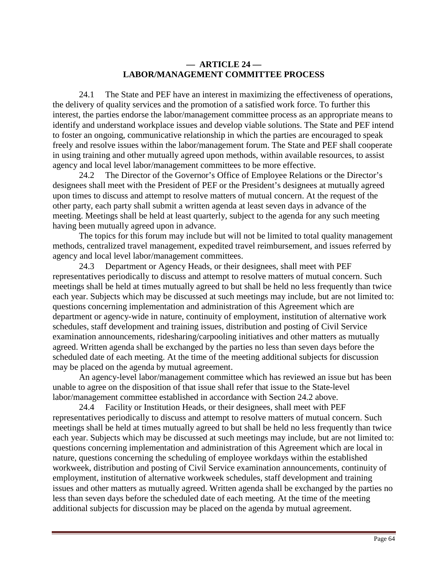## **— ARTICLE 24 — LABOR/MANAGEMENT COMMITTEE PROCESS**

 24.1 The State and PEF have an interest in maximizing the effectiveness of operations, the delivery of quality services and the promotion of a satisfied work force. To further this interest, the parties endorse the labor/management committee process as an appropriate means to identify and understand workplace issues and develop viable solutions. The State and PEF intend to foster an ongoing, communicative relationship in which the parties are encouraged to speak freely and resolve issues within the labor/management forum. The State and PEF shall cooperate in using training and other mutually agreed upon methods, within available resources, to assist agency and local level labor/management committees to be more effective.

 24.2 The Director of the Governor's Office of Employee Relations or the Director's designees shall meet with the President of PEF or the President's designees at mutually agreed upon times to discuss and attempt to resolve matters of mutual concern. At the request of the other party, each party shall submit a written agenda at least seven days in advance of the meeting. Meetings shall be held at least quarterly, subject to the agenda for any such meeting having been mutually agreed upon in advance.

The topics for this forum may include but will not be limited to total quality management methods, centralized travel management, expedited travel reimbursement, and issues referred by agency and local level labor/management committees.

 24.3 Department or Agency Heads, or their designees, shall meet with PEF representatives periodically to discuss and attempt to resolve matters of mutual concern. Such meetings shall be held at times mutually agreed to but shall be held no less frequently than twice each year. Subjects which may be discussed at such meetings may include, but are not limited to: questions concerning implementation and administration of this Agreement which are department or agency-wide in nature, continuity of employment, institution of alternative work schedules, staff development and training issues, distribution and posting of Civil Service examination announcements, ridesharing/carpooling initiatives and other matters as mutually agreed. Written agenda shall be exchanged by the parties no less than seven days before the scheduled date of each meeting. At the time of the meeting additional subjects for discussion may be placed on the agenda by mutual agreement.

 An agency-level labor/management committee which has reviewed an issue but has been unable to agree on the disposition of that issue shall refer that issue to the State-level labor/management committee established in accordance with Section 24.2 above.

 24.4 Facility or Institution Heads, or their designees, shall meet with PEF representatives periodically to discuss and attempt to resolve matters of mutual concern. Such meetings shall be held at times mutually agreed to but shall be held no less frequently than twice each year. Subjects which may be discussed at such meetings may include, but are not limited to: questions concerning implementation and administration of this Agreement which are local in nature, questions concerning the scheduling of employee workdays within the established workweek, distribution and posting of Civil Service examination announcements, continuity of employment, institution of alternative workweek schedules, staff development and training issues and other matters as mutually agreed. Written agenda shall be exchanged by the parties no less than seven days before the scheduled date of each meeting. At the time of the meeting additional subjects for discussion may be placed on the agenda by mutual agreement.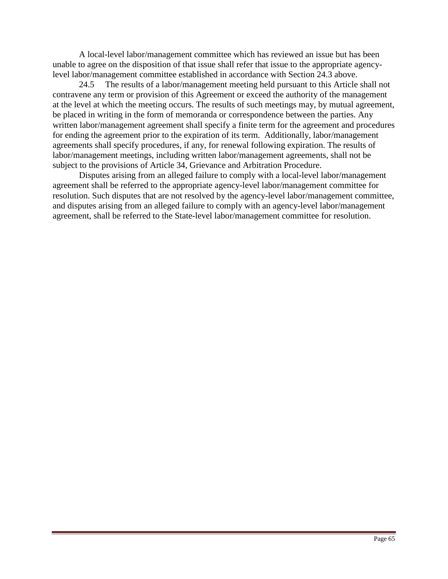A local-level labor/management committee which has reviewed an issue but has been unable to agree on the disposition of that issue shall refer that issue to the appropriate agencylevel labor/management committee established in accordance with Section 24.3 above.

 24.5 The results of a labor/management meeting held pursuant to this Article shall not contravene any term or provision of this Agreement or exceed the authority of the management at the level at which the meeting occurs. The results of such meetings may, by mutual agreement, be placed in writing in the form of memoranda or correspondence between the parties. Any written labor/management agreement shall specify a finite term for the agreement and procedures for ending the agreement prior to the expiration of its term. Additionally, labor/management agreements shall specify procedures, if any, for renewal following expiration. The results of labor/management meetings, including written labor/management agreements, shall not be subject to the provisions of Article 34, Grievance and Arbitration Procedure.

Disputes arising from an alleged failure to comply with a local-level labor/management agreement shall be referred to the appropriate agency-level labor/management committee for resolution. Such disputes that are not resolved by the agency-level labor/management committee, and disputes arising from an alleged failure to comply with an agency-level labor/management agreement, shall be referred to the State-level labor/management committee for resolution.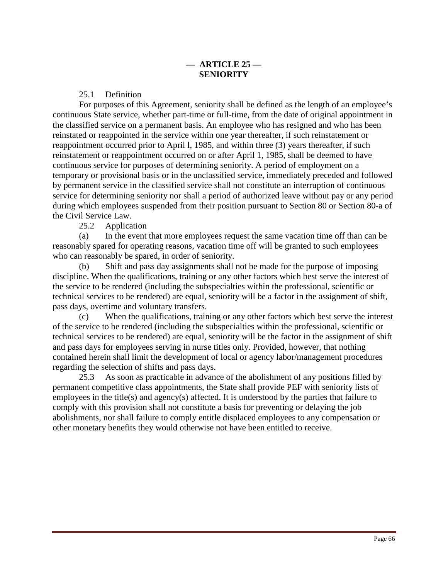25.1 Definition

 For purposes of this Agreement, seniority shall be defined as the length of an employee's continuous State service, whether part-time or full-time, from the date of original appointment in the classified service on a permanent basis. An employee who has resigned and who has been reinstated or reappointed in the service within one year thereafter, if such reinstatement or reappointment occurred prior to April l, 1985, and within three (3) years thereafter, if such reinstatement or reappointment occurred on or after April 1, 1985, shall be deemed to have continuous service for purposes of determining seniority. A period of employment on a temporary or provisional basis or in the unclassified service, immediately preceded and followed by permanent service in the classified service shall not constitute an interruption of continuous service for determining seniority nor shall a period of authorized leave without pay or any period during which employees suspended from their position pursuant to Section 80 or Section 80-a of the Civil Service Law.

25.2 Application

(a) In the event that more employees request the same vacation time off than can be reasonably spared for operating reasons, vacation time off will be granted to such employees who can reasonably be spared, in order of seniority.

(b) Shift and pass day assignments shall not be made for the purpose of imposing discipline. When the qualifications, training or any other factors which best serve the interest of the service to be rendered (including the subspecialties within the professional, scientific or technical services to be rendered) are equal, seniority will be a factor in the assignment of shift, pass days, overtime and voluntary transfers.

(c) When the qualifications, training or any other factors which best serve the interest of the service to be rendered (including the subspecialties within the professional, scientific or technical services to be rendered) are equal, seniority will be the factor in the assignment of shift and pass days for employees serving in nurse titles only. Provided, however, that nothing contained herein shall limit the development of local or agency labor/management procedures regarding the selection of shifts and pass days.

 25.3 As soon as practicable in advance of the abolishment of any positions filled by permanent competitive class appointments, the State shall provide PEF with seniority lists of employees in the title(s) and agency(s) affected. It is understood by the parties that failure to comply with this provision shall not constitute a basis for preventing or delaying the job abolishments, nor shall failure to comply entitle displaced employees to any compensation or other monetary benefits they would otherwise not have been entitled to receive.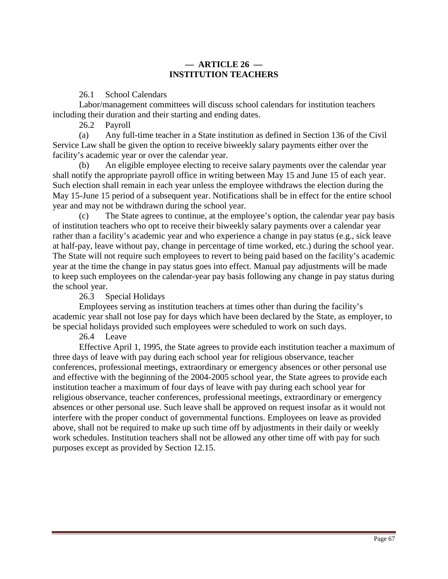# **— ARTICLE 26 — INSTITUTION TEACHERS**

26.1 School Calendars

Labor/management committees will discuss school calendars for institution teachers including their duration and their starting and ending dates.

26.2 Payroll

(a) Any full-time teacher in a State institution as defined in Section 136 of the Civil Service Law shall be given the option to receive biweekly salary payments either over the facility's academic year or over the calendar year.

An eligible employee electing to receive salary payments over the calendar year shall notify the appropriate payroll office in writing between May 15 and June 15 of each year. Such election shall remain in each year unless the employee withdraws the election during the May 15-June 15 period of a subsequent year. Notifications shall be in effect for the entire school year and may not be withdrawn during the school year.

(c) The State agrees to continue, at the employee's option, the calendar year pay basis of institution teachers who opt to receive their biweekly salary payments over a calendar year rather than a facility's academic year and who experience a change in pay status (e.g., sick leave at half-pay, leave without pay, change in percentage of time worked, etc.) during the school year. The State will not require such employees to revert to being paid based on the facility's academic year at the time the change in pay status goes into effect. Manual pay adjustments will be made to keep such employees on the calendar-year pay basis following any change in pay status during the school year.

26.3 Special Holidays

Employees serving as institution teachers at times other than during the facility's academic year shall not lose pay for days which have been declared by the State, as employer, to be special holidays provided such employees were scheduled to work on such days.

26.4 Leave

 Effective April 1, 1995, the State agrees to provide each institution teacher a maximum of three days of leave with pay during each school year for religious observance, teacher conferences, professional meetings, extraordinary or emergency absences or other personal use and effective with the beginning of the 2004-2005 school year, the State agrees to provide each institution teacher a maximum of four days of leave with pay during each school year for religious observance, teacher conferences, professional meetings, extraordinary or emergency absences or other personal use. Such leave shall be approved on request insofar as it would not interfere with the proper conduct of governmental functions. Employees on leave as provided above, shall not be required to make up such time off by adjustments in their daily or weekly work schedules. Institution teachers shall not be allowed any other time off with pay for such purposes except as provided by Section 12.15.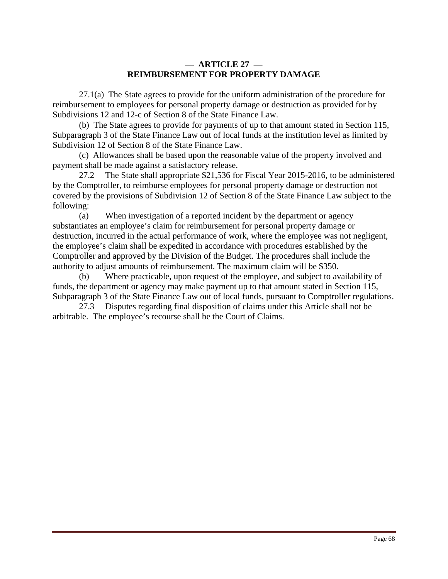# **— ARTICLE 27 — REIMBURSEMENT FOR PROPERTY DAMAGE**

 27.1(a) The State agrees to provide for the uniform administration of the procedure for reimbursement to employees for personal property damage or destruction as provided for by Subdivisions 12 and 12-c of Section 8 of the State Finance Law.

 (b) The State agrees to provide for payments of up to that amount stated in Section 115, Subparagraph 3 of the State Finance Law out of local funds at the institution level as limited by Subdivision 12 of Section 8 of the State Finance Law.

 (c) Allowances shall be based upon the reasonable value of the property involved and payment shall be made against a satisfactory release.

 27.2 The State shall appropriate \$21,536 for Fiscal Year 2015-2016, to be administered by the Comptroller, to reimburse employees for personal property damage or destruction not covered by the provisions of Subdivision 12 of Section 8 of the State Finance Law subject to the following:

 (a) When investigation of a reported incident by the department or agency substantiates an employee's claim for reimbursement for personal property damage or destruction, incurred in the actual performance of work, where the employee was not negligent, the employee's claim shall be expedited in accordance with procedures established by the Comptroller and approved by the Division of the Budget. The procedures shall include the authority to adjust amounts of reimbursement. The maximum claim will be \$350.

(b) Where practicable, upon request of the employee, and subject to availability of funds, the department or agency may make payment up to that amount stated in Section 115, Subparagraph 3 of the State Finance Law out of local funds, pursuant to Comptroller regulations.

 27.3 Disputes regarding final disposition of claims under this Article shall not be arbitrable. The employee's recourse shall be the Court of Claims.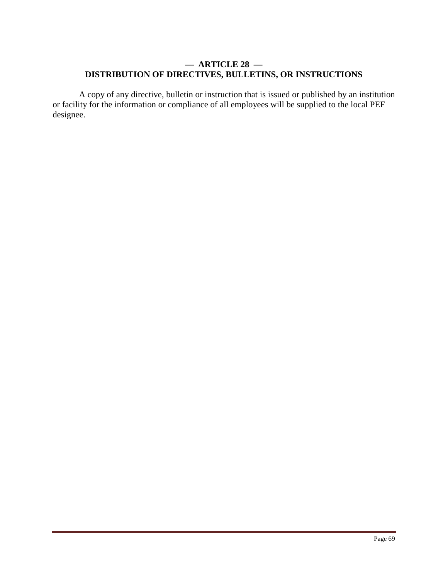# **— ARTICLE 28 — DISTRIBUTION OF DIRECTIVES, BULLETINS, OR INSTRUCTIONS**

 A copy of any directive, bulletin or instruction that is issued or published by an institution or facility for the information or compliance of all employees will be supplied to the local PEF designee.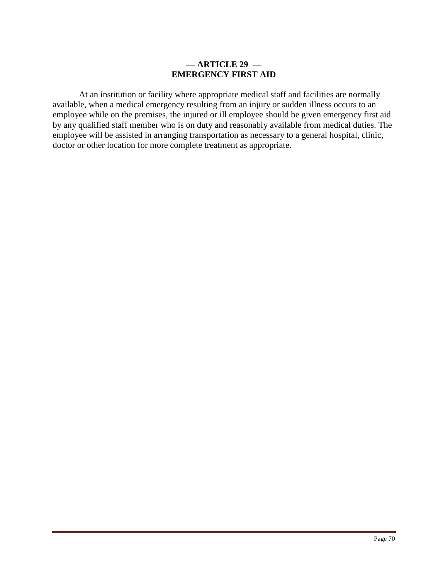# **— ARTICLE 29 — EMERGENCY FIRST AID**

At an institution or facility where appropriate medical staff and facilities are normally available, when a medical emergency resulting from an injury or sudden illness occurs to an employee while on the premises, the injured or ill employee should be given emergency first aid by any qualified staff member who is on duty and reasonably available from medical duties. The employee will be assisted in arranging transportation as necessary to a general hospital, clinic, doctor or other location for more complete treatment as appropriate.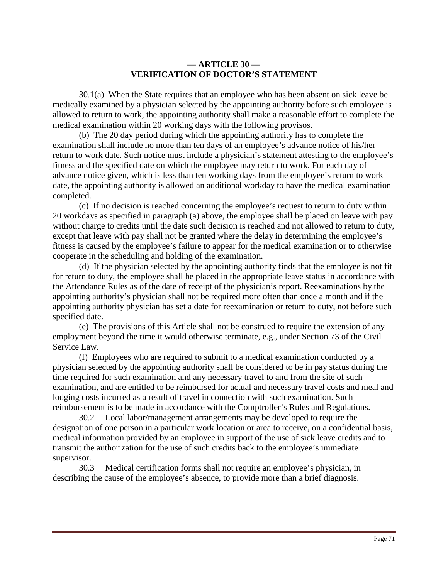# **— ARTICLE 30 — VERIFICATION OF DOCTOR'S STATEMENT**

 30.1(a) When the State requires that an employee who has been absent on sick leave be medically examined by a physician selected by the appointing authority before such employee is allowed to return to work, the appointing authority shall make a reasonable effort to complete the medical examination within 20 working days with the following provisos.

 (b) The 20 day period during which the appointing authority has to complete the examination shall include no more than ten days of an employee's advance notice of his/her return to work date. Such notice must include a physician's statement attesting to the employee's fitness and the specified date on which the employee may return to work. For each day of advance notice given, which is less than ten working days from the employee's return to work date, the appointing authority is allowed an additional workday to have the medical examination completed.

 (c) If no decision is reached concerning the employee's request to return to duty within 20 workdays as specified in paragraph (a) above, the employee shall be placed on leave with pay without charge to credits until the date such decision is reached and not allowed to return to duty, except that leave with pay shall not be granted where the delay in determining the employee's fitness is caused by the employee's failure to appear for the medical examination or to otherwise cooperate in the scheduling and holding of the examination.

 (d) If the physician selected by the appointing authority finds that the employee is not fit for return to duty, the employee shall be placed in the appropriate leave status in accordance with the Attendance Rules as of the date of receipt of the physician's report. Reexaminations by the appointing authority's physician shall not be required more often than once a month and if the appointing authority physician has set a date for reexamination or return to duty, not before such specified date.

 (e) The provisions of this Article shall not be construed to require the extension of any employment beyond the time it would otherwise terminate, e.g., under Section 73 of the Civil Service Law.

 (f) Employees who are required to submit to a medical examination conducted by a physician selected by the appointing authority shall be considered to be in pay status during the time required for such examination and any necessary travel to and from the site of such examination, and are entitled to be reimbursed for actual and necessary travel costs and meal and lodging costs incurred as a result of travel in connection with such examination. Such reimbursement is to be made in accordance with the Comptroller's Rules and Regulations.

 30.2 Local labor/management arrangements may be developed to require the designation of one person in a particular work location or area to receive, on a confidential basis, medical information provided by an employee in support of the use of sick leave credits and to transmit the authorization for the use of such credits back to the employee's immediate supervisor.

 30.3 Medical certification forms shall not require an employee's physician, in describing the cause of the employee's absence, to provide more than a brief diagnosis.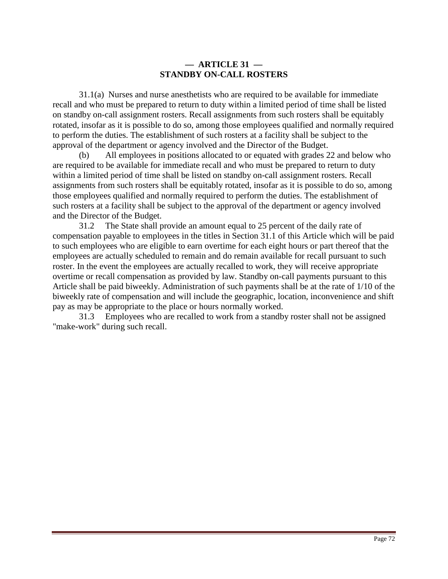# **— ARTICLE 31 — STANDBY ON-CALL ROSTERS**

 31.1(a) Nurses and nurse anesthetists who are required to be available for immediate recall and who must be prepared to return to duty within a limited period of time shall be listed on standby on-call assignment rosters. Recall assignments from such rosters shall be equitably rotated, insofar as it is possible to do so, among those employees qualified and normally required to perform the duties. The establishment of such rosters at a facility shall be subject to the approval of the department or agency involved and the Director of the Budget.

(b) All employees in positions allocated to or equated with grades 22 and below who are required to be available for immediate recall and who must be prepared to return to duty within a limited period of time shall be listed on standby on-call assignment rosters. Recall assignments from such rosters shall be equitably rotated, insofar as it is possible to do so, among those employees qualified and normally required to perform the duties. The establishment of such rosters at a facility shall be subject to the approval of the department or agency involved and the Director of the Budget.

 31.2 The State shall provide an amount equal to 25 percent of the daily rate of compensation payable to employees in the titles in Section 31.1 of this Article which will be paid to such employees who are eligible to earn overtime for each eight hours or part thereof that the employees are actually scheduled to remain and do remain available for recall pursuant to such roster. In the event the employees are actually recalled to work, they will receive appropriate overtime or recall compensation as provided by law. Standby on-call payments pursuant to this Article shall be paid biweekly. Administration of such payments shall be at the rate of 1/10 of the biweekly rate of compensation and will include the geographic, location, inconvenience and shift pay as may be appropriate to the place or hours normally worked.

 31.3 Employees who are recalled to work from a standby roster shall not be assigned "make-work" during such recall.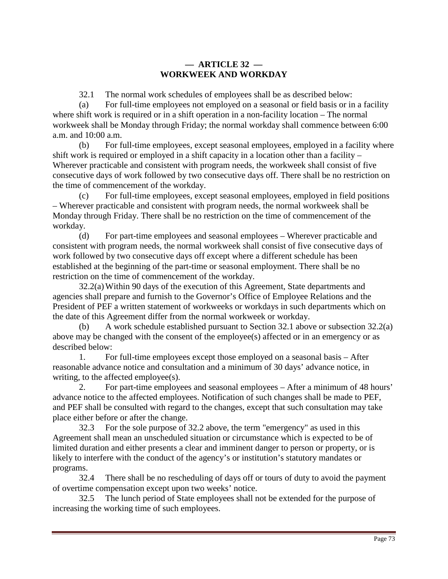# **— ARTICLE 32 — WORKWEEK AND WORKDAY**

32.1 The normal work schedules of employees shall be as described below:

(a) For full-time employees not employed on a seasonal or field basis or in a facility where shift work is required or in a shift operation in a non-facility location – The normal workweek shall be Monday through Friday; the normal workday shall commence between 6:00 a.m. and 10:00 a.m.

(b) For full-time employees, except seasonal employees, employed in a facility where shift work is required or employed in a shift capacity in a location other than a facility – Wherever practicable and consistent with program needs, the workweek shall consist of five consecutive days of work followed by two consecutive days off. There shall be no restriction on the time of commencement of the workday.

(c) For full-time employees, except seasonal employees, employed in field positions – Wherever practicable and consistent with program needs, the normal workweek shall be Monday through Friday. There shall be no restriction on the time of commencement of the workday.

(d) For part-time employees and seasonal employees – Wherever practicable and consistent with program needs, the normal workweek shall consist of five consecutive days of work followed by two consecutive days off except where a different schedule has been established at the beginning of the part-time or seasonal employment. There shall be no restriction on the time of commencement of the workday.

 32.2(a) Within 90 days of the execution of this Agreement, State departments and agencies shall prepare and furnish to the Governor's Office of Employee Relations and the President of PEF a written statement of workweeks or workdays in such departments which on the date of this Agreement differ from the normal workweek or workday.

(b) A work schedule established pursuant to Section 32.1 above or subsection 32.2(a) above may be changed with the consent of the employee(s) affected or in an emergency or as described below:

 1. For full-time employees except those employed on a seasonal basis – After reasonable advance notice and consultation and a minimum of 30 days' advance notice, in writing, to the affected employee(s).

 2. For part-time employees and seasonal employees – After a minimum of 48 hours' advance notice to the affected employees. Notification of such changes shall be made to PEF, and PEF shall be consulted with regard to the changes, except that such consultation may take place either before or after the change.

 32.3 For the sole purpose of 32.2 above, the term "emergency" as used in this Agreement shall mean an unscheduled situation or circumstance which is expected to be of limited duration and either presents a clear and imminent danger to person or property, or is likely to interfere with the conduct of the agency's or institution's statutory mandates or programs.

 32.4 There shall be no rescheduling of days off or tours of duty to avoid the payment of overtime compensation except upon two weeks' notice.

 32.5 The lunch period of State employees shall not be extended for the purpose of increasing the working time of such employees.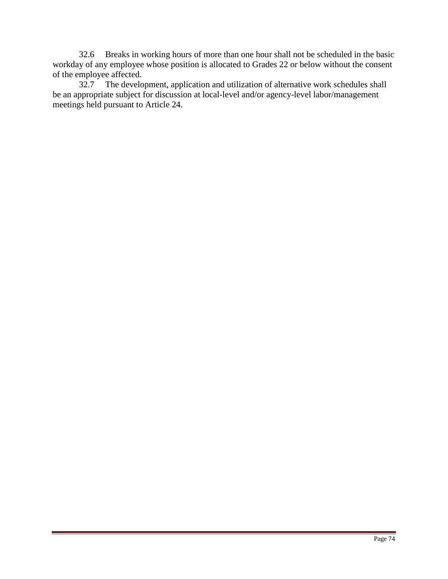32.6 Breaks in working hours of more than one hour shall not be scheduled in the basic workday of any employee whose position is allocated to Grades 22 or below without the consent of the employee affected.

 32.7 The development, application and utilization of alternative work schedules shall be an appropriate subject for discussion at local-level and/or agency-level labor/management meetings held pursuant to Article 24.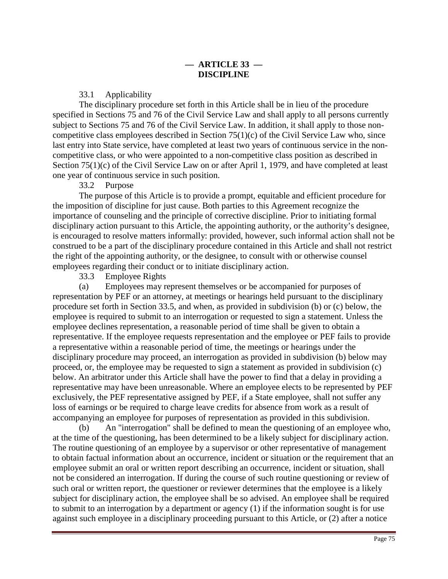33.1 Applicability

 The disciplinary procedure set forth in this Article shall be in lieu of the procedure specified in Sections 75 and 76 of the Civil Service Law and shall apply to all persons currently subject to Sections 75 and 76 of the Civil Service Law. In addition, it shall apply to those noncompetitive class employees described in Section 75(1)(c) of the Civil Service Law who, since last entry into State service, have completed at least two years of continuous service in the noncompetitive class, or who were appointed to a non-competitive class position as described in Section 75(1)(c) of the Civil Service Law on or after April 1, 1979, and have completed at least one year of continuous service in such position.

#### 33.2 Purpose

 The purpose of this Article is to provide a prompt, equitable and efficient procedure for the imposition of discipline for just cause. Both parties to this Agreement recognize the importance of counseling and the principle of corrective discipline. Prior to initiating formal disciplinary action pursuant to this Article, the appointing authority, or the authority's designee, is encouraged to resolve matters informally: provided, however, such informal action shall not be construed to be a part of the disciplinary procedure contained in this Article and shall not restrict the right of the appointing authority, or the designee, to consult with or otherwise counsel employees regarding their conduct or to initiate disciplinary action.

33.3 Employee Rights

(a) Employees may represent themselves or be accompanied for purposes of representation by PEF or an attorney, at meetings or hearings held pursuant to the disciplinary procedure set forth in Section 33.5, and when, as provided in subdivision (b) or (c) below, the employee is required to submit to an interrogation or requested to sign a statement. Unless the employee declines representation, a reasonable period of time shall be given to obtain a representative. If the employee requests representation and the employee or PEF fails to provide a representative within a reasonable period of time, the meetings or hearings under the disciplinary procedure may proceed, an interrogation as provided in subdivision (b) below may proceed, or, the employee may be requested to sign a statement as provided in subdivision (c) below. An arbitrator under this Article shall have the power to find that a delay in providing a representative may have been unreasonable. Where an employee elects to be represented by PEF exclusively, the PEF representative assigned by PEF, if a State employee, shall not suffer any loss of earnings or be required to charge leave credits for absence from work as a result of accompanying an employee for purposes of representation as provided in this subdivision.

(b) An "interrogation" shall be defined to mean the questioning of an employee who, at the time of the questioning, has been determined to be a likely subject for disciplinary action. The routine questioning of an employee by a supervisor or other representative of management to obtain factual information about an occurrence, incident or situation or the requirement that an employee submit an oral or written report describing an occurrence, incident or situation, shall not be considered an interrogation. If during the course of such routine questioning or review of such oral or written report, the questioner or reviewer determines that the employee is a likely subject for disciplinary action, the employee shall be so advised. An employee shall be required to submit to an interrogation by a department or agency (1) if the information sought is for use against such employee in a disciplinary proceeding pursuant to this Article, or (2) after a notice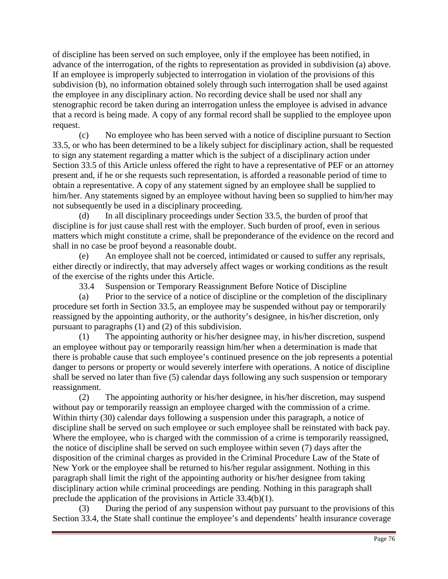of discipline has been served on such employee, only if the employee has been notified, in advance of the interrogation, of the rights to representation as provided in subdivision (a) above. If an employee is improperly subjected to interrogation in violation of the provisions of this subdivision (b), no information obtained solely through such interrogation shall be used against the employee in any disciplinary action. No recording device shall be used nor shall any stenographic record be taken during an interrogation unless the employee is advised in advance that a record is being made. A copy of any formal record shall be supplied to the employee upon request.

(c) No employee who has been served with a notice of discipline pursuant to Section 33.5, or who has been determined to be a likely subject for disciplinary action, shall be requested to sign any statement regarding a matter which is the subject of a disciplinary action under Section 33.5 of this Article unless offered the right to have a representative of PEF or an attorney present and, if he or she requests such representation, is afforded a reasonable period of time to obtain a representative. A copy of any statement signed by an employee shall be supplied to him/her. Any statements signed by an employee without having been so supplied to him/her may not subsequently be used in a disciplinary proceeding.

(d) In all disciplinary proceedings under Section 33.5, the burden of proof that discipline is for just cause shall rest with the employer. Such burden of proof, even in serious matters which might constitute a crime, shall be preponderance of the evidence on the record and shall in no case be proof beyond a reasonable doubt.

(e) An employee shall not be coerced, intimidated or caused to suffer any reprisals, either directly or indirectly, that may adversely affect wages or working conditions as the result of the exercise of the rights under this Article.

33.4 Suspension or Temporary Reassignment Before Notice of Discipline

(a) Prior to the service of a notice of discipline or the completion of the disciplinary procedure set forth in Section 33.5, an employee may be suspended without pay or temporarily reassigned by the appointing authority, or the authority's designee, in his/her discretion, only pursuant to paragraphs (1) and (2) of this subdivision.

(1) The appointing authority or his/her designee may, in his/her discretion, suspend an employee without pay or temporarily reassign him/her when a determination is made that there is probable cause that such employee's continued presence on the job represents a potential danger to persons or property or would severely interfere with operations. A notice of discipline shall be served no later than five (5) calendar days following any such suspension or temporary reassignment.

(2) The appointing authority or his/her designee, in his/her discretion, may suspend without pay or temporarily reassign an employee charged with the commission of a crime. Within thirty (30) calendar days following a suspension under this paragraph, a notice of discipline shall be served on such employee or such employee shall be reinstated with back pay. Where the employee, who is charged with the commission of a crime is temporarily reassigned, the notice of discipline shall be served on such employee within seven (7) days after the disposition of the criminal charges as provided in the Criminal Procedure Law of the State of New York or the employee shall be returned to his/her regular assignment. Nothing in this paragraph shall limit the right of the appointing authority or his/her designee from taking disciplinary action while criminal proceedings are pending. Nothing in this paragraph shall preclude the application of the provisions in Article 33.4(b)(1).

(3) During the period of any suspension without pay pursuant to the provisions of this Section 33.4, the State shall continue the employee's and dependents' health insurance coverage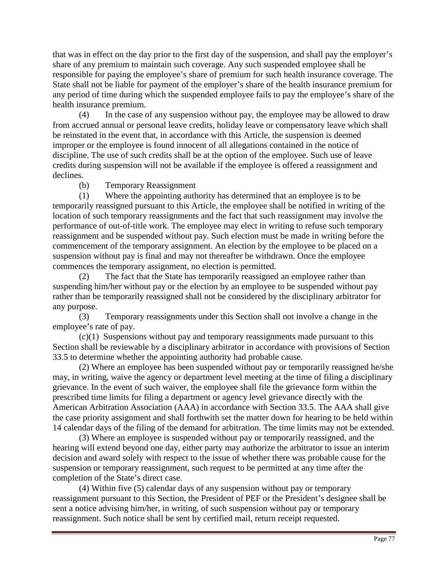that was in effect on the day prior to the first day of the suspension, and shall pay the employer's share of any premium to maintain such coverage. Any such suspended employee shall be responsible for paying the employee's share of premium for such health insurance coverage. The State shall not be liable for payment of the employer's share of the health insurance premium for any period of time during which the suspended employee fails to pay the employee's share of the health insurance premium.

(4) In the case of any suspension without pay, the employee may be allowed to draw from accrued annual or personal leave credits, holiday leave or compensatory leave which shall be reinstated in the event that, in accordance with this Article, the suspension is deemed improper or the employee is found innocent of all allegations contained in the notice of discipline. The use of such credits shall be at the option of the employee. Such use of leave credits during suspension will not be available if the employee is offered a reassignment and declines.

(b) Temporary Reassignment

(1) Where the appointing authority has determined that an employee is to be temporarily reassigned pursuant to this Article, the employee shall be notified in writing of the location of such temporary reassignments and the fact that such reassignment may involve the performance of out-of-title work. The employee may elect in writing to refuse such temporary reassignment and be suspended without pay. Such election must be made in writing before the commencement of the temporary assignment. An election by the employee to be placed on a suspension without pay is final and may not thereafter be withdrawn. Once the employee commences the temporary assignment, no election is permitted.

(2) The fact that the State has temporarily reassigned an employee rather than suspending him/her without pay or the election by an employee to be suspended without pay rather than be temporarily reassigned shall not be considered by the disciplinary arbitrator for any purpose.

(3) Temporary reassignments under this Section shall not involve a change in the employee's rate of pay.

(c)(1) Suspensions without pay and temporary reassignments made pursuant to this Section shall be reviewable by a disciplinary arbitrator in accordance with provisions of Section 33.5 to determine whether the appointing authority had probable cause.

(2) Where an employee has been suspended without pay or temporarily reassigned he/she may, in writing, waive the agency or department level meeting at the time of filing a disciplinary grievance. In the event of such waiver, the employee shall file the grievance form within the prescribed time limits for filing a department or agency level grievance directly with the American Arbitration Association (AAA) in accordance with Section 33.5. The AAA shall give the case priority assignment and shall forthwith set the matter down for hearing to be held within 14 calendar days of the filing of the demand for arbitration. The time limits may not be extended.

(3) Where an employee is suspended without pay or temporarily reassigned, and the hearing will extend beyond one day, either party may authorize the arbitrator to issue an interim decision and award solely with respect to the issue of whether there was probable cause for the suspension or temporary reassignment, such request to be permitted at any time after the completion of the State's direct case.

(4) Within five (5) calendar days of any suspension without pay or temporary reassignment pursuant to this Section, the President of PEF or the President's designee shall be sent a notice advising him/her, in writing, of such suspension without pay or temporary reassignment. Such notice shall be sent by certified mail, return receipt requested.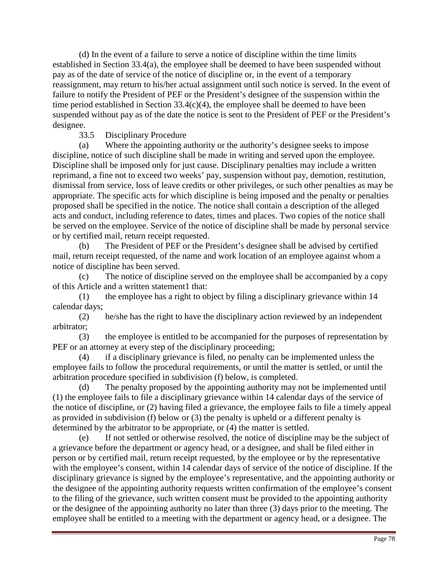(d) In the event of a failure to serve a notice of discipline within the time limits established in Section 33.4(a), the employee shall be deemed to have been suspended without pay as of the date of service of the notice of discipline or, in the event of a temporary reassignment, may return to his/her actual assignment until such notice is served. In the event of failure to notify the President of PEF or the President's designee of the suspension within the time period established in Section  $33.4(c)(4)$ , the employee shall be deemed to have been suspended without pay as of the date the notice is sent to the President of PEF or the President's designee.

# 33.5 Disciplinary Procedure

(a) Where the appointing authority or the authority's designee seeks to impose discipline, notice of such discipline shall be made in writing and served upon the employee. Discipline shall be imposed only for just cause. Disciplinary penalties may include a written reprimand, a fine not to exceed two weeks' pay, suspension without pay, demotion, restitution, dismissal from service, loss of leave credits or other privileges, or such other penalties as may be appropriate. The specific acts for which discipline is being imposed and the penalty or penalties proposed shall be specified in the notice. The notice shall contain a description of the alleged acts and conduct, including reference to dates, times and places. Two copies of the notice shall be served on the employee. Service of the notice of discipline shall be made by personal service or by certified mail, return receipt requested.

(b) The President of PEF or the President's designee shall be advised by certified mail, return receipt requested, of the name and work location of an employee against whom a notice of discipline has been served.

(c) The notice of discipline served on the employee shall be accompanied by a copy of this Article and a written statement1 that:

(1) the employee has a right to object by filing a disciplinary grievance within 14 calendar days;

(2) he/she has the right to have the disciplinary action reviewed by an independent arbitrator;

(3) the employee is entitled to be accompanied for the purposes of representation by PEF or an attorney at every step of the disciplinary proceeding;

(4) if a disciplinary grievance is filed, no penalty can be implemented unless the employee fails to follow the procedural requirements, or until the matter is settled, or until the arbitration procedure specified in subdivision (f) below, is completed.

(d) The penalty proposed by the appointing authority may not be implemented until (1) the employee fails to file a disciplinary grievance within 14 calendar days of the service of the notice of discipline, or (2) having filed a grievance, the employee fails to file a timely appeal as provided in subdivision (f) below or (3) the penalty is upheld or a different penalty is determined by the arbitrator to be appropriate, or (4) the matter is settled.

If not settled or otherwise resolved, the notice of discipline may be the subject of a grievance before the department or agency head, or a designee, and shall be filed either in person or by certified mail, return receipt requested, by the employee or by the representative with the employee's consent, within 14 calendar days of service of the notice of discipline. If the disciplinary grievance is signed by the employee's representative, and the appointing authority or the designee of the appointing authority requests written confirmation of the employee's consent to the filing of the grievance, such written consent must be provided to the appointing authority or the designee of the appointing authority no later than three (3) days prior to the meeting. The employee shall be entitled to a meeting with the department or agency head, or a designee. The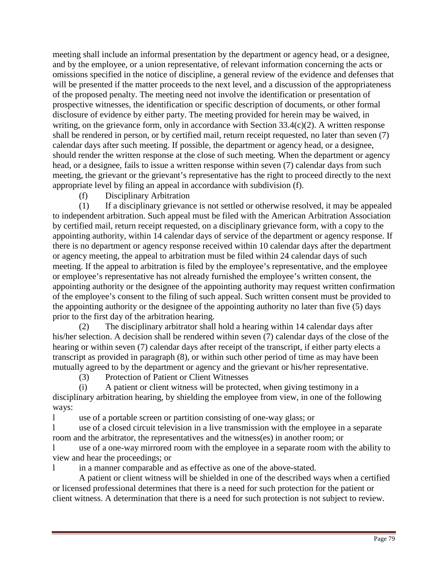meeting shall include an informal presentation by the department or agency head, or a designee, and by the employee, or a union representative, of relevant information concerning the acts or omissions specified in the notice of discipline, a general review of the evidence and defenses that will be presented if the matter proceeds to the next level, and a discussion of the appropriateness of the proposed penalty. The meeting need not involve the identification or presentation of prospective witnesses, the identification or specific description of documents, or other formal disclosure of evidence by either party. The meeting provided for herein may be waived, in writing, on the grievance form, only in accordance with Section 33.4(c)(2). A written response shall be rendered in person, or by certified mail, return receipt requested, no later than seven (7) calendar days after such meeting. If possible, the department or agency head, or a designee, should render the written response at the close of such meeting. When the department or agency head, or a designee, fails to issue a written response within seven (7) calendar days from such meeting, the grievant or the grievant's representative has the right to proceed directly to the next appropriate level by filing an appeal in accordance with subdivision (f).

(f) Disciplinary Arbitration

(1) If a disciplinary grievance is not settled or otherwise resolved, it may be appealed to independent arbitration. Such appeal must be filed with the American Arbitration Association by certified mail, return receipt requested, on a disciplinary grievance form, with a copy to the appointing authority, within 14 calendar days of service of the department or agency response. If there is no department or agency response received within 10 calendar days after the department or agency meeting, the appeal to arbitration must be filed within 24 calendar days of such meeting. If the appeal to arbitration is filed by the employee's representative, and the employee or employee's representative has not already furnished the employee's written consent, the appointing authority or the designee of the appointing authority may request written confirmation of the employee's consent to the filing of such appeal. Such written consent must be provided to the appointing authority or the designee of the appointing authority no later than five (5) days prior to the first day of the arbitration hearing.

(2) The disciplinary arbitrator shall hold a hearing within 14 calendar days after his/her selection. A decision shall be rendered within seven (7) calendar days of the close of the hearing or within seven (7) calendar days after receipt of the transcript, if either party elects a transcript as provided in paragraph (8), or within such other period of time as may have been mutually agreed to by the department or agency and the grievant or his/her representative.

(3) Protection of Patient or Client Witnesses

(i) A patient or client witness will be protected, when giving testimony in a disciplinary arbitration hearing, by shielding the employee from view, in one of the following ways:

l use of a portable screen or partition consisting of one-way glass; or

l use of a closed circuit television in a live transmission with the employee in a separate room and the arbitrator, the representatives and the witness(es) in another room; or

l use of a one-way mirrored room with the employee in a separate room with the ability to view and hear the proceedings; or

l in a manner comparable and as effective as one of the above-stated.

A patient or client witness will be shielded in one of the described ways when a certified or licensed professional determines that there is a need for such protection for the patient or client witness. A determination that there is a need for such protection is not subject to review.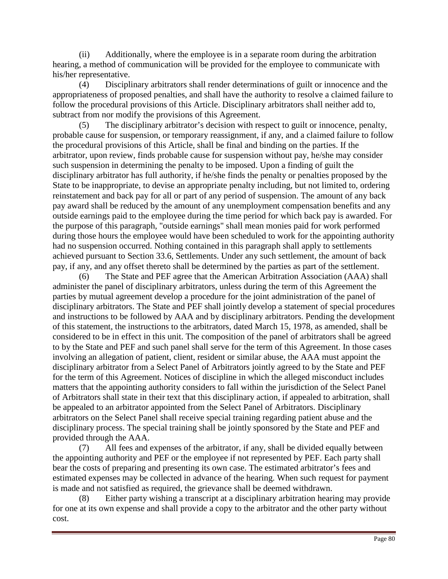(ii) Additionally, where the employee is in a separate room during the arbitration hearing, a method of communication will be provided for the employee to communicate with his/her representative.

(4) Disciplinary arbitrators shall render determinations of guilt or innocence and the appropriateness of proposed penalties, and shall have the authority to resolve a claimed failure to follow the procedural provisions of this Article. Disciplinary arbitrators shall neither add to, subtract from nor modify the provisions of this Agreement.

(5) The disciplinary arbitrator's decision with respect to guilt or innocence, penalty, probable cause for suspension, or temporary reassignment, if any, and a claimed failure to follow the procedural provisions of this Article, shall be final and binding on the parties. If the arbitrator, upon review, finds probable cause for suspension without pay, he/she may consider such suspension in determining the penalty to be imposed. Upon a finding of guilt the disciplinary arbitrator has full authority, if he/she finds the penalty or penalties proposed by the State to be inappropriate, to devise an appropriate penalty including, but not limited to, ordering reinstatement and back pay for all or part of any period of suspension. The amount of any back pay award shall be reduced by the amount of any unemployment compensation benefits and any outside earnings paid to the employee during the time period for which back pay is awarded. For the purpose of this paragraph, "outside earnings" shall mean monies paid for work performed during those hours the employee would have been scheduled to work for the appointing authority had no suspension occurred. Nothing contained in this paragraph shall apply to settlements achieved pursuant to Section 33.6, Settlements. Under any such settlement, the amount of back pay, if any, and any offset thereto shall be determined by the parties as part of the settlement.

(6) The State and PEF agree that the American Arbitration Association (AAA) shall administer the panel of disciplinary arbitrators, unless during the term of this Agreement the parties by mutual agreement develop a procedure for the joint administration of the panel of disciplinary arbitrators. The State and PEF shall jointly develop a statement of special procedures and instructions to be followed by AAA and by disciplinary arbitrators. Pending the development of this statement, the instructions to the arbitrators, dated March 15, 1978, as amended, shall be considered to be in effect in this unit. The composition of the panel of arbitrators shall be agreed to by the State and PEF and such panel shall serve for the term of this Agreement. In those cases involving an allegation of patient, client, resident or similar abuse, the AAA must appoint the disciplinary arbitrator from a Select Panel of Arbitrators jointly agreed to by the State and PEF for the term of this Agreement. Notices of discipline in which the alleged misconduct includes matters that the appointing authority considers to fall within the jurisdiction of the Select Panel of Arbitrators shall state in their text that this disciplinary action, if appealed to arbitration, shall be appealed to an arbitrator appointed from the Select Panel of Arbitrators. Disciplinary arbitrators on the Select Panel shall receive special training regarding patient abuse and the disciplinary process. The special training shall be jointly sponsored by the State and PEF and provided through the AAA.

(7) All fees and expenses of the arbitrator, if any, shall be divided equally between the appointing authority and PEF or the employee if not represented by PEF. Each party shall bear the costs of preparing and presenting its own case. The estimated arbitrator's fees and estimated expenses may be collected in advance of the hearing. When such request for payment is made and not satisfied as required, the grievance shall be deemed withdrawn.

(8) Either party wishing a transcript at a disciplinary arbitration hearing may provide for one at its own expense and shall provide a copy to the arbitrator and the other party without cost.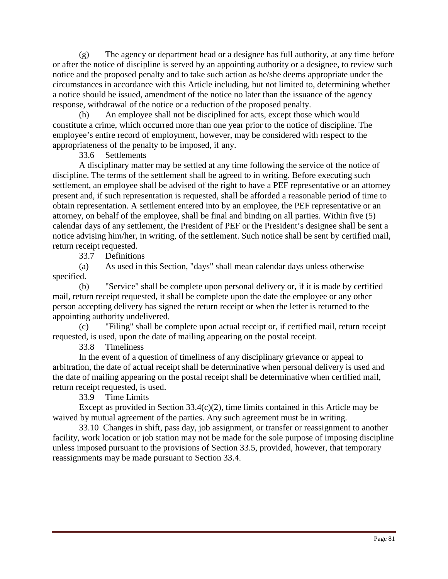(g) The agency or department head or a designee has full authority, at any time before or after the notice of discipline is served by an appointing authority or a designee, to review such notice and the proposed penalty and to take such action as he/she deems appropriate under the circumstances in accordance with this Article including, but not limited to, determining whether a notice should be issued, amendment of the notice no later than the issuance of the agency response, withdrawal of the notice or a reduction of the proposed penalty.

(h) An employee shall not be disciplined for acts, except those which would constitute a crime, which occurred more than one year prior to the notice of discipline. The employee's entire record of employment, however, may be considered with respect to the appropriateness of the penalty to be imposed, if any.

33.6 Settlements

A disciplinary matter may be settled at any time following the service of the notice of discipline. The terms of the settlement shall be agreed to in writing. Before executing such settlement, an employee shall be advised of the right to have a PEF representative or an attorney present and, if such representation is requested, shall be afforded a reasonable period of time to obtain representation. A settlement entered into by an employee, the PEF representative or an attorney, on behalf of the employee, shall be final and binding on all parties. Within five (5) calendar days of any settlement, the President of PEF or the President's designee shall be sent a notice advising him/her, in writing, of the settlement. Such notice shall be sent by certified mail, return receipt requested.

33.7 Definitions

(a) As used in this Section, "days" shall mean calendar days unless otherwise specified.

(b) "Service" shall be complete upon personal delivery or, if it is made by certified mail, return receipt requested, it shall be complete upon the date the employee or any other person accepting delivery has signed the return receipt or when the letter is returned to the appointing authority undelivered.

(c) "Filing" shall be complete upon actual receipt or, if certified mail, return receipt requested, is used, upon the date of mailing appearing on the postal receipt.

33.8 Timeliness

In the event of a question of timeliness of any disciplinary grievance or appeal to arbitration, the date of actual receipt shall be determinative when personal delivery is used and the date of mailing appearing on the postal receipt shall be determinative when certified mail, return receipt requested, is used.

33.9 Time Limits

Except as provided in Section  $33.4(c)(2)$ , time limits contained in this Article may be waived by mutual agreement of the parties. Any such agreement must be in writing.

33.10 Changes in shift, pass day, job assignment, or transfer or reassignment to another facility, work location or job station may not be made for the sole purpose of imposing discipline unless imposed pursuant to the provisions of Section 33.5, provided, however, that temporary reassignments may be made pursuant to Section 33.4.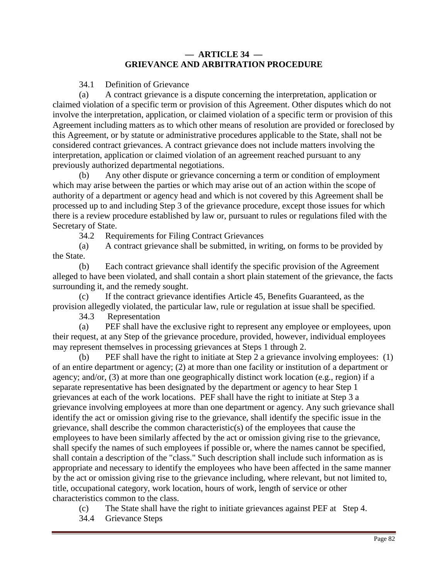### **— ARTICLE 34 — GRIEVANCE AND ARBITRATION PROCEDURE**

# 34.1 Definition of Grievance

(a) A contract grievance is a dispute concerning the interpretation, application or claimed violation of a specific term or provision of this Agreement. Other disputes which do not involve the interpretation, application, or claimed violation of a specific term or provision of this Agreement including matters as to which other means of resolution are provided or foreclosed by this Agreement, or by statute or administrative procedures applicable to the State, shall not be considered contract grievances. A contract grievance does not include matters involving the interpretation, application or claimed violation of an agreement reached pursuant to any previously authorized departmental negotiations.

(b) Any other dispute or grievance concerning a term or condition of employment which may arise between the parties or which may arise out of an action within the scope of authority of a department or agency head and which is not covered by this Agreement shall be processed up to and including Step 3 of the grievance procedure, except those issues for which there is a review procedure established by law or, pursuant to rules or regulations filed with the Secretary of State.

34.2 Requirements for Filing Contract Grievances

(a) A contract grievance shall be submitted, in writing, on forms to be provided by the State.

(b) Each contract grievance shall identify the specific provision of the Agreement alleged to have been violated, and shall contain a short plain statement of the grievance, the facts surrounding it, and the remedy sought.

(c) If the contract grievance identifies Article 45, Benefits Guaranteed, as the provision allegedly violated, the particular law, rule or regulation at issue shall be specified.

34.3 Representation

(a) PEF shall have the exclusive right to represent any employee or employees, upon their request, at any Step of the grievance procedure, provided, however, individual employees may represent themselves in processing grievances at Steps 1 through 2.

(b) PEF shall have the right to initiate at Step 2 a grievance involving employees: (1) of an entire department or agency; (2) at more than one facility or institution of a department or agency; and/or, (3) at more than one geographically distinct work location (e.g., region) if a separate representative has been designated by the department or agency to hear Step 1 grievances at each of the work locations. PEF shall have the right to initiate at Step 3 a grievance involving employees at more than one department or agency. Any such grievance shall identify the act or omission giving rise to the grievance, shall identify the specific issue in the grievance, shall describe the common characteristic(s) of the employees that cause the employees to have been similarly affected by the act or omission giving rise to the grievance, shall specify the names of such employees if possible or, where the names cannot be specified, shall contain a description of the "class." Such description shall include such information as is appropriate and necessary to identify the employees who have been affected in the same manner by the act or omission giving rise to the grievance including, where relevant, but not limited to, title, occupational category, work location, hours of work, length of service or other characteristics common to the class.

(c) The State shall have the right to initiate grievances against PEF at Step 4.

34.4 Grievance Steps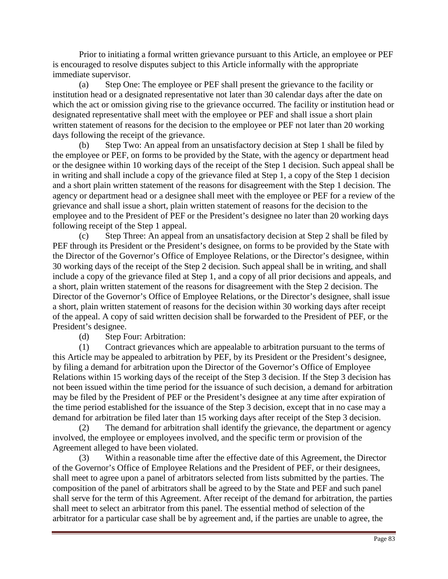Prior to initiating a formal written grievance pursuant to this Article, an employee or PEF is encouraged to resolve disputes subject to this Article informally with the appropriate immediate supervisor.

(a) Step One: The employee or PEF shall present the grievance to the facility or institution head or a designated representative not later than 30 calendar days after the date on which the act or omission giving rise to the grievance occurred. The facility or institution head or designated representative shall meet with the employee or PEF and shall issue a short plain written statement of reasons for the decision to the employee or PEF not later than 20 working days following the receipt of the grievance.

(b) Step Two: An appeal from an unsatisfactory decision at Step 1 shall be filed by the employee or PEF, on forms to be provided by the State, with the agency or department head or the designee within 10 working days of the receipt of the Step 1 decision. Such appeal shall be in writing and shall include a copy of the grievance filed at Step 1, a copy of the Step 1 decision and a short plain written statement of the reasons for disagreement with the Step 1 decision. The agency or department head or a designee shall meet with the employee or PEF for a review of the grievance and shall issue a short, plain written statement of reasons for the decision to the employee and to the President of PEF or the President's designee no later than 20 working days following receipt of the Step 1 appeal.

(c) Step Three: An appeal from an unsatisfactory decision at Step 2 shall be filed by PEF through its President or the President's designee, on forms to be provided by the State with the Director of the Governor's Office of Employee Relations, or the Director's designee, within 30 working days of the receipt of the Step 2 decision. Such appeal shall be in writing, and shall include a copy of the grievance filed at Step 1, and a copy of all prior decisions and appeals, and a short, plain written statement of the reasons for disagreement with the Step 2 decision. The Director of the Governor's Office of Employee Relations, or the Director's designee, shall issue a short, plain written statement of reasons for the decision within 30 working days after receipt of the appeal. A copy of said written decision shall be forwarded to the President of PEF, or the President's designee.

(d) Step Four: Arbitration:

(1) Contract grievances which are appealable to arbitration pursuant to the terms of this Article may be appealed to arbitration by PEF, by its President or the President's designee, by filing a demand for arbitration upon the Director of the Governor's Office of Employee Relations within 15 working days of the receipt of the Step 3 decision. If the Step 3 decision has not been issued within the time period for the issuance of such decision, a demand for arbitration may be filed by the President of PEF or the President's designee at any time after expiration of the time period established for the issuance of the Step 3 decision, except that in no case may a demand for arbitration be filed later than 15 working days after receipt of the Step 3 decision.

(2) The demand for arbitration shall identify the grievance, the department or agency involved, the employee or employees involved, and the specific term or provision of the Agreement alleged to have been violated.

(3) Within a reasonable time after the effective date of this Agreement, the Director of the Governor's Office of Employee Relations and the President of PEF, or their designees, shall meet to agree upon a panel of arbitrators selected from lists submitted by the parties. The composition of the panel of arbitrators shall be agreed to by the State and PEF and such panel shall serve for the term of this Agreement. After receipt of the demand for arbitration, the parties shall meet to select an arbitrator from this panel. The essential method of selection of the arbitrator for a particular case shall be by agreement and, if the parties are unable to agree, the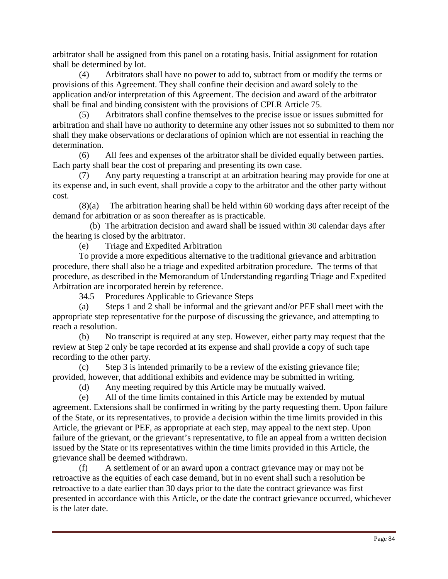arbitrator shall be assigned from this panel on a rotating basis. Initial assignment for rotation shall be determined by lot.

(4) Arbitrators shall have no power to add to, subtract from or modify the terms or provisions of this Agreement. They shall confine their decision and award solely to the application and/or interpretation of this Agreement. The decision and award of the arbitrator shall be final and binding consistent with the provisions of CPLR Article 75.

(5) Arbitrators shall confine themselves to the precise issue or issues submitted for arbitration and shall have no authority to determine any other issues not so submitted to them nor shall they make observations or declarations of opinion which are not essential in reaching the determination.

(6) All fees and expenses of the arbitrator shall be divided equally between parties. Each party shall bear the cost of preparing and presenting its own case.

(7) Any party requesting a transcript at an arbitration hearing may provide for one at its expense and, in such event, shall provide a copy to the arbitrator and the other party without cost.

(8)(a) The arbitration hearing shall be held within 60 working days after receipt of the demand for arbitration or as soon thereafter as is practicable.

 (b) The arbitration decision and award shall be issued within 30 calendar days after the hearing is closed by the arbitrator.

(e) Triage and Expedited Arbitration

To provide a more expeditious alternative to the traditional grievance and arbitration procedure, there shall also be a triage and expedited arbitration procedure. The terms of that procedure, as described in the Memorandum of Understanding regarding Triage and Expedited Arbitration are incorporated herein by reference.

34.5 Procedures Applicable to Grievance Steps

(a) Steps 1 and 2 shall be informal and the grievant and/or PEF shall meet with the appropriate step representative for the purpose of discussing the grievance, and attempting to reach a resolution.

(b) No transcript is required at any step. However, either party may request that the review at Step 2 only be tape recorded at its expense and shall provide a copy of such tape recording to the other party.

(c) Step 3 is intended primarily to be a review of the existing grievance file; provided, however, that additional exhibits and evidence may be submitted in writing.

(d) Any meeting required by this Article may be mutually waived.

(e) All of the time limits contained in this Article may be extended by mutual agreement. Extensions shall be confirmed in writing by the party requesting them. Upon failure of the State, or its representatives, to provide a decision within the time limits provided in this Article, the grievant or PEF, as appropriate at each step, may appeal to the next step. Upon failure of the grievant, or the grievant's representative, to file an appeal from a written decision issued by the State or its representatives within the time limits provided in this Article, the grievance shall be deemed withdrawn.

(f) A settlement of or an award upon a contract grievance may or may not be retroactive as the equities of each case demand, but in no event shall such a resolution be retroactive to a date earlier than 30 days prior to the date the contract grievance was first presented in accordance with this Article, or the date the contract grievance occurred, whichever is the later date.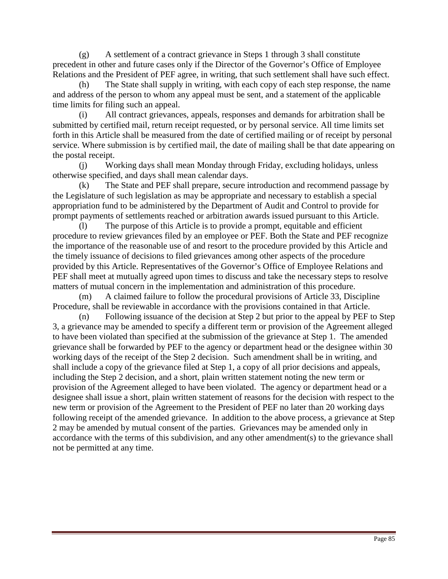(g) A settlement of a contract grievance in Steps 1 through 3 shall constitute precedent in other and future cases only if the Director of the Governor's Office of Employee Relations and the President of PEF agree, in writing, that such settlement shall have such effect.

(h) The State shall supply in writing, with each copy of each step response, the name and address of the person to whom any appeal must be sent, and a statement of the applicable time limits for filing such an appeal.

(i) All contract grievances, appeals, responses and demands for arbitration shall be submitted by certified mail, return receipt requested, or by personal service. All time limits set forth in this Article shall be measured from the date of certified mailing or of receipt by personal service. Where submission is by certified mail, the date of mailing shall be that date appearing on the postal receipt.

(j) Working days shall mean Monday through Friday, excluding holidays, unless otherwise specified, and days shall mean calendar days.

(k) The State and PEF shall prepare, secure introduction and recommend passage by the Legislature of such legislation as may be appropriate and necessary to establish a special appropriation fund to be administered by the Department of Audit and Control to provide for prompt payments of settlements reached or arbitration awards issued pursuant to this Article.

The purpose of this Article is to provide a prompt, equitable and efficient procedure to review grievances filed by an employee or PEF. Both the State and PEF recognize the importance of the reasonable use of and resort to the procedure provided by this Article and the timely issuance of decisions to filed grievances among other aspects of the procedure provided by this Article. Representatives of the Governor's Office of Employee Relations and PEF shall meet at mutually agreed upon times to discuss and take the necessary steps to resolve matters of mutual concern in the implementation and administration of this procedure.

(m) A claimed failure to follow the procedural provisions of Article 33, Discipline Procedure, shall be reviewable in accordance with the provisions contained in that Article.

(n) Following issuance of the decision at Step 2 but prior to the appeal by PEF to Step 3, a grievance may be amended to specify a different term or provision of the Agreement alleged to have been violated than specified at the submission of the grievance at Step 1. The amended grievance shall be forwarded by PEF to the agency or department head or the designee within 30 working days of the receipt of the Step 2 decision. Such amendment shall be in writing, and shall include a copy of the grievance filed at Step 1, a copy of all prior decisions and appeals, including the Step 2 decision, and a short, plain written statement noting the new term or provision of the Agreement alleged to have been violated. The agency or department head or a designee shall issue a short, plain written statement of reasons for the decision with respect to the new term or provision of the Agreement to the President of PEF no later than 20 working days following receipt of the amended grievance. In addition to the above process, a grievance at Step 2 may be amended by mutual consent of the parties. Grievances may be amended only in accordance with the terms of this subdivision, and any other amendment(s) to the grievance shall not be permitted at any time.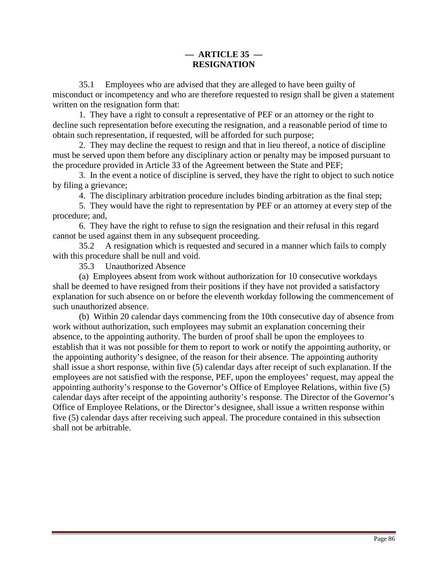# **— ARTICLE 35 — RESIGNATION**

 35.1 Employees who are advised that they are alleged to have been guilty of misconduct or incompetency and who are therefore requested to resign shall be given a statement written on the resignation form that:

 1. They have a right to consult a representative of PEF or an attorney or the right to decline such representation before executing the resignation, and a reasonable period of time to obtain such representation, if requested, will be afforded for such purpose;

 2. They may decline the request to resign and that in lieu thereof, a notice of discipline must be served upon them before any disciplinary action or penalty may be imposed pursuant to the procedure provided in Article 33 of the Agreement between the State and PEF;

 3. In the event a notice of discipline is served, they have the right to object to such notice by filing a grievance;

4. The disciplinary arbitration procedure includes binding arbitration as the final step;

 5. They would have the right to representation by PEF or an attorney at every step of the procedure; and,

 6. They have the right to refuse to sign the resignation and their refusal in this regard cannot be used against them in any subsequent proceeding.

 35.2 A resignation which is requested and secured in a manner which fails to comply with this procedure shall be null and void.

35.3 Unauthorized Absence

 (a) Employees absent from work without authorization for 10 consecutive workdays shall be deemed to have resigned from their positions if they have not provided a satisfactory explanation for such absence on or before the eleventh workday following the commencement of such unauthorized absence.

(b) Within 20 calendar days commencing from the 10th consecutive day of absence from work without authorization, such employees may submit an explanation concerning their absence, to the appointing authority. The burden of proof shall be upon the employees to establish that it was not possible for them to report to work or notify the appointing authority, or the appointing authority's designee, of the reason for their absence. The appointing authority shall issue a short response, within five (5) calendar days after receipt of such explanation. If the employees are not satisfied with the response, PEF, upon the employees' request, may appeal the appointing authority's response to the Governor's Office of Employee Relations, within five (5) calendar days after receipt of the appointing authority's response. The Director of the Governor's Office of Employee Relations, or the Director's designee, shall issue a written response within five (5) calendar days after receiving such appeal. The procedure contained in this subsection shall not be arbitrable.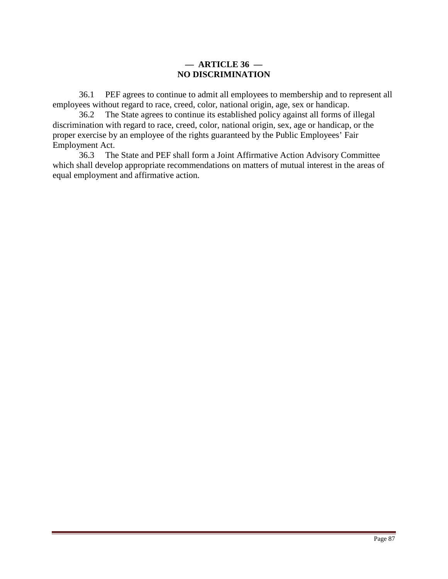### **— ARTICLE 36 — NO DISCRIMINATION**

 36.1 PEF agrees to continue to admit all employees to membership and to represent all employees without regard to race, creed, color, national origin, age, sex or handicap.

 36.2 The State agrees to continue its established policy against all forms of illegal discrimination with regard to race, creed, color, national origin, sex, age or handicap, or the proper exercise by an employee of the rights guaranteed by the Public Employees' Fair Employment Act.

 36.3 The State and PEF shall form a Joint Affirmative Action Advisory Committee which shall develop appropriate recommendations on matters of mutual interest in the areas of equal employment and affirmative action.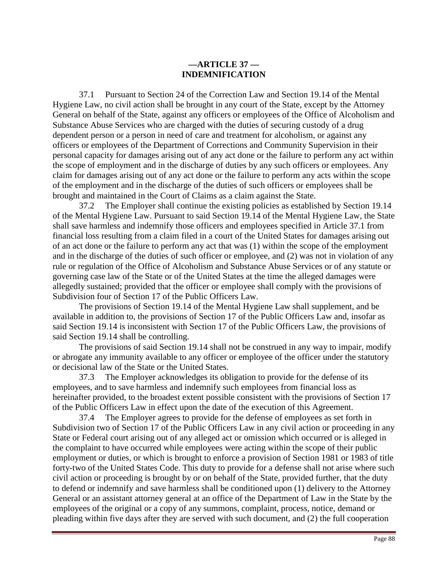### **—ARTICLE 37 — INDEMNIFICATION**

 37.1 Pursuant to Section 24 of the Correction Law and Section 19.14 of the Mental Hygiene Law, no civil action shall be brought in any court of the State, except by the Attorney General on behalf of the State, against any officers or employees of the Office of Alcoholism and Substance Abuse Services who are charged with the duties of securing custody of a drug dependent person or a person in need of care and treatment for alcoholism, or against any officers or employees of the Department of Corrections and Community Supervision in their personal capacity for damages arising out of any act done or the failure to perform any act within the scope of employment and in the discharge of duties by any such officers or employees. Any claim for damages arising out of any act done or the failure to perform any acts within the scope of the employment and in the discharge of the duties of such officers or employees shall be brought and maintained in the Court of Claims as a claim against the State.

 37.2 The Employer shall continue the existing policies as established by Section 19.14 of the Mental Hygiene Law. Pursuant to said Section 19.14 of the Mental Hygiene Law, the State shall save harmless and indemnify those officers and employees specified in Article 37.1 from financial loss resulting from a claim filed in a court of the United States for damages arising out of an act done or the failure to perform any act that was (1) within the scope of the employment and in the discharge of the duties of such officer or employee, and (2) was not in violation of any rule or regulation of the Office of Alcoholism and Substance Abuse Services or of any statute or governing case law of the State or of the United States at the time the alleged damages were allegedly sustained; provided that the officer or employee shall comply with the provisions of Subdivision four of Section 17 of the Public Officers Law.

 The provisions of Section 19.14 of the Mental Hygiene Law shall supplement, and be available in addition to, the provisions of Section 17 of the Public Officers Law and, insofar as said Section 19.14 is inconsistent with Section 17 of the Public Officers Law, the provisions of said Section 19.14 shall be controlling.

 The provisions of said Section 19.14 shall not be construed in any way to impair, modify or abrogate any immunity available to any officer or employee of the officer under the statutory or decisional law of the State or the United States.

 37.3 The Employer acknowledges its obligation to provide for the defense of its employees, and to save harmless and indemnify such employees from financial loss as hereinafter provided, to the broadest extent possible consistent with the provisions of Section 17 of the Public Officers Law in effect upon the date of the execution of this Agreement.

 37.4 The Employer agrees to provide for the defense of employees as set forth in Subdivision two of Section 17 of the Public Officers Law in any civil action or proceeding in any State or Federal court arising out of any alleged act or omission which occurred or is alleged in the complaint to have occurred while employees were acting within the scope of their public employment or duties, or which is brought to enforce a provision of Section 1981 or 1983 of title forty-two of the United States Code. This duty to provide for a defense shall not arise where such civil action or proceeding is brought by or on behalf of the State, provided further, that the duty to defend or indemnify and save harmless shall be conditioned upon (1) delivery to the Attorney General or an assistant attorney general at an office of the Department of Law in the State by the employees of the original or a copy of any summons, complaint, process, notice, demand or pleading within five days after they are served with such document, and (2) the full cooperation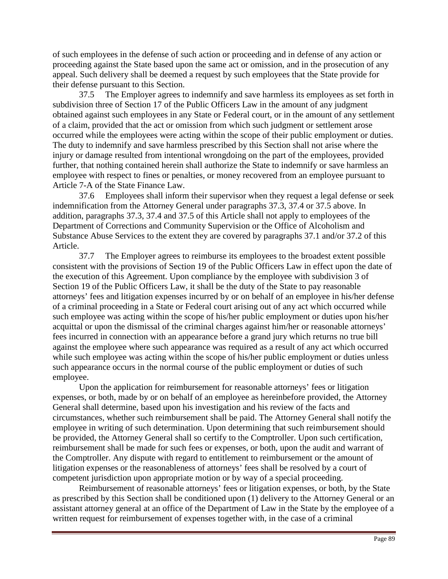of such employees in the defense of such action or proceeding and in defense of any action or proceeding against the State based upon the same act or omission, and in the prosecution of any appeal. Such delivery shall be deemed a request by such employees that the State provide for their defense pursuant to this Section.

 37.5 The Employer agrees to indemnify and save harmless its employees as set forth in subdivision three of Section 17 of the Public Officers Law in the amount of any judgment obtained against such employees in any State or Federal court, or in the amount of any settlement of a claim, provided that the act or omission from which such judgment or settlement arose occurred while the employees were acting within the scope of their public employment or duties. The duty to indemnify and save harmless prescribed by this Section shall not arise where the injury or damage resulted from intentional wrongdoing on the part of the employees, provided further, that nothing contained herein shall authorize the State to indemnify or save harmless an employee with respect to fines or penalties, or money recovered from an employee pursuant to Article 7-A of the State Finance Law.

 37.6 Employees shall inform their supervisor when they request a legal defense or seek indemnification from the Attorney General under paragraphs 37.3, 37.4 or 37.5 above. In addition, paragraphs 37.3, 37.4 and 37.5 of this Article shall not apply to employees of the Department of Corrections and Community Supervision or the Office of Alcoholism and Substance Abuse Services to the extent they are covered by paragraphs 37.1 and/or 37.2 of this Article.

 37.7 The Employer agrees to reimburse its employees to the broadest extent possible consistent with the provisions of Section 19 of the Public Officers Law in effect upon the date of the execution of this Agreement. Upon compliance by the employee with subdivision 3 of Section 19 of the Public Officers Law, it shall be the duty of the State to pay reasonable attorneys' fees and litigation expenses incurred by or on behalf of an employee in his/her defense of a criminal proceeding in a State or Federal court arising out of any act which occurred while such employee was acting within the scope of his/her public employment or duties upon his/her acquittal or upon the dismissal of the criminal charges against him/her or reasonable attorneys' fees incurred in connection with an appearance before a grand jury which returns no true bill against the employee where such appearance was required as a result of any act which occurred while such employee was acting within the scope of his/her public employment or duties unless such appearance occurs in the normal course of the public employment or duties of such employee.

 Upon the application for reimbursement for reasonable attorneys' fees or litigation expenses, or both, made by or on behalf of an employee as hereinbefore provided, the Attorney General shall determine, based upon his investigation and his review of the facts and circumstances, whether such reimbursement shall be paid. The Attorney General shall notify the employee in writing of such determination. Upon determining that such reimbursement should be provided, the Attorney General shall so certify to the Comptroller. Upon such certification, reimbursement shall be made for such fees or expenses, or both, upon the audit and warrant of the Comptroller. Any dispute with regard to entitlement to reimbursement or the amount of litigation expenses or the reasonableness of attorneys' fees shall be resolved by a court of competent jurisdiction upon appropriate motion or by way of a special proceeding.

 Reimbursement of reasonable attorneys' fees or litigation expenses, or both, by the State as prescribed by this Section shall be conditioned upon (1) delivery to the Attorney General or an assistant attorney general at an office of the Department of Law in the State by the employee of a written request for reimbursement of expenses together with, in the case of a criminal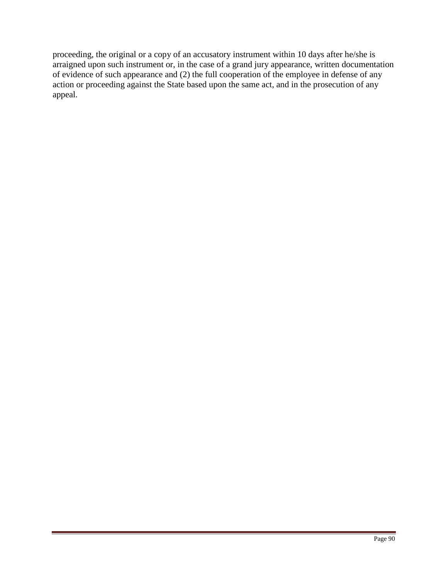proceeding, the original or a copy of an accusatory instrument within 10 days after he/she is arraigned upon such instrument or, in the case of a grand jury appearance, written documentation of evidence of such appearance and (2) the full cooperation of the employee in defense of any action or proceeding against the State based upon the same act, and in the prosecution of any appeal.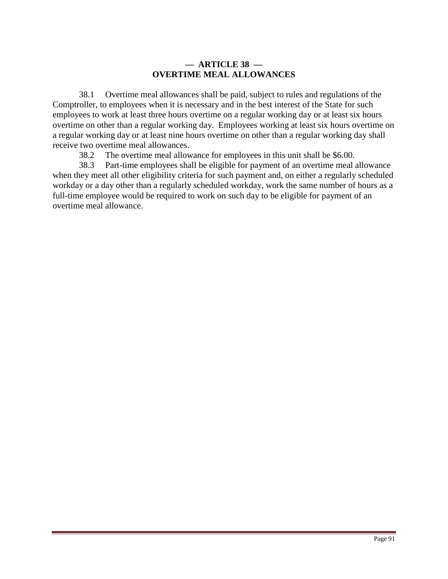# **— ARTICLE 38 — OVERTIME MEAL ALLOWANCES**

 38.1 Overtime meal allowances shall be paid, subject to rules and regulations of the Comptroller, to employees when it is necessary and in the best interest of the State for such employees to work at least three hours overtime on a regular working day or at least six hours overtime on other than a regular working day. Employees working at least six hours overtime on a regular working day or at least nine hours overtime on other than a regular working day shall receive two overtime meal allowances.

38.2 The overtime meal allowance for employees in this unit shall be \$6.00.

 38.3 Part-time employees shall be eligible for payment of an overtime meal allowance when they meet all other eligibility criteria for such payment and, on either a regularly scheduled workday or a day other than a regularly scheduled workday, work the same number of hours as a full-time employee would be required to work on such day to be eligible for payment of an overtime meal allowance.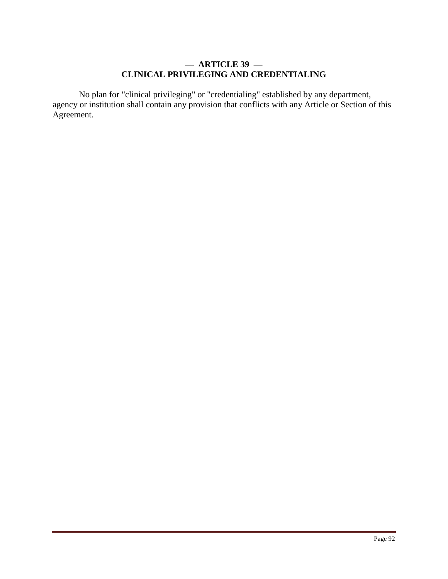# **— ARTICLE 39 — CLINICAL PRIVILEGING AND CREDENTIALING**

 No plan for "clinical privileging" or "credentialing" established by any department, agency or institution shall contain any provision that conflicts with any Article or Section of this Agreement.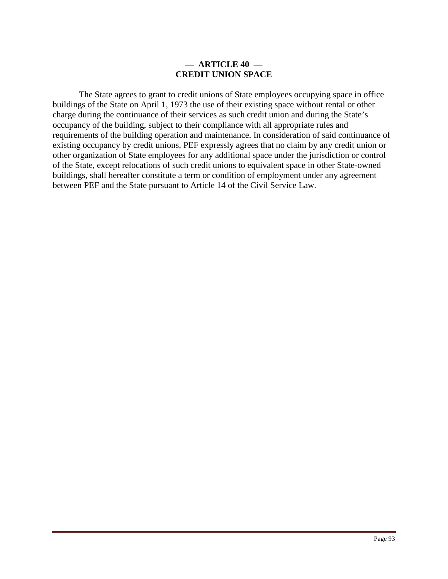#### **— ARTICLE 40 — CREDIT UNION SPACE**

 The State agrees to grant to credit unions of State employees occupying space in office buildings of the State on April 1, 1973 the use of their existing space without rental or other charge during the continuance of their services as such credit union and during the State's occupancy of the building, subject to their compliance with all appropriate rules and requirements of the building operation and maintenance. In consideration of said continuance of existing occupancy by credit unions, PEF expressly agrees that no claim by any credit union or other organization of State employees for any additional space under the jurisdiction or control of the State, except relocations of such credit unions to equivalent space in other State-owned buildings, shall hereafter constitute a term or condition of employment under any agreement between PEF and the State pursuant to Article 14 of the Civil Service Law.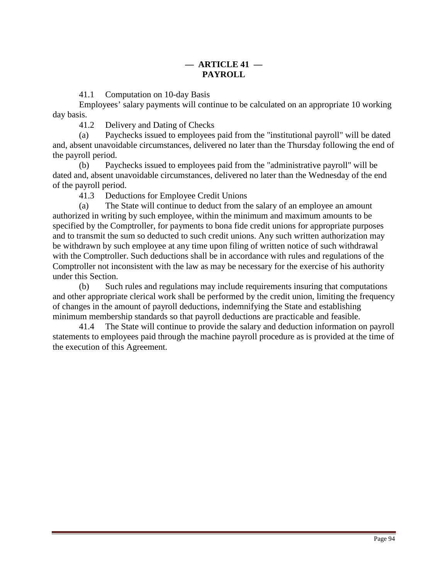41.1 Computation on 10-day Basis

 Employees' salary payments will continue to be calculated on an appropriate 10 working day basis.

41.2 Delivery and Dating of Checks

(a) Paychecks issued to employees paid from the "institutional payroll" will be dated and, absent unavoidable circumstances, delivered no later than the Thursday following the end of the payroll period.

(b) Paychecks issued to employees paid from the "administrative payroll" will be dated and, absent unavoidable circumstances, delivered no later than the Wednesday of the end of the payroll period.

41.3 Deductions for Employee Credit Unions

(a) The State will continue to deduct from the salary of an employee an amount authorized in writing by such employee, within the minimum and maximum amounts to be specified by the Comptroller, for payments to bona fide credit unions for appropriate purposes and to transmit the sum so deducted to such credit unions. Any such written authorization may be withdrawn by such employee at any time upon filing of written notice of such withdrawal with the Comptroller. Such deductions shall be in accordance with rules and regulations of the Comptroller not inconsistent with the law as may be necessary for the exercise of his authority under this Section.

(b) Such rules and regulations may include requirements insuring that computations and other appropriate clerical work shall be performed by the credit union, limiting the frequency of changes in the amount of payroll deductions, indemnifying the State and establishing minimum membership standards so that payroll deductions are practicable and feasible.

 41.4 The State will continue to provide the salary and deduction information on payroll statements to employees paid through the machine payroll procedure as is provided at the time of the execution of this Agreement.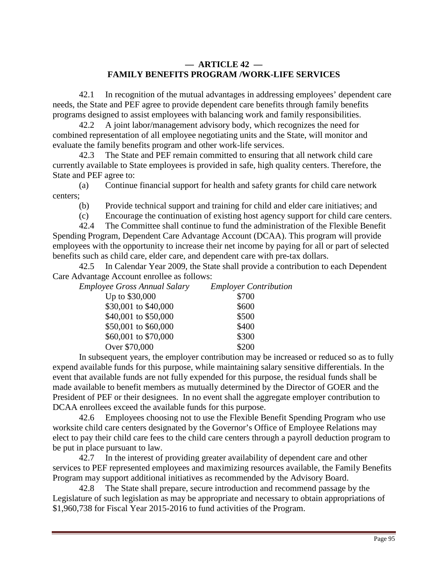# **— ARTICLE 42 — FAMILY BENEFITS PROGRAM /WORK-LIFE SERVICES**

 42.1 In recognition of the mutual advantages in addressing employees' dependent care needs, the State and PEF agree to provide dependent care benefits through family benefits programs designed to assist employees with balancing work and family responsibilities.

 42.2 A joint labor/management advisory body, which recognizes the need for combined representation of all employee negotiating units and the State, will monitor and evaluate the family benefits program and other work-life services.

 42.3 The State and PEF remain committed to ensuring that all network child care currently available to State employees is provided in safe, high quality centers. Therefore, the State and PEF agree to:

(a) Continue financial support for health and safety grants for child care network centers;

(b) Provide technical support and training for child and elder care initiatives; and

(c) Encourage the continuation of existing host agency support for child care centers.

 42.4 The Committee shall continue to fund the administration of the Flexible Benefit Spending Program, Dependent Care Advantage Account (DCAA). This program will provide employees with the opportunity to increase their net income by paying for all or part of selected benefits such as child care, elder care, and dependent care with pre-tax dollars.

 42.5 In Calendar Year 2009, the State shall provide a contribution to each Dependent Care Advantage Account enrollee as follows:

| <b>Employer Contribution</b> |
|------------------------------|
| \$700                        |
| \$600                        |
| \$500                        |
|                              |

| \$400 |
|-------|
| \$300 |
| \$200 |
|       |

 In subsequent years, the employer contribution may be increased or reduced so as to fully expend available funds for this purpose, while maintaining salary sensitive differentials. In the event that available funds are not fully expended for this purpose, the residual funds shall be made available to benefit members as mutually determined by the Director of GOER and the President of PEF or their designees. In no event shall the aggregate employer contribution to DCAA enrollees exceed the available funds for this purpose.

 42.6 Employees choosing not to use the Flexible Benefit Spending Program who use worksite child care centers designated by the Governor's Office of Employee Relations may elect to pay their child care fees to the child care centers through a payroll deduction program to be put in place pursuant to law.

 42.7 In the interest of providing greater availability of dependent care and other services to PEF represented employees and maximizing resources available, the Family Benefits Program may support additional initiatives as recommended by the Advisory Board.

 42.8 The State shall prepare, secure introduction and recommend passage by the Legislature of such legislation as may be appropriate and necessary to obtain appropriations of \$1,960,738 for Fiscal Year 2015-2016 to fund activities of the Program.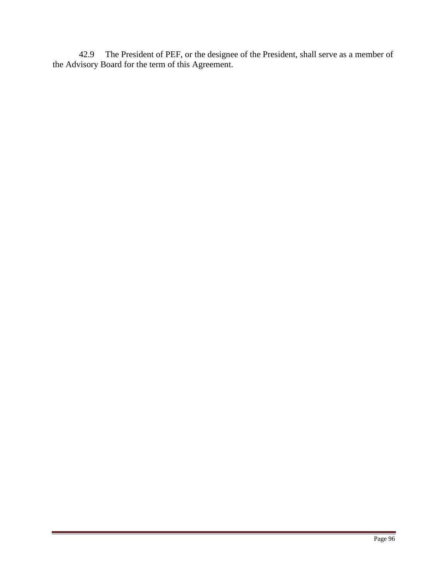42.9 The President of PEF, or the designee of the President, shall serve as a member of the Advisory Board for the term of this Agreement.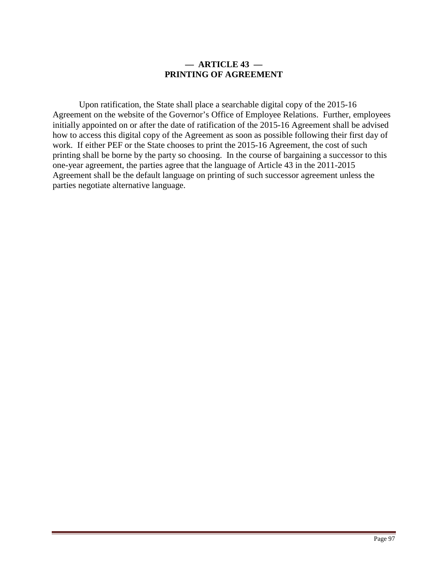#### **— ARTICLE 43 — PRINTING OF AGREEMENT**

Upon ratification, the State shall place a searchable digital copy of the 2015-16 Agreement on the website of the Governor's Office of Employee Relations. Further, employees initially appointed on or after the date of ratification of the 2015-16 Agreement shall be advised how to access this digital copy of the Agreement as soon as possible following their first day of work. If either PEF or the State chooses to print the 2015-16 Agreement, the cost of such printing shall be borne by the party so choosing. In the course of bargaining a successor to this one-year agreement, the parties agree that the language of Article 43 in the 2011-2015 Agreement shall be the default language on printing of such successor agreement unless the parties negotiate alternative language.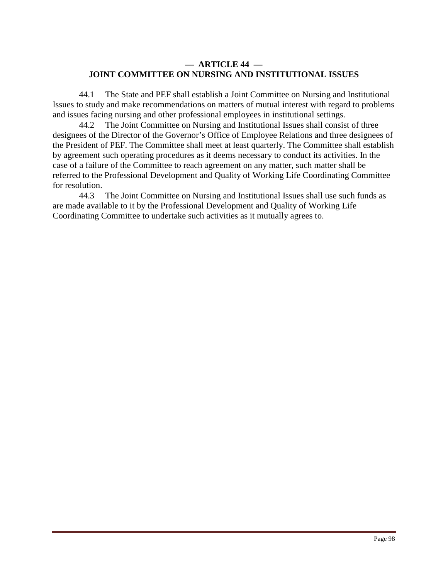# **— ARTICLE 44 — JOINT COMMITTEE ON NURSING AND INSTITUTIONAL ISSUES**

 44.1 The State and PEF shall establish a Joint Committee on Nursing and Institutional Issues to study and make recommendations on matters of mutual interest with regard to problems and issues facing nursing and other professional employees in institutional settings.

 44.2 The Joint Committee on Nursing and Institutional Issues shall consist of three designees of the Director of the Governor's Office of Employee Relations and three designees of the President of PEF. The Committee shall meet at least quarterly. The Committee shall establish by agreement such operating procedures as it deems necessary to conduct its activities. In the case of a failure of the Committee to reach agreement on any matter, such matter shall be referred to the Professional Development and Quality of Working Life Coordinating Committee for resolution.

 44.3 The Joint Committee on Nursing and Institutional Issues shall use such funds as are made available to it by the Professional Development and Quality of Working Life Coordinating Committee to undertake such activities as it mutually agrees to.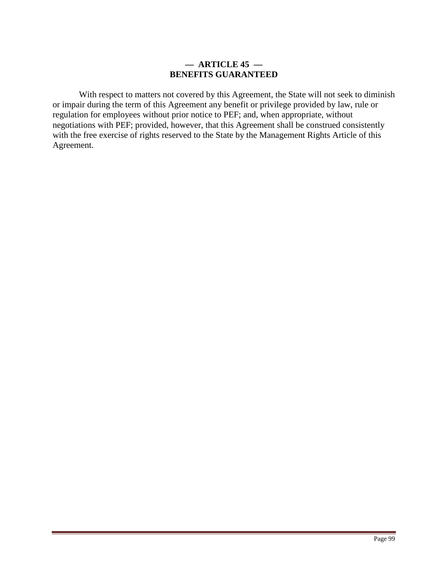### **— ARTICLE 45 — BENEFITS GUARANTEED**

With respect to matters not covered by this Agreement, the State will not seek to diminish or impair during the term of this Agreement any benefit or privilege provided by law, rule or regulation for employees without prior notice to PEF; and, when appropriate, without negotiations with PEF; provided, however, that this Agreement shall be construed consistently with the free exercise of rights reserved to the State by the Management Rights Article of this Agreement.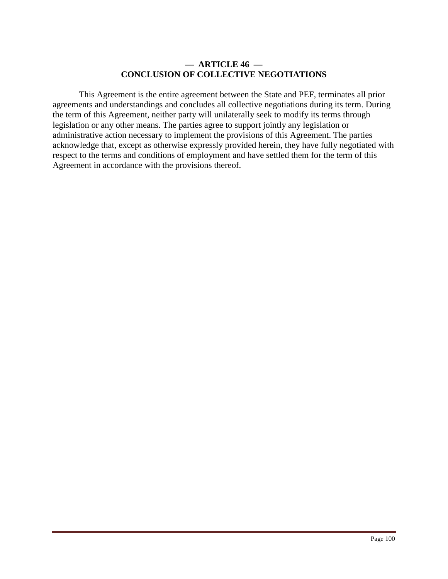### **— ARTICLE 46 — CONCLUSION OF COLLECTIVE NEGOTIATIONS**

This Agreement is the entire agreement between the State and PEF, terminates all prior agreements and understandings and concludes all collective negotiations during its term. During the term of this Agreement, neither party will unilaterally seek to modify its terms through legislation or any other means. The parties agree to support jointly any legislation or administrative action necessary to implement the provisions of this Agreement. The parties acknowledge that, except as otherwise expressly provided herein, they have fully negotiated with respect to the terms and conditions of employment and have settled them for the term of this Agreement in accordance with the provisions thereof.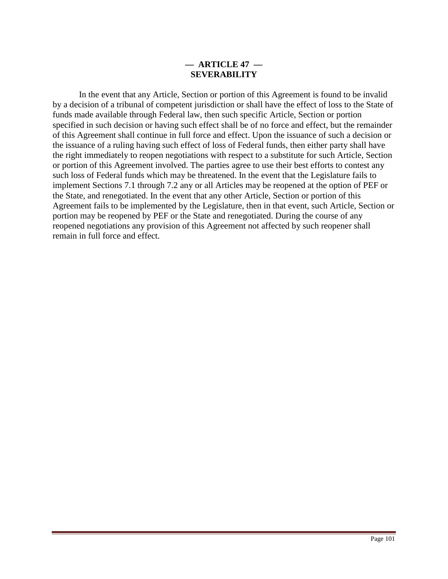# **— ARTICLE 47 — SEVERABILITY**

 In the event that any Article, Section or portion of this Agreement is found to be invalid by a decision of a tribunal of competent jurisdiction or shall have the effect of loss to the State of funds made available through Federal law, then such specific Article, Section or portion specified in such decision or having such effect shall be of no force and effect, but the remainder of this Agreement shall continue in full force and effect. Upon the issuance of such a decision or the issuance of a ruling having such effect of loss of Federal funds, then either party shall have the right immediately to reopen negotiations with respect to a substitute for such Article, Section or portion of this Agreement involved. The parties agree to use their best efforts to contest any such loss of Federal funds which may be threatened. In the event that the Legislature fails to implement Sections 7.1 through 7.2 any or all Articles may be reopened at the option of PEF or the State, and renegotiated. In the event that any other Article, Section or portion of this Agreement fails to be implemented by the Legislature, then in that event, such Article, Section or portion may be reopened by PEF or the State and renegotiated. During the course of any reopened negotiations any provision of this Agreement not affected by such reopener shall remain in full force and effect.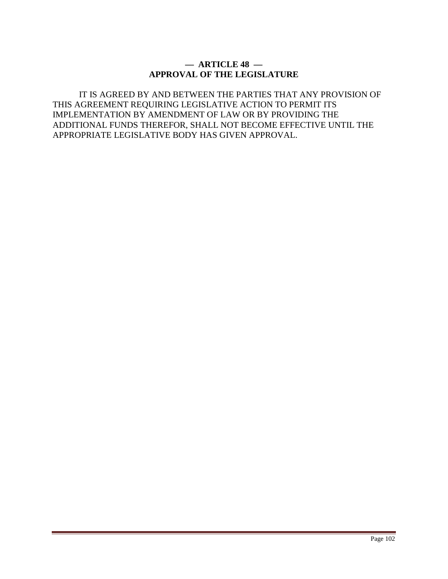## **— ARTICLE 48 — APPROVAL OF THE LEGISLATURE**

IT IS AGREED BY AND BETWEEN THE PARTIES THAT ANY PROVISION OF THIS AGREEMENT REQUIRING LEGISLATIVE ACTION TO PERMIT ITS IMPLEMENTATION BY AMENDMENT OF LAW OR BY PROVIDING THE ADDITIONAL FUNDS THEREFOR, SHALL NOT BECOME EFFECTIVE UNTIL THE APPROPRIATE LEGISLATIVE BODY HAS GIVEN APPROVAL.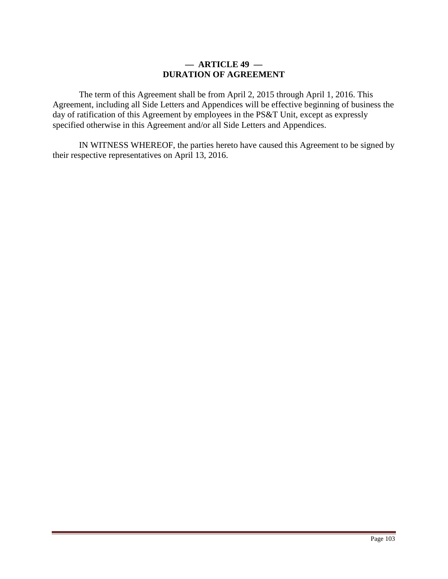### **— ARTICLE 49 — DURATION OF AGREEMENT**

The term of this Agreement shall be from April 2, 2015 through April 1, 2016. This Agreement, including all Side Letters and Appendices will be effective beginning of business the day of ratification of this Agreement by employees in the PS&T Unit, except as expressly specified otherwise in this Agreement and/or all Side Letters and Appendices.

IN WITNESS WHEREOF, the parties hereto have caused this Agreement to be signed by their respective representatives on April 13, 2016.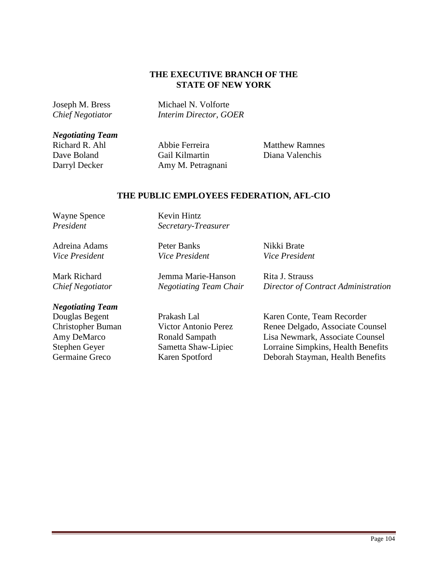### **THE EXECUTIVE BRANCH OF THE STATE OF NEW YORK**

Joseph M. Bress Michael N. Volforte *Chief Negotiator Interim Director, GOER*

*Negotiating Team* 

Abbie Ferreira Matthew Ramnes Dave Boland Gail Kilmartin Diana Valenchis Darryl Decker Amy M. Petragnani

#### **THE PUBLIC EMPLOYEES FEDERATION, AFL-CIO**

Wayne Spence *President* 

Adreina Adams *Vice President* 

Mark Richard *Chief Negotiator*  *Secretary-Treasurer*  Peter Banks

*Vice President* 

Kevin Hintz

Nikki Brate *Vice President*

Jemma Marie-Hanson *Negotiating Team Chair*  Rita J. Strauss *Director of Contract Administration*

#### *Negotiating Team*

Douglas Begent Prakash Lal Karen Conte, Team Recorder Christopher Buman Victor Antonio Perez Renee Delgado, Associate Counsel Amy DeMarco Ronald Sampath Lisa Newmark, Associate Counsel Stephen Geyer Sametta Shaw-Lipiec Lorraine Simpkins, Health Benefits Germaine Greco Karen Spotford Deborah Stayman, Health Benefits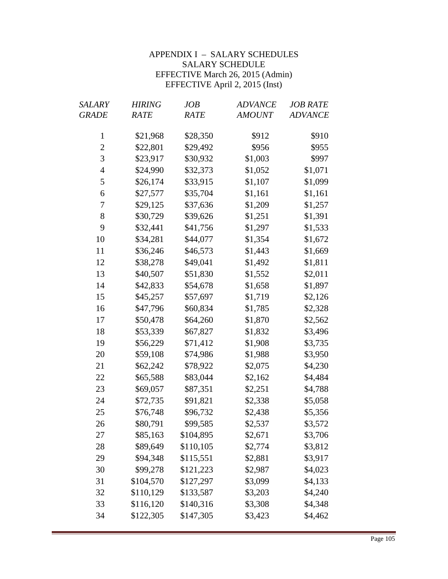# APPENDIX I – SALARY SCHEDULES SALARY SCHEDULE EFFECTIVE March 26, 2015 (Admin) EFFECTIVE April 2, 2015 (Inst)

| SALARY         | <b>HIRING</b> | JOB       | <b>ADVANCE</b> | <b>JOB RATE</b> |
|----------------|---------------|-----------|----------------|-----------------|
| <b>GRADE</b>   | RATE          | RATE      | <b>AMOUNT</b>  | <b>ADVANCE</b>  |
| $\mathbf{1}$   | \$21,968      | \$28,350  | \$912          | \$910           |
| $\overline{c}$ | \$22,801      | \$29,492  | \$956          | \$955           |
| 3              | \$23,917      | \$30,932  | \$1,003        | \$997           |
| $\overline{4}$ | \$24,990      | \$32,373  | \$1,052        | \$1,071         |
| 5              | \$26,174      | \$33,915  | \$1,107        | \$1,099         |
| 6              | \$27,577      | \$35,704  | \$1,161        | \$1,161         |
| 7              | \$29,125      | \$37,636  | \$1,209        | \$1,257         |
| 8              | \$30,729      | \$39,626  | \$1,251        | \$1,391         |
| 9              | \$32,441      | \$41,756  | \$1,297        | \$1,533         |
| 10             | \$34,281      | \$44,077  | \$1,354        | \$1,672         |
| 11             | \$36,246      | \$46,573  | \$1,443        | \$1,669         |
| 12             | \$38,278      | \$49,041  | \$1,492        | \$1,811         |
| 13             | \$40,507      | \$51,830  | \$1,552        | \$2,011         |
| 14             | \$42,833      | \$54,678  | \$1,658        | \$1,897         |
| 15             | \$45,257      | \$57,697  | \$1,719        | \$2,126         |
| 16             | \$47,796      | \$60,834  | \$1,785        | \$2,328         |
| 17             | \$50,478      | \$64,260  | \$1,870        | \$2,562         |
| 18             | \$53,339      | \$67,827  | \$1,832        | \$3,496         |
| 19             | \$56,229      | \$71,412  | \$1,908        | \$3,735         |
| 20             | \$59,108      | \$74,986  | \$1,988        | \$3,950         |
| 21             | \$62,242      | \$78,922  | \$2,075        | \$4,230         |
| 22             | \$65,588      | \$83,044  | \$2,162        | \$4,484         |
| 23             | \$69,057      | \$87,351  | \$2,251        | \$4,788         |
| 24             | \$72,735      | \$91,821  | \$2,338        | \$5,058         |
| 25             | \$76,748      | \$96,732  | \$2,438        | \$5,356         |
| 26             | \$80,791      | \$99,585  | \$2,537        | \$3,572         |
| 27             | \$85,163      | \$104,895 | \$2,671        | \$3,706         |
| 28             | \$89,649      | \$110,105 | \$2,774        | \$3,812         |
| 29             | \$94,348      | \$115,551 | \$2,881        | \$3,917         |
| 30             | \$99,278      | \$121,223 | \$2,987        | \$4,023         |
| 31             | \$104,570     | \$127,297 | \$3,099        | \$4,133         |
| 32             | \$110,129     | \$133,587 | \$3,203        | \$4,240         |
| 33             | \$116,120     | \$140,316 | \$3,308        | \$4,348         |
| 34             | \$122,305     | \$147,305 | \$3,423        | \$4,462         |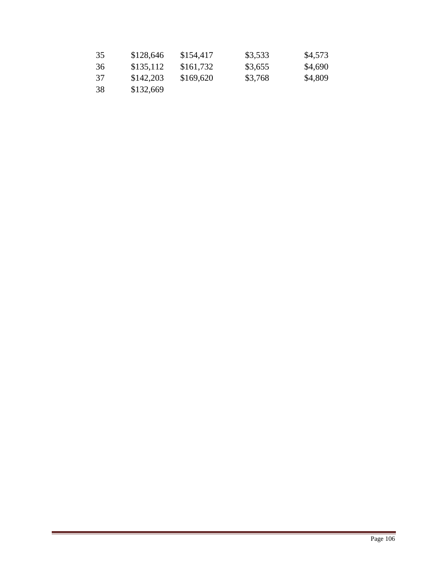| 35 | \$128,646 | \$154,417 | \$3,533 | \$4,573 |
|----|-----------|-----------|---------|---------|
| 36 | \$135,112 | \$161,732 | \$3,655 | \$4,690 |
| 37 | \$142,203 | \$169,620 | \$3,768 | \$4,809 |
| 38 | \$132,669 |           |         |         |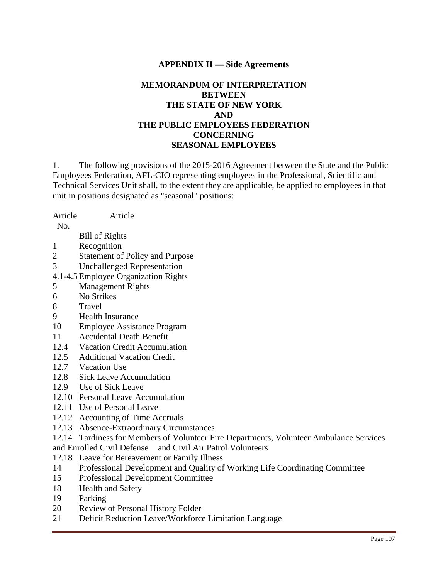### **APPENDIX II — Side Agreements**

# **MEMORANDUM OF INTERPRETATION BETWEEN THE STATE OF NEW YORK AND THE PUBLIC EMPLOYEES FEDERATION CONCERNING SEASONAL EMPLOYEES**

1. The following provisions of the 2015-2016 Agreement between the State and the Public Employees Federation, AFL-CIO representing employees in the Professional, Scientific and Technical Services Unit shall, to the extent they are applicable, be applied to employees in that unit in positions designated as "seasonal" positions:

Article Article

No.

- Bill of Rights
- 1 Recognition
- 2 Statement of Policy and Purpose
- 3 Unchallenged Representation
- 4.1-4.5 Employee Organization Rights
- 5 Management Rights
- 6 No Strikes
- 8 Travel
- 9 Health Insurance
- 10 Employee Assistance Program
- 11 Accidental Death Benefit
- 12.4 Vacation Credit Accumulation
- 12.5 Additional Vacation Credit
- 12.7 Vacation Use
- 12.8 Sick Leave Accumulation
- 12.9 Use of Sick Leave
- 12.10 Personal Leave Accumulation
- 12.11 Use of Personal Leave
- 12.12 Accounting of Time Accruals
- 12.13 Absence-Extraordinary Circumstances
- 12.14 Tardiness for Members of Volunteer Fire Departments, Volunteer Ambulance Services
- and Enrolled Civil Defense and Civil Air Patrol Volunteers
- 12.18 Leave for Bereavement or Family Illness
- 14 Professional Development and Quality of Working Life Coordinating Committee
- 15 Professional Development Committee
- 18 Health and Safety
- 19 Parking
- 20 Review of Personal History Folder
- 21 Deficit Reduction Leave/Workforce Limitation Language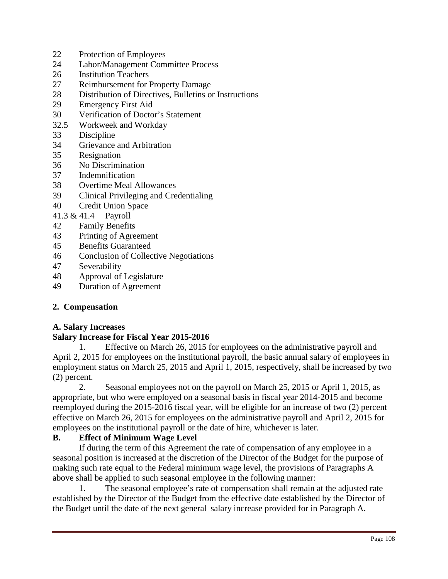- 22 Protection of Employees
- 24 Labor/Management Committee Process
- 26 Institution Teachers
- 27 Reimbursement for Property Damage
- 28 Distribution of Directives, Bulletins or Instructions
- 29 Emergency First Aid
- 30 Verification of Doctor's Statement
- 32.5 Workweek and Workday
- 33 Discipline
- 34 Grievance and Arbitration
- 35 Resignation
- 36 No Discrimination
- 37 Indemnification
- 38 Overtime Meal Allowances
- 39 Clinical Privileging and Credentialing
- 40 Credit Union Space
- 41.3 & 41.4 Payroll
- 42 Family Benefits
- 43 Printing of Agreement
- 45 Benefits Guaranteed
- 46 Conclusion of Collective Negotiations
- 47 Severability
- 48 Approval of Legislature
- 49 Duration of Agreement

#### **2. Compensation**

#### **A. Salary Increases**

#### **Salary Increase for Fiscal Year 2015-2016**

 1. Effective on March 26, 2015 for employees on the administrative payroll and April 2, 2015 for employees on the institutional payroll, the basic annual salary of employees in employment status on March 25, 2015 and April 1, 2015, respectively, shall be increased by two (2) percent.

 2. Seasonal employees not on the payroll on March 25, 2015 or April 1, 2015, as appropriate, but who were employed on a seasonal basis in fiscal year 2014-2015 and become reemployed during the 2015-2016 fiscal year, will be eligible for an increase of two (2) percent effective on March 26, 2015 for employees on the administrative payroll and April 2, 2015 for employees on the institutional payroll or the date of hire, whichever is later.

#### **B. Effect of Minimum Wage Level**

If during the term of this Agreement the rate of compensation of any employee in a seasonal position is increased at the discretion of the Director of the Budget for the purpose of making such rate equal to the Federal minimum wage level, the provisions of Paragraphs A above shall be applied to such seasonal employee in the following manner:

The seasonal employee's rate of compensation shall remain at the adjusted rate established by the Director of the Budget from the effective date established by the Director of the Budget until the date of the next general salary increase provided for in Paragraph A.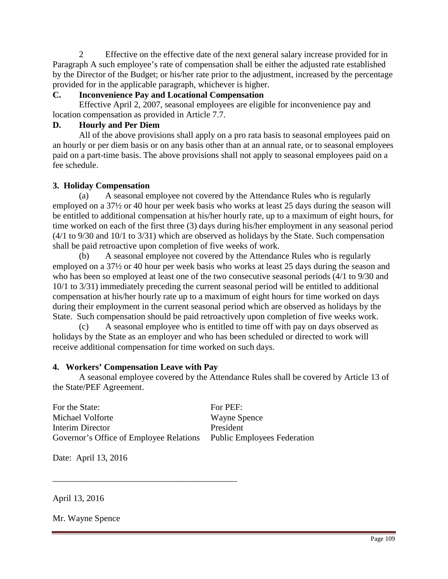2 Effective on the effective date of the next general salary increase provided for in Paragraph A such employee's rate of compensation shall be either the adjusted rate established by the Director of the Budget; or his/her rate prior to the adjustment, increased by the percentage provided for in the applicable paragraph, whichever is higher.

# **C. Inconvenience Pay and Locational Compensation**

 Effective April 2, 2007, seasonal employees are eligible for inconvenience pay and location compensation as provided in Article 7.7.

# **D. Hourly and Per Diem**

 All of the above provisions shall apply on a pro rata basis to seasonal employees paid on an hourly or per diem basis or on any basis other than at an annual rate, or to seasonal employees paid on a part-time basis. The above provisions shall not apply to seasonal employees paid on a fee schedule.

# **3. Holiday Compensation**

(a) A seasonal employee not covered by the Attendance Rules who is regularly employed on a 37½ or 40 hour per week basis who works at least 25 days during the season will be entitled to additional compensation at his/her hourly rate, up to a maximum of eight hours, for time worked on each of the first three (3) days during his/her employment in any seasonal period (4/1 to 9/30 and 10/1 to 3/31) which are observed as holidays by the State. Such compensation shall be paid retroactive upon completion of five weeks of work.

(b) A seasonal employee not covered by the Attendance Rules who is regularly employed on a 37½ or 40 hour per week basis who works at least 25 days during the season and who has been so employed at least one of the two consecutive seasonal periods (4/1 to 9/30 and 10/1 to 3/31) immediately preceding the current seasonal period will be entitled to additional compensation at his/her hourly rate up to a maximum of eight hours for time worked on days during their employment in the current seasonal period which are observed as holidays by the State. Such compensation should be paid retroactively upon completion of five weeks work.

(c) A seasonal employee who is entitled to time off with pay on days observed as holidays by the State as an employer and who has been scheduled or directed to work will receive additional compensation for time worked on such days.

# **4. Workers' Compensation Leave with Pay**

\_\_\_\_\_\_\_\_\_\_\_\_\_\_\_\_\_\_\_\_\_\_\_\_\_\_\_\_\_\_\_\_\_\_\_\_\_\_\_\_\_\_

A seasonal employee covered by the Attendance Rules shall be covered by Article 13 of the State/PEF Agreement.

For the State: Michael Volforte Interim Director Governor's Office of Employee Relations For PEF: Wayne Spence President Public Employees Federation

Date: April 13, 2016

April 13, 2016

Mr. Wayne Spence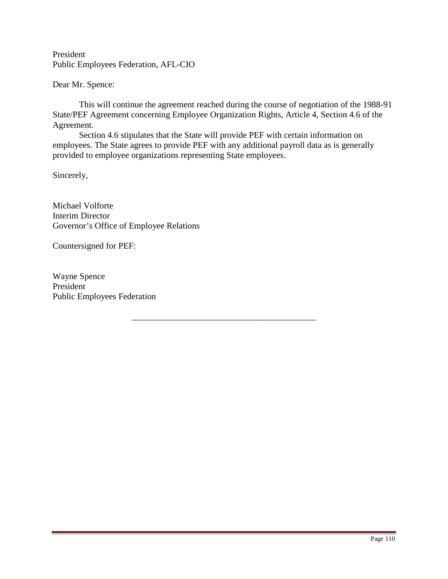President Public Employees Federation, AFL-CIO

Dear Mr. Spence:

 This will continue the agreement reached during the course of negotiation of the 1988-91 State/PEF Agreement concerning Employee Organization Rights, Article 4, Section 4.6 of the Agreement.

\_\_\_\_\_\_\_\_\_\_\_\_\_\_\_\_\_\_\_\_\_\_\_\_\_\_\_\_\_\_\_\_\_\_\_\_\_\_\_\_\_\_

Section 4.6 stipulates that the State will provide PEF with certain information on employees. The State agrees to provide PEF with any additional payroll data as is generally provided to employee organizations representing State employees.

Sincerely,

Michael Volforte Interim Director Governor's Office of Employee Relations

Countersigned for PEF: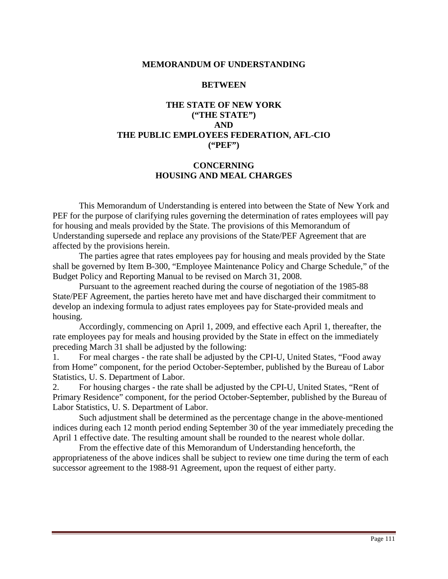#### **MEMORANDUM OF UNDERSTANDING**

#### **BETWEEN**

# **THE STATE OF NEW YORK ("THE STATE") AND THE PUBLIC EMPLOYEES FEDERATION, AFL-CIO ("PEF")**

### **CONCERNING HOUSING AND MEAL CHARGES**

 This Memorandum of Understanding is entered into between the State of New York and PEF for the purpose of clarifying rules governing the determination of rates employees will pay for housing and meals provided by the State. The provisions of this Memorandum of Understanding supersede and replace any provisions of the State/PEF Agreement that are affected by the provisions herein.

 The parties agree that rates employees pay for housing and meals provided by the State shall be governed by Item B-300, "Employee Maintenance Policy and Charge Schedule," of the Budget Policy and Reporting Manual to be revised on March 31, 2008.

 Pursuant to the agreement reached during the course of negotiation of the 1985-88 State/PEF Agreement, the parties hereto have met and have discharged their commitment to develop an indexing formula to adjust rates employees pay for State-provided meals and housing.

 Accordingly, commencing on April 1, 2009, and effective each April 1, thereafter, the rate employees pay for meals and housing provided by the State in effect on the immediately preceding March 31 shall be adjusted by the following:

1. For meal charges - the rate shall be adjusted by the CPI-U, United States, "Food away from Home" component, for the period October-September, published by the Bureau of Labor Statistics, U. S. Department of Labor.

2. For housing charges - the rate shall be adjusted by the CPI-U, United States, "Rent of Primary Residence" component, for the period October-September, published by the Bureau of Labor Statistics, U. S. Department of Labor.

Such adjustment shall be determined as the percentage change in the above-mentioned indices during each 12 month period ending September 30 of the year immediately preceding the April 1 effective date. The resulting amount shall be rounded to the nearest whole dollar.

 From the effective date of this Memorandum of Understanding henceforth, the appropriateness of the above indices shall be subject to review one time during the term of each successor agreement to the 1988-91 Agreement, upon the request of either party.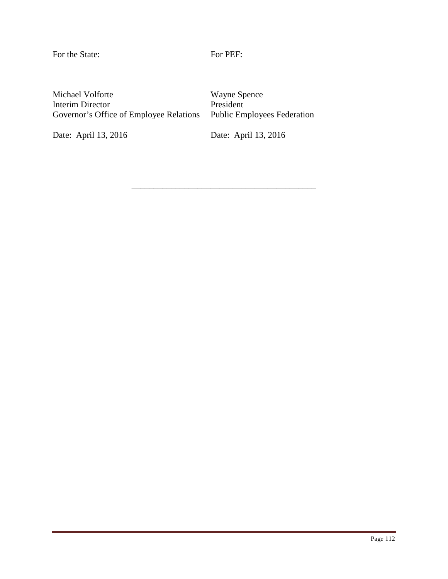For the State: For PEF:

\_\_\_\_\_\_\_\_\_\_\_\_\_\_\_\_\_\_\_\_\_\_\_\_\_\_\_\_\_\_\_\_\_\_\_\_\_\_\_\_\_\_

Michael Volforte Interim Director Governor's Office of Employee Relations

Date: April 13, 2016

Wayne Spence President Public Employees Federation

Date: April 13, 2016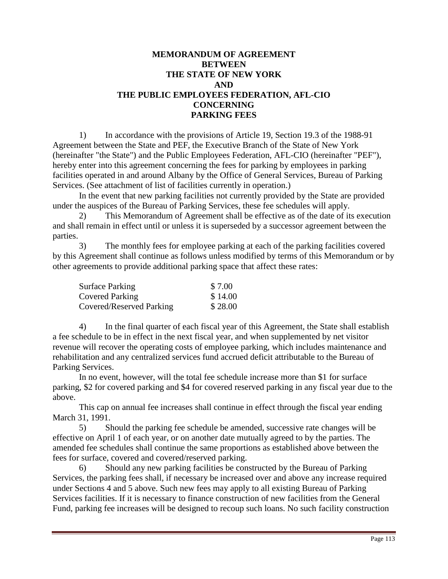# **MEMORANDUM OF AGREEMENT BETWEEN THE STATE OF NEW YORK AND THE PUBLIC EMPLOYEES FEDERATION, AFL-CIO CONCERNING PARKING FEES**

 1) In accordance with the provisions of Article 19, Section 19.3 of the 1988-91 Agreement between the State and PEF, the Executive Branch of the State of New York (hereinafter "the State") and the Public Employees Federation, AFL-CIO (hereinafter "PEF"), hereby enter into this agreement concerning the fees for parking by employees in parking facilities operated in and around Albany by the Office of General Services, Bureau of Parking Services. (See attachment of list of facilities currently in operation.)

 In the event that new parking facilities not currently provided by the State are provided under the auspices of the Bureau of Parking Services, these fee schedules will apply.

 2) This Memorandum of Agreement shall be effective as of the date of its execution and shall remain in effect until or unless it is superseded by a successor agreement between the parties.

 3) The monthly fees for employee parking at each of the parking facilities covered by this Agreement shall continue as follows unless modified by terms of this Memorandum or by other agreements to provide additional parking space that affect these rates:

| <b>Surface Parking</b>   | \$7.00  |
|--------------------------|---------|
| <b>Covered Parking</b>   | \$14.00 |
| Covered/Reserved Parking | \$28.00 |

 4) In the final quarter of each fiscal year of this Agreement, the State shall establish a fee schedule to be in effect in the next fiscal year, and when supplemented by net visitor revenue will recover the operating costs of employee parking, which includes maintenance and rehabilitation and any centralized services fund accrued deficit attributable to the Bureau of Parking Services.

 In no event, however, will the total fee schedule increase more than \$1 for surface parking, \$2 for covered parking and \$4 for covered reserved parking in any fiscal year due to the above.

 This cap on annual fee increases shall continue in effect through the fiscal year ending March 31, 1991.

 5) Should the parking fee schedule be amended, successive rate changes will be effective on April 1 of each year, or on another date mutually agreed to by the parties. The amended fee schedules shall continue the same proportions as established above between the fees for surface, covered and covered/reserved parking.

 6) Should any new parking facilities be constructed by the Bureau of Parking Services, the parking fees shall, if necessary be increased over and above any increase required under Sections 4 and 5 above. Such new fees may apply to all existing Bureau of Parking Services facilities. If it is necessary to finance construction of new facilities from the General Fund, parking fee increases will be designed to recoup such loans. No such facility construction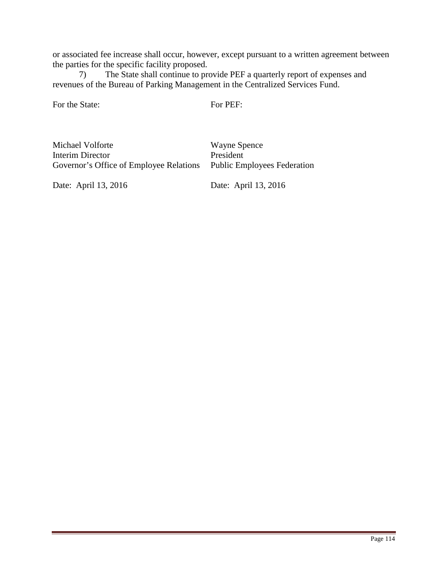or associated fee increase shall occur, however, except pursuant to a written agreement between the parties for the specific facility proposed.

 7) The State shall continue to provide PEF a quarterly report of expenses and revenues of the Bureau of Parking Management in the Centralized Services Fund.

For the State:

For PEF:

Michael Volforte Interim Director Governor's Office of Employee Relations

Wayne Spence President Public Employees Federation

Date: April 13, 2016

Date: April 13, 2016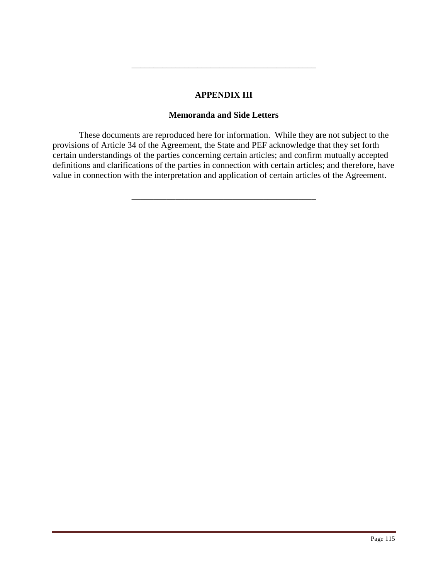### **APPENDIX III**

\_\_\_\_\_\_\_\_\_\_\_\_\_\_\_\_\_\_\_\_\_\_\_\_\_\_\_\_\_\_\_\_\_\_\_\_\_\_\_\_\_\_

### **Memoranda and Side Letters**

These documents are reproduced here for information. While they are not subject to the provisions of Article 34 of the Agreement, the State and PEF acknowledge that they set forth certain understandings of the parties concerning certain articles; and confirm mutually accepted definitions and clarifications of the parties in connection with certain articles; and therefore, have value in connection with the interpretation and application of certain articles of the Agreement.

\_\_\_\_\_\_\_\_\_\_\_\_\_\_\_\_\_\_\_\_\_\_\_\_\_\_\_\_\_\_\_\_\_\_\_\_\_\_\_\_\_\_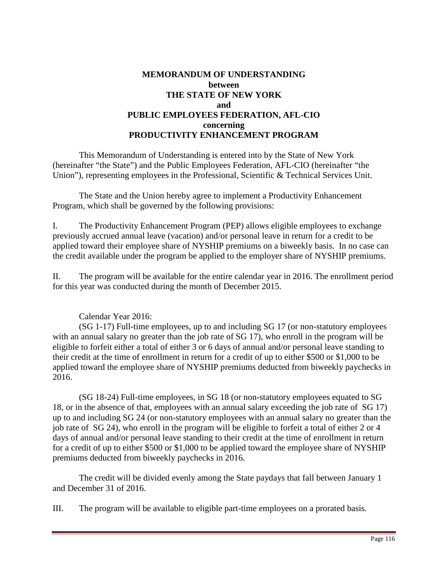# **MEMORANDUM OF UNDERSTANDING between THE STATE OF NEW YORK and PUBLIC EMPLOYEES FEDERATION, AFL-CIO concerning PRODUCTIVITY ENHANCEMENT PROGRAM**

 This Memorandum of Understanding is entered into by the State of New York (hereinafter "the State") and the Public Employees Federation, AFL-CIO (hereinafter "the Union"), representing employees in the Professional, Scientific & Technical Services Unit.

 The State and the Union hereby agree to implement a Productivity Enhancement Program, which shall be governed by the following provisions:

I. The Productivity Enhancement Program (PEP) allows eligible employees to exchange previously accrued annual leave (vacation) and/or personal leave in return for a credit to be applied toward their employee share of NYSHIP premiums on a biweekly basis. In no case can the credit available under the program be applied to the employer share of NYSHIP premiums.

II. The program will be available for the entire calendar year in 2016. The enrollment period for this year was conducted during the month of December 2015.

Calendar Year 2016:

(SG 1-17) Full-time employees, up to and including SG 17 (or non-statutory employees with an annual salary no greater than the job rate of SG 17), who enroll in the program will be eligible to forfeit either a total of either 3 or 6 days of annual and/or personal leave standing to their credit at the time of enrollment in return for a credit of up to either \$500 or \$1,000 to be applied toward the employee share of NYSHIP premiums deducted from biweekly paychecks in 2016.

(SG 18-24) Full-time employees, in SG 18 (or non-statutory employees equated to SG 18, or in the absence of that, employees with an annual salary exceeding the job rate of SG 17) up to and including SG 24 (or non-statutory employees with an annual salary no greater than the job rate of SG 24), who enroll in the program will be eligible to forfeit a total of either 2 or 4 days of annual and/or personal leave standing to their credit at the time of enrollment in return for a credit of up to either \$500 or \$1,000 to be applied toward the employee share of NYSHIP premiums deducted from biweekly paychecks in 2016.

 The credit will be divided evenly among the State paydays that fall between January 1 and December 31 of 2016.

III. The program will be available to eligible part-time employees on a prorated basis.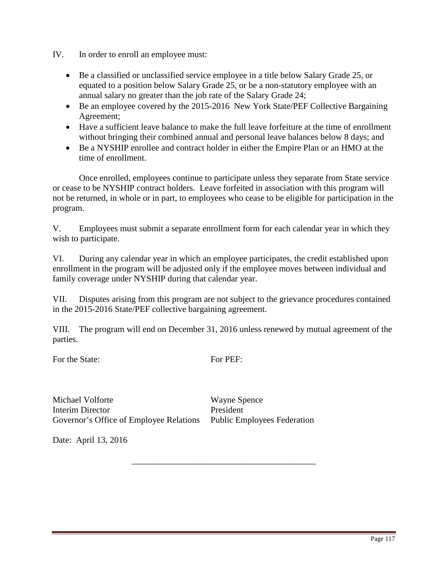- IV. In order to enroll an employee must:
	- Be a classified or unclassified service employee in a title below Salary Grade 25, or equated to a position below Salary Grade 25, or be a non-statutory employee with an annual salary no greater than the job rate of the Salary Grade 24;
	- Be an employee covered by the 2015-2016 New York State/PEF Collective Bargaining Agreement;
	- Have a sufficient leave balance to make the full leave forfeiture at the time of enrollment without bringing their combined annual and personal leave balances below 8 days; and
	- Be a NYSHIP enrollee and contract holder in either the Empire Plan or an HMO at the time of enrollment.

Once enrolled, employees continue to participate unless they separate from State service or cease to be NYSHIP contract holders. Leave forfeited in association with this program will not be returned, in whole or in part, to employees who cease to be eligible for participation in the program.

V. Employees must submit a separate enrollment form for each calendar year in which they wish to participate.

VI. During any calendar year in which an employee participates, the credit established upon enrollment in the program will be adjusted only if the employee moves between individual and family coverage under NYSHIP during that calendar year.

VII. Disputes arising from this program are not subject to the grievance procedures contained in the 2015-2016 State/PEF collective bargaining agreement.

VIII. The program will end on December 31, 2016 unless renewed by mutual agreement of the parties.

For the State:

For PEF:

\_\_\_\_\_\_\_\_\_\_\_\_\_\_\_\_\_\_\_\_\_\_\_\_\_\_\_\_\_\_\_\_\_\_\_\_\_\_\_\_\_\_

Michael Volforte Interim Director Governor's Office of Employee Relations Public Employees Federation

Wayne Spence President

Date: April 13, 2016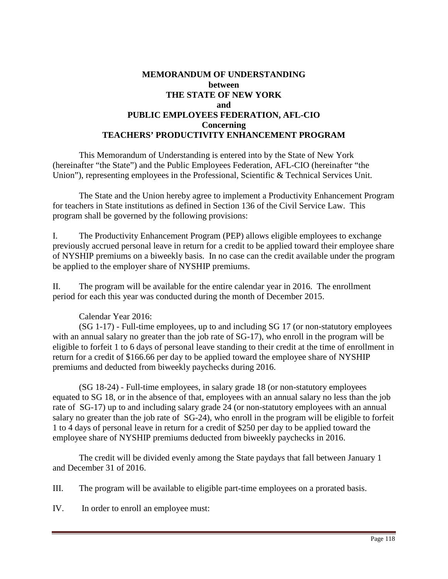# **MEMORANDUM OF UNDERSTANDING between THE STATE OF NEW YORK and PUBLIC EMPLOYEES FEDERATION, AFL-CIO Concerning TEACHERS' PRODUCTIVITY ENHANCEMENT PROGRAM**

 This Memorandum of Understanding is entered into by the State of New York (hereinafter "the State") and the Public Employees Federation, AFL-CIO (hereinafter "the Union"), representing employees in the Professional, Scientific & Technical Services Unit.

 The State and the Union hereby agree to implement a Productivity Enhancement Program for teachers in State institutions as defined in Section 136 of the Civil Service Law. This program shall be governed by the following provisions:

I. The Productivity Enhancement Program (PEP) allows eligible employees to exchange previously accrued personal leave in return for a credit to be applied toward their employee share of NYSHIP premiums on a biweekly basis. In no case can the credit available under the program be applied to the employer share of NYSHIP premiums.

II. The program will be available for the entire calendar year in 2016. The enrollment period for each this year was conducted during the month of December 2015.

# Calendar Year 2016:

(SG 1-17) - Full-time employees, up to and including SG 17 (or non-statutory employees with an annual salary no greater than the job rate of SG-17), who enroll in the program will be eligible to forfeit 1 to 6 days of personal leave standing to their credit at the time of enrollment in return for a credit of \$166.66 per day to be applied toward the employee share of NYSHIP premiums and deducted from biweekly paychecks during 2016.

(SG 18-24) - Full-time employees, in salary grade 18 (or non-statutory employees equated to SG 18, or in the absence of that, employees with an annual salary no less than the job rate of SG-17) up to and including salary grade 24 (or non-statutory employees with an annual salary no greater than the job rate of SG-24), who enroll in the program will be eligible to forfeit 1 to 4 days of personal leave in return for a credit of \$250 per day to be applied toward the employee share of NYSHIP premiums deducted from biweekly paychecks in 2016.

 The credit will be divided evenly among the State paydays that fall between January 1 and December 31 of 2016.

III. The program will be available to eligible part-time employees on a prorated basis.

IV. In order to enroll an employee must: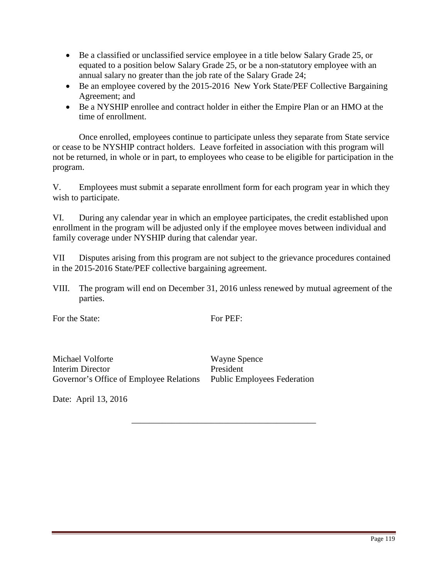- Be a classified or unclassified service employee in a title below Salary Grade 25, or equated to a position below Salary Grade 25, or be a non-statutory employee with an annual salary no greater than the job rate of the Salary Grade 24;
- Be an employee covered by the 2015-2016 New York State/PEF Collective Bargaining Agreement; and
- Be a NYSHIP enrollee and contract holder in either the Empire Plan or an HMO at the time of enrollment.

Once enrolled, employees continue to participate unless they separate from State service or cease to be NYSHIP contract holders. Leave forfeited in association with this program will not be returned, in whole or in part, to employees who cease to be eligible for participation in the program.

V. Employees must submit a separate enrollment form for each program year in which they wish to participate.

VI. During any calendar year in which an employee participates, the credit established upon enrollment in the program will be adjusted only if the employee moves between individual and family coverage under NYSHIP during that calendar year.

VII Disputes arising from this program are not subject to the grievance procedures contained in the 2015-2016 State/PEF collective bargaining agreement.

VIII. The program will end on December 31, 2016 unless renewed by mutual agreement of the parties.

For the State:

For PEF:

\_\_\_\_\_\_\_\_\_\_\_\_\_\_\_\_\_\_\_\_\_\_\_\_\_\_\_\_\_\_\_\_\_\_\_\_\_\_\_\_\_\_

Michael Volforte Interim Director Governor's Office of Employee Relations Public Employees Federation

Wayne Spence President

Date: April 13, 2016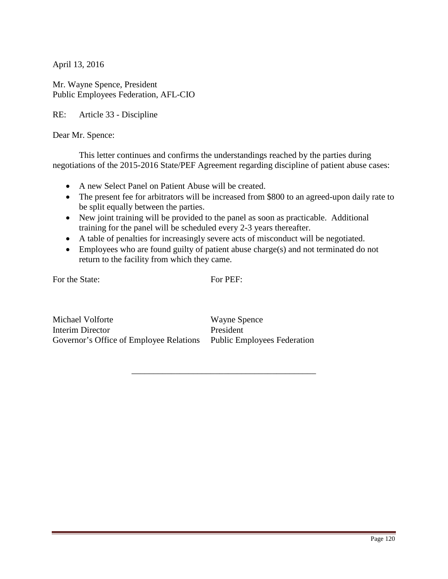Mr. Wayne Spence, President Public Employees Federation, AFL-CIO

RE: Article 33 - Discipline

Dear Mr. Spence:

This letter continues and confirms the understandings reached by the parties during negotiations of the 2015-2016 State/PEF Agreement regarding discipline of patient abuse cases:

- A new Select Panel on Patient Abuse will be created.
- The present fee for arbitrators will be increased from \$800 to an agreed-upon daily rate to be split equally between the parties.
- New joint training will be provided to the panel as soon as practicable. Additional training for the panel will be scheduled every 2-3 years thereafter.
- A table of penalties for increasingly severe acts of misconduct will be negotiated.
- Employees who are found guilty of patient abuse charge(s) and not terminated do not return to the facility from which they came.

For the State:

For PEF:

\_\_\_\_\_\_\_\_\_\_\_\_\_\_\_\_\_\_\_\_\_\_\_\_\_\_\_\_\_\_\_\_\_\_\_\_\_\_\_\_\_\_

Michael Volforte Interim Director Governor's Office of Employee Relations Public Employees Federation

Wayne Spence President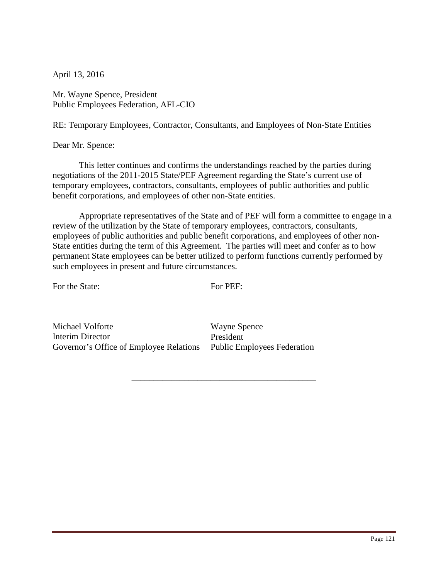Mr. Wayne Spence, President Public Employees Federation, AFL-CIO

RE: Temporary Employees, Contractor, Consultants, and Employees of Non-State Entities

Dear Mr. Spence:

This letter continues and confirms the understandings reached by the parties during negotiations of the 2011-2015 State/PEF Agreement regarding the State's current use of temporary employees, contractors, consultants, employees of public authorities and public benefit corporations, and employees of other non-State entities.

Appropriate representatives of the State and of PEF will form a committee to engage in a review of the utilization by the State of temporary employees, contractors, consultants, employees of public authorities and public benefit corporations, and employees of other non-State entities during the term of this Agreement. The parties will meet and confer as to how permanent State employees can be better utilized to perform functions currently performed by such employees in present and future circumstances.

For the State:

For PEF:

\_\_\_\_\_\_\_\_\_\_\_\_\_\_\_\_\_\_\_\_\_\_\_\_\_\_\_\_\_\_\_\_\_\_\_\_\_\_\_\_\_\_

Michael Volforte Interim Director Governor's Office of Employee Relations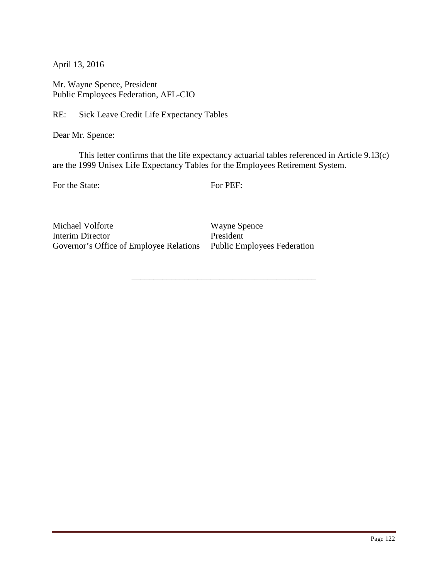Mr. Wayne Spence, President Public Employees Federation, AFL-CIO

RE: Sick Leave Credit Life Expectancy Tables

Dear Mr. Spence:

This letter confirms that the life expectancy actuarial tables referenced in Article 9.13(c) are the 1999 Unisex Life Expectancy Tables for the Employees Retirement System.

For the State:

For PEF:

\_\_\_\_\_\_\_\_\_\_\_\_\_\_\_\_\_\_\_\_\_\_\_\_\_\_\_\_\_\_\_\_\_\_\_\_\_\_\_\_\_\_

Michael Volforte Interim Director Governor's Office of Employee Relations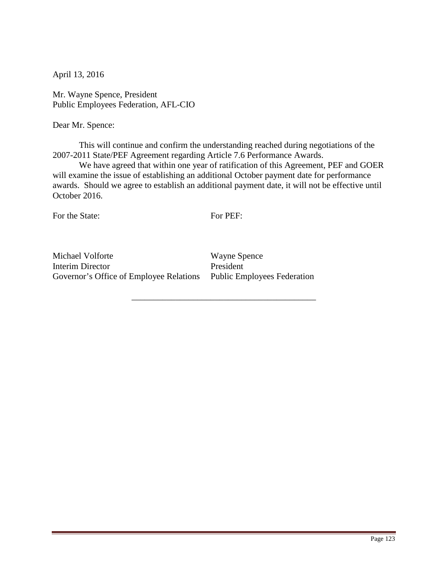Mr. Wayne Spence, President Public Employees Federation, AFL-CIO

Dear Mr. Spence:

 This will continue and confirm the understanding reached during negotiations of the 2007-2011 State/PEF Agreement regarding Article 7.6 Performance Awards.

 We have agreed that within one year of ratification of this Agreement, PEF and GOER will examine the issue of establishing an additional October payment date for performance awards. Should we agree to establish an additional payment date, it will not be effective until October 2016.

For the State:

For PEF:

\_\_\_\_\_\_\_\_\_\_\_\_\_\_\_\_\_\_\_\_\_\_\_\_\_\_\_\_\_\_\_\_\_\_\_\_\_\_\_\_\_\_

Michael Volforte Interim Director Governor's Office of Employee Relations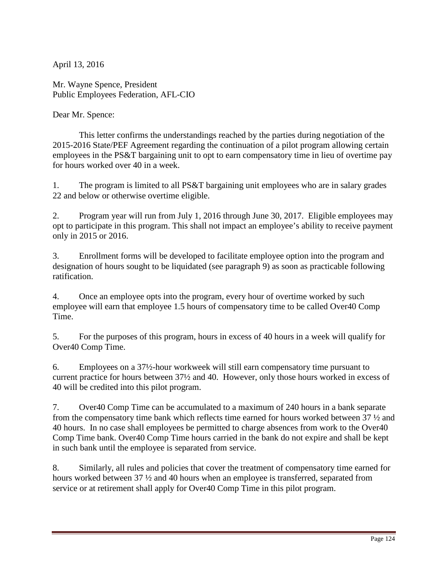Mr. Wayne Spence, President Public Employees Federation, AFL-CIO

Dear Mr. Spence:

 This letter confirms the understandings reached by the parties during negotiation of the 2015-2016 State/PEF Agreement regarding the continuation of a pilot program allowing certain employees in the PS&T bargaining unit to opt to earn compensatory time in lieu of overtime pay for hours worked over 40 in a week.

1. The program is limited to all PS&T bargaining unit employees who are in salary grades 22 and below or otherwise overtime eligible.

2. Program year will run from July 1, 2016 through June 30, 2017. Eligible employees may opt to participate in this program. This shall not impact an employee's ability to receive payment only in 2015 or 2016.

3. Enrollment forms will be developed to facilitate employee option into the program and designation of hours sought to be liquidated (see paragraph 9) as soon as practicable following ratification.

4. Once an employee opts into the program, every hour of overtime worked by such employee will earn that employee 1.5 hours of compensatory time to be called Over40 Comp Time.

5. For the purposes of this program, hours in excess of 40 hours in a week will qualify for Over40 Comp Time.

6. Employees on a 37½-hour workweek will still earn compensatory time pursuant to current practice for hours between 37½ and 40. However, only those hours worked in excess of 40 will be credited into this pilot program.

7. Over40 Comp Time can be accumulated to a maximum of 240 hours in a bank separate from the compensatory time bank which reflects time earned for hours worked between 37 ½ and 40 hours. In no case shall employees be permitted to charge absences from work to the Over40 Comp Time bank. Over40 Comp Time hours carried in the bank do not expire and shall be kept in such bank until the employee is separated from service.

8. Similarly, all rules and policies that cover the treatment of compensatory time earned for hours worked between 37 ½ and 40 hours when an employee is transferred, separated from service or at retirement shall apply for Over40 Comp Time in this pilot program.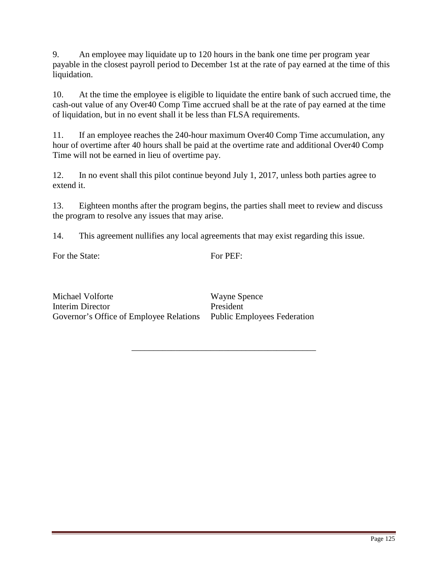9. An employee may liquidate up to 120 hours in the bank one time per program year payable in the closest payroll period to December 1st at the rate of pay earned at the time of this liquidation.

10. At the time the employee is eligible to liquidate the entire bank of such accrued time, the cash-out value of any Over40 Comp Time accrued shall be at the rate of pay earned at the time of liquidation, but in no event shall it be less than FLSA requirements.

11. If an employee reaches the 240-hour maximum Over40 Comp Time accumulation, any hour of overtime after 40 hours shall be paid at the overtime rate and additional Over40 Comp Time will not be earned in lieu of overtime pay.

12. In no event shall this pilot continue beyond July 1, 2017, unless both parties agree to extend it.

13. Eighteen months after the program begins, the parties shall meet to review and discuss the program to resolve any issues that may arise.

14. This agreement nullifies any local agreements that may exist regarding this issue.

For the State:

For PEF:

\_\_\_\_\_\_\_\_\_\_\_\_\_\_\_\_\_\_\_\_\_\_\_\_\_\_\_\_\_\_\_\_\_\_\_\_\_\_\_\_\_\_

Michael Volforte Interim Director Governor's Office of Employee Relations Public Employees Federation

Wayne Spence President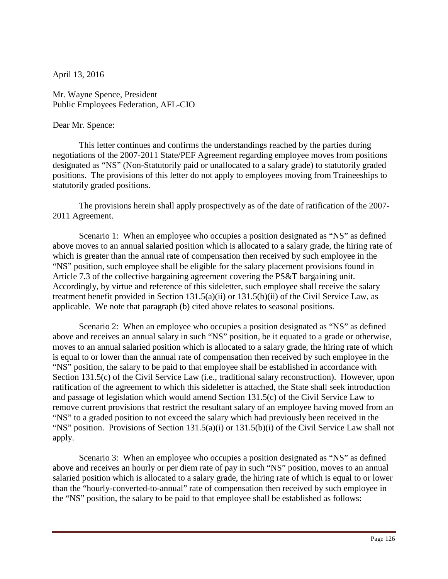Mr. Wayne Spence, President Public Employees Federation, AFL-CIO

#### Dear Mr. Spence:

 This letter continues and confirms the understandings reached by the parties during negotiations of the 2007-2011 State/PEF Agreement regarding employee moves from positions designated as "NS" (Non-Statutorily paid or unallocated to a salary grade) to statutorily graded positions. The provisions of this letter do not apply to employees moving from Traineeships to statutorily graded positions.

 The provisions herein shall apply prospectively as of the date of ratification of the 2007- 2011 Agreement.

Scenario 1: When an employee who occupies a position designated as "NS" as defined above moves to an annual salaried position which is allocated to a salary grade, the hiring rate of which is greater than the annual rate of compensation then received by such employee in the "NS" position, such employee shall be eligible for the salary placement provisions found in Article 7.3 of the collective bargaining agreement covering the PS&T bargaining unit. Accordingly, by virtue and reference of this sideletter, such employee shall receive the salary treatment benefit provided in Section 131.5(a)(ii) or 131.5(b)(ii) of the Civil Service Law, as applicable. We note that paragraph (b) cited above relates to seasonal positions.

Scenario 2: When an employee who occupies a position designated as "NS" as defined above and receives an annual salary in such "NS" position, be it equated to a grade or otherwise, moves to an annual salaried position which is allocated to a salary grade, the hiring rate of which is equal to or lower than the annual rate of compensation then received by such employee in the "NS" position, the salary to be paid to that employee shall be established in accordance with Section 131.5(c) of the Civil Service Law (i.e., traditional salary reconstruction). However, upon ratification of the agreement to which this sideletter is attached, the State shall seek introduction and passage of legislation which would amend Section 131.5(c) of the Civil Service Law to remove current provisions that restrict the resultant salary of an employee having moved from an "NS" to a graded position to not exceed the salary which had previously been received in the "NS" position. Provisions of Section 131.5(a)(i) or 131.5(b)(i) of the Civil Service Law shall not apply.

Scenario 3: When an employee who occupies a position designated as "NS" as defined above and receives an hourly or per diem rate of pay in such "NS" position, moves to an annual salaried position which is allocated to a salary grade, the hiring rate of which is equal to or lower than the "hourly-converted-to-annual" rate of compensation then received by such employee in the "NS" position, the salary to be paid to that employee shall be established as follows: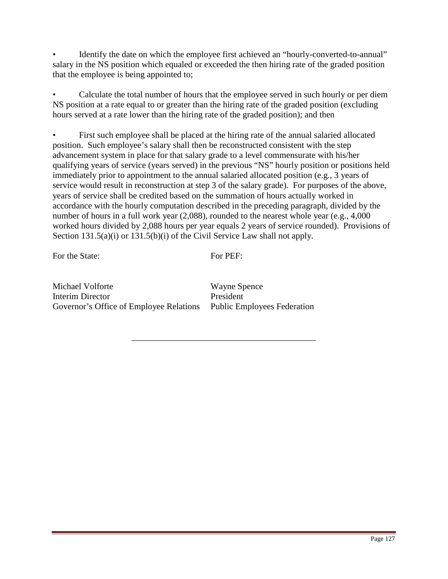Identify the date on which the employee first achieved an "hourly-converted-to-annual" salary in the NS position which equaled or exceeded the then hiring rate of the graded position that the employee is being appointed to;

• Calculate the total number of hours that the employee served in such hourly or per diem NS position at a rate equal to or greater than the hiring rate of the graded position (excluding hours served at a rate lower than the hiring rate of the graded position); and then

• First such employee shall be placed at the hiring rate of the annual salaried allocated position. Such employee's salary shall then be reconstructed consistent with the step advancement system in place for that salary grade to a level commensurate with his/her qualifying years of service (years served) in the previous "NS" hourly position or positions held immediately prior to appointment to the annual salaried allocated position (e.g., 3 years of service would result in reconstruction at step 3 of the salary grade). For purposes of the above, years of service shall be credited based on the summation of hours actually worked in accordance with the hourly computation described in the preceding paragraph, divided by the number of hours in a full work year (2,088), rounded to the nearest whole year (e.g., 4,000 worked hours divided by 2,088 hours per year equals 2 years of service rounded). Provisions of Section 131.5(a)(i) or 131.5(b)(i) of the Civil Service Law shall not apply.

For the State:

For PEF:

\_\_\_\_\_\_\_\_\_\_\_\_\_\_\_\_\_\_\_\_\_\_\_\_\_\_\_\_\_\_\_\_\_\_\_\_\_\_\_\_\_\_

Michael Volforte Interim Director Governor's Office of Employee Relations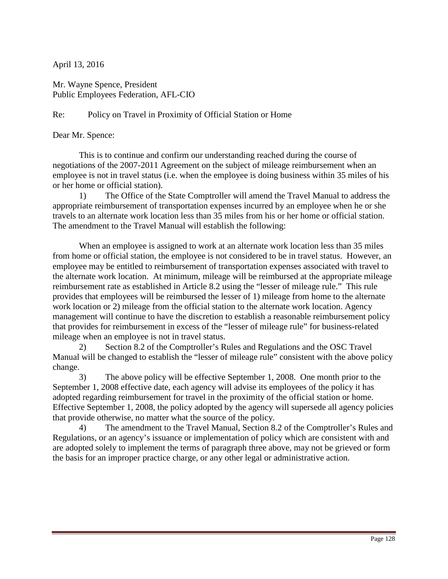Mr. Wayne Spence, President Public Employees Federation, AFL-CIO

# Re: Policy on Travel in Proximity of Official Station or Home

#### Dear Mr. Spence:

This is to continue and confirm our understanding reached during the course of negotiations of the 2007-2011 Agreement on the subject of mileage reimbursement when an employee is not in travel status (i.e. when the employee is doing business within 35 miles of his or her home or official station).

 1) The Office of the State Comptroller will amend the Travel Manual to address the appropriate reimbursement of transportation expenses incurred by an employee when he or she travels to an alternate work location less than 35 miles from his or her home or official station. The amendment to the Travel Manual will establish the following:

When an employee is assigned to work at an alternate work location less than 35 miles from home or official station, the employee is not considered to be in travel status. However, an employee may be entitled to reimbursement of transportation expenses associated with travel to the alternate work location. At minimum, mileage will be reimbursed at the appropriate mileage reimbursement rate as established in Article 8.2 using the "lesser of mileage rule." This rule provides that employees will be reimbursed the lesser of 1) mileage from home to the alternate work location or 2) mileage from the official station to the alternate work location. Agency management will continue to have the discretion to establish a reasonable reimbursement policy that provides for reimbursement in excess of the "lesser of mileage rule" for business-related mileage when an employee is not in travel status.

 2) Section 8.2 of the Comptroller's Rules and Regulations and the OSC Travel Manual will be changed to establish the "lesser of mileage rule" consistent with the above policy change.

 3) The above policy will be effective September 1, 2008. One month prior to the September 1, 2008 effective date, each agency will advise its employees of the policy it has adopted regarding reimbursement for travel in the proximity of the official station or home. Effective September 1, 2008, the policy adopted by the agency will supersede all agency policies that provide otherwise, no matter what the source of the policy.

 4) The amendment to the Travel Manual, Section 8.2 of the Comptroller's Rules and Regulations, or an agency's issuance or implementation of policy which are consistent with and are adopted solely to implement the terms of paragraph three above, may not be grieved or form the basis for an improper practice charge, or any other legal or administrative action.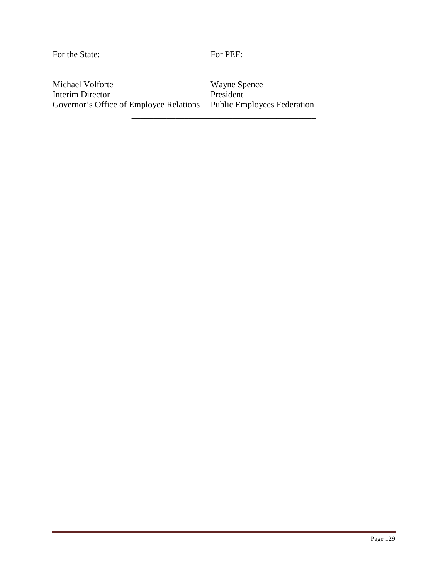For the State:

For PEF:

\_\_\_\_\_\_\_\_\_\_\_\_\_\_\_\_\_\_\_\_\_\_\_\_\_\_\_\_\_\_\_\_\_\_\_\_\_\_\_\_\_\_

Michael Volforte Interim Director Governor's Office of Employee Relations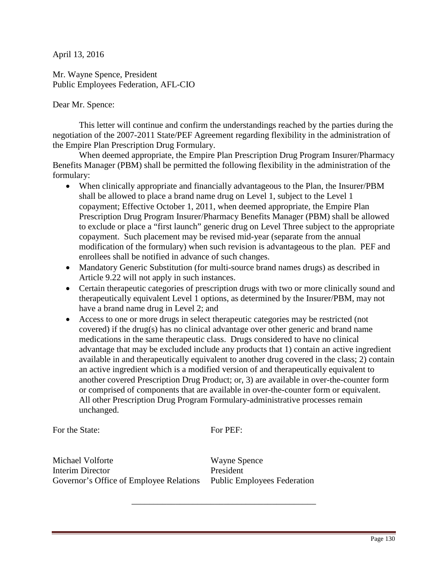Mr. Wayne Spence, President Public Employees Federation, AFL-CIO

Dear Mr. Spence:

 This letter will continue and confirm the understandings reached by the parties during the negotiation of the 2007-2011 State/PEF Agreement regarding flexibility in the administration of the Empire Plan Prescription Drug Formulary.

 When deemed appropriate, the Empire Plan Prescription Drug Program Insurer/Pharmacy Benefits Manager (PBM) shall be permitted the following flexibility in the administration of the formulary:

- When clinically appropriate and financially advantageous to the Plan, the Insurer/PBM shall be allowed to place a brand name drug on Level 1, subject to the Level 1 copayment; Effective October 1, 2011, when deemed appropriate, the Empire Plan Prescription Drug Program Insurer/Pharmacy Benefits Manager (PBM) shall be allowed to exclude or place a "first launch" generic drug on Level Three subject to the appropriate copayment. Such placement may be revised mid-year (separate from the annual modification of the formulary) when such revision is advantageous to the plan. PEF and enrollees shall be notified in advance of such changes.
- Mandatory Generic Substitution (for multi-source brand names drugs) as described in Article 9.22 will not apply in such instances.
- Certain therapeutic categories of prescription drugs with two or more clinically sound and therapeutically equivalent Level 1 options, as determined by the Insurer/PBM, may not have a brand name drug in Level 2; and
- Access to one or more drugs in select therapeutic categories may be restricted (not covered) if the drug(s) has no clinical advantage over other generic and brand name medications in the same therapeutic class. Drugs considered to have no clinical advantage that may be excluded include any products that 1) contain an active ingredient available in and therapeutically equivalent to another drug covered in the class; 2) contain an active ingredient which is a modified version of and therapeutically equivalent to another covered Prescription Drug Product; or, 3) are available in over-the-counter form or comprised of components that are available in over-the-counter form or equivalent. All other Prescription Drug Program Formulary-administrative processes remain unchanged.

For the State:

For PEF:

\_\_\_\_\_\_\_\_\_\_\_\_\_\_\_\_\_\_\_\_\_\_\_\_\_\_\_\_\_\_\_\_\_\_\_\_\_\_\_\_\_\_

Michael Volforte Interim Director Governor's Office of Employee Relations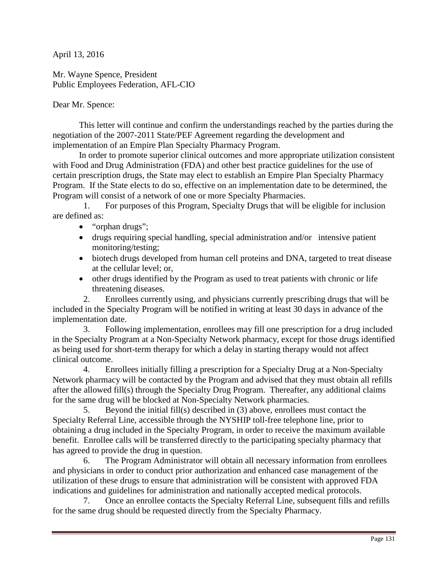Mr. Wayne Spence, President Public Employees Federation, AFL-CIO

Dear Mr. Spence:

This letter will continue and confirm the understandings reached by the parties during the negotiation of the 2007-2011 State/PEF Agreement regarding the development and implementation of an Empire Plan Specialty Pharmacy Program.

 In order to promote superior clinical outcomes and more appropriate utilization consistent with Food and Drug Administration (FDA) and other best practice guidelines for the use of certain prescription drugs, the State may elect to establish an Empire Plan Specialty Pharmacy Program. If the State elects to do so, effective on an implementation date to be determined, the Program will consist of a network of one or more Specialty Pharmacies.

 1. For purposes of this Program, Specialty Drugs that will be eligible for inclusion are defined as:

- "orphan drugs";
- drugs requiring special handling, special administration and/or intensive patient monitoring/testing;
- biotech drugs developed from human cell proteins and DNA, targeted to treat disease at the cellular level; or,
- other drugs identified by the Program as used to treat patients with chronic or life threatening diseases.

 2. Enrollees currently using, and physicians currently prescribing drugs that will be included in the Specialty Program will be notified in writing at least 30 days in advance of the implementation date.

 3. Following implementation, enrollees may fill one prescription for a drug included in the Specialty Program at a Non-Specialty Network pharmacy, except for those drugs identified as being used for short-term therapy for which a delay in starting therapy would not affect clinical outcome.

 4. Enrollees initially filling a prescription for a Specialty Drug at a Non-Specialty Network pharmacy will be contacted by the Program and advised that they must obtain all refills after the allowed fill(s) through the Specialty Drug Program. Thereafter, any additional claims for the same drug will be blocked at Non-Specialty Network pharmacies.

 5. Beyond the initial fill(s) described in (3) above, enrollees must contact the Specialty Referral Line, accessible through the NYSHIP toll-free telephone line, prior to obtaining a drug included in the Specialty Program, in order to receive the maximum available benefit. Enrollee calls will be transferred directly to the participating specialty pharmacy that has agreed to provide the drug in question.

 6. The Program Administrator will obtain all necessary information from enrollees and physicians in order to conduct prior authorization and enhanced case management of the utilization of these drugs to ensure that administration will be consistent with approved FDA indications and guidelines for administration and nationally accepted medical protocols.

 7. Once an enrollee contacts the Specialty Referral Line, subsequent fills and refills for the same drug should be requested directly from the Specialty Pharmacy.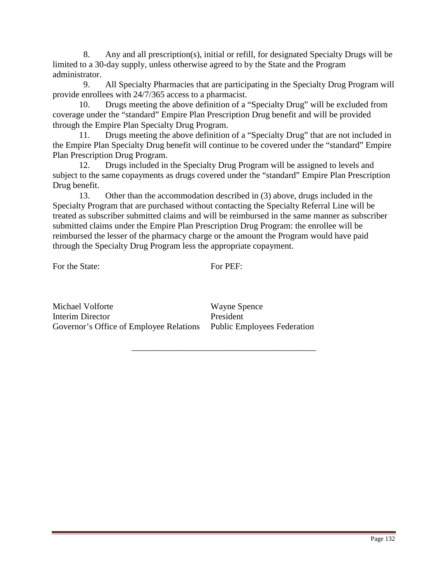8. Any and all prescription(s), initial or refill, for designated Specialty Drugs will be limited to a 30-day supply, unless otherwise agreed to by the State and the Program administrator.

 9. All Specialty Pharmacies that are participating in the Specialty Drug Program will provide enrollees with 24/7/365 access to a pharmacist.

 10. Drugs meeting the above definition of a "Specialty Drug" will be excluded from coverage under the "standard" Empire Plan Prescription Drug benefit and will be provided through the Empire Plan Specialty Drug Program.

 11. Drugs meeting the above definition of a "Specialty Drug" that are not included in the Empire Plan Specialty Drug benefit will continue to be covered under the "standard" Empire Plan Prescription Drug Program.

 12. Drugs included in the Specialty Drug Program will be assigned to levels and subject to the same copayments as drugs covered under the "standard" Empire Plan Prescription Drug benefit.

 13. Other than the accommodation described in (3) above, drugs included in the Specialty Program that are purchased without contacting the Specialty Referral Line will be treated as subscriber submitted claims and will be reimbursed in the same manner as subscriber submitted claims under the Empire Plan Prescription Drug Program: the enrollee will be reimbursed the lesser of the pharmacy charge or the amount the Program would have paid through the Specialty Drug Program less the appropriate copayment.

For the State:

For PEF:

\_\_\_\_\_\_\_\_\_\_\_\_\_\_\_\_\_\_\_\_\_\_\_\_\_\_\_\_\_\_\_\_\_\_\_\_\_\_\_\_\_\_

Michael Volforte Interim Director Governor's Office of Employee Relations Public Employees Federation

Wayne Spence President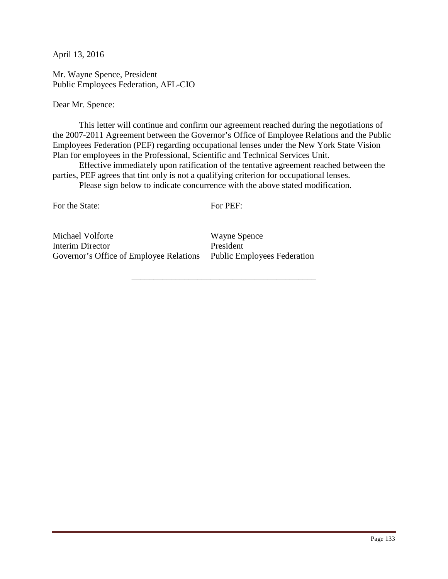Mr. Wayne Spence, President Public Employees Federation, AFL-CIO

Dear Mr. Spence:

 This letter will continue and confirm our agreement reached during the negotiations of the 2007-2011 Agreement between the Governor's Office of Employee Relations and the Public Employees Federation (PEF) regarding occupational lenses under the New York State Vision Plan for employees in the Professional, Scientific and Technical Services Unit.

Effective immediately upon ratification of the tentative agreement reached between the parties, PEF agrees that tint only is not a qualifying criterion for occupational lenses.

Please sign below to indicate concurrence with the above stated modification.

For the State:

For PEF:

\_\_\_\_\_\_\_\_\_\_\_\_\_\_\_\_\_\_\_\_\_\_\_\_\_\_\_\_\_\_\_\_\_\_\_\_\_\_\_\_\_\_

Michael Volforte Interim Director Governor's Office of Employee Relations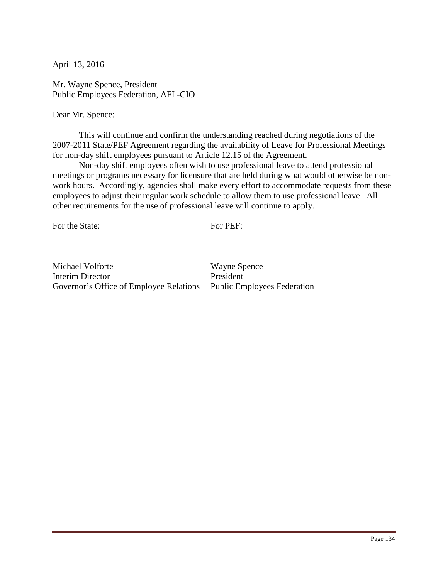Mr. Wayne Spence, President Public Employees Federation, AFL-CIO

Dear Mr. Spence:

This will continue and confirm the understanding reached during negotiations of the 2007-2011 State/PEF Agreement regarding the availability of Leave for Professional Meetings for non-day shift employees pursuant to Article 12.15 of the Agreement.

Non-day shift employees often wish to use professional leave to attend professional meetings or programs necessary for licensure that are held during what would otherwise be nonwork hours. Accordingly, agencies shall make every effort to accommodate requests from these employees to adjust their regular work schedule to allow them to use professional leave. All other requirements for the use of professional leave will continue to apply.

For the State:

For PEF:

\_\_\_\_\_\_\_\_\_\_\_\_\_\_\_\_\_\_\_\_\_\_\_\_\_\_\_\_\_\_\_\_\_\_\_\_\_\_\_\_\_\_

Michael Volforte Interim Director Governor's Office of Employee Relations Public Employees Federation

Wayne Spence President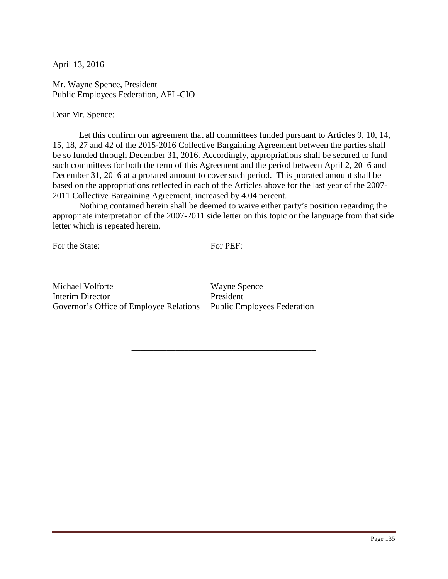Mr. Wayne Spence, President Public Employees Federation, AFL-CIO

Dear Mr. Spence:

 Let this confirm our agreement that all committees funded pursuant to Articles 9, 10, 14, 15, 18, 27 and 42 of the 2015-2016 Collective Bargaining Agreement between the parties shall be so funded through December 31, 2016. Accordingly, appropriations shall be secured to fund such committees for both the term of this Agreement and the period between April 2, 2016 and December 31, 2016 at a prorated amount to cover such period. This prorated amount shall be based on the appropriations reflected in each of the Articles above for the last year of the 2007- 2011 Collective Bargaining Agreement, increased by 4.04 percent.

 Nothing contained herein shall be deemed to waive either party's position regarding the appropriate interpretation of the 2007-2011 side letter on this topic or the language from that side letter which is repeated herein.

For the State:

For PEF:

\_\_\_\_\_\_\_\_\_\_\_\_\_\_\_\_\_\_\_\_\_\_\_\_\_\_\_\_\_\_\_\_\_\_\_\_\_\_\_\_\_\_

Michael Volforte Interim Director Governor's Office of Employee Relations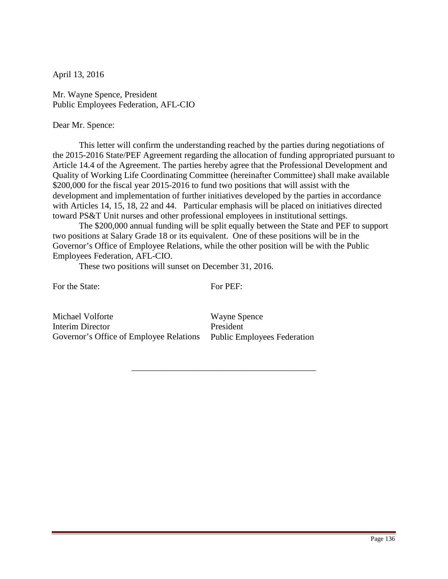Mr. Wayne Spence, President Public Employees Federation, AFL-CIO

#### Dear Mr. Spence:

This letter will confirm the understanding reached by the parties during negotiations of the 2015-2016 State/PEF Agreement regarding the allocation of funding appropriated pursuant to Article 14.4 of the Agreement. The parties hereby agree that the Professional Development and Quality of Working Life Coordinating Committee (hereinafter Committee) shall make available \$200,000 for the fiscal year 2015-2016 to fund two positions that will assist with the development and implementation of further initiatives developed by the parties in accordance with Articles 14, 15, 18, 22 and 44. Particular emphasis will be placed on initiatives directed toward PS&T Unit nurses and other professional employees in institutional settings.

 The \$200,000 annual funding will be split equally between the State and PEF to support two positions at Salary Grade 18 or its equivalent. One of these positions will be in the Governor's Office of Employee Relations, while the other position will be with the Public Employees Federation, AFL-CIO.

These two positions will sunset on December 31, 2016.

For the State:

For PEF:

\_\_\_\_\_\_\_\_\_\_\_\_\_\_\_\_\_\_\_\_\_\_\_\_\_\_\_\_\_\_\_\_\_\_\_\_\_\_\_\_\_\_

Michael Volforte Interim Director Governor's Office of Employee Relations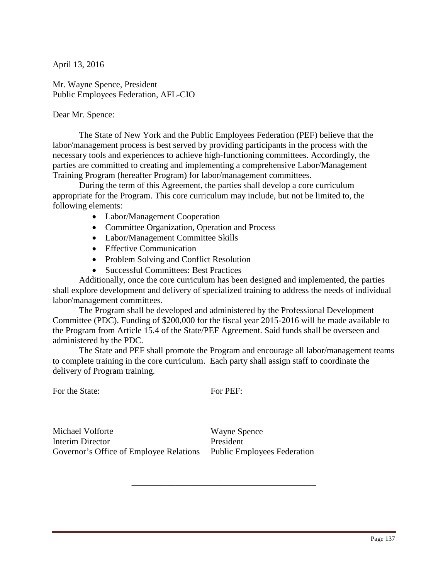Mr. Wayne Spence, President Public Employees Federation, AFL-CIO

Dear Mr. Spence:

 The State of New York and the Public Employees Federation (PEF) believe that the labor/management process is best served by providing participants in the process with the necessary tools and experiences to achieve high-functioning committees. Accordingly, the parties are committed to creating and implementing a comprehensive Labor/Management Training Program (hereafter Program) for labor/management committees.

During the term of this Agreement, the parties shall develop a core curriculum appropriate for the Program. This core curriculum may include, but not be limited to, the following elements:

- Labor/Management Cooperation
- Committee Organization, Operation and Process
- Labor/Management Committee Skills
- Effective Communication
- Problem Solving and Conflict Resolution
- Successful Committees: Best Practices

 Additionally, once the core curriculum has been designed and implemented, the parties shall explore development and delivery of specialized training to address the needs of individual labor/management committees.

 The Program shall be developed and administered by the Professional Development Committee (PDC). Funding of \$200,000 for the fiscal year 2015-2016 will be made available to the Program from Article 15.4 of the State/PEF Agreement. Said funds shall be overseen and administered by the PDC.

The State and PEF shall promote the Program and encourage all labor/management teams to complete training in the core curriculum. Each party shall assign staff to coordinate the delivery of Program training.

For the State:

For PEF:

\_\_\_\_\_\_\_\_\_\_\_\_\_\_\_\_\_\_\_\_\_\_\_\_\_\_\_\_\_\_\_\_\_\_\_\_\_\_\_\_\_\_

Michael Volforte Interim Director Governor's Office of Employee Relations Public Employees Federation

Wayne Spence President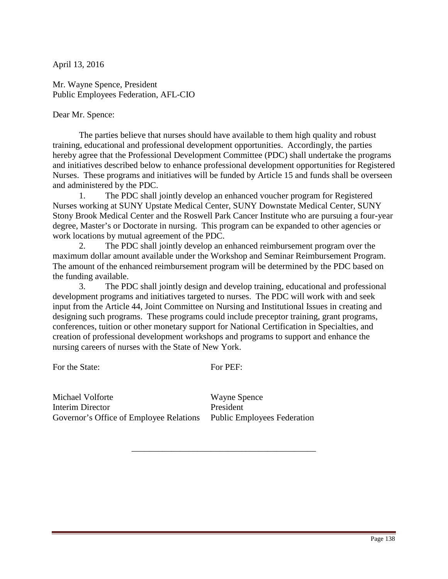Mr. Wayne Spence, President Public Employees Federation, AFL-CIO

Dear Mr. Spence:

 The parties believe that nurses should have available to them high quality and robust training, educational and professional development opportunities. Accordingly, the parties hereby agree that the Professional Development Committee (PDC) shall undertake the programs and initiatives described below to enhance professional development opportunities for Registered Nurses. These programs and initiatives will be funded by Article 15 and funds shall be overseen and administered by the PDC.

 1. The PDC shall jointly develop an enhanced voucher program for Registered Nurses working at SUNY Upstate Medical Center, SUNY Downstate Medical Center, SUNY Stony Brook Medical Center and the Roswell Park Cancer Institute who are pursuing a four-year degree, Master's or Doctorate in nursing. This program can be expanded to other agencies or work locations by mutual agreement of the PDC.

 2. The PDC shall jointly develop an enhanced reimbursement program over the maximum dollar amount available under the Workshop and Seminar Reimbursement Program. The amount of the enhanced reimbursement program will be determined by the PDC based on the funding available.

 3. The PDC shall jointly design and develop training, educational and professional development programs and initiatives targeted to nurses. The PDC will work with and seek input from the Article 44, Joint Committee on Nursing and Institutional Issues in creating and designing such programs. These programs could include preceptor training, grant programs, conferences, tuition or other monetary support for National Certification in Specialties, and creation of professional development workshops and programs to support and enhance the nursing careers of nurses with the State of New York.

For the State:

For PEF:

\_\_\_\_\_\_\_\_\_\_\_\_\_\_\_\_\_\_\_\_\_\_\_\_\_\_\_\_\_\_\_\_\_\_\_\_\_\_\_\_\_\_

Michael Volforte Interim Director Governor's Office of Employee Relations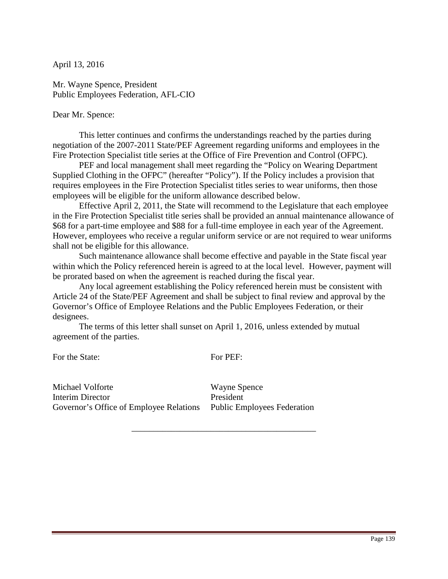Mr. Wayne Spence, President Public Employees Federation, AFL-CIO

Dear Mr. Spence:

 This letter continues and confirms the understandings reached by the parties during negotiation of the 2007-2011 State/PEF Agreement regarding uniforms and employees in the Fire Protection Specialist title series at the Office of Fire Prevention and Control (OFPC).

PEF and local management shall meet regarding the "Policy on Wearing Department Supplied Clothing in the OFPC" (hereafter "Policy"). If the Policy includes a provision that requires employees in the Fire Protection Specialist titles series to wear uniforms, then those employees will be eligible for the uniform allowance described below.

Effective April 2, 2011, the State will recommend to the Legislature that each employee in the Fire Protection Specialist title series shall be provided an annual maintenance allowance of \$68 for a part-time employee and \$88 for a full-time employee in each year of the Agreement. However, employees who receive a regular uniform service or are not required to wear uniforms shall not be eligible for this allowance.

Such maintenance allowance shall become effective and payable in the State fiscal year within which the Policy referenced herein is agreed to at the local level. However, payment will be prorated based on when the agreement is reached during the fiscal year.

Any local agreement establishing the Policy referenced herein must be consistent with Article 24 of the State/PEF Agreement and shall be subject to final review and approval by the Governor's Office of Employee Relations and the Public Employees Federation, or their designees.

The terms of this letter shall sunset on April 1, 2016, unless extended by mutual agreement of the parties.

For the State:

For PEF:

\_\_\_\_\_\_\_\_\_\_\_\_\_\_\_\_\_\_\_\_\_\_\_\_\_\_\_\_\_\_\_\_\_\_\_\_\_\_\_\_\_\_

Michael Volforte Interim Director Governor's Office of Employee Relations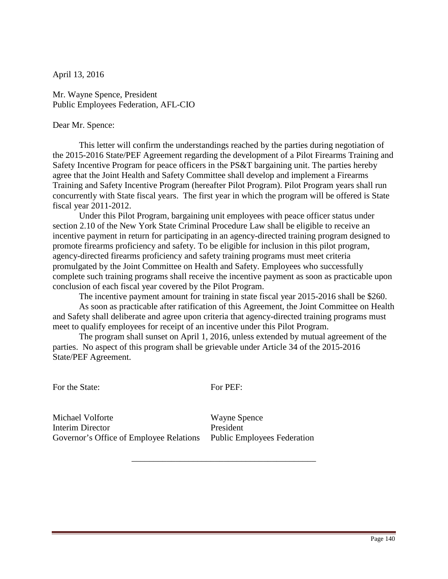Mr. Wayne Spence, President Public Employees Federation, AFL-CIO

#### Dear Mr. Spence:

This letter will confirm the understandings reached by the parties during negotiation of the 2015-2016 State/PEF Agreement regarding the development of a Pilot Firearms Training and Safety Incentive Program for peace officers in the PS&T bargaining unit. The parties hereby agree that the Joint Health and Safety Committee shall develop and implement a Firearms Training and Safety Incentive Program (hereafter Pilot Program). Pilot Program years shall run concurrently with State fiscal years. The first year in which the program will be offered is State fiscal year 2011-2012.

 Under this Pilot Program, bargaining unit employees with peace officer status under section 2.10 of the New York State Criminal Procedure Law shall be eligible to receive an incentive payment in return for participating in an agency-directed training program designed to promote firearms proficiency and safety. To be eligible for inclusion in this pilot program, agency-directed firearms proficiency and safety training programs must meet criteria promulgated by the Joint Committee on Health and Safety. Employees who successfully complete such training programs shall receive the incentive payment as soon as practicable upon conclusion of each fiscal year covered by the Pilot Program.

The incentive payment amount for training in state fiscal year 2015-2016 shall be \$260.

As soon as practicable after ratification of this Agreement, the Joint Committee on Health and Safety shall deliberate and agree upon criteria that agency-directed training programs must meet to qualify employees for receipt of an incentive under this Pilot Program.

 The program shall sunset on April 1, 2016, unless extended by mutual agreement of the parties. No aspect of this program shall be grievable under Article 34 of the 2015-2016 State/PEF Agreement.

For the State:

For PEF:

\_\_\_\_\_\_\_\_\_\_\_\_\_\_\_\_\_\_\_\_\_\_\_\_\_\_\_\_\_\_\_\_\_\_\_\_\_\_\_\_\_\_

Michael Volforte Interim Director Governor's Office of Employee Relations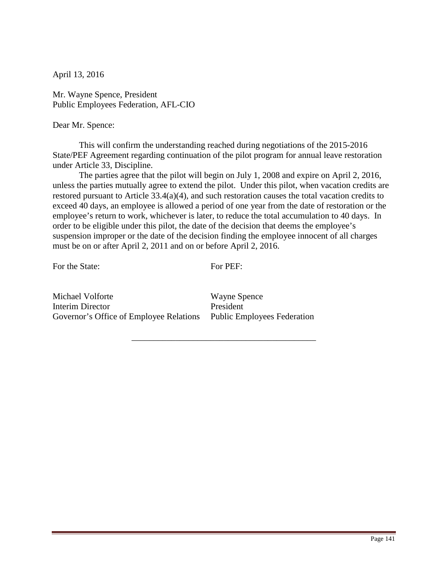Mr. Wayne Spence, President Public Employees Federation, AFL-CIO

#### Dear Mr. Spence:

 This will confirm the understanding reached during negotiations of the 2015-2016 State/PEF Agreement regarding continuation of the pilot program for annual leave restoration under Article 33, Discipline.

 The parties agree that the pilot will begin on July 1, 2008 and expire on April 2, 2016, unless the parties mutually agree to extend the pilot. Under this pilot, when vacation credits are restored pursuant to Article 33.4(a)(4), and such restoration causes the total vacation credits to exceed 40 days, an employee is allowed a period of one year from the date of restoration or the employee's return to work, whichever is later, to reduce the total accumulation to 40 days. In order to be eligible under this pilot, the date of the decision that deems the employee's suspension improper or the date of the decision finding the employee innocent of all charges must be on or after April 2, 2011 and on or before April 2, 2016.

For the State:

For PEF:

\_\_\_\_\_\_\_\_\_\_\_\_\_\_\_\_\_\_\_\_\_\_\_\_\_\_\_\_\_\_\_\_\_\_\_\_\_\_\_\_\_\_

Michael Volforte Interim Director Governor's Office of Employee Relations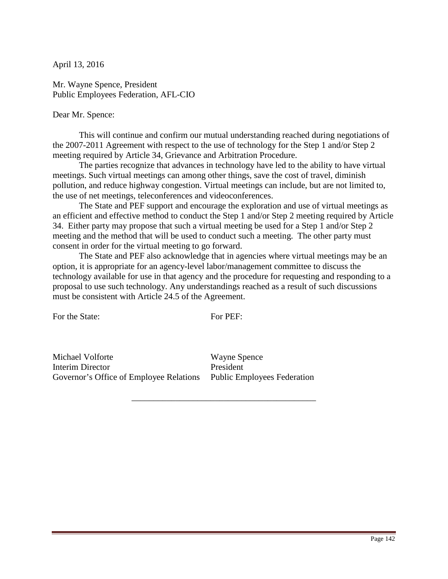Mr. Wayne Spence, President Public Employees Federation, AFL-CIO

Dear Mr. Spence:

 This will continue and confirm our mutual understanding reached during negotiations of the 2007-2011 Agreement with respect to the use of technology for the Step 1 and/or Step 2 meeting required by Article 34, Grievance and Arbitration Procedure.

 The parties recognize that advances in technology have led to the ability to have virtual meetings. Such virtual meetings can among other things, save the cost of travel, diminish pollution, and reduce highway congestion. Virtual meetings can include, but are not limited to, the use of net meetings, teleconferences and videoconferences.

 The State and PEF support and encourage the exploration and use of virtual meetings as an efficient and effective method to conduct the Step 1 and/or Step 2 meeting required by Article 34. Either party may propose that such a virtual meeting be used for a Step 1 and/or Step 2 meeting and the method that will be used to conduct such a meeting. The other party must consent in order for the virtual meeting to go forward.

The State and PEF also acknowledge that in agencies where virtual meetings may be an option, it is appropriate for an agency-level labor/management committee to discuss the technology available for use in that agency and the procedure for requesting and responding to a proposal to use such technology. Any understandings reached as a result of such discussions must be consistent with Article 24.5 of the Agreement.

For the State:

For PEF:

\_\_\_\_\_\_\_\_\_\_\_\_\_\_\_\_\_\_\_\_\_\_\_\_\_\_\_\_\_\_\_\_\_\_\_\_\_\_\_\_\_\_

Michael Volforte Interim Director Governor's Office of Employee Relations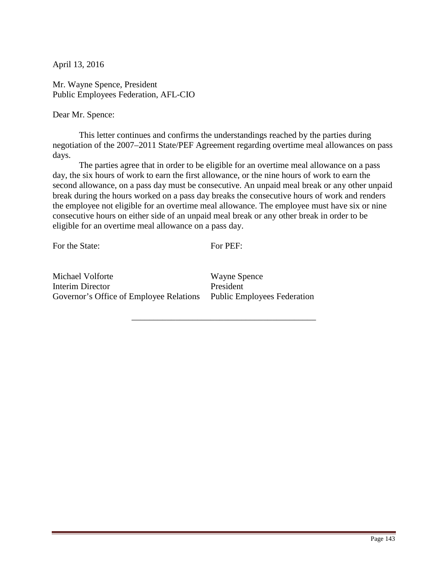Mr. Wayne Spence, President Public Employees Federation, AFL-CIO

Dear Mr. Spence:

 This letter continues and confirms the understandings reached by the parties during negotiation of the 2007–2011 State/PEF Agreement regarding overtime meal allowances on pass days.

 The parties agree that in order to be eligible for an overtime meal allowance on a pass day, the six hours of work to earn the first allowance, or the nine hours of work to earn the second allowance, on a pass day must be consecutive. An unpaid meal break or any other unpaid break during the hours worked on a pass day breaks the consecutive hours of work and renders the employee not eligible for an overtime meal allowance. The employee must have six or nine consecutive hours on either side of an unpaid meal break or any other break in order to be eligible for an overtime meal allowance on a pass day.

For the State:

For PEF:

\_\_\_\_\_\_\_\_\_\_\_\_\_\_\_\_\_\_\_\_\_\_\_\_\_\_\_\_\_\_\_\_\_\_\_\_\_\_\_\_\_\_

Michael Volforte Interim Director Governor's Office of Employee Relations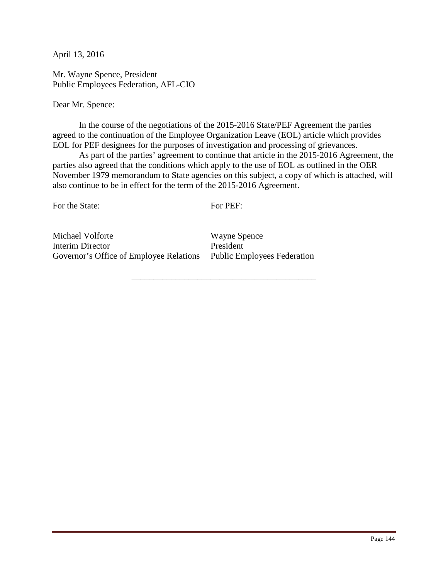Mr. Wayne Spence, President Public Employees Federation, AFL-CIO

Dear Mr. Spence:

 In the course of the negotiations of the 2015-2016 State/PEF Agreement the parties agreed to the continuation of the Employee Organization Leave (EOL) article which provides EOL for PEF designees for the purposes of investigation and processing of grievances.

As part of the parties' agreement to continue that article in the 2015-2016 Agreement, the parties also agreed that the conditions which apply to the use of EOL as outlined in the OER November 1979 memorandum to State agencies on this subject, a copy of which is attached, will also continue to be in effect for the term of the 2015-2016 Agreement.

For the State:

For PEF:

\_\_\_\_\_\_\_\_\_\_\_\_\_\_\_\_\_\_\_\_\_\_\_\_\_\_\_\_\_\_\_\_\_\_\_\_\_\_\_\_\_\_

Michael Volforte Interim Director Governor's Office of Employee Relations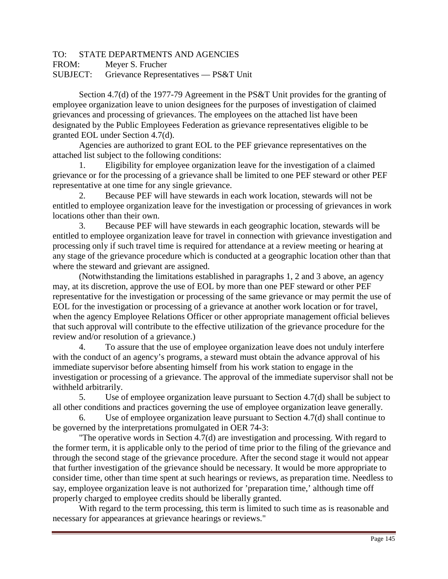# TO: STATE DEPARTMENTS AND AGENCIES

FROM: Meyer S. Frucher

SUBJECT: Grievance Representatives — PS&T Unit

 Section 4.7(d) of the 1977-79 Agreement in the PS&T Unit provides for the granting of employee organization leave to union designees for the purposes of investigation of claimed grievances and processing of grievances. The employees on the attached list have been designated by the Public Employees Federation as grievance representatives eligible to be granted EOL under Section 4.7(d).

Agencies are authorized to grant EOL to the PEF grievance representatives on the attached list subject to the following conditions:

 1. Eligibility for employee organization leave for the investigation of a claimed grievance or for the processing of a grievance shall be limited to one PEF steward or other PEF representative at one time for any single grievance.

 2. Because PEF will have stewards in each work location, stewards will not be entitled to employee organization leave for the investigation or processing of grievances in work locations other than their own.

 3. Because PEF will have stewards in each geographic location, stewards will be entitled to employee organization leave for travel in connection with grievance investigation and processing only if such travel time is required for attendance at a review meeting or hearing at any stage of the grievance procedure which is conducted at a geographic location other than that where the steward and grievant are assigned.

 (Notwithstanding the limitations established in paragraphs 1, 2 and 3 above, an agency may, at its discretion, approve the use of EOL by more than one PEF steward or other PEF representative for the investigation or processing of the same grievance or may permit the use of EOL for the investigation or processing of a grievance at another work location or for travel, when the agency Employee Relations Officer or other appropriate management official believes that such approval will contribute to the effective utilization of the grievance procedure for the review and/or resolution of a grievance.)

 4. To assure that the use of employee organization leave does not unduly interfere with the conduct of an agency's programs, a steward must obtain the advance approval of his immediate supervisor before absenting himself from his work station to engage in the investigation or processing of a grievance. The approval of the immediate supervisor shall not be withheld arbitrarily.

 5. Use of employee organization leave pursuant to Section 4.7(d) shall be subject to all other conditions and practices governing the use of employee organization leave generally.

 6. Use of employee organization leave pursuant to Section 4.7(d) shall continue to be governed by the interpretations promulgated in OER 74-3:

 "The operative words in Section 4.7(d) are investigation and processing. With regard to the former term, it is applicable only to the period of time prior to the filing of the grievance and through the second stage of the grievance procedure. After the second stage it would not appear that further investigation of the grievance should be necessary. It would be more appropriate to consider time, other than time spent at such hearings or reviews, as preparation time. Needless to say, employee organization leave is not authorized for 'preparation time,' although time off properly charged to employee credits should be liberally granted.

With regard to the term processing, this term is limited to such time as is reasonable and necessary for appearances at grievance hearings or reviews."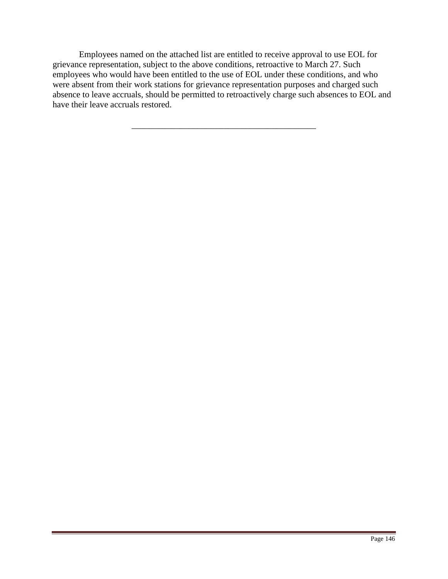Employees named on the attached list are entitled to receive approval to use EOL for grievance representation, subject to the above conditions, retroactive to March 27. Such employees who would have been entitled to the use of EOL under these conditions, and who were absent from their work stations for grievance representation purposes and charged such absence to leave accruals, should be permitted to retroactively charge such absences to EOL and have their leave accruals restored.

\_\_\_\_\_\_\_\_\_\_\_\_\_\_\_\_\_\_\_\_\_\_\_\_\_\_\_\_\_\_\_\_\_\_\_\_\_\_\_\_\_\_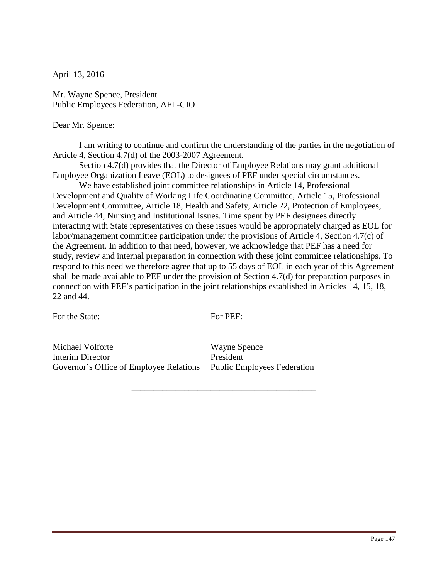Mr. Wayne Spence, President Public Employees Federation, AFL-CIO

### Dear Mr. Spence:

 I am writing to continue and confirm the understanding of the parties in the negotiation of Article 4, Section 4.7(d) of the 2003-2007 Agreement.

 Section 4.7(d) provides that the Director of Employee Relations may grant additional Employee Organization Leave (EOL) to designees of PEF under special circumstances.

We have established joint committee relationships in Article 14, Professional Development and Quality of Working Life Coordinating Committee, Article 15, Professional Development Committee, Article 18, Health and Safety, Article 22, Protection of Employees, and Article 44, Nursing and Institutional Issues. Time spent by PEF designees directly interacting with State representatives on these issues would be appropriately charged as EOL for labor/management committee participation under the provisions of Article 4, Section 4.7(c) of the Agreement. In addition to that need, however, we acknowledge that PEF has a need for study, review and internal preparation in connection with these joint committee relationships. To respond to this need we therefore agree that up to 55 days of EOL in each year of this Agreement shall be made available to PEF under the provision of Section 4.7(d) for preparation purposes in connection with PEF's participation in the joint relationships established in Articles 14, 15, 18, 22 and 44.

For the State:

For PEF:

\_\_\_\_\_\_\_\_\_\_\_\_\_\_\_\_\_\_\_\_\_\_\_\_\_\_\_\_\_\_\_\_\_\_\_\_\_\_\_\_\_\_

Michael Volforte Interim Director Governor's Office of Employee Relations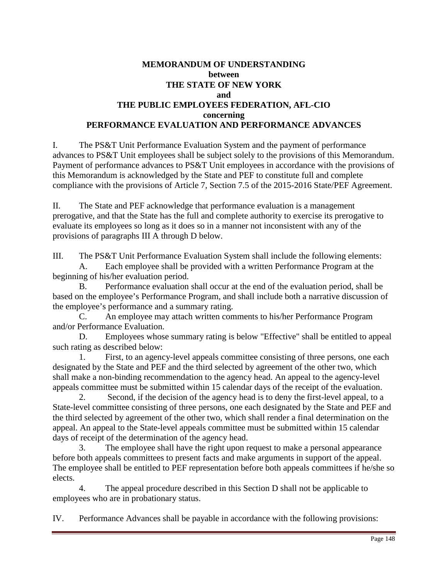# **MEMORANDUM OF UNDERSTANDING between THE STATE OF NEW YORK and THE PUBLIC EMPLOYEES FEDERATION, AFL-CIO concerning PERFORMANCE EVALUATION AND PERFORMANCE ADVANCES**

I. The PS&T Unit Performance Evaluation System and the payment of performance advances to PS&T Unit employees shall be subject solely to the provisions of this Memorandum. Payment of performance advances to PS&T Unit employees in accordance with the provisions of this Memorandum is acknowledged by the State and PEF to constitute full and complete compliance with the provisions of Article 7, Section 7.5 of the 2015-2016 State/PEF Agreement.

II. The State and PEF acknowledge that performance evaluation is a management prerogative, and that the State has the full and complete authority to exercise its prerogative to evaluate its employees so long as it does so in a manner not inconsistent with any of the provisions of paragraphs III A through D below.

III. The PS&T Unit Performance Evaluation System shall include the following elements: A. Each employee shall be provided with a written Performance Program at the beginning of his/her evaluation period.

B. Performance evaluation shall occur at the end of the evaluation period, shall be based on the employee's Performance Program, and shall include both a narrative discussion of the employee's performance and a summary rating.

C. An employee may attach written comments to his/her Performance Program and/or Performance Evaluation.

D. Employees whose summary rating is below "Effective" shall be entitled to appeal such rating as described below:

 1. First, to an agency-level appeals committee consisting of three persons, one each designated by the State and PEF and the third selected by agreement of the other two, which shall make a non-binding recommendation to the agency head. An appeal to the agency-level appeals committee must be submitted within 15 calendar days of the receipt of the evaluation.

 2. Second, if the decision of the agency head is to deny the first-level appeal, to a State-level committee consisting of three persons, one each designated by the State and PEF and the third selected by agreement of the other two, which shall render a final determination on the appeal. An appeal to the State-level appeals committee must be submitted within 15 calendar days of receipt of the determination of the agency head.

 3. The employee shall have the right upon request to make a personal appearance before both appeals committees to present facts and make arguments in support of the appeal. The employee shall be entitled to PEF representation before both appeals committees if he/she so elects.

 4. The appeal procedure described in this Section D shall not be applicable to employees who are in probationary status.

IV. Performance Advances shall be payable in accordance with the following provisions: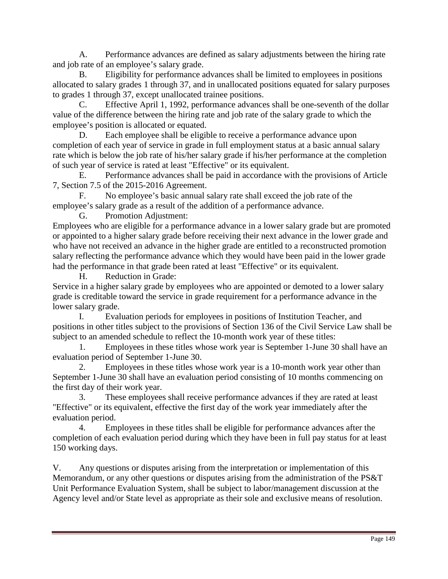A. Performance advances are defined as salary adjustments between the hiring rate and job rate of an employee's salary grade.

B. Eligibility for performance advances shall be limited to employees in positions allocated to salary grades 1 through 37, and in unallocated positions equated for salary purposes to grades 1 through 37, except unallocated trainee positions.

C. Effective April 1, 1992, performance advances shall be one-seventh of the dollar value of the difference between the hiring rate and job rate of the salary grade to which the employee's position is allocated or equated.

Each employee shall be eligible to receive a performance advance upon completion of each year of service in grade in full employment status at a basic annual salary rate which is below the job rate of his/her salary grade if his/her performance at the completion of such year of service is rated at least "Effective" or its equivalent.

E. Performance advances shall be paid in accordance with the provisions of Article 7, Section 7.5 of the 2015-2016 Agreement.

F. No employee's basic annual salary rate shall exceed the job rate of the employee's salary grade as a result of the addition of a performance advance.

G. Promotion Adjustment:

Employees who are eligible for a performance advance in a lower salary grade but are promoted or appointed to a higher salary grade before receiving their next advance in the lower grade and who have not received an advance in the higher grade are entitled to a reconstructed promotion salary reflecting the performance advance which they would have been paid in the lower grade had the performance in that grade been rated at least "Effective" or its equivalent.

H. Reduction in Grade:

Service in a higher salary grade by employees who are appointed or demoted to a lower salary grade is creditable toward the service in grade requirement for a performance advance in the lower salary grade.

I. Evaluation periods for employees in positions of Institution Teacher, and positions in other titles subject to the provisions of Section 136 of the Civil Service Law shall be subject to an amended schedule to reflect the 10-month work year of these titles:

 1. Employees in these titles whose work year is September 1-June 30 shall have an evaluation period of September 1-June 30.

 2. Employees in these titles whose work year is a 10-month work year other than September 1-June 30 shall have an evaluation period consisting of 10 months commencing on the first day of their work year.

These employees shall receive performance advances if they are rated at least "Effective" or its equivalent, effective the first day of the work year immediately after the evaluation period.

 4. Employees in these titles shall be eligible for performance advances after the completion of each evaluation period during which they have been in full pay status for at least 150 working days.

V. Any questions or disputes arising from the interpretation or implementation of this Memorandum, or any other questions or disputes arising from the administration of the PS&T Unit Performance Evaluation System, shall be subject to labor/management discussion at the Agency level and/or State level as appropriate as their sole and exclusive means of resolution.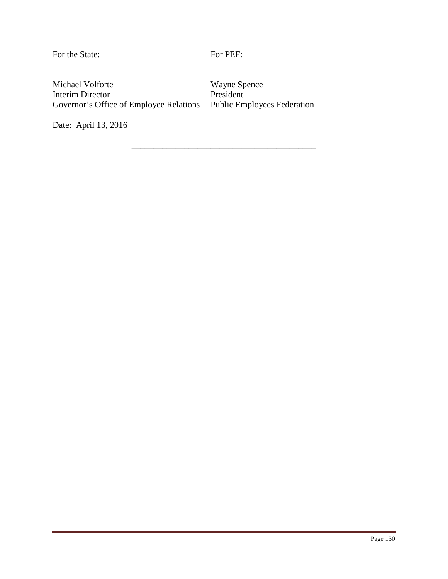For the State:

For PEF:

\_\_\_\_\_\_\_\_\_\_\_\_\_\_\_\_\_\_\_\_\_\_\_\_\_\_\_\_\_\_\_\_\_\_\_\_\_\_\_\_\_\_

Michael Volforte Interim Director Governor's Office of Employee Relations

Wayne Spence President Public Employees Federation

Date: April 13, 2016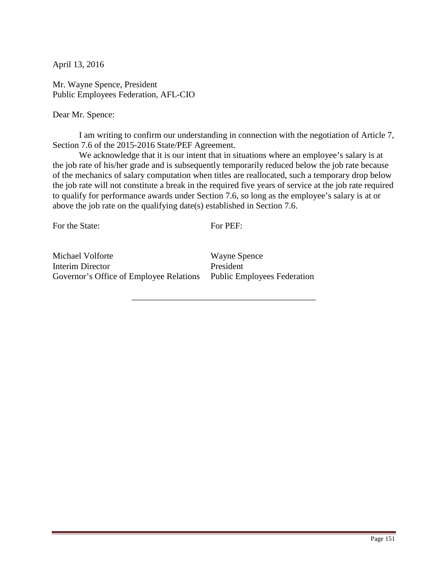Mr. Wayne Spence, President Public Employees Federation, AFL-CIO

Dear Mr. Spence:

 I am writing to confirm our understanding in connection with the negotiation of Article 7, Section 7.6 of the 2015-2016 State/PEF Agreement.

We acknowledge that it is our intent that in situations where an employee's salary is at the job rate of his/her grade and is subsequently temporarily reduced below the job rate because of the mechanics of salary computation when titles are reallocated, such a temporary drop below the job rate will not constitute a break in the required five years of service at the job rate required to qualify for performance awards under Section 7.6, so long as the employee's salary is at or above the job rate on the qualifying date(s) established in Section 7.6.

For the State:

For PEF:

\_\_\_\_\_\_\_\_\_\_\_\_\_\_\_\_\_\_\_\_\_\_\_\_\_\_\_\_\_\_\_\_\_\_\_\_\_\_\_\_\_\_

Michael Volforte Interim Director Governor's Office of Employee Relations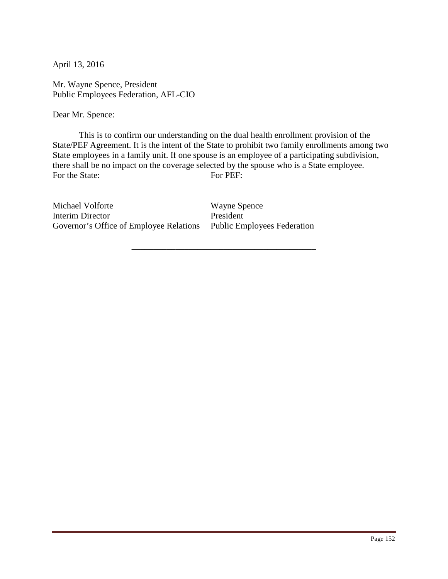Mr. Wayne Spence, President Public Employees Federation, AFL-CIO

Dear Mr. Spence:

 This is to confirm our understanding on the dual health enrollment provision of the State/PEF Agreement. It is the intent of the State to prohibit two family enrollments among two State employees in a family unit. If one spouse is an employee of a participating subdivision, there shall be no impact on the coverage selected by the spouse who is a State employee. For the State: For PEF:

\_\_\_\_\_\_\_\_\_\_\_\_\_\_\_\_\_\_\_\_\_\_\_\_\_\_\_\_\_\_\_\_\_\_\_\_\_\_\_\_\_\_

Michael Volforte Interim Director Governor's Office of Employee Relations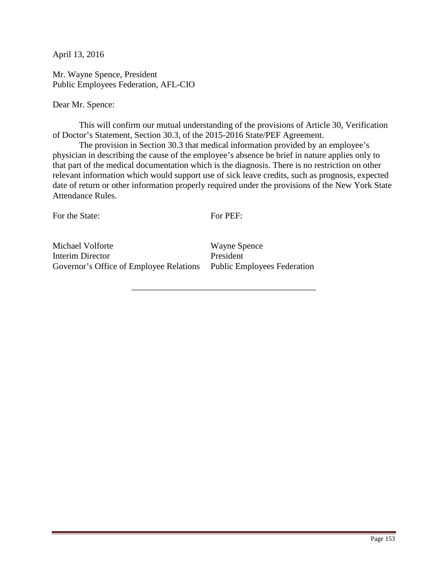Mr. Wayne Spence, President Public Employees Federation, AFL-CIO

Dear Mr. Spence:

 This will confirm our mutual understanding of the provisions of Article 30, Verification of Doctor's Statement, Section 30.3, of the 2015-2016 State/PEF Agreement.

 The provision in Section 30.3 that medical information provided by an employee's physician in describing the cause of the employee's absence be brief in nature applies only to that part of the medical documentation which is the diagnosis. There is no restriction on other relevant information which would support use of sick leave credits, such as prognosis, expected date of return or other information properly required under the provisions of the New York State Attendance Rules.

For the State:

For PEF:

\_\_\_\_\_\_\_\_\_\_\_\_\_\_\_\_\_\_\_\_\_\_\_\_\_\_\_\_\_\_\_\_\_\_\_\_\_\_\_\_\_\_

Michael Volforte Interim Director Governor's Office of Employee Relations Public Employees Federation

Wayne Spence President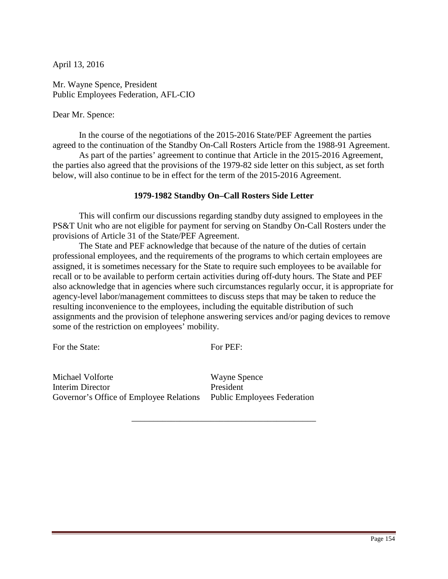Mr. Wayne Spence, President Public Employees Federation, AFL-CIO

Dear Mr. Spence:

 In the course of the negotiations of the 2015-2016 State/PEF Agreement the parties agreed to the continuation of the Standby On-Call Rosters Article from the 1988-91 Agreement.

As part of the parties' agreement to continue that Article in the 2015-2016 Agreement, the parties also agreed that the provisions of the 1979-82 side letter on this subject, as set forth below, will also continue to be in effect for the term of the 2015-2016 Agreement.

#### **1979-1982 Standby On–Call Rosters Side Letter**

 This will confirm our discussions regarding standby duty assigned to employees in the PS&T Unit who are not eligible for payment for serving on Standby On-Call Rosters under the provisions of Article 31 of the State/PEF Agreement.

The State and PEF acknowledge that because of the nature of the duties of certain professional employees, and the requirements of the programs to which certain employees are assigned, it is sometimes necessary for the State to require such employees to be available for recall or to be available to perform certain activities during off-duty hours. The State and PEF also acknowledge that in agencies where such circumstances regularly occur, it is appropriate for agency-level labor/management committees to discuss steps that may be taken to reduce the resulting inconvenience to the employees, including the equitable distribution of such assignments and the provision of telephone answering services and/or paging devices to remove some of the restriction on employees' mobility.

For the State:

For PEF:

\_\_\_\_\_\_\_\_\_\_\_\_\_\_\_\_\_\_\_\_\_\_\_\_\_\_\_\_\_\_\_\_\_\_\_\_\_\_\_\_\_\_

Michael Volforte Interim Director Governor's Office of Employee Relations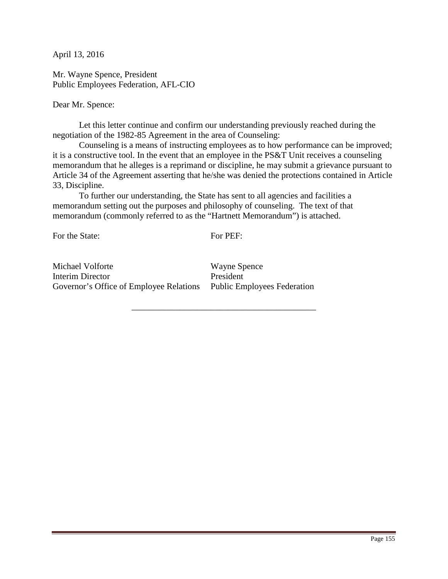Mr. Wayne Spence, President Public Employees Federation, AFL-CIO

Dear Mr. Spence:

 Let this letter continue and confirm our understanding previously reached during the negotiation of the 1982-85 Agreement in the area of Counseling:

 Counseling is a means of instructing employees as to how performance can be improved; it is a constructive tool. In the event that an employee in the PS&T Unit receives a counseling memorandum that he alleges is a reprimand or discipline, he may submit a grievance pursuant to Article 34 of the Agreement asserting that he/she was denied the protections contained in Article 33, Discipline.

 To further our understanding, the State has sent to all agencies and facilities a memorandum setting out the purposes and philosophy of counseling. The text of that memorandum (commonly referred to as the "Hartnett Memorandum") is attached.

For the State:

For PEF:

\_\_\_\_\_\_\_\_\_\_\_\_\_\_\_\_\_\_\_\_\_\_\_\_\_\_\_\_\_\_\_\_\_\_\_\_\_\_\_\_\_\_

Michael Volforte Interim Director Governor's Office of Employee Relations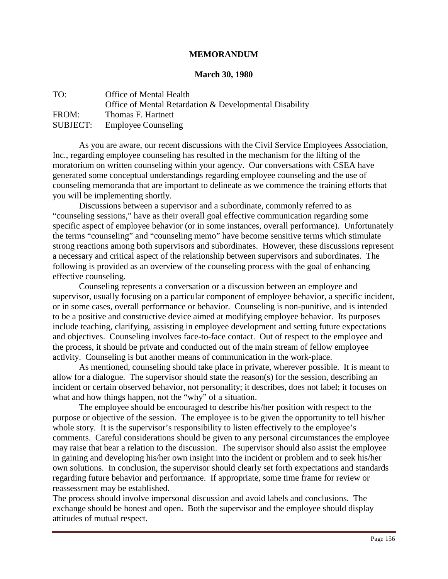#### **MEMORANDUM**

#### **March 30, 1980**

| TO:             | Office of Mental Health                                 |
|-----------------|---------------------------------------------------------|
|                 | Office of Mental Retardation & Developmental Disability |
| FROM:           | Thomas F. Hartnett                                      |
| <b>SUBJECT:</b> | <b>Employee Counseling</b>                              |

As you are aware, our recent discussions with the Civil Service Employees Association, Inc., regarding employee counseling has resulted in the mechanism for the lifting of the moratorium on written counseling within your agency. Our conversations with CSEA have generated some conceptual understandings regarding employee counseling and the use of counseling memoranda that are important to delineate as we commence the training efforts that you will be implementing shortly.

 Discussions between a supervisor and a subordinate, commonly referred to as "counseling sessions," have as their overall goal effective communication regarding some specific aspect of employee behavior (or in some instances, overall performance). Unfortunately the terms "counseling" and "counseling memo" have become sensitive terms which stimulate strong reactions among both supervisors and subordinates. However, these discussions represent a necessary and critical aspect of the relationship between supervisors and subordinates. The following is provided as an overview of the counseling process with the goal of enhancing effective counseling.

 Counseling represents a conversation or a discussion between an employee and supervisor, usually focusing on a particular component of employee behavior, a specific incident, or in some cases, overall performance or behavior. Counseling is non-punitive, and is intended to be a positive and constructive device aimed at modifying employee behavior. Its purposes include teaching, clarifying, assisting in employee development and setting future expectations and objectives. Counseling involves face-to-face contact. Out of respect to the employee and the process, it should be private and conducted out of the main stream of fellow employee activity. Counseling is but another means of communication in the work-place.

 As mentioned, counseling should take place in private, wherever possible. It is meant to allow for a dialogue. The supervisor should state the reason(s) for the session, describing an incident or certain observed behavior, not personality; it describes, does not label; it focuses on what and how things happen, not the "why" of a situation.

 The employee should be encouraged to describe his/her position with respect to the purpose or objective of the session. The employee is to be given the opportunity to tell his/her whole story. It is the supervisor's responsibility to listen effectively to the employee's comments. Careful considerations should be given to any personal circumstances the employee may raise that bear a relation to the discussion. The supervisor should also assist the employee in gaining and developing his/her own insight into the incident or problem and to seek his/her own solutions. In conclusion, the supervisor should clearly set forth expectations and standards regarding future behavior and performance. If appropriate, some time frame for review or reassessment may be established.

The process should involve impersonal discussion and avoid labels and conclusions. The exchange should be honest and open. Both the supervisor and the employee should display attitudes of mutual respect.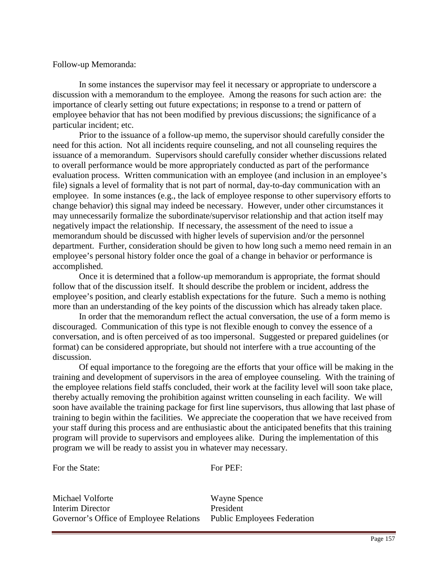Follow-up Memoranda:

In some instances the supervisor may feel it necessary or appropriate to underscore a discussion with a memorandum to the employee. Among the reasons for such action are: the importance of clearly setting out future expectations; in response to a trend or pattern of employee behavior that has not been modified by previous discussions; the significance of a particular incident; etc.

 Prior to the issuance of a follow-up memo, the supervisor should carefully consider the need for this action. Not all incidents require counseling, and not all counseling requires the issuance of a memorandum. Supervisors should carefully consider whether discussions related to overall performance would be more appropriately conducted as part of the performance evaluation process. Written communication with an employee (and inclusion in an employee's file) signals a level of formality that is not part of normal, day-to-day communication with an employee. In some instances (e.g., the lack of employee response to other supervisory efforts to change behavior) this signal may indeed be necessary. However, under other circumstances it may unnecessarily formalize the subordinate/supervisor relationship and that action itself may negatively impact the relationship. If necessary, the assessment of the need to issue a memorandum should be discussed with higher levels of supervision and/or the personnel department. Further, consideration should be given to how long such a memo need remain in an employee's personal history folder once the goal of a change in behavior or performance is accomplished.

Once it is determined that a follow-up memorandum is appropriate, the format should follow that of the discussion itself. It should describe the problem or incident, address the employee's position, and clearly establish expectations for the future. Such a memo is nothing more than an understanding of the key points of the discussion which has already taken place.

 In order that the memorandum reflect the actual conversation, the use of a form memo is discouraged. Communication of this type is not flexible enough to convey the essence of a conversation, and is often perceived of as too impersonal. Suggested or prepared guidelines (or format) can be considered appropriate, but should not interfere with a true accounting of the discussion.

 Of equal importance to the foregoing are the efforts that your office will be making in the training and development of supervisors in the area of employee counseling. With the training of the employee relations field staffs concluded, their work at the facility level will soon take place, thereby actually removing the prohibition against written counseling in each facility. We will soon have available the training package for first line supervisors, thus allowing that last phase of training to begin within the facilities. We appreciate the cooperation that we have received from your staff during this process and are enthusiastic about the anticipated benefits that this training program will provide to supervisors and employees alike. During the implementation of this program we will be ready to assist you in whatever may necessary.

For the State:

For PEF:

Michael Volforte Interim Director Governor's Office of Employee Relations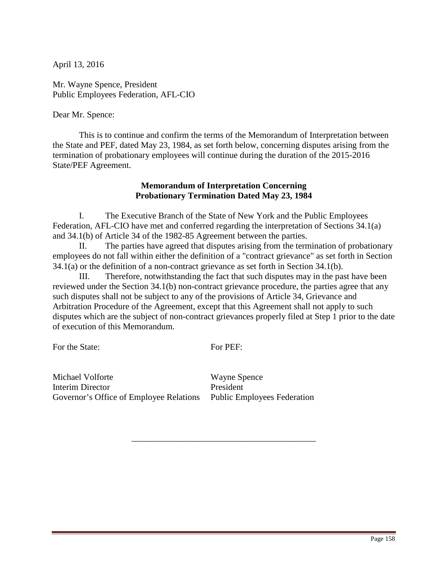Mr. Wayne Spence, President Public Employees Federation, AFL-CIO

Dear Mr. Spence:

 This is to continue and confirm the terms of the Memorandum of Interpretation between the State and PEF, dated May 23, 1984, as set forth below, concerning disputes arising from the termination of probationary employees will continue during the duration of the 2015-2016 State/PEF Agreement.

### **Memorandum of Interpretation Concerning Probationary Termination Dated May 23, 1984**

I. The Executive Branch of the State of New York and the Public Employees Federation, AFL-CIO have met and conferred regarding the interpretation of Sections 34.1(a) and 34.1(b) of Article 34 of the 1982-85 Agreement between the parties.

II. The parties have agreed that disputes arising from the termination of probationary employees do not fall within either the definition of a "contract grievance" as set forth in Section 34.1(a) or the definition of a non-contract grievance as set forth in Section 34.1(b).

III. Therefore, notwithstanding the fact that such disputes may in the past have been reviewed under the Section 34.1(b) non-contract grievance procedure, the parties agree that any such disputes shall not be subject to any of the provisions of Article 34, Grievance and Arbitration Procedure of the Agreement, except that this Agreement shall not apply to such disputes which are the subject of non-contract grievances properly filed at Step 1 prior to the date of execution of this Memorandum.

For the State:

For PEF:

\_\_\_\_\_\_\_\_\_\_\_\_\_\_\_\_\_\_\_\_\_\_\_\_\_\_\_\_\_\_\_\_\_\_\_\_\_\_\_\_\_\_

Michael Volforte Interim Director Governor's Office of Employee Relations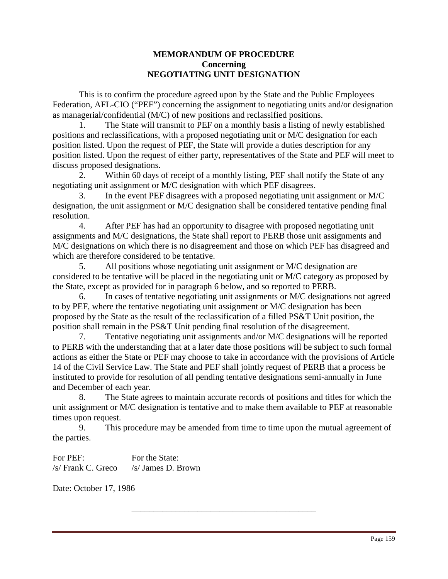## **MEMORANDUM OF PROCEDURE Concerning NEGOTIATING UNIT DESIGNATION**

 This is to confirm the procedure agreed upon by the State and the Public Employees Federation, AFL-CIO ("PEF") concerning the assignment to negotiating units and/or designation as managerial/confidential (M/C) of new positions and reclassified positions.

 1. The State will transmit to PEF on a monthly basis a listing of newly established positions and reclassifications, with a proposed negotiating unit or M/C designation for each position listed. Upon the request of PEF, the State will provide a duties description for any position listed. Upon the request of either party, representatives of the State and PEF will meet to discuss proposed designations.

 2. Within 60 days of receipt of a monthly listing, PEF shall notify the State of any negotiating unit assignment or M/C designation with which PEF disagrees.

In the event PEF disagrees with a proposed negotiating unit assignment or M/C designation, the unit assignment or M/C designation shall be considered tentative pending final resolution.

 4. After PEF has had an opportunity to disagree with proposed negotiating unit assignments and M/C designations, the State shall report to PERB those unit assignments and M/C designations on which there is no disagreement and those on which PEF has disagreed and which are therefore considered to be tentative.

 5. All positions whose negotiating unit assignment or M/C designation are considered to be tentative will be placed in the negotiating unit or M/C category as proposed by the State, except as provided for in paragraph 6 below, and so reported to PERB.

 6. In cases of tentative negotiating unit assignments or M/C designations not agreed to by PEF, where the tentative negotiating unit assignment or M/C designation has been proposed by the State as the result of the reclassification of a filled PS&T Unit position, the position shall remain in the PS&T Unit pending final resolution of the disagreement.

 7. Tentative negotiating unit assignments and/or M/C designations will be reported to PERB with the understanding that at a later date those positions will be subject to such formal actions as either the State or PEF may choose to take in accordance with the provisions of Article 14 of the Civil Service Law. The State and PEF shall jointly request of PERB that a process be instituted to provide for resolution of all pending tentative designations semi-annually in June and December of each year.

 8. The State agrees to maintain accurate records of positions and titles for which the unit assignment or M/C designation is tentative and to make them available to PEF at reasonable times upon request.

 9. This procedure may be amended from time to time upon the mutual agreement of the parties.

\_\_\_\_\_\_\_\_\_\_\_\_\_\_\_\_\_\_\_\_\_\_\_\_\_\_\_\_\_\_\_\_\_\_\_\_\_\_\_\_\_\_

For PEF: /s/ Frank C. Greco For the State: /s/ James D. Brown

Date: October 17, 1986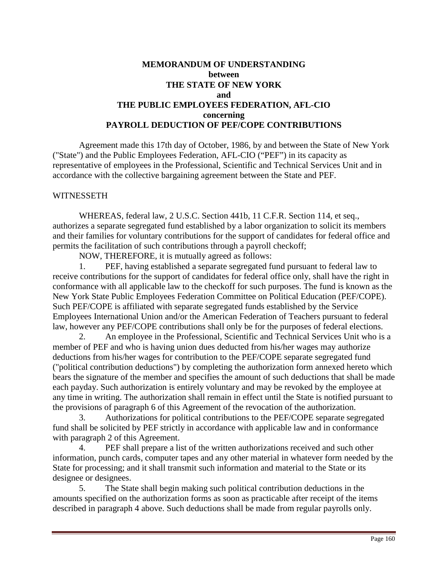## **MEMORANDUM OF UNDERSTANDING between THE STATE OF NEW YORK and THE PUBLIC EMPLOYEES FEDERATION, AFL-CIO concerning PAYROLL DEDUCTION OF PEF/COPE CONTRIBUTIONS**

 Agreement made this 17th day of October, 1986, by and between the State of New York ("State") and the Public Employees Federation, AFL-CIO ("PEF") in its capacity as representative of employees in the Professional, Scientific and Technical Services Unit and in accordance with the collective bargaining agreement between the State and PEF.

### **WITNESSETH**

WHEREAS, federal law, 2 U.S.C. Section 441b, 11 C.F.R. Section 114, et seq., authorizes a separate segregated fund established by a labor organization to solicit its members and their families for voluntary contributions for the support of candidates for federal office and permits the facilitation of such contributions through a payroll checkoff;

NOW, THEREFORE, it is mutually agreed as follows:

 1. PEF, having established a separate segregated fund pursuant to federal law to receive contributions for the support of candidates for federal office only, shall have the right in conformance with all applicable law to the checkoff for such purposes. The fund is known as the New York State Public Employees Federation Committee on Political Education (PEF/COPE). Such PEF/COPE is affiliated with separate segregated funds established by the Service Employees International Union and/or the American Federation of Teachers pursuant to federal law, however any PEF/COPE contributions shall only be for the purposes of federal elections.

 2. An employee in the Professional, Scientific and Technical Services Unit who is a member of PEF and who is having union dues deducted from his/her wages may authorize deductions from his/her wages for contribution to the PEF/COPE separate segregated fund ("political contribution deductions") by completing the authorization form annexed hereto which bears the signature of the member and specifies the amount of such deductions that shall be made each payday. Such authorization is entirely voluntary and may be revoked by the employee at any time in writing. The authorization shall remain in effect until the State is notified pursuant to the provisions of paragraph 6 of this Agreement of the revocation of the authorization.

 3. Authorizations for political contributions to the PEF/COPE separate segregated fund shall be solicited by PEF strictly in accordance with applicable law and in conformance with paragraph 2 of this Agreement.

 4. PEF shall prepare a list of the written authorizations received and such other information, punch cards, computer tapes and any other material in whatever form needed by the State for processing; and it shall transmit such information and material to the State or its designee or designees.

 5. The State shall begin making such political contribution deductions in the amounts specified on the authorization forms as soon as practicable after receipt of the items described in paragraph 4 above. Such deductions shall be made from regular payrolls only.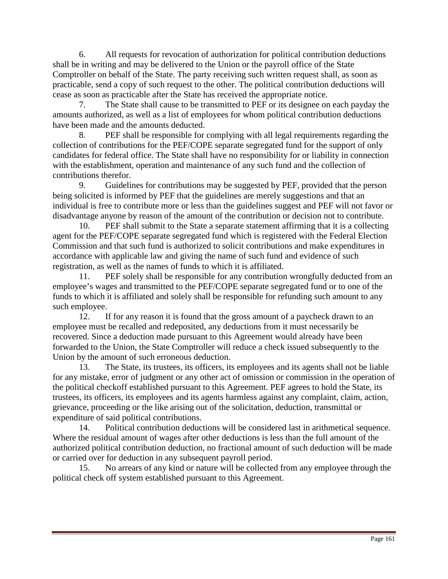6. All requests for revocation of authorization for political contribution deductions shall be in writing and may be delivered to the Union or the payroll office of the State Comptroller on behalf of the State. The party receiving such written request shall, as soon as practicable, send a copy of such request to the other. The political contribution deductions will cease as soon as practicable after the State has received the appropriate notice.

 7. The State shall cause to be transmitted to PEF or its designee on each payday the amounts authorized, as well as a list of employees for whom political contribution deductions have been made and the amounts deducted.

 8. PEF shall be responsible for complying with all legal requirements regarding the collection of contributions for the PEF/COPE separate segregated fund for the support of only candidates for federal office. The State shall have no responsibility for or liability in connection with the establishment, operation and maintenance of any such fund and the collection of contributions therefor.

 9. Guidelines for contributions may be suggested by PEF, provided that the person being solicited is informed by PEF that the guidelines are merely suggestions and that an individual is free to contribute more or less than the guidelines suggest and PEF will not favor or disadvantage anyone by reason of the amount of the contribution or decision not to contribute.

 10. PEF shall submit to the State a separate statement affirming that it is a collecting agent for the PEF/COPE separate segregated fund which is registered with the Federal Election Commission and that such fund is authorized to solicit contributions and make expenditures in accordance with applicable law and giving the name of such fund and evidence of such registration, as well as the names of funds to which it is affiliated.

 11. PEF solely shall be responsible for any contribution wrongfully deducted from an employee's wages and transmitted to the PEF/COPE separate segregated fund or to one of the funds to which it is affiliated and solely shall be responsible for refunding such amount to any such employee.

 12. If for any reason it is found that the gross amount of a paycheck drawn to an employee must be recalled and redeposited, any deductions from it must necessarily be recovered. Since a deduction made pursuant to this Agreement would already have been forwarded to the Union, the State Comptroller will reduce a check issued subsequently to the Union by the amount of such erroneous deduction.

 13. The State, its trustees, its officers, its employees and its agents shall not be liable for any mistake, error of judgment or any other act of omission or commission in the operation of the political checkoff established pursuant to this Agreement. PEF agrees to hold the State, its trustees, its officers, its employees and its agents harmless against any complaint, claim, action, grievance, proceeding or the like arising out of the solicitation, deduction, transmittal or expenditure of said political contributions.

 14. Political contribution deductions will be considered last in arithmetical sequence. Where the residual amount of wages after other deductions is less than the full amount of the authorized political contribution deduction, no fractional amount of such deduction will be made or carried over for deduction in any subsequent payroll period.

 15. No arrears of any kind or nature will be collected from any employee through the political check off system established pursuant to this Agreement.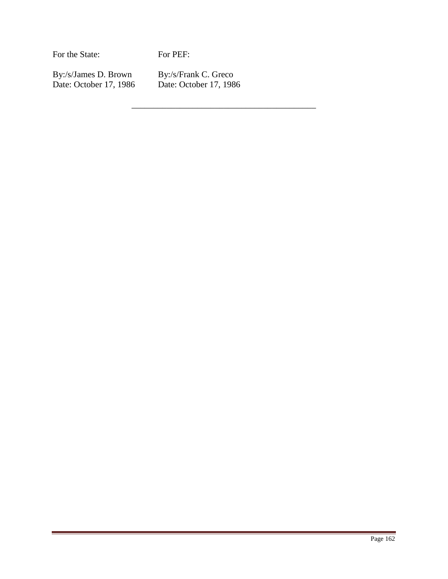For the State:

For PEF:

By:/s/James D. Brown Date: October 17, 1986 By:/s/Frank C. Greco Date: October 17, 1986

\_\_\_\_\_\_\_\_\_\_\_\_\_\_\_\_\_\_\_\_\_\_\_\_\_\_\_\_\_\_\_\_\_\_\_\_\_\_\_\_\_\_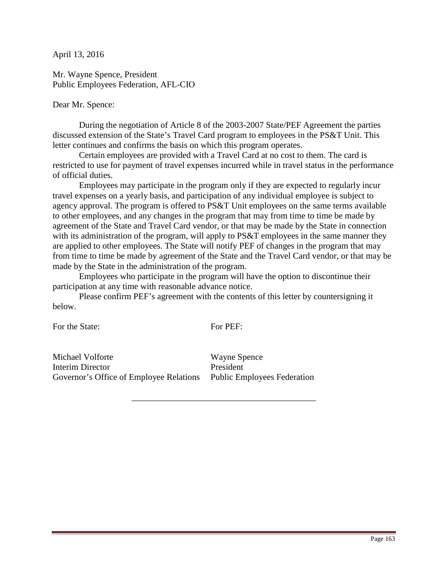Mr. Wayne Spence, President Public Employees Federation, AFL-CIO

Dear Mr. Spence:

 During the negotiation of Article 8 of the 2003-2007 State/PEF Agreement the parties discussed extension of the State's Travel Card program to employees in the PS&T Unit. This letter continues and confirms the basis on which this program operates.

Certain employees are provided with a Travel Card at no cost to them. The card is restricted to use for payment of travel expenses incurred while in travel status in the performance of official duties.

Employees may participate in the program only if they are expected to regularly incur travel expenses on a yearly basis, and participation of any individual employee is subject to agency approval. The program is offered to PS&T Unit employees on the same terms available to other employees, and any changes in the program that may from time to time be made by agreement of the State and Travel Card vendor, or that may be made by the State in connection with its administration of the program, will apply to PS&T employees in the same manner they are applied to other employees. The State will notify PEF of changes in the program that may from time to time be made by agreement of the State and the Travel Card vendor, or that may be made by the State in the administration of the program.

 Employees who participate in the program will have the option to discontinue their participation at any time with reasonable advance notice.

Please confirm PEF's agreement with the contents of this letter by countersigning it below.

For the State:

For PEF:

\_\_\_\_\_\_\_\_\_\_\_\_\_\_\_\_\_\_\_\_\_\_\_\_\_\_\_\_\_\_\_\_\_\_\_\_\_\_\_\_\_\_

Michael Volforte Interim Director Governor's Office of Employee Relations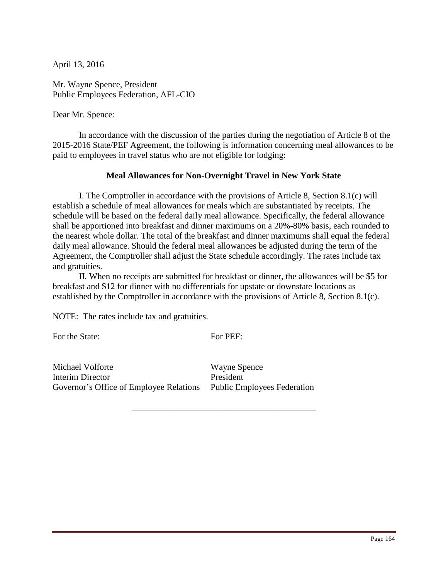Mr. Wayne Spence, President Public Employees Federation, AFL-CIO

Dear Mr. Spence:

In accordance with the discussion of the parties during the negotiation of Article 8 of the 2015-2016 State/PEF Agreement, the following is information concerning meal allowances to be paid to employees in travel status who are not eligible for lodging:

### **Meal Allowances for Non-Overnight Travel in New York State**

 I. The Comptroller in accordance with the provisions of Article 8, Section 8.1(c) will establish a schedule of meal allowances for meals which are substantiated by receipts. The schedule will be based on the federal daily meal allowance. Specifically, the federal allowance shall be apportioned into breakfast and dinner maximums on a 20%-80% basis, each rounded to the nearest whole dollar. The total of the breakfast and dinner maximums shall equal the federal daily meal allowance. Should the federal meal allowances be adjusted during the term of the Agreement, the Comptroller shall adjust the State schedule accordingly. The rates include tax and gratuities.

 II. When no receipts are submitted for breakfast or dinner, the allowances will be \$5 for breakfast and \$12 for dinner with no differentials for upstate or downstate locations as established by the Comptroller in accordance with the provisions of Article 8, Section 8.1(c).

NOTE: The rates include tax and gratuities.

For the State:

For PEF:

\_\_\_\_\_\_\_\_\_\_\_\_\_\_\_\_\_\_\_\_\_\_\_\_\_\_\_\_\_\_\_\_\_\_\_\_\_\_\_\_\_\_

Michael Volforte Interim Director Governor's Office of Employee Relations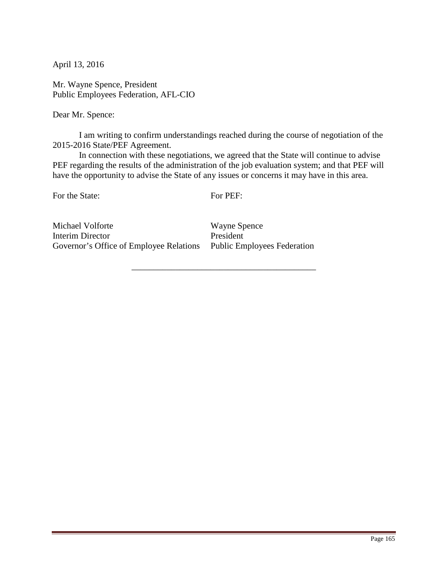Mr. Wayne Spence, President Public Employees Federation, AFL-CIO

Dear Mr. Spence:

 I am writing to confirm understandings reached during the course of negotiation of the 2015-2016 State/PEF Agreement.

 In connection with these negotiations, we agreed that the State will continue to advise PEF regarding the results of the administration of the job evaluation system; and that PEF will have the opportunity to advise the State of any issues or concerns it may have in this area.

For the State:

For PEF:

\_\_\_\_\_\_\_\_\_\_\_\_\_\_\_\_\_\_\_\_\_\_\_\_\_\_\_\_\_\_\_\_\_\_\_\_\_\_\_\_\_\_

Michael Volforte Interim Director Governor's Office of Employee Relations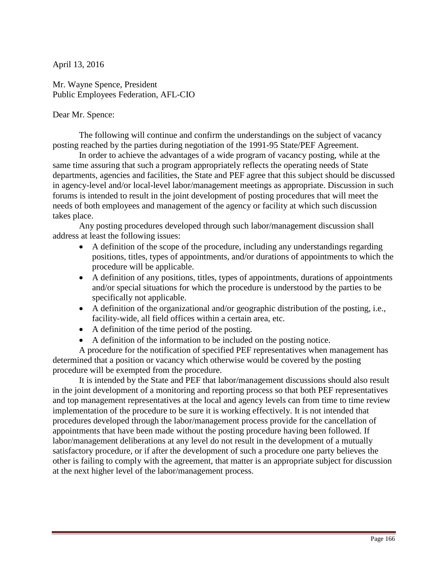Mr. Wayne Spence, President Public Employees Federation, AFL-CIO

Dear Mr. Spence:

 The following will continue and confirm the understandings on the subject of vacancy posting reached by the parties during negotiation of the 1991-95 State/PEF Agreement.

 In order to achieve the advantages of a wide program of vacancy posting, while at the same time assuring that such a program appropriately reflects the operating needs of State departments, agencies and facilities, the State and PEF agree that this subject should be discussed in agency-level and/or local-level labor/management meetings as appropriate. Discussion in such forums is intended to result in the joint development of posting procedures that will meet the needs of both employees and management of the agency or facility at which such discussion takes place.

Any posting procedures developed through such labor/management discussion shall address at least the following issues:

- A definition of the scope of the procedure, including any understandings regarding positions, titles, types of appointments, and/or durations of appointments to which the procedure will be applicable.
- A definition of any positions, titles, types of appointments, durations of appointments and/or special situations for which the procedure is understood by the parties to be specifically not applicable.
- A definition of the organizational and/or geographic distribution of the posting, i.e., facility-wide, all field offices within a certain area, etc.
- A definition of the time period of the posting.
- A definition of the information to be included on the posting notice.

A procedure for the notification of specified PEF representatives when management has determined that a position or vacancy which otherwise would be covered by the posting procedure will be exempted from the procedure.

It is intended by the State and PEF that labor/management discussions should also result in the joint development of a monitoring and reporting process so that both PEF representatives and top management representatives at the local and agency levels can from time to time review implementation of the procedure to be sure it is working effectively. It is not intended that procedures developed through the labor/management process provide for the cancellation of appointments that have been made without the posting procedure having been followed. If labor/management deliberations at any level do not result in the development of a mutually satisfactory procedure, or if after the development of such a procedure one party believes the other is failing to comply with the agreement, that matter is an appropriate subject for discussion at the next higher level of the labor/management process.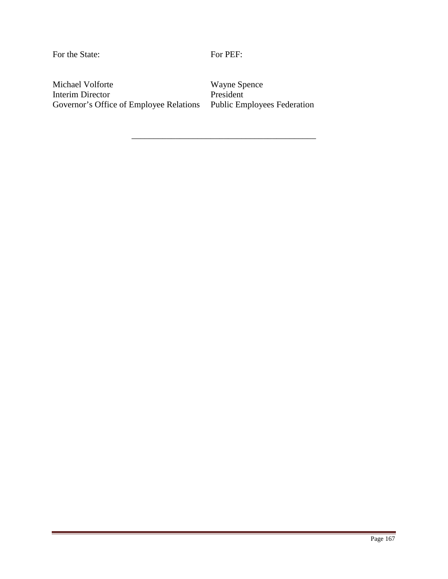For the State:

For PEF:

\_\_\_\_\_\_\_\_\_\_\_\_\_\_\_\_\_\_\_\_\_\_\_\_\_\_\_\_\_\_\_\_\_\_\_\_\_\_\_\_\_\_

Michael Volforte Interim Director Governor's Office of Employee Relations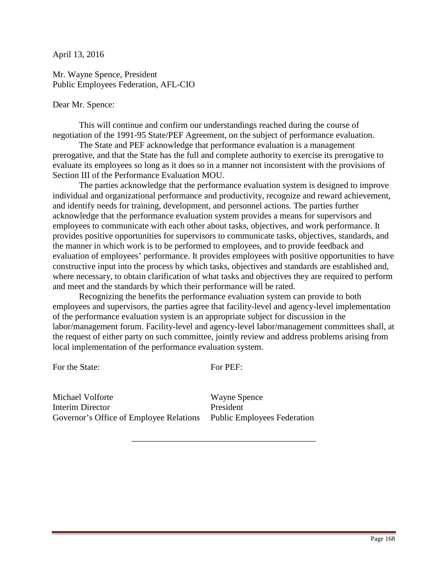Mr. Wayne Spence, President Public Employees Federation, AFL-CIO

Dear Mr. Spence:

 This will continue and confirm our understandings reached during the course of negotiation of the 1991-95 State/PEF Agreement, on the subject of performance evaluation.

The State and PEF acknowledge that performance evaluation is a management prerogative, and that the State has the full and complete authority to exercise its prerogative to evaluate its employees so long as it does so in a manner not inconsistent with the provisions of Section III of the Performance Evaluation MOU.

 The parties acknowledge that the performance evaluation system is designed to improve individual and organizational performance and productivity, recognize and reward achievement, and identify needs for training, development, and personnel actions. The parties further acknowledge that the performance evaluation system provides a means for supervisors and employees to communicate with each other about tasks, objectives, and work performance. It provides positive opportunities for supervisors to communicate tasks, objectives, standards, and the manner in which work is to be performed to employees, and to provide feedback and evaluation of employees' performance. It provides employees with positive opportunities to have constructive input into the process by which tasks, objectives and standards are established and, where necessary, to obtain clarification of what tasks and objectives they are required to perform and meet and the standards by which their performance will be rated.

 Recognizing the benefits the performance evaluation system can provide to both employees and supervisors, the parties agree that facility-level and agency-level implementation of the performance evaluation system is an appropriate subject for discussion in the labor/management forum. Facility-level and agency-level labor/management committees shall, at the request of either party on such committee, jointly review and address problems arising from local implementation of the performance evaluation system.

For the State:

For PEF:

\_\_\_\_\_\_\_\_\_\_\_\_\_\_\_\_\_\_\_\_\_\_\_\_\_\_\_\_\_\_\_\_\_\_\_\_\_\_\_\_\_\_

Michael Volforte Interim Director Governor's Office of Employee Relations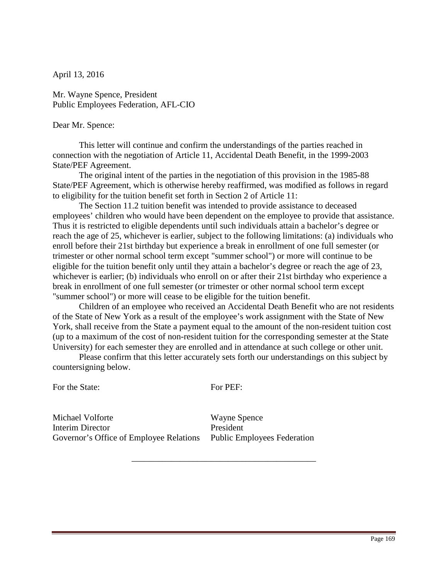Mr. Wayne Spence, President Public Employees Federation, AFL-CIO

### Dear Mr. Spence:

This letter will continue and confirm the understandings of the parties reached in connection with the negotiation of Article 11, Accidental Death Benefit, in the 1999-2003 State/PEF Agreement.

 The original intent of the parties in the negotiation of this provision in the 1985-88 State/PEF Agreement, which is otherwise hereby reaffirmed, was modified as follows in regard to eligibility for the tuition benefit set forth in Section 2 of Article 11:

 The Section 11.2 tuition benefit was intended to provide assistance to deceased employees' children who would have been dependent on the employee to provide that assistance. Thus it is restricted to eligible dependents until such individuals attain a bachelor's degree or reach the age of 25, whichever is earlier, subject to the following limitations: (a) individuals who enroll before their 21st birthday but experience a break in enrollment of one full semester (or trimester or other normal school term except "summer school") or more will continue to be eligible for the tuition benefit only until they attain a bachelor's degree or reach the age of 23, whichever is earlier; (b) individuals who enroll on or after their 21st birthday who experience a break in enrollment of one full semester (or trimester or other normal school term except "summer school") or more will cease to be eligible for the tuition benefit.

Children of an employee who received an Accidental Death Benefit who are not residents of the State of New York as a result of the employee's work assignment with the State of New York, shall receive from the State a payment equal to the amount of the non-resident tuition cost (up to a maximum of the cost of non-resident tuition for the corresponding semester at the State University) for each semester they are enrolled and in attendance at such college or other unit.

Please confirm that this letter accurately sets forth our understandings on this subject by countersigning below.

For the State:

For PEF:

\_\_\_\_\_\_\_\_\_\_\_\_\_\_\_\_\_\_\_\_\_\_\_\_\_\_\_\_\_\_\_\_\_\_\_\_\_\_\_\_\_\_

Michael Volforte Interim Director Governor's Office of Employee Relations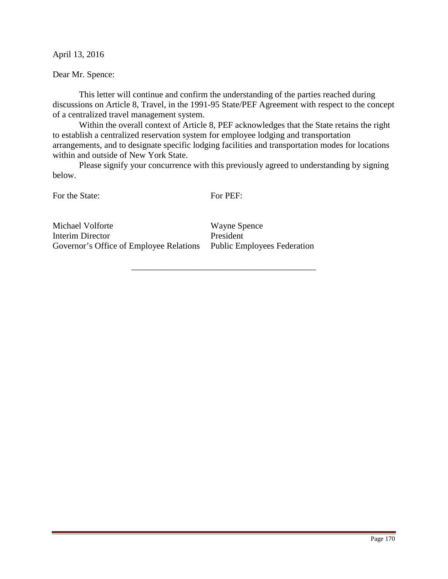Dear Mr. Spence:

 This letter will continue and confirm the understanding of the parties reached during discussions on Article 8, Travel, in the 1991-95 State/PEF Agreement with respect to the concept of a centralized travel management system.

Within the overall context of Article 8, PEF acknowledges that the State retains the right to establish a centralized reservation system for employee lodging and transportation arrangements, and to designate specific lodging facilities and transportation modes for locations within and outside of New York State.

 Please signify your concurrence with this previously agreed to understanding by signing below.

For the State:

For PEF:

\_\_\_\_\_\_\_\_\_\_\_\_\_\_\_\_\_\_\_\_\_\_\_\_\_\_\_\_\_\_\_\_\_\_\_\_\_\_\_\_\_\_

Michael Volforte Interim Director Governor's Office of Employee Relations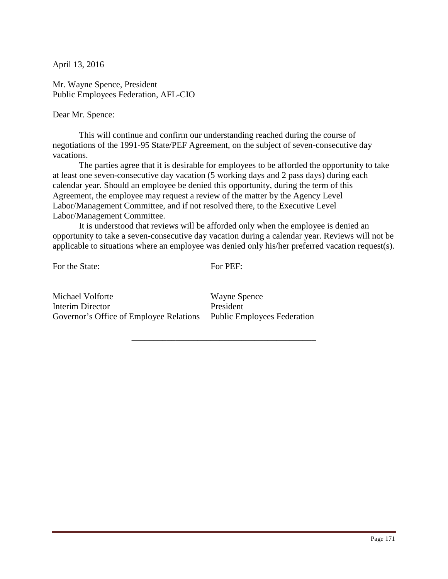Mr. Wayne Spence, President Public Employees Federation, AFL-CIO

Dear Mr. Spence:

 This will continue and confirm our understanding reached during the course of negotiations of the 1991-95 State/PEF Agreement, on the subject of seven-consecutive day vacations.

The parties agree that it is desirable for employees to be afforded the opportunity to take at least one seven-consecutive day vacation (5 working days and 2 pass days) during each calendar year. Should an employee be denied this opportunity, during the term of this Agreement, the employee may request a review of the matter by the Agency Level Labor/Management Committee, and if not resolved there, to the Executive Level Labor/Management Committee.

 It is understood that reviews will be afforded only when the employee is denied an opportunity to take a seven-consecutive day vacation during a calendar year. Reviews will not be applicable to situations where an employee was denied only his/her preferred vacation request(s).

For the State:

For PEF:

\_\_\_\_\_\_\_\_\_\_\_\_\_\_\_\_\_\_\_\_\_\_\_\_\_\_\_\_\_\_\_\_\_\_\_\_\_\_\_\_\_\_

Michael Volforte Interim Director Governor's Office of Employee Relations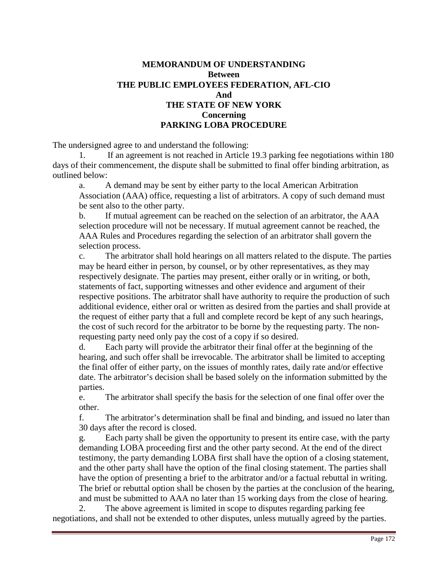# **MEMORANDUM OF UNDERSTANDING Between THE PUBLIC EMPLOYEES FEDERATION, AFL-CIO And THE STATE OF NEW YORK Concerning PARKING LOBA PROCEDURE**

The undersigned agree to and understand the following:

 1. If an agreement is not reached in Article 19.3 parking fee negotiations within 180 days of their commencement, the dispute shall be submitted to final offer binding arbitration, as outlined below:

a. A demand may be sent by either party to the local American Arbitration Association (AAA) office, requesting a list of arbitrators. A copy of such demand must be sent also to the other party.

b. If mutual agreement can be reached on the selection of an arbitrator, the AAA selection procedure will not be necessary. If mutual agreement cannot be reached, the AAA Rules and Procedures regarding the selection of an arbitrator shall govern the selection process.

c. The arbitrator shall hold hearings on all matters related to the dispute. The parties may be heard either in person, by counsel, or by other representatives, as they may respectively designate. The parties may present, either orally or in writing, or both, statements of fact, supporting witnesses and other evidence and argument of their respective positions. The arbitrator shall have authority to require the production of such additional evidence, either oral or written as desired from the parties and shall provide at the request of either party that a full and complete record be kept of any such hearings, the cost of such record for the arbitrator to be borne by the requesting party. The nonrequesting party need only pay the cost of a copy if so desired.

d. Each party will provide the arbitrator their final offer at the beginning of the hearing, and such offer shall be irrevocable. The arbitrator shall be limited to accepting the final offer of either party, on the issues of monthly rates, daily rate and/or effective date. The arbitrator's decision shall be based solely on the information submitted by the parties.

e. The arbitrator shall specify the basis for the selection of one final offer over the other.

f. The arbitrator's determination shall be final and binding, and issued no later than 30 days after the record is closed.

g. Each party shall be given the opportunity to present its entire case, with the party demanding LOBA proceeding first and the other party second. At the end of the direct testimony, the party demanding LOBA first shall have the option of a closing statement, and the other party shall have the option of the final closing statement. The parties shall have the option of presenting a brief to the arbitrator and/or a factual rebuttal in writing. The brief or rebuttal option shall be chosen by the parties at the conclusion of the hearing, and must be submitted to AAA no later than 15 working days from the close of hearing.

 2. The above agreement is limited in scope to disputes regarding parking fee negotiations, and shall not be extended to other disputes, unless mutually agreed by the parties.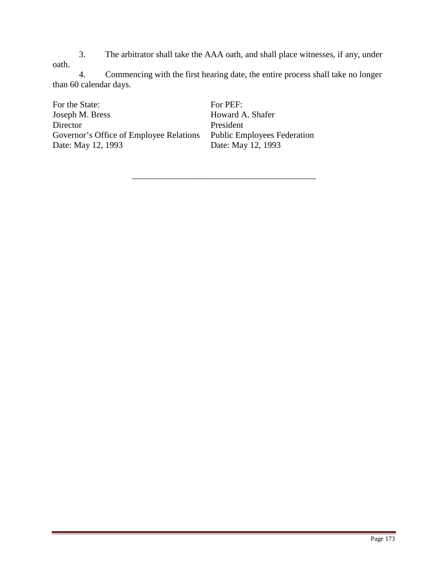3. The arbitrator shall take the AAA oath, and shall place witnesses, if any, under oath.

 4. Commencing with the first hearing date, the entire process shall take no longer than 60 calendar days.

\_\_\_\_\_\_\_\_\_\_\_\_\_\_\_\_\_\_\_\_\_\_\_\_\_\_\_\_\_\_\_\_\_\_\_\_\_\_\_\_\_\_

For the State: Joseph M. Bress Director Governor's Office of Employee Relations Date: May 12, 1993

For PEF: Howard A. Shafer President Public Employees Federation Date: May 12, 1993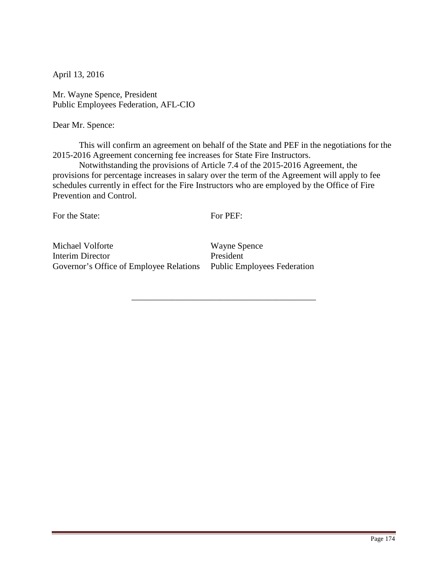Mr. Wayne Spence, President Public Employees Federation, AFL-CIO

Dear Mr. Spence:

 This will confirm an agreement on behalf of the State and PEF in the negotiations for the 2015-2016 Agreement concerning fee increases for State Fire Instructors.

 Notwithstanding the provisions of Article 7.4 of the 2015-2016 Agreement, the provisions for percentage increases in salary over the term of the Agreement will apply to fee schedules currently in effect for the Fire Instructors who are employed by the Office of Fire Prevention and Control.

For the State:

For PEF:

\_\_\_\_\_\_\_\_\_\_\_\_\_\_\_\_\_\_\_\_\_\_\_\_\_\_\_\_\_\_\_\_\_\_\_\_\_\_\_\_\_\_

Michael Volforte Interim Director Governor's Office of Employee Relations Public Employees Federation

Wayne Spence President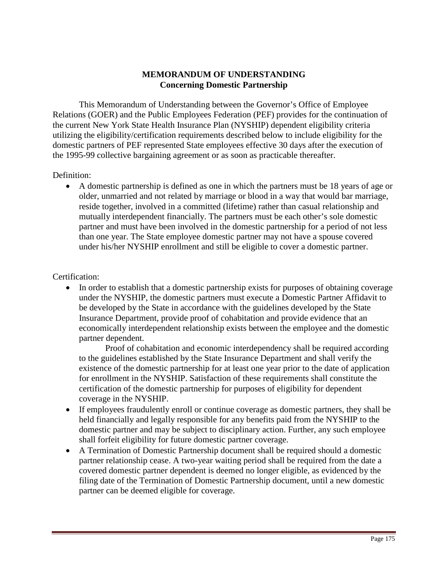# **MEMORANDUM OF UNDERSTANDING Concerning Domestic Partnership**

 This Memorandum of Understanding between the Governor's Office of Employee Relations (GOER) and the Public Employees Federation (PEF) provides for the continuation of the current New York State Health Insurance Plan (NYSHIP) dependent eligibility criteria utilizing the eligibility/certification requirements described below to include eligibility for the domestic partners of PEF represented State employees effective 30 days after the execution of the 1995-99 collective bargaining agreement or as soon as practicable thereafter.

### Definition:

• A domestic partnership is defined as one in which the partners must be 18 years of age or older, unmarried and not related by marriage or blood in a way that would bar marriage, reside together, involved in a committed (lifetime) rather than casual relationship and mutually interdependent financially. The partners must be each other's sole domestic partner and must have been involved in the domestic partnership for a period of not less than one year. The State employee domestic partner may not have a spouse covered under his/her NYSHIP enrollment and still be eligible to cover a domestic partner.

## Certification:

• In order to establish that a domestic partnership exists for purposes of obtaining coverage under the NYSHIP, the domestic partners must execute a Domestic Partner Affidavit to be developed by the State in accordance with the guidelines developed by the State Insurance Department, provide proof of cohabitation and provide evidence that an economically interdependent relationship exists between the employee and the domestic partner dependent.

 Proof of cohabitation and economic interdependency shall be required according to the guidelines established by the State Insurance Department and shall verify the existence of the domestic partnership for at least one year prior to the date of application for enrollment in the NYSHIP. Satisfaction of these requirements shall constitute the certification of the domestic partnership for purposes of eligibility for dependent coverage in the NYSHIP.

- If employees fraudulently enroll or continue coverage as domestic partners, they shall be held financially and legally responsible for any benefits paid from the NYSHIP to the domestic partner and may be subject to disciplinary action. Further, any such employee shall forfeit eligibility for future domestic partner coverage.
- A Termination of Domestic Partnership document shall be required should a domestic partner relationship cease. A two-year waiting period shall be required from the date a covered domestic partner dependent is deemed no longer eligible, as evidenced by the filing date of the Termination of Domestic Partnership document, until a new domestic partner can be deemed eligible for coverage.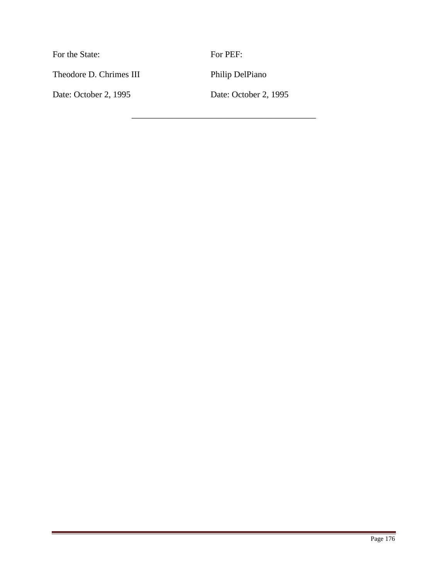| For the State:          | For PEF:              |
|-------------------------|-----------------------|
| Theodore D. Chrimes III | Philip DelPiano       |
| Date: October 2, 1995   | Date: October 2, 1995 |
|                         |                       |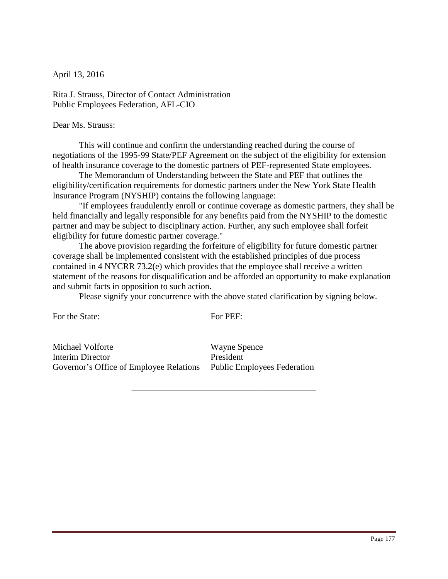Rita J. Strauss, Director of Contact Administration Public Employees Federation, AFL-CIO

Dear Ms. Strauss:

 This will continue and confirm the understanding reached during the course of negotiations of the 1995-99 State/PEF Agreement on the subject of the eligibility for extension of health insurance coverage to the domestic partners of PEF-represented State employees.

 The Memorandum of Understanding between the State and PEF that outlines the eligibility/certification requirements for domestic partners under the New York State Health Insurance Program (NYSHIP) contains the following language:

 "If employees fraudulently enroll or continue coverage as domestic partners, they shall be held financially and legally responsible for any benefits paid from the NYSHIP to the domestic partner and may be subject to disciplinary action. Further, any such employee shall forfeit eligibility for future domestic partner coverage."

 The above provision regarding the forfeiture of eligibility for future domestic partner coverage shall be implemented consistent with the established principles of due process contained in 4 NYCRR 73.2(e) which provides that the employee shall receive a written statement of the reasons for disqualification and be afforded an opportunity to make explanation and submit facts in opposition to such action.

Please signify your concurrence with the above stated clarification by signing below.

For the State:

For PEF:

\_\_\_\_\_\_\_\_\_\_\_\_\_\_\_\_\_\_\_\_\_\_\_\_\_\_\_\_\_\_\_\_\_\_\_\_\_\_\_\_\_\_

Michael Volforte Interim Director Governor's Office of Employee Relations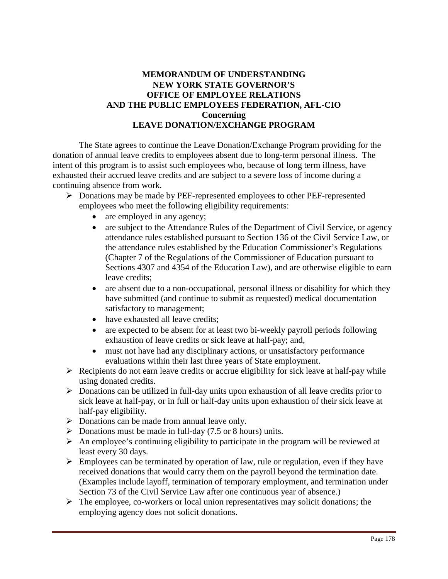# **MEMORANDUM OF UNDERSTANDING NEW YORK STATE GOVERNOR'S OFFICE OF EMPLOYEE RELATIONS AND THE PUBLIC EMPLOYEES FEDERATION, AFL-CIO Concerning LEAVE DONATION/EXCHANGE PROGRAM**

 The State agrees to continue the Leave Donation/Exchange Program providing for the donation of annual leave credits to employees absent due to long-term personal illness. The intent of this program is to assist such employees who, because of long term illness, have exhausted their accrued leave credits and are subject to a severe loss of income during a continuing absence from work.

- Donations may be made by PEF-represented employees to other PEF-represented employees who meet the following eligibility requirements:
	- are employed in any agency;
	- are subject to the Attendance Rules of the Department of Civil Service, or agency attendance rules established pursuant to Section 136 of the Civil Service Law, or the attendance rules established by the Education Commissioner's Regulations (Chapter 7 of the Regulations of the Commissioner of Education pursuant to Sections 4307 and 4354 of the Education Law), and are otherwise eligible to earn leave credits;
	- are absent due to a non-occupational, personal illness or disability for which they have submitted (and continue to submit as requested) medical documentation satisfactory to management;
	- have exhausted all leave credits;
	- are expected to be absent for at least two bi-weekly payroll periods following exhaustion of leave credits or sick leave at half-pay; and,
	- must not have had any disciplinary actions, or unsatisfactory performance evaluations within their last three years of State employment.
- $\triangleright$  Recipients do not earn leave credits or accrue eligibility for sick leave at half-pay while using donated credits.
- $\triangleright$  Donations can be utilized in full-day units upon exhaustion of all leave credits prior to sick leave at half-pay, or in full or half-day units upon exhaustion of their sick leave at half-pay eligibility.
- $\triangleright$  Donations can be made from annual leave only.
- $\triangleright$  Donations must be made in full-day (7.5 or 8 hours) units.
- $\triangleright$  An employee's continuing eligibility to participate in the program will be reviewed at least every 30 days.
- $\triangleright$  Employees can be terminated by operation of law, rule or regulation, even if they have received donations that would carry them on the payroll beyond the termination date. (Examples include layoff, termination of temporary employment, and termination under Section 73 of the Civil Service Law after one continuous year of absence.)
- $\triangleright$  The employee, co-workers or local union representatives may solicit donations; the employing agency does not solicit donations.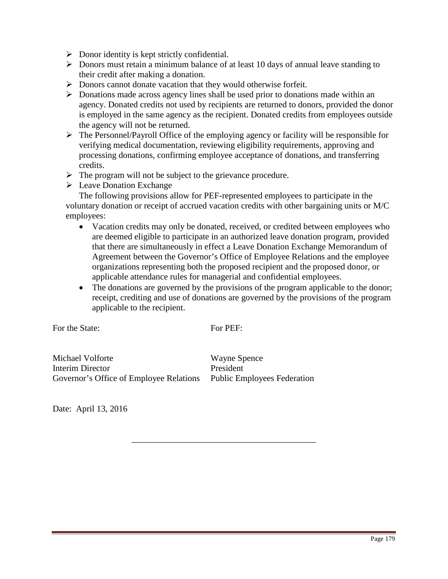- $\triangleright$  Donor identity is kept strictly confidential.
- $\triangleright$  Donors must retain a minimum balance of at least 10 days of annual leave standing to their credit after making a donation.
- Donors cannot donate vacation that they would otherwise forfeit.
- $\triangleright$  Donations made across agency lines shall be used prior to donations made within an agency. Donated credits not used by recipients are returned to donors, provided the donor is employed in the same agency as the recipient. Donated credits from employees outside the agency will not be returned.
- $\triangleright$  The Personnel/Payroll Office of the employing agency or facility will be responsible for verifying medical documentation, reviewing eligibility requirements, approving and processing donations, confirming employee acceptance of donations, and transferring credits.
- $\triangleright$  The program will not be subject to the grievance procedure.
- $\triangleright$  Leave Donation Exchange

 The following provisions allow for PEF-represented employees to participate in the voluntary donation or receipt of accrued vacation credits with other bargaining units or M/C employees:

- Vacation credits may only be donated, received, or credited between employees who are deemed eligible to participate in an authorized leave donation program, provided that there are simultaneously in effect a Leave Donation Exchange Memorandum of Agreement between the Governor's Office of Employee Relations and the employee organizations representing both the proposed recipient and the proposed donor, or applicable attendance rules for managerial and confidential employees.
- The donations are governed by the provisions of the program applicable to the donor; receipt, crediting and use of donations are governed by the provisions of the program applicable to the recipient.

For the State:

For PEF:

\_\_\_\_\_\_\_\_\_\_\_\_\_\_\_\_\_\_\_\_\_\_\_\_\_\_\_\_\_\_\_\_\_\_\_\_\_\_\_\_\_\_

Michael Volforte Interim Director Governor's Office of Employee Relations Public Employees Federation

Wayne Spence President

Date: April 13, 2016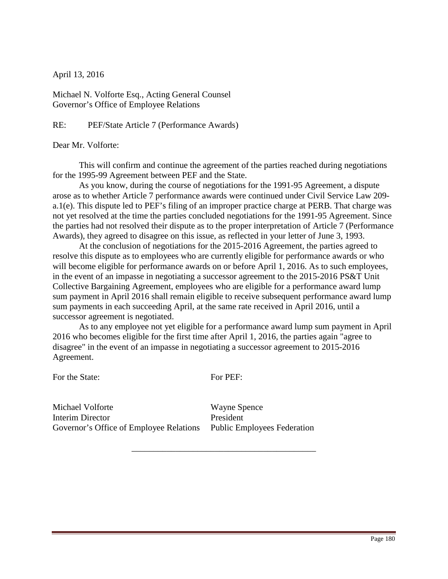Michael N. Volforte Esq., Acting General Counsel Governor's Office of Employee Relations

RE: PEF/State Article 7 (Performance Awards)

Dear Mr. Volforte:

 This will confirm and continue the agreement of the parties reached during negotiations for the 1995-99 Agreement between PEF and the State.

 As you know, during the course of negotiations for the 1991-95 Agreement, a dispute arose as to whether Article 7 performance awards were continued under Civil Service Law 209 a.1(e). This dispute led to PEF's filing of an improper practice charge at PERB. That charge was not yet resolved at the time the parties concluded negotiations for the 1991-95 Agreement. Since the parties had not resolved their dispute as to the proper interpretation of Article 7 (Performance Awards), they agreed to disagree on this issue, as reflected in your letter of June 3, 1993.

 At the conclusion of negotiations for the 2015-2016 Agreement, the parties agreed to resolve this dispute as to employees who are currently eligible for performance awards or who will become eligible for performance awards on or before April 1, 2016. As to such employees, in the event of an impasse in negotiating a successor agreement to the 2015-2016 PS&T Unit Collective Bargaining Agreement, employees who are eligible for a performance award lump sum payment in April 2016 shall remain eligible to receive subsequent performance award lump sum payments in each succeeding April, at the same rate received in April 2016, until a successor agreement is negotiated.

As to any employee not yet eligible for a performance award lump sum payment in April 2016 who becomes eligible for the first time after April 1, 2016, the parties again "agree to disagree" in the event of an impasse in negotiating a successor agreement to 2015-2016 Agreement.

For the State:

For PEF:

\_\_\_\_\_\_\_\_\_\_\_\_\_\_\_\_\_\_\_\_\_\_\_\_\_\_\_\_\_\_\_\_\_\_\_\_\_\_\_\_\_\_

Michael Volforte Interim Director Governor's Office of Employee Relations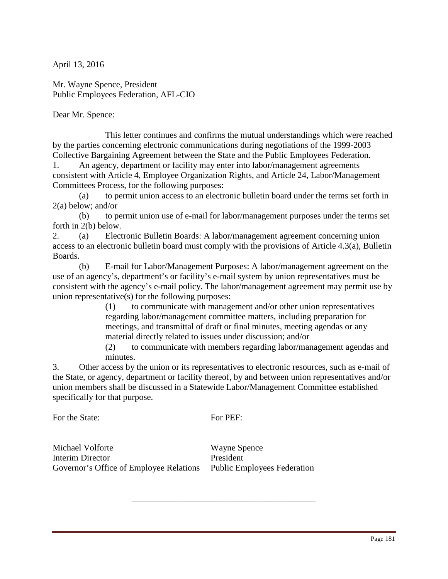Mr. Wayne Spence, President Public Employees Federation, AFL-CIO

Dear Mr. Spence:

 This letter continues and confirms the mutual understandings which were reached by the parties concerning electronic communications during negotiations of the 1999-2003 Collective Bargaining Agreement between the State and the Public Employees Federation.

1. An agency, department or facility may enter into labor/management agreements consistent with Article 4, Employee Organization Rights, and Article 24, Labor/Management Committees Process, for the following purposes:

(a) to permit union access to an electronic bulletin board under the terms set forth in 2(a) below; and/or

(b) to permit union use of e-mail for labor/management purposes under the terms set forth in 2(b) below.

2. (a) Electronic Bulletin Boards: A labor/management agreement concerning union access to an electronic bulletin board must comply with the provisions of Article 4.3(a), Bulletin Boards.

(b) E-mail for Labor/Management Purposes: A labor/management agreement on the use of an agency's, department's or facility's e-mail system by union representatives must be consistent with the agency's e-mail policy. The labor/management agreement may permit use by union representative(s) for the following purposes:

(1) to communicate with management and/or other union representatives regarding labor/management committee matters, including preparation for meetings, and transmittal of draft or final minutes, meeting agendas or any material directly related to issues under discussion; and/or

(2) to communicate with members regarding labor/management agendas and minutes.

3. Other access by the union or its representatives to electronic resources, such as e-mail of the State, or agency, department or facility thereof, by and between union representatives and/or union members shall be discussed in a Statewide Labor/Management Committee established specifically for that purpose.

For the State:

For PEF:

\_\_\_\_\_\_\_\_\_\_\_\_\_\_\_\_\_\_\_\_\_\_\_\_\_\_\_\_\_\_\_\_\_\_\_\_\_\_\_\_\_\_

Michael Volforte Interim Director Governor's Office of Employee Relations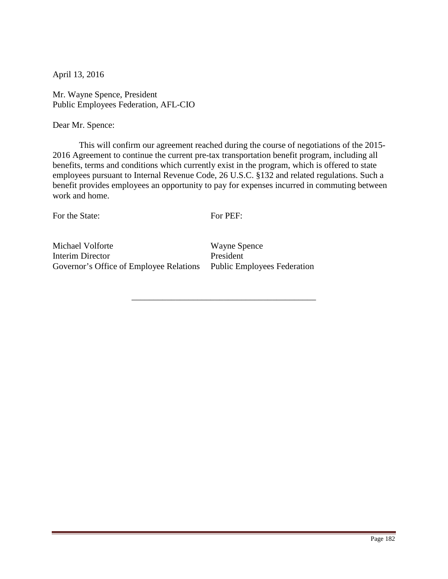Mr. Wayne Spence, President Public Employees Federation, AFL-CIO

Dear Mr. Spence:

This will confirm our agreement reached during the course of negotiations of the 2015- 2016 Agreement to continue the current pre-tax transportation benefit program, including all benefits, terms and conditions which currently exist in the program, which is offered to state employees pursuant to Internal Revenue Code, 26 U.S.C. §132 and related regulations. Such a benefit provides employees an opportunity to pay for expenses incurred in commuting between work and home.

For the State:

For PEF:

\_\_\_\_\_\_\_\_\_\_\_\_\_\_\_\_\_\_\_\_\_\_\_\_\_\_\_\_\_\_\_\_\_\_\_\_\_\_\_\_\_\_

Michael Volforte Interim Director Governor's Office of Employee Relations Public Employees Federation

Wayne Spence President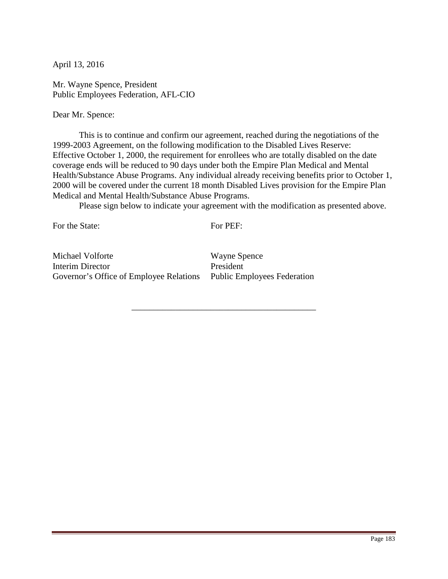Mr. Wayne Spence, President Public Employees Federation, AFL-CIO

Dear Mr. Spence:

 This is to continue and confirm our agreement, reached during the negotiations of the 1999-2003 Agreement, on the following modification to the Disabled Lives Reserve: Effective October 1, 2000, the requirement for enrollees who are totally disabled on the date coverage ends will be reduced to 90 days under both the Empire Plan Medical and Mental Health/Substance Abuse Programs. Any individual already receiving benefits prior to October 1, 2000 will be covered under the current 18 month Disabled Lives provision for the Empire Plan Medical and Mental Health/Substance Abuse Programs.

Please sign below to indicate your agreement with the modification as presented above.

For the State:

For PEF:

\_\_\_\_\_\_\_\_\_\_\_\_\_\_\_\_\_\_\_\_\_\_\_\_\_\_\_\_\_\_\_\_\_\_\_\_\_\_\_\_\_\_

Michael Volforte Interim Director Governor's Office of Employee Relations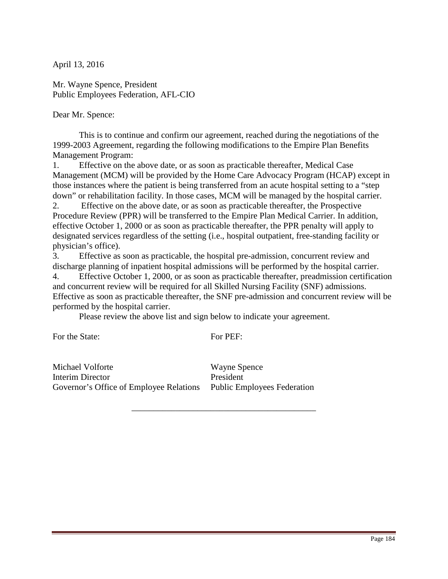Mr. Wayne Spence, President Public Employees Federation, AFL-CIO

Dear Mr. Spence:

 This is to continue and confirm our agreement, reached during the negotiations of the 1999-2003 Agreement, regarding the following modifications to the Empire Plan Benefits Management Program:

1. Effective on the above date, or as soon as practicable thereafter, Medical Case Management (MCM) will be provided by the Home Care Advocacy Program (HCAP) except in those instances where the patient is being transferred from an acute hospital setting to a "step down" or rehabilitation facility. In those cases, MCM will be managed by the hospital carrier.

2. Effective on the above date, or as soon as practicable thereafter, the Prospective Procedure Review (PPR) will be transferred to the Empire Plan Medical Carrier. In addition, effective October 1, 2000 or as soon as practicable thereafter, the PPR penalty will apply to designated services regardless of the setting (i.e., hospital outpatient, free-standing facility or physician's office).

3. Effective as soon as practicable, the hospital pre-admission, concurrent review and discharge planning of inpatient hospital admissions will be performed by the hospital carrier.

4. Effective October 1, 2000, or as soon as practicable thereafter, preadmission certification and concurrent review will be required for all Skilled Nursing Facility (SNF) admissions. Effective as soon as practicable thereafter, the SNF pre-admission and concurrent review will be performed by the hospital carrier.

Please review the above list and sign below to indicate your agreement.

For the State:

For PEF:

\_\_\_\_\_\_\_\_\_\_\_\_\_\_\_\_\_\_\_\_\_\_\_\_\_\_\_\_\_\_\_\_\_\_\_\_\_\_\_\_\_\_

Michael Volforte Interim Director Governor's Office of Employee Relations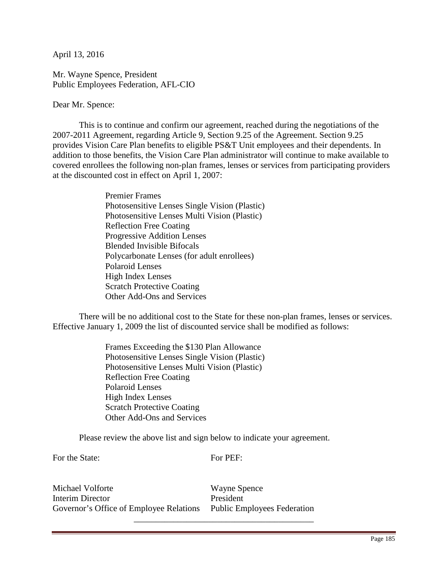Mr. Wayne Spence, President Public Employees Federation, AFL-CIO

Dear Mr. Spence:

 This is to continue and confirm our agreement, reached during the negotiations of the 2007-2011 Agreement, regarding Article 9, Section 9.25 of the Agreement. Section 9.25 provides Vision Care Plan benefits to eligible PS&T Unit employees and their dependents. In addition to those benefits, the Vision Care Plan administrator will continue to make available to covered enrollees the following non-plan frames, lenses or services from participating providers at the discounted cost in effect on April 1, 2007:

> Premier Frames Photosensitive Lenses Single Vision (Plastic) Photosensitive Lenses Multi Vision (Plastic) Reflection Free Coating Progressive Addition Lenses Blended Invisible Bifocals Polycarbonate Lenses (for adult enrollees) Polaroid Lenses High Index Lenses Scratch Protective Coating Other Add-Ons and Services

There will be no additional cost to the State for these non-plan frames, lenses or services. Effective January 1, 2009 the list of discounted service shall be modified as follows:

> Frames Exceeding the \$130 Plan Allowance Photosensitive Lenses Single Vision (Plastic) Photosensitive Lenses Multi Vision (Plastic) Reflection Free Coating Polaroid Lenses High Index Lenses Scratch Protective Coating Other Add-Ons and Services

Please review the above list and sign below to indicate your agreement.

For the State:

For PEF:

Michael Volforte Interim Director Governor's Office of Employee Relations

\_\_\_\_\_\_\_\_\_\_\_\_\_\_\_

Wayne Spence President Public Employees Federation

\_\_\_\_\_\_\_\_\_\_\_\_\_\_\_\_\_\_\_\_\_\_\_\_\_\_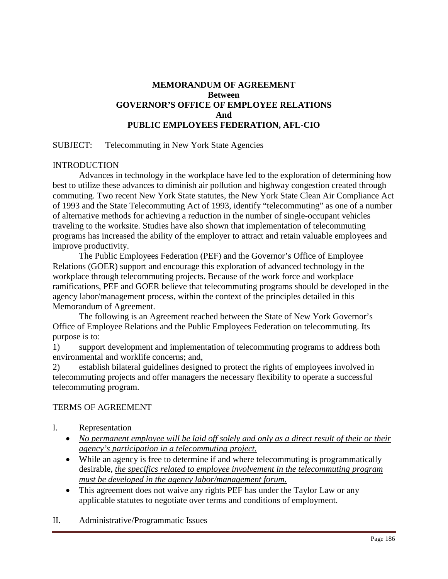# **MEMORANDUM OF AGREEMENT Between GOVERNOR'S OFFICE OF EMPLOYEE RELATIONS And PUBLIC EMPLOYEES FEDERATION, AFL-CIO**

## SUBJECT: Telecommuting in New York State Agencies

#### INTRODUCTION

 Advances in technology in the workplace have led to the exploration of determining how best to utilize these advances to diminish air pollution and highway congestion created through commuting. Two recent New York State statutes, the New York State Clean Air Compliance Act of 1993 and the State Telecommuting Act of 1993, identify "telecommuting" as one of a number of alternative methods for achieving a reduction in the number of single-occupant vehicles traveling to the worksite. Studies have also shown that implementation of telecommuting programs has increased the ability of the employer to attract and retain valuable employees and improve productivity.

 The Public Employees Federation (PEF) and the Governor's Office of Employee Relations (GOER) support and encourage this exploration of advanced technology in the workplace through telecommuting projects. Because of the work force and workplace ramifications, PEF and GOER believe that telecommuting programs should be developed in the agency labor/management process, within the context of the principles detailed in this Memorandum of Agreement.

The following is an Agreement reached between the State of New York Governor's Office of Employee Relations and the Public Employees Federation on telecommuting. Its purpose is to:

1) support development and implementation of telecommuting programs to address both environmental and worklife concerns; and,

2) establish bilateral guidelines designed to protect the rights of employees involved in telecommuting projects and offer managers the necessary flexibility to operate a successful telecommuting program.

#### TERMS OF AGREEMENT

- I. Representation
	- *No permanent employee will be laid off solely and only as a direct result of their or their agency's participation in a telecommuting project.*
	- While an agency is free to determine if and where telecommuting is programmatically desirable, *the specifics related to employee involvement in the telecommuting program must be developed in the agency labor/management forum.*
	- This agreement does not waive any rights PEF has under the Taylor Law or any applicable statutes to negotiate over terms and conditions of employment.
- II. Administrative/Programmatic Issues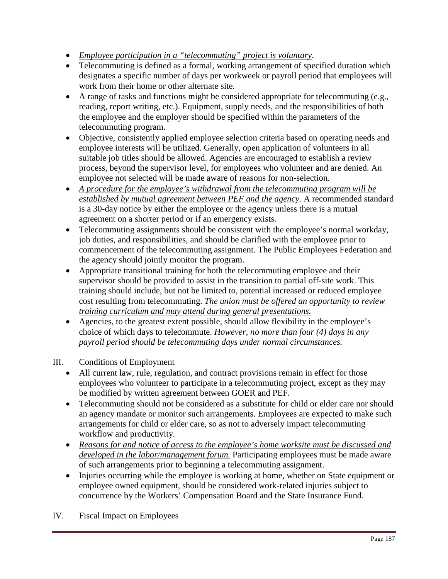- *Employee participation in a "telecommuting" project is voluntary*.
- Telecommuting is defined as a formal, working arrangement of specified duration which designates a specific number of days per workweek or payroll period that employees will work from their home or other alternate site.
- A range of tasks and functions might be considered appropriate for telecommuting (e.g., reading, report writing, etc.). Equipment, supply needs, and the responsibilities of both the employee and the employer should be specified within the parameters of the telecommuting program.
- Objective, consistently applied employee selection criteria based on operating needs and employee interests will be utilized. Generally, open application of volunteers in all suitable job titles should be allowed. Agencies are encouraged to establish a review process, beyond the supervisor level, for employees who volunteer and are denied. An employee not selected will be made aware of reasons for non-selection.
- *A procedure for the employee's withdrawal from the telecommuting program will be established by mutual agreement between PEF and the agency.* A recommended standard is a 30-day notice by either the employee or the agency unless there is a mutual agreement on a shorter period or if an emergency exists.
- Telecommuting assignments should be consistent with the employee's normal workday, job duties, and responsibilities, and should be clarified with the employee prior to commencement of the telecommuting assignment. The Public Employees Federation and the agency should jointly monitor the program.
- Appropriate transitional training for both the telecommuting employee and their supervisor should be provided to assist in the transition to partial off-site work. This training should include, but not be limited to, potential increased or reduced employee cost resulting from telecommuting. *The union must be offered an opportunity to review training curriculum and may attend during general presentations.*
- Agencies, to the greatest extent possible, should allow flexibility in the employee's choice of which days to telecommute. *However, no more than four (4) days in any payroll period should be telecommuting days under normal circumstances.*
- III. Conditions of Employment
	- All current law, rule, regulation, and contract provisions remain in effect for those employees who volunteer to participate in a telecommuting project, except as they may be modified by written agreement between GOER and PEF.
	- Telecommuting should not be considered as a substitute for child or elder care nor should an agency mandate or monitor such arrangements. Employees are expected to make such arrangements for child or elder care, so as not to adversely impact telecommuting workflow and productivity.
	- *Reasons for and notice of access to the employee's home worksite must be discussed and developed in the labor/management forum.* Participating employees must be made aware of such arrangements prior to beginning a telecommuting assignment.
	- Injuries occurring while the employee is working at home, whether on State equipment or employee owned equipment, should be considered work-related injuries subject to concurrence by the Workers' Compensation Board and the State Insurance Fund.
- IV. Fiscal Impact on Employees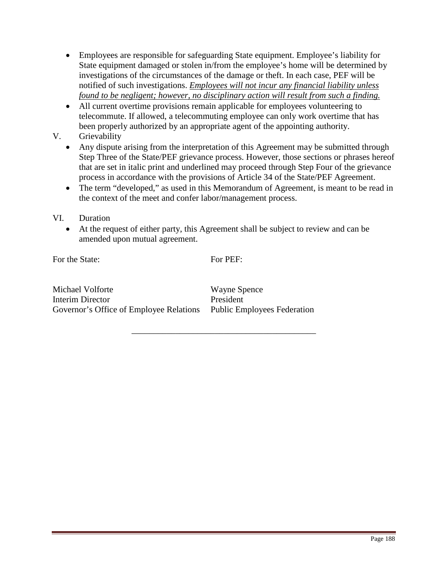- Employees are responsible for safeguarding State equipment. Employee's liability for State equipment damaged or stolen in/from the employee's home will be determined by investigations of the circumstances of the damage or theft. In each case, PEF will be notified of such investigations. *Employees will not incur any financial liability unless found to be negligent; however, no disciplinary action will result from such a finding.*
- All current overtime provisions remain applicable for employees volunteering to telecommute. If allowed, a telecommuting employee can only work overtime that has been properly authorized by an appropriate agent of the appointing authority.
- V. Grievability
	- Any dispute arising from the interpretation of this Agreement may be submitted through Step Three of the State/PEF grievance process. However, those sections or phrases hereof that are set in italic print and underlined may proceed through Step Four of the grievance process in accordance with the provisions of Article 34 of the State/PEF Agreement.
	- The term "developed," as used in this Memorandum of Agreement, is meant to be read in the context of the meet and confer labor/management process.

## VI. Duration

• At the request of either party, this Agreement shall be subject to review and can be amended upon mutual agreement.

For the State:

For PEF:

\_\_\_\_\_\_\_\_\_\_\_\_\_\_\_\_\_\_\_\_\_\_\_\_\_\_\_\_\_\_\_\_\_\_\_\_\_\_\_\_\_\_

Michael Volforte Interim Director Governor's Office of Employee Relations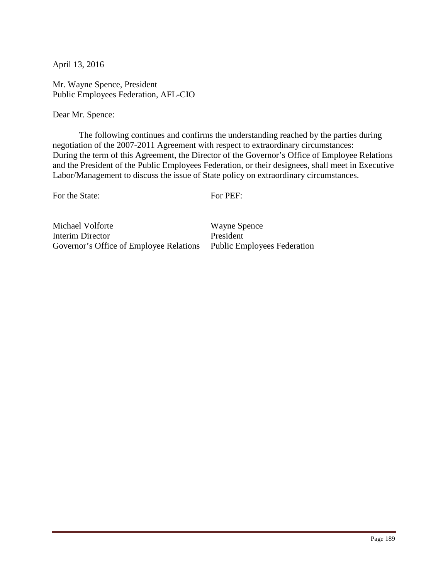Mr. Wayne Spence, President Public Employees Federation, AFL-CIO

Dear Mr. Spence:

 The following continues and confirms the understanding reached by the parties during negotiation of the 2007-2011 Agreement with respect to extraordinary circumstances: During the term of this Agreement, the Director of the Governor's Office of Employee Relations and the President of the Public Employees Federation, or their designees, shall meet in Executive Labor/Management to discuss the issue of State policy on extraordinary circumstances.

For the State:

For PEF:

Michael Volforte Interim Director Governor's Office of Employee Relations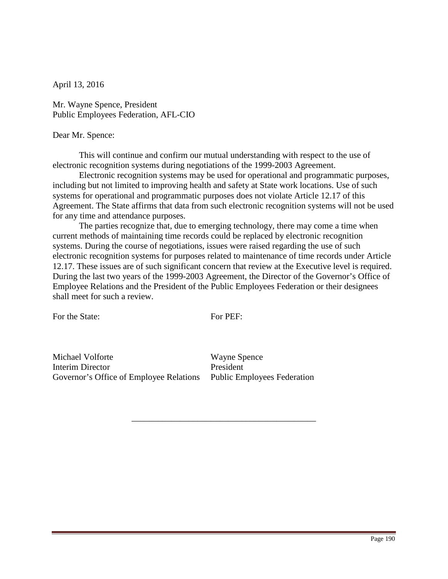Mr. Wayne Spence, President Public Employees Federation, AFL-CIO

#### Dear Mr. Spence:

 This will continue and confirm our mutual understanding with respect to the use of electronic recognition systems during negotiations of the 1999-2003 Agreement.

 Electronic recognition systems may be used for operational and programmatic purposes, including but not limited to improving health and safety at State work locations. Use of such systems for operational and programmatic purposes does not violate Article 12.17 of this Agreement. The State affirms that data from such electronic recognition systems will not be used for any time and attendance purposes.

The parties recognize that, due to emerging technology, there may come a time when current methods of maintaining time records could be replaced by electronic recognition systems. During the course of negotiations, issues were raised regarding the use of such electronic recognition systems for purposes related to maintenance of time records under Article 12.17. These issues are of such significant concern that review at the Executive level is required. During the last two years of the 1999-2003 Agreement, the Director of the Governor's Office of Employee Relations and the President of the Public Employees Federation or their designees shall meet for such a review.

For the State:

For PEF:

\_\_\_\_\_\_\_\_\_\_\_\_\_\_\_\_\_\_\_\_\_\_\_\_\_\_\_\_\_\_\_\_\_\_\_\_\_\_\_\_\_\_

Michael Volforte Interim Director Governor's Office of Employee Relations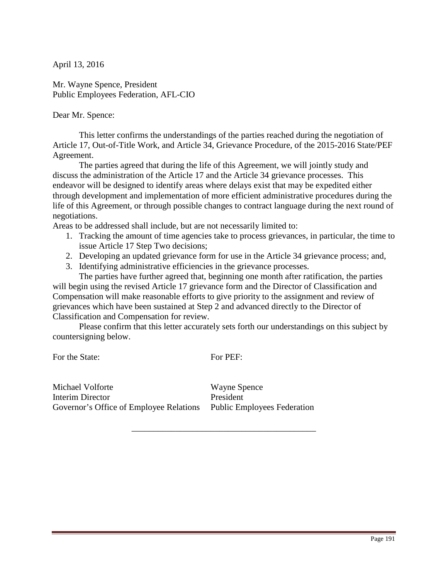Mr. Wayne Spence, President Public Employees Federation, AFL-CIO

Dear Mr. Spence:

 This letter confirms the understandings of the parties reached during the negotiation of Article 17, Out-of-Title Work, and Article 34, Grievance Procedure, of the 2015-2016 State/PEF Agreement.

The parties agreed that during the life of this Agreement, we will jointly study and discuss the administration of the Article 17 and the Article 34 grievance processes. This endeavor will be designed to identify areas where delays exist that may be expedited either through development and implementation of more efficient administrative procedures during the life of this Agreement, or through possible changes to contract language during the next round of negotiations.

Areas to be addressed shall include, but are not necessarily limited to:

- 1. Tracking the amount of time agencies take to process grievances, in particular, the time to issue Article 17 Step Two decisions;
- 2. Developing an updated grievance form for use in the Article 34 grievance process; and,
- 3. Identifying administrative efficiencies in the grievance processes.

The parties have further agreed that, beginning one month after ratification, the parties will begin using the revised Article 17 grievance form and the Director of Classification and Compensation will make reasonable efforts to give priority to the assignment and review of grievances which have been sustained at Step 2 and advanced directly to the Director of Classification and Compensation for review.

Please confirm that this letter accurately sets forth our understandings on this subject by countersigning below.

For the State: For PEF:

\_\_\_\_\_\_\_\_\_\_\_\_\_\_\_\_\_\_\_\_\_\_\_\_\_\_\_\_\_\_\_\_\_\_\_\_\_\_\_\_\_\_

Michael Volforte Interim Director Governor's Office of Employee Relations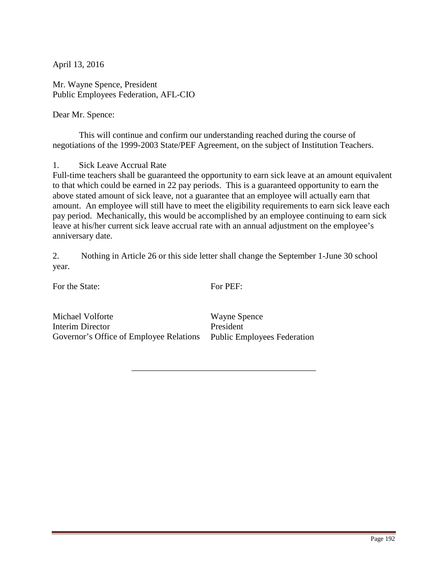Mr. Wayne Spence, President Public Employees Federation, AFL-CIO

Dear Mr. Spence:

 This will continue and confirm our understanding reached during the course of negotiations of the 1999-2003 State/PEF Agreement, on the subject of Institution Teachers.

1. Sick Leave Accrual Rate

Full-time teachers shall be guaranteed the opportunity to earn sick leave at an amount equivalent to that which could be earned in 22 pay periods. This is a guaranteed opportunity to earn the above stated amount of sick leave, not a guarantee that an employee will actually earn that amount. An employee will still have to meet the eligibility requirements to earn sick leave each pay period. Mechanically, this would be accomplished by an employee continuing to earn sick leave at his/her current sick leave accrual rate with an annual adjustment on the employee's anniversary date.

2. Nothing in Article 26 or this side letter shall change the September 1-June 30 school year.

For the State:

For PEF:

\_\_\_\_\_\_\_\_\_\_\_\_\_\_\_\_\_\_\_\_\_\_\_\_\_\_\_\_\_\_\_\_\_\_\_\_\_\_\_\_\_\_

Michael Volforte Interim Director Governor's Office of Employee Relations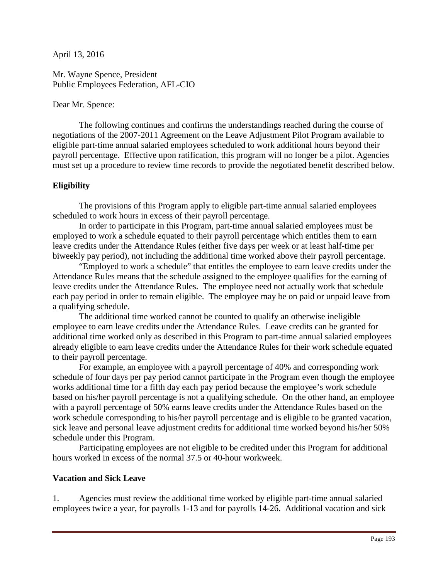Mr. Wayne Spence, President Public Employees Federation, AFL-CIO

## Dear Mr. Spence:

 The following continues and confirms the understandings reached during the course of negotiations of the 2007-2011 Agreement on the Leave Adjustment Pilot Program available to eligible part-time annual salaried employees scheduled to work additional hours beyond their payroll percentage. Effective upon ratification, this program will no longer be a pilot. Agencies must set up a procedure to review time records to provide the negotiated benefit described below.

# **Eligibility**

 The provisions of this Program apply to eligible part-time annual salaried employees scheduled to work hours in excess of their payroll percentage.

 In order to participate in this Program, part-time annual salaried employees must be employed to work a schedule equated to their payroll percentage which entitles them to earn leave credits under the Attendance Rules (either five days per week or at least half-time per biweekly pay period), not including the additional time worked above their payroll percentage.

"Employed to work a schedule" that entitles the employee to earn leave credits under the Attendance Rules means that the schedule assigned to the employee qualifies for the earning of leave credits under the Attendance Rules. The employee need not actually work that schedule each pay period in order to remain eligible. The employee may be on paid or unpaid leave from a qualifying schedule.

 The additional time worked cannot be counted to qualify an otherwise ineligible employee to earn leave credits under the Attendance Rules. Leave credits can be granted for additional time worked only as described in this Program to part-time annual salaried employees already eligible to earn leave credits under the Attendance Rules for their work schedule equated to their payroll percentage.

 For example, an employee with a payroll percentage of 40% and corresponding work schedule of four days per pay period cannot participate in the Program even though the employee works additional time for a fifth day each pay period because the employee's work schedule based on his/her payroll percentage is not a qualifying schedule. On the other hand, an employee with a payroll percentage of 50% earns leave credits under the Attendance Rules based on the work schedule corresponding to his/her payroll percentage and is eligible to be granted vacation, sick leave and personal leave adjustment credits for additional time worked beyond his/her 50% schedule under this Program.

Participating employees are not eligible to be credited under this Program for additional hours worked in excess of the normal 37.5 or 40-hour workweek.

# **Vacation and Sick Leave**

1. Agencies must review the additional time worked by eligible part-time annual salaried employees twice a year, for payrolls 1-13 and for payrolls 14-26. Additional vacation and sick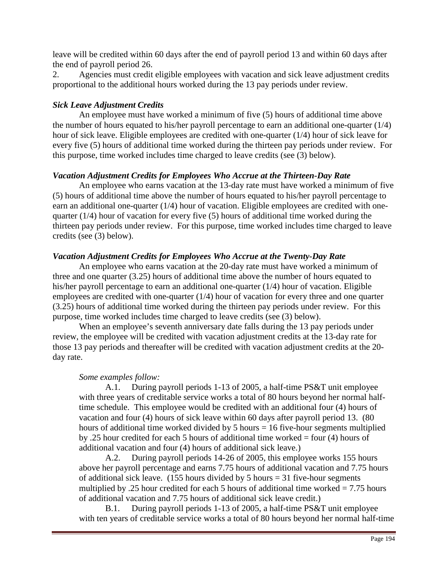leave will be credited within 60 days after the end of payroll period 13 and within 60 days after the end of payroll period 26.

2. Agencies must credit eligible employees with vacation and sick leave adjustment credits proportional to the additional hours worked during the 13 pay periods under review.

## *Sick Leave Adjustment Credits*

 An employee must have worked a minimum of five (5) hours of additional time above the number of hours equated to his/her payroll percentage to earn an additional one-quarter (1/4) hour of sick leave. Eligible employees are credited with one-quarter (1/4) hour of sick leave for every five (5) hours of additional time worked during the thirteen pay periods under review. For this purpose, time worked includes time charged to leave credits (see (3) below).

## *Vacation Adjustment Credits for Employees Who Accrue at the Thirteen-Day Rate*

 An employee who earns vacation at the 13-day rate must have worked a minimum of five (5) hours of additional time above the number of hours equated to his/her payroll percentage to earn an additional one-quarter (1/4) hour of vacation. Eligible employees are credited with onequarter  $(1/4)$  hour of vacation for every five (5) hours of additional time worked during the thirteen pay periods under review. For this purpose, time worked includes time charged to leave credits (see (3) below).

## *Vacation Adjustment Credits for Employees Who Accrue at the Twenty-Day Rate*

An employee who earns vacation at the 20-day rate must have worked a minimum of three and one quarter (3.25) hours of additional time above the number of hours equated to his/her payroll percentage to earn an additional one-quarter (1/4) hour of vacation. Eligible employees are credited with one-quarter (1/4) hour of vacation for every three and one quarter (3.25) hours of additional time worked during the thirteen pay periods under review. For this purpose, time worked includes time charged to leave credits (see (3) below).

When an employee's seventh anniversary date falls during the 13 pay periods under review, the employee will be credited with vacation adjustment credits at the 13-day rate for those 13 pay periods and thereafter will be credited with vacation adjustment credits at the 20 day rate.

## *Some examples follow:*

 A.1. During payroll periods 1-13 of 2005, a half-time PS&T unit employee with three years of creditable service works a total of 80 hours beyond her normal halftime schedule. This employee would be credited with an additional four (4) hours of vacation and four (4) hours of sick leave within 60 days after payroll period 13. (80 hours of additional time worked divided by 5 hours = 16 five-hour segments multiplied by .25 hour credited for each 5 hours of additional time worked = four (4) hours of additional vacation and four (4) hours of additional sick leave.)

 A.2. During payroll periods 14-26 of 2005, this employee works 155 hours above her payroll percentage and earns 7.75 hours of additional vacation and 7.75 hours of additional sick leave. (155 hours divided by 5 hours  $=$  31 five-hour segments multiplied by .25 hour credited for each 5 hours of additional time worked = 7.75 hours of additional vacation and 7.75 hours of additional sick leave credit.)

 B.1. During payroll periods 1-13 of 2005, a half-time PS&T unit employee with ten years of creditable service works a total of 80 hours beyond her normal half-time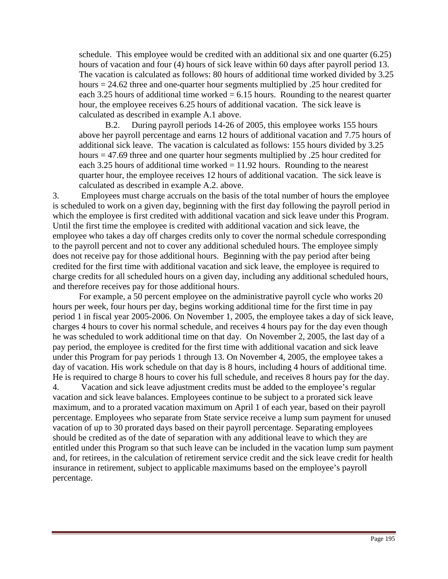schedule. This employee would be credited with an additional six and one quarter (6.25) hours of vacation and four (4) hours of sick leave within 60 days after payroll period 13. The vacation is calculated as follows: 80 hours of additional time worked divided by 3.25 hours = 24.62 three and one-quarter hour segments multiplied by .25 hour credited for each 3.25 hours of additional time worked  $= 6.15$  hours. Rounding to the nearest quarter hour, the employee receives 6.25 hours of additional vacation. The sick leave is calculated as described in example A.1 above.

 B.2. During payroll periods 14-26 of 2005, this employee works 155 hours above her payroll percentage and earns 12 hours of additional vacation and 7.75 hours of additional sick leave. The vacation is calculated as follows: 155 hours divided by 3.25 hours = 47.69 three and one quarter hour segments multiplied by .25 hour credited for each 3.25 hours of additional time worked  $= 11.92$  hours. Rounding to the nearest quarter hour, the employee receives 12 hours of additional vacation. The sick leave is calculated as described in example A.2. above.

3. Employees must charge accruals on the basis of the total number of hours the employee is scheduled to work on a given day, beginning with the first day following the payroll period in which the employee is first credited with additional vacation and sick leave under this Program. Until the first time the employee is credited with additional vacation and sick leave, the employee who takes a day off charges credits only to cover the normal schedule corresponding to the payroll percent and not to cover any additional scheduled hours. The employee simply does not receive pay for those additional hours. Beginning with the pay period after being credited for the first time with additional vacation and sick leave, the employee is required to charge credits for all scheduled hours on a given day, including any additional scheduled hours, and therefore receives pay for those additional hours.

 For example, a 50 percent employee on the administrative payroll cycle who works 20 hours per week, four hours per day, begins working additional time for the first time in pay period 1 in fiscal year 2005-2006. On November 1, 2005, the employee takes a day of sick leave, charges 4 hours to cover his normal schedule, and receives 4 hours pay for the day even though he was scheduled to work additional time on that day. On November 2, 2005, the last day of a pay period, the employee is credited for the first time with additional vacation and sick leave under this Program for pay periods 1 through 13. On November 4, 2005, the employee takes a day of vacation. His work schedule on that day is 8 hours, including 4 hours of additional time. He is required to charge 8 hours to cover his full schedule, and receives 8 hours pay for the day. 4. Vacation and sick leave adjustment credits must be added to the employee's regular vacation and sick leave balances. Employees continue to be subject to a prorated sick leave maximum, and to a prorated vacation maximum on April 1 of each year, based on their payroll percentage. Employees who separate from State service receive a lump sum payment for unused vacation of up to 30 prorated days based on their payroll percentage. Separating employees should be credited as of the date of separation with any additional leave to which they are entitled under this Program so that such leave can be included in the vacation lump sum payment and, for retirees, in the calculation of retirement service credit and the sick leave credit for health insurance in retirement, subject to applicable maximums based on the employee's payroll percentage.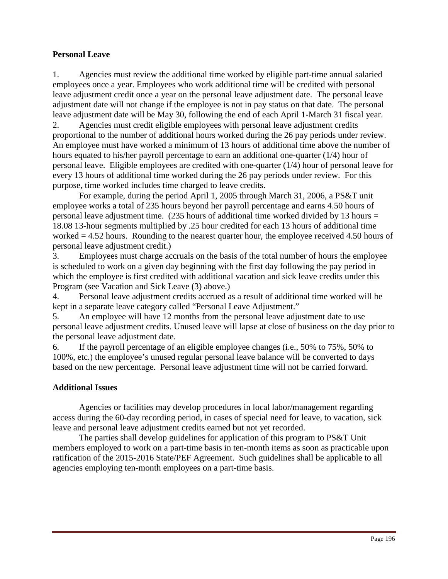# **Personal Leave**

1. Agencies must review the additional time worked by eligible part-time annual salaried employees once a year. Employees who work additional time will be credited with personal leave adjustment credit once a year on the personal leave adjustment date. The personal leave adjustment date will not change if the employee is not in pay status on that date. The personal leave adjustment date will be May 30, following the end of each April 1-March 31 fiscal year.

2. Agencies must credit eligible employees with personal leave adjustment credits proportional to the number of additional hours worked during the 26 pay periods under review. An employee must have worked a minimum of 13 hours of additional time above the number of hours equated to his/her payroll percentage to earn an additional one-quarter (1/4) hour of personal leave. Eligible employees are credited with one-quarter (1/4) hour of personal leave for every 13 hours of additional time worked during the 26 pay periods under review. For this purpose, time worked includes time charged to leave credits.

 For example, during the period April 1, 2005 through March 31, 2006, a PS&T unit employee works a total of 235 hours beyond her payroll percentage and earns 4.50 hours of personal leave adjustment time.  $(235$  hours of additional time worked divided by 13 hours = 18.08 13-hour segments multiplied by .25 hour credited for each 13 hours of additional time worked = 4.52 hours. Rounding to the nearest quarter hour, the employee received 4.50 hours of personal leave adjustment credit.)

3. Employees must charge accruals on the basis of the total number of hours the employee is scheduled to work on a given day beginning with the first day following the pay period in which the employee is first credited with additional vacation and sick leave credits under this Program (see Vacation and Sick Leave (3) above.)

4. Personal leave adjustment credits accrued as a result of additional time worked will be kept in a separate leave category called "Personal Leave Adjustment."

5. An employee will have 12 months from the personal leave adjustment date to use personal leave adjustment credits. Unused leave will lapse at close of business on the day prior to the personal leave adjustment date.

6. If the payroll percentage of an eligible employee changes (i.e., 50% to 75%, 50% to 100%, etc.) the employee's unused regular personal leave balance will be converted to days based on the new percentage. Personal leave adjustment time will not be carried forward.

## **Additional Issues**

 Agencies or facilities may develop procedures in local labor/management regarding access during the 60-day recording period, in cases of special need for leave, to vacation, sick leave and personal leave adjustment credits earned but not yet recorded.

The parties shall develop guidelines for application of this program to PS&T Unit members employed to work on a part-time basis in ten-month items as soon as practicable upon ratification of the 2015-2016 State/PEF Agreement. Such guidelines shall be applicable to all agencies employing ten-month employees on a part-time basis.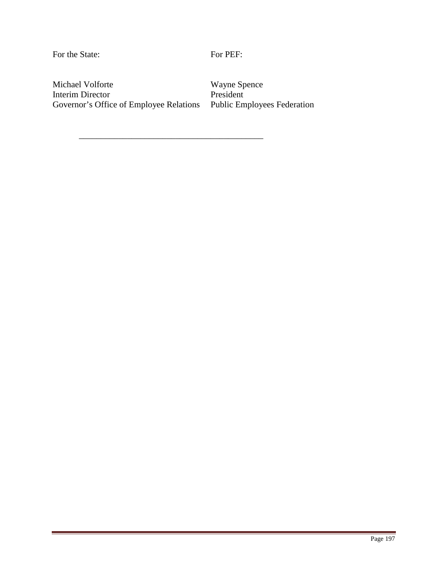For the State:

For PEF:

Michael Volforte Interim Director Governor's Office of Employee Relations

\_\_\_\_\_\_\_\_\_\_\_\_\_\_\_\_\_\_\_\_\_\_\_\_\_\_\_\_\_\_\_\_\_\_\_\_\_\_\_\_\_\_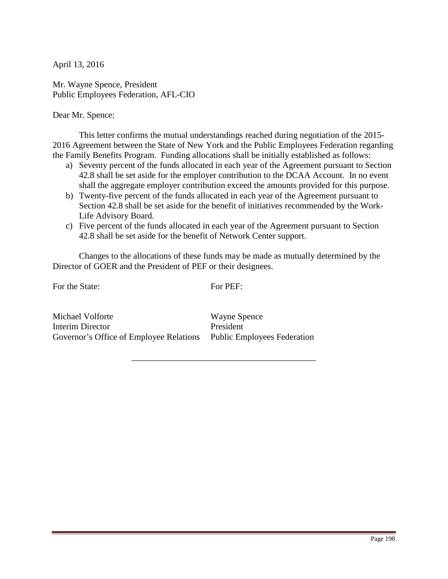Mr. Wayne Spence, President Public Employees Federation, AFL-CIO

Dear Mr. Spence:

 This letter confirms the mutual understandings reached during negotiation of the 2015- 2016 Agreement between the State of New York and the Public Employees Federation regarding the Family Benefits Program. Funding allocations shall be initially established as follows:

- a) Seventy percent of the funds allocated in each year of the Agreement pursuant to Section 42.8 shall be set aside for the employer contribution to the DCAA Account. In no event shall the aggregate employer contribution exceed the amounts provided for this purpose.
- b) Twenty-five percent of the funds allocated in each year of the Agreement pursuant to Section 42.8 shall be set aside for the benefit of initiatives recommended by the Work-Life Advisory Board.
- c) Five percent of the funds allocated in each year of the Agreement pursuant to Section 42.8 shall be set aside for the benefit of Network Center support.

Changes to the allocations of these funds may be made as mutually determined by the Director of GOER and the President of PEF or their designees.

For the State:

For PEF:

\_\_\_\_\_\_\_\_\_\_\_\_\_\_\_\_\_\_\_\_\_\_\_\_\_\_\_\_\_\_\_\_\_\_\_\_\_\_\_\_\_\_

Michael Volforte Interim Director Governor's Office of Employee Relations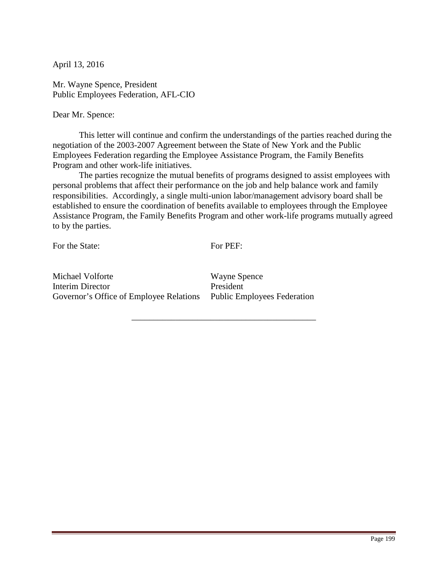Mr. Wayne Spence, President Public Employees Federation, AFL-CIO

Dear Mr. Spence:

 This letter will continue and confirm the understandings of the parties reached during the negotiation of the 2003-2007 Agreement between the State of New York and the Public Employees Federation regarding the Employee Assistance Program, the Family Benefits Program and other work-life initiatives.

The parties recognize the mutual benefits of programs designed to assist employees with personal problems that affect their performance on the job and help balance work and family responsibilities. Accordingly, a single multi-union labor/management advisory board shall be established to ensure the coordination of benefits available to employees through the Employee Assistance Program, the Family Benefits Program and other work-life programs mutually agreed to by the parties.

For the State:

For PEF:

\_\_\_\_\_\_\_\_\_\_\_\_\_\_\_\_\_\_\_\_\_\_\_\_\_\_\_\_\_\_\_\_\_\_\_\_\_\_\_\_\_\_

Michael Volforte Interim Director Governor's Office of Employee Relations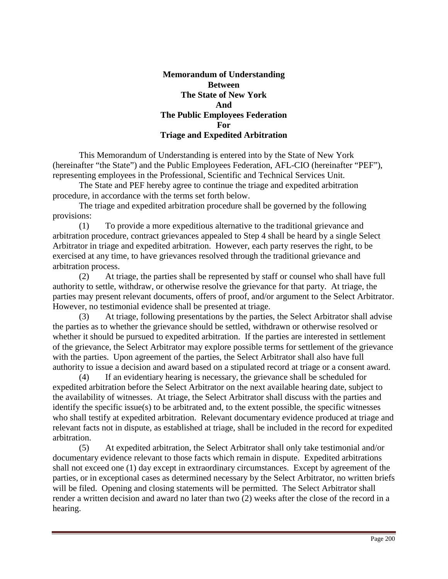## **Memorandum of Understanding Between The State of New York And The Public Employees Federation For Triage and Expedited Arbitration**

 This Memorandum of Understanding is entered into by the State of New York (hereinafter "the State") and the Public Employees Federation, AFL-CIO (hereinafter "PEF"), representing employees in the Professional, Scientific and Technical Services Unit.

The State and PEF hereby agree to continue the triage and expedited arbitration procedure, in accordance with the terms set forth below.

The triage and expedited arbitration procedure shall be governed by the following provisions:

(1) To provide a more expeditious alternative to the traditional grievance and arbitration procedure, contract grievances appealed to Step 4 shall be heard by a single Select Arbitrator in triage and expedited arbitration. However, each party reserves the right, to be exercised at any time, to have grievances resolved through the traditional grievance and arbitration process.

(2) At triage, the parties shall be represented by staff or counsel who shall have full authority to settle, withdraw, or otherwise resolve the grievance for that party. At triage, the parties may present relevant documents, offers of proof, and/or argument to the Select Arbitrator. However, no testimonial evidence shall be presented at triage.

(3) At triage, following presentations by the parties, the Select Arbitrator shall advise the parties as to whether the grievance should be settled, withdrawn or otherwise resolved or whether it should be pursued to expedited arbitration. If the parties are interested in settlement of the grievance, the Select Arbitrator may explore possible terms for settlement of the grievance with the parties. Upon agreement of the parties, the Select Arbitrator shall also have full authority to issue a decision and award based on a stipulated record at triage or a consent award.

(4) If an evidentiary hearing is necessary, the grievance shall be scheduled for expedited arbitration before the Select Arbitrator on the next available hearing date, subject to the availability of witnesses. At triage, the Select Arbitrator shall discuss with the parties and identify the specific issue(s) to be arbitrated and, to the extent possible, the specific witnesses who shall testify at expedited arbitration. Relevant documentary evidence produced at triage and relevant facts not in dispute, as established at triage, shall be included in the record for expedited arbitration.

(5) At expedited arbitration, the Select Arbitrator shall only take testimonial and/or documentary evidence relevant to those facts which remain in dispute. Expedited arbitrations shall not exceed one (1) day except in extraordinary circumstances. Except by agreement of the parties, or in exceptional cases as determined necessary by the Select Arbitrator, no written briefs will be filed. Opening and closing statements will be permitted. The Select Arbitrator shall render a written decision and award no later than two (2) weeks after the close of the record in a hearing.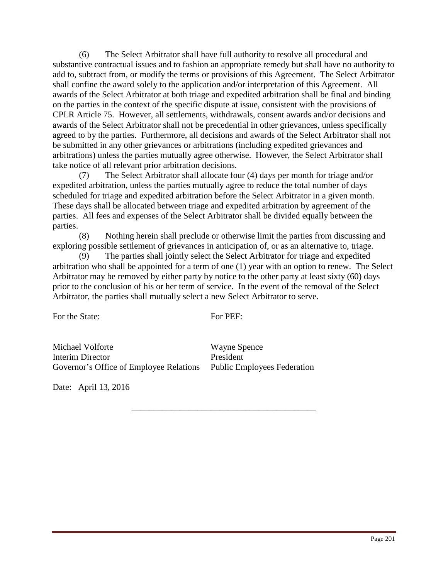(6) The Select Arbitrator shall have full authority to resolve all procedural and substantive contractual issues and to fashion an appropriate remedy but shall have no authority to add to, subtract from, or modify the terms or provisions of this Agreement. The Select Arbitrator shall confine the award solely to the application and/or interpretation of this Agreement. All awards of the Select Arbitrator at both triage and expedited arbitration shall be final and binding on the parties in the context of the specific dispute at issue, consistent with the provisions of CPLR Article 75. However, all settlements, withdrawals, consent awards and/or decisions and awards of the Select Arbitrator shall not be precedential in other grievances, unless specifically agreed to by the parties. Furthermore, all decisions and awards of the Select Arbitrator shall not be submitted in any other grievances or arbitrations (including expedited grievances and arbitrations) unless the parties mutually agree otherwise. However, the Select Arbitrator shall take notice of all relevant prior arbitration decisions.

(7) The Select Arbitrator shall allocate four (4) days per month for triage and/or expedited arbitration, unless the parties mutually agree to reduce the total number of days scheduled for triage and expedited arbitration before the Select Arbitrator in a given month. These days shall be allocated between triage and expedited arbitration by agreement of the parties. All fees and expenses of the Select Arbitrator shall be divided equally between the parties.

(8) Nothing herein shall preclude or otherwise limit the parties from discussing and exploring possible settlement of grievances in anticipation of, or as an alternative to, triage.

(9) The parties shall jointly select the Select Arbitrator for triage and expedited arbitration who shall be appointed for a term of one (1) year with an option to renew. The Select Arbitrator may be removed by either party by notice to the other party at least sixty (60) days prior to the conclusion of his or her term of service. In the event of the removal of the Select Arbitrator, the parties shall mutually select a new Select Arbitrator to serve.

For the State:

For PEF:

\_\_\_\_\_\_\_\_\_\_\_\_\_\_\_\_\_\_\_\_\_\_\_\_\_\_\_\_\_\_\_\_\_\_\_\_\_\_\_\_\_\_

Michael Volforte Interim Director Governor's Office of Employee Relations Wayne Spence President Public Employees Federation

Date: April 13, 2016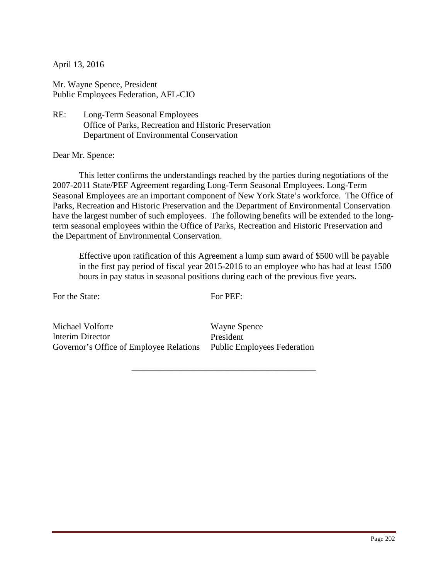Mr. Wayne Spence, President Public Employees Federation, AFL-CIO

RE: Long-Term Seasonal Employees Office of Parks, Recreation and Historic Preservation Department of Environmental Conservation

Dear Mr. Spence:

 This letter confirms the understandings reached by the parties during negotiations of the 2007-2011 State/PEF Agreement regarding Long-Term Seasonal Employees. Long-Term Seasonal Employees are an important component of New York State's workforce. The Office of Parks, Recreation and Historic Preservation and the Department of Environmental Conservation have the largest number of such employees. The following benefits will be extended to the longterm seasonal employees within the Office of Parks, Recreation and Historic Preservation and the Department of Environmental Conservation.

Effective upon ratification of this Agreement a lump sum award of \$500 will be payable in the first pay period of fiscal year 2015-2016 to an employee who has had at least 1500 hours in pay status in seasonal positions during each of the previous five years.

For the State:

For PEF:

\_\_\_\_\_\_\_\_\_\_\_\_\_\_\_\_\_\_\_\_\_\_\_\_\_\_\_\_\_\_\_\_\_\_\_\_\_\_\_\_\_\_

Michael Volforte Interim Director Governor's Office of Employee Relations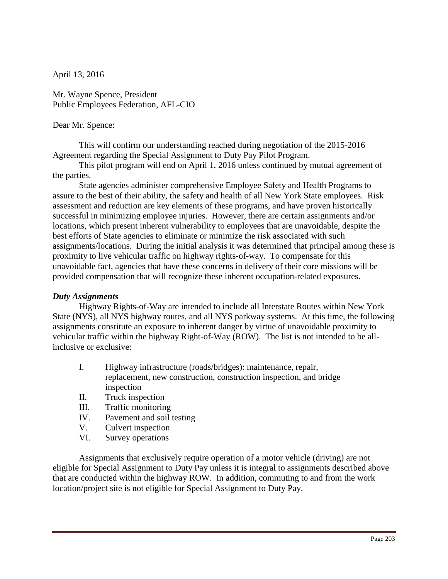Mr. Wayne Spence, President Public Employees Federation, AFL-CIO

#### Dear Mr. Spence:

 This will confirm our understanding reached during negotiation of the 2015-2016 Agreement regarding the Special Assignment to Duty Pay Pilot Program.

 This pilot program will end on April 1, 2016 unless continued by mutual agreement of the parties.

State agencies administer comprehensive Employee Safety and Health Programs to assure to the best of their ability, the safety and health of all New York State employees. Risk assessment and reduction are key elements of these programs, and have proven historically successful in minimizing employee injuries. However, there are certain assignments and/or locations, which present inherent vulnerability to employees that are unavoidable, despite the best efforts of State agencies to eliminate or minimize the risk associated with such assignments/locations. During the initial analysis it was determined that principal among these is proximity to live vehicular traffic on highway rights-of-way. To compensate for this unavoidable fact, agencies that have these concerns in delivery of their core missions will be provided compensation that will recognize these inherent occupation-related exposures.

#### *Duty Assignments*

Highway Rights-of-Way are intended to include all Interstate Routes within New York State (NYS), all NYS highway routes, and all NYS parkway systems. At this time, the following assignments constitute an exposure to inherent danger by virtue of unavoidable proximity to vehicular traffic within the highway Right-of-Way (ROW). The list is not intended to be allinclusive or exclusive:

- I. Highway infrastructure (roads/bridges): maintenance, repair, replacement, new construction, construction inspection, and bridge inspection
- II. Truck inspection
- III. Traffic monitoring
- IV. Pavement and soil testing
- V. Culvert inspection
- VI. Survey operations

 Assignments that exclusively require operation of a motor vehicle (driving) are not eligible for Special Assignment to Duty Pay unless it is integral to assignments described above that are conducted within the highway ROW. In addition, commuting to and from the work location/project site is not eligible for Special Assignment to Duty Pay.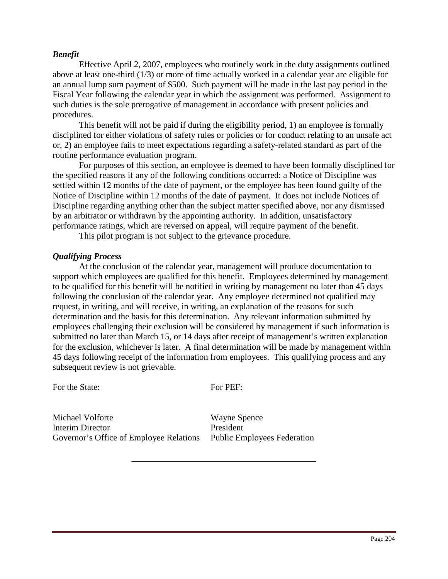## *Benefit*

 Effective April 2, 2007, employees who routinely work in the duty assignments outlined above at least one-third (1/3) or more of time actually worked in a calendar year are eligible for an annual lump sum payment of \$500. Such payment will be made in the last pay period in the Fiscal Year following the calendar year in which the assignment was performed. Assignment to such duties is the sole prerogative of management in accordance with present policies and procedures.

This benefit will not be paid if during the eligibility period, 1) an employee is formally disciplined for either violations of safety rules or policies or for conduct relating to an unsafe act or, 2) an employee fails to meet expectations regarding a safety-related standard as part of the routine performance evaluation program.

 For purposes of this section, an employee is deemed to have been formally disciplined for the specified reasons if any of the following conditions occurred: a Notice of Discipline was settled within 12 months of the date of payment, or the employee has been found guilty of the Notice of Discipline within 12 months of the date of payment. It does not include Notices of Discipline regarding anything other than the subject matter specified above, nor any dismissed by an arbitrator or withdrawn by the appointing authority. In addition, unsatisfactory performance ratings, which are reversed on appeal, will require payment of the benefit.

This pilot program is not subject to the grievance procedure.

#### *Qualifying Process*

 At the conclusion of the calendar year, management will produce documentation to support which employees are qualified for this benefit. Employees determined by management to be qualified for this benefit will be notified in writing by management no later than 45 days following the conclusion of the calendar year. Any employee determined not qualified may request, in writing, and will receive, in writing, an explanation of the reasons for such determination and the basis for this determination. Any relevant information submitted by employees challenging their exclusion will be considered by management if such information is submitted no later than March 15, or 14 days after receipt of management's written explanation for the exclusion, whichever is later. A final determination will be made by management within 45 days following receipt of the information from employees. This qualifying process and any subsequent review is not grievable.

For the State:

For PEF:

\_\_\_\_\_\_\_\_\_\_\_\_\_\_\_\_\_\_\_\_\_\_\_\_\_\_\_\_\_\_\_\_\_\_\_\_\_\_\_\_\_\_

Michael Volforte Interim Director Governor's Office of Employee Relations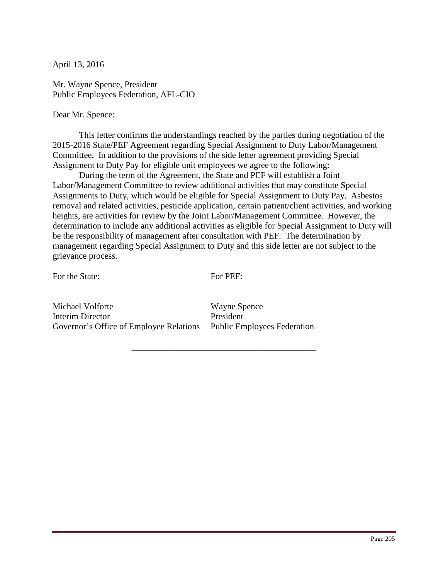Mr. Wayne Spence, President Public Employees Federation, AFL-CIO

Dear Mr. Spence:

 This letter confirms the understandings reached by the parties during negotiation of the 2015-2016 State/PEF Agreement regarding Special Assignment to Duty Labor/Management Committee. In addition to the provisions of the side letter agreement providing Special Assignment to Duty Pay for eligible unit employees we agree to the following:

 During the term of the Agreement, the State and PEF will establish a Joint Labor/Management Committee to review additional activities that may constitute Special Assignments to Duty, which would be eligible for Special Assignment to Duty Pay. Asbestos removal and related activities, pesticide application, certain patient/client activities, and working heights, are activities for review by the Joint Labor/Management Committee. However, the determination to include any additional activities as eligible for Special Assignment to Duty will be the responsibility of management after consultation with PEF. The determination by management regarding Special Assignment to Duty and this side letter are not subject to the grievance process.

For the State:

For PEF:

\_\_\_\_\_\_\_\_\_\_\_\_\_\_\_\_\_\_\_\_\_\_\_\_\_\_\_\_\_\_\_\_\_\_\_\_\_\_\_\_\_\_

Michael Volforte Interim Director Governor's Office of Employee Relations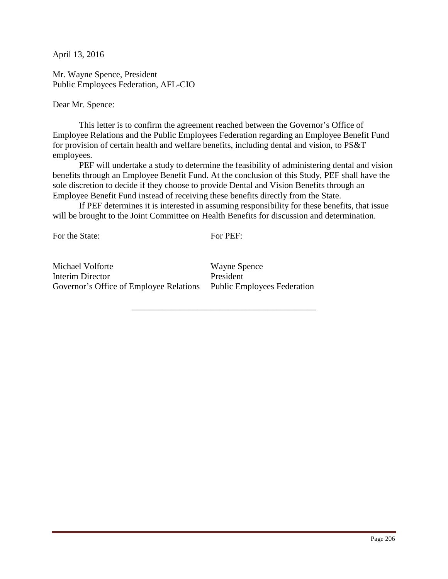Mr. Wayne Spence, President Public Employees Federation, AFL-CIO

Dear Mr. Spence:

This letter is to confirm the agreement reached between the Governor's Office of Employee Relations and the Public Employees Federation regarding an Employee Benefit Fund for provision of certain health and welfare benefits, including dental and vision, to PS&T employees.

PEF will undertake a study to determine the feasibility of administering dental and vision benefits through an Employee Benefit Fund. At the conclusion of this Study, PEF shall have the sole discretion to decide if they choose to provide Dental and Vision Benefits through an Employee Benefit Fund instead of receiving these benefits directly from the State.

If PEF determines it is interested in assuming responsibility for these benefits, that issue will be brought to the Joint Committee on Health Benefits for discussion and determination.

For the State:

For PEF:

\_\_\_\_\_\_\_\_\_\_\_\_\_\_\_\_\_\_\_\_\_\_\_\_\_\_\_\_\_\_\_\_\_\_\_\_\_\_\_\_\_\_

Michael Volforte Interim Director Governor's Office of Employee Relations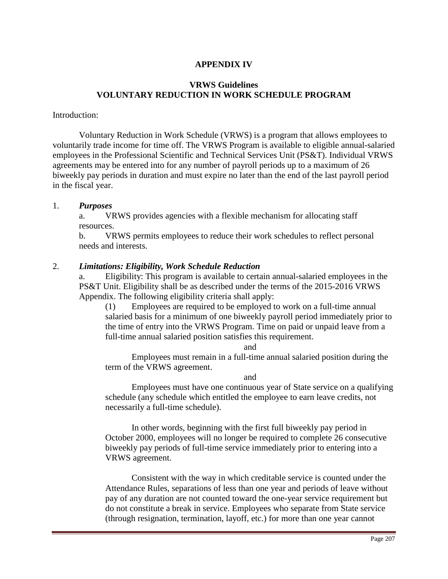## **APPENDIX IV**

## **VRWS Guidelines VOLUNTARY REDUCTION IN WORK SCHEDULE PROGRAM**

#### Introduction:

 Voluntary Reduction in Work Schedule (VRWS) is a program that allows employees to voluntarily trade income for time off. The VRWS Program is available to eligible annual-salaried employees in the Professional Scientific and Technical Services Unit (PS&T). Individual VRWS agreements may be entered into for any number of payroll periods up to a maximum of 26 biweekly pay periods in duration and must expire no later than the end of the last payroll period in the fiscal year.

#### 1. *Purposes*

a. VRWS provides agencies with a flexible mechanism for allocating staff resources.

b. VRWS permits employees to reduce their work schedules to reflect personal needs and interests.

#### 2. *Limitations: Eligibility, Work Schedule Reduction*

a. Eligibility: This program is available to certain annual-salaried employees in the PS&T Unit. Eligibility shall be as described under the terms of the 2015-2016 VRWS Appendix. The following eligibility criteria shall apply:

(1) Employees are required to be employed to work on a full-time annual salaried basis for a minimum of one biweekly payroll period immediately prior to the time of entry into the VRWS Program. Time on paid or unpaid leave from a full-time annual salaried position satisfies this requirement.

and

Employees must remain in a full-time annual salaried position during the term of the VRWS agreement.

and

Employees must have one continuous year of State service on a qualifying schedule (any schedule which entitled the employee to earn leave credits, not necessarily a full-time schedule).

 In other words, beginning with the first full biweekly pay period in October 2000, employees will no longer be required to complete 26 consecutive biweekly pay periods of full-time service immediately prior to entering into a VRWS agreement.

 Consistent with the way in which creditable service is counted under the Attendance Rules, separations of less than one year and periods of leave without pay of any duration are not counted toward the one-year service requirement but do not constitute a break in service. Employees who separate from State service (through resignation, termination, layoff, etc.) for more than one year cannot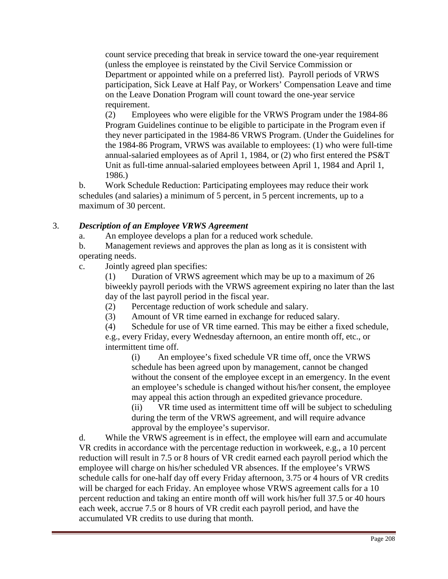count service preceding that break in service toward the one-year requirement (unless the employee is reinstated by the Civil Service Commission or Department or appointed while on a preferred list). Payroll periods of VRWS participation, Sick Leave at Half Pay, or Workers' Compensation Leave and time on the Leave Donation Program will count toward the one-year service requirement.

(2) Employees who were eligible for the VRWS Program under the 1984-86 Program Guidelines continue to be eligible to participate in the Program even if they never participated in the 1984-86 VRWS Program. (Under the Guidelines for the 1984-86 Program, VRWS was available to employees: (1) who were full-time annual-salaried employees as of April 1, 1984, or (2) who first entered the PS&T Unit as full-time annual-salaried employees between April 1, 1984 and April 1, 1986.)

b. Work Schedule Reduction: Participating employees may reduce their work schedules (and salaries) a minimum of 5 percent, in 5 percent increments, up to a maximum of 30 percent.

# 3. *Description of an Employee VRWS Agreement*

a. An employee develops a plan for a reduced work schedule.

b. Management reviews and approves the plan as long as it is consistent with operating needs.

c. Jointly agreed plan specifies:

(1) Duration of VRWS agreement which may be up to a maximum of 26 biweekly payroll periods with the VRWS agreement expiring no later than the last day of the last payroll period in the fiscal year.

- (2) Percentage reduction of work schedule and salary.
- (3) Amount of VR time earned in exchange for reduced salary.
- (4) Schedule for use of VR time earned. This may be either a fixed schedule,

e.g., every Friday, every Wednesday afternoon, an entire month off, etc., or intermittent time off.

(i) An employee's fixed schedule VR time off, once the VRWS schedule has been agreed upon by management, cannot be changed without the consent of the employee except in an emergency. In the event an employee's schedule is changed without his/her consent, the employee may appeal this action through an expedited grievance procedure.

(ii) VR time used as intermittent time off will be subject to scheduling during the term of the VRWS agreement, and will require advance approval by the employee's supervisor.

d. While the VRWS agreement is in effect, the employee will earn and accumulate VR credits in accordance with the percentage reduction in workweek, e.g., a 10 percent reduction will result in 7.5 or 8 hours of VR credit earned each payroll period which the employee will charge on his/her scheduled VR absences. If the employee's VRWS schedule calls for one-half day off every Friday afternoon, 3.75 or 4 hours of VR credits will be charged for each Friday. An employee whose VRWS agreement calls for a 10 percent reduction and taking an entire month off will work his/her full 37.5 or 40 hours each week, accrue 7.5 or 8 hours of VR credit each payroll period, and have the accumulated VR credits to use during that month.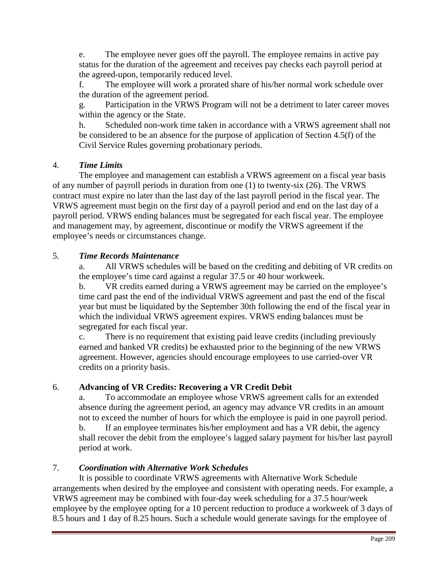e. The employee never goes off the payroll. The employee remains in active pay status for the duration of the agreement and receives pay checks each payroll period at the agreed-upon, temporarily reduced level.

f. The employee will work a prorated share of his/her normal work schedule over the duration of the agreement period.

g. Participation in the VRWS Program will not be a detriment to later career moves within the agency or the State.

h. Scheduled non-work time taken in accordance with a VRWS agreement shall not be considered to be an absence for the purpose of application of Section 4.5(f) of the Civil Service Rules governing probationary periods.

# 4. *Time Limits*

The employee and management can establish a VRWS agreement on a fiscal year basis of any number of payroll periods in duration from one (1) to twenty-six (26). The VRWS contract must expire no later than the last day of the last payroll period in the fiscal year. The VRWS agreement must begin on the first day of a payroll period and end on the last day of a payroll period. VRWS ending balances must be segregated for each fiscal year. The employee and management may, by agreement, discontinue or modify the VRWS agreement if the employee's needs or circumstances change.

# 5. *Time Records Maintenance*

a. All VRWS schedules will be based on the crediting and debiting of VR credits on the employee's time card against a regular 37.5 or 40 hour workweek.

b. VR credits earned during a VRWS agreement may be carried on the employee's time card past the end of the individual VRWS agreement and past the end of the fiscal year but must be liquidated by the September 30th following the end of the fiscal year in which the individual VRWS agreement expires. VRWS ending balances must be segregated for each fiscal year.

c. There is no requirement that existing paid leave credits (including previously earned and banked VR credits) be exhausted prior to the beginning of the new VRWS agreement. However, agencies should encourage employees to use carried-over VR credits on a priority basis.

# 6. **Advancing of VR Credits: Recovering a VR Credit Debit**

a. To accommodate an employee whose VRWS agreement calls for an extended absence during the agreement period, an agency may advance VR credits in an amount not to exceed the number of hours for which the employee is paid in one payroll period. b. If an employee terminates his/her employment and has a VR debit, the agency shall recover the debit from the employee's lagged salary payment for his/her last payroll period at work.

# 7. *Coordination with Alternative Work Schedules*

 It is possible to coordinate VRWS agreements with Alternative Work Schedule arrangements when desired by the employee and consistent with operating needs. For example, a VRWS agreement may be combined with four-day week scheduling for a 37.5 hour/week employee by the employee opting for a 10 percent reduction to produce a workweek of 3 days of 8.5 hours and 1 day of 8.25 hours. Such a schedule would generate savings for the employee of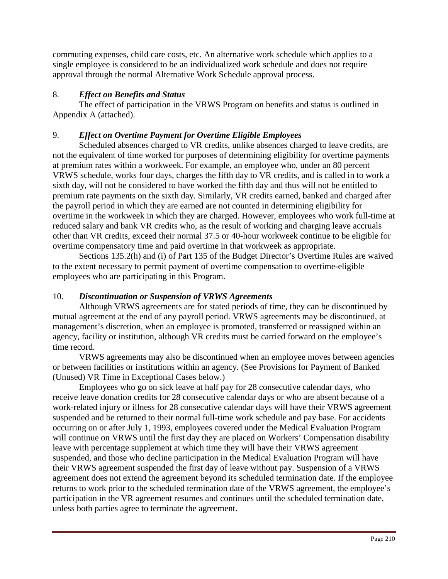commuting expenses, child care costs, etc. An alternative work schedule which applies to a single employee is considered to be an individualized work schedule and does not require approval through the normal Alternative Work Schedule approval process.

## 8. *Effect on Benefits and Status*

The effect of participation in the VRWS Program on benefits and status is outlined in Appendix A (attached).

# 9. *Effect on Overtime Payment for Overtime Eligible Employees*

Scheduled absences charged to VR credits, unlike absences charged to leave credits, are not the equivalent of time worked for purposes of determining eligibility for overtime payments at premium rates within a workweek. For example, an employee who, under an 80 percent VRWS schedule, works four days, charges the fifth day to VR credits, and is called in to work a sixth day, will not be considered to have worked the fifth day and thus will not be entitled to premium rate payments on the sixth day. Similarly, VR credits earned, banked and charged after the payroll period in which they are earned are not counted in determining eligibility for overtime in the workweek in which they are charged. However, employees who work full-time at reduced salary and bank VR credits who, as the result of working and charging leave accruals other than VR credits, exceed their normal 37.5 or 40-hour workweek continue to be eligible for overtime compensatory time and paid overtime in that workweek as appropriate.

Sections 135.2(h) and (i) of Part 135 of the Budget Director's Overtime Rules are waived to the extent necessary to permit payment of overtime compensation to overtime-eligible employees who are participating in this Program.

# 10. *Discontinuation or Suspension of VRWS Agreements*

Although VRWS agreements are for stated periods of time, they can be discontinued by mutual agreement at the end of any payroll period. VRWS agreements may be discontinued, at management's discretion, when an employee is promoted, transferred or reassigned within an agency, facility or institution, although VR credits must be carried forward on the employee's time record.

VRWS agreements may also be discontinued when an employee moves between agencies or between facilities or institutions within an agency. (See Provisions for Payment of Banked (Unused) VR Time in Exceptional Cases below.)

Employees who go on sick leave at half pay for 28 consecutive calendar days, who receive leave donation credits for 28 consecutive calendar days or who are absent because of a work-related injury or illness for 28 consecutive calendar days will have their VRWS agreement suspended and be returned to their normal full-time work schedule and pay base. For accidents occurring on or after July 1, 1993, employees covered under the Medical Evaluation Program will continue on VRWS until the first day they are placed on Workers' Compensation disability leave with percentage supplement at which time they will have their VRWS agreement suspended, and those who decline participation in the Medical Evaluation Program will have their VRWS agreement suspended the first day of leave without pay. Suspension of a VRWS agreement does not extend the agreement beyond its scheduled termination date. If the employee returns to work prior to the scheduled termination date of the VRWS agreement, the employee's participation in the VR agreement resumes and continues until the scheduled termination date, unless both parties agree to terminate the agreement.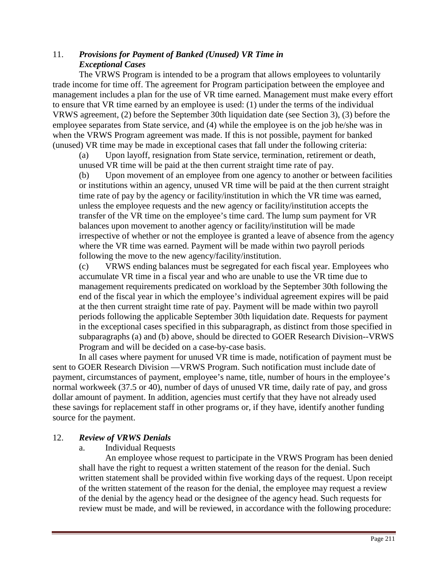# 11. *Provisions for Payment of Banked (Unused) VR Time in Exceptional Cases*

The VRWS Program is intended to be a program that allows employees to voluntarily trade income for time off. The agreement for Program participation between the employee and management includes a plan for the use of VR time earned. Management must make every effort to ensure that VR time earned by an employee is used: (1) under the terms of the individual VRWS agreement, (2) before the September 30th liquidation date (see Section 3), (3) before the employee separates from State service, and (4) while the employee is on the job he/she was in when the VRWS Program agreement was made. If this is not possible, payment for banked (unused) VR time may be made in exceptional cases that fall under the following criteria:

(a) Upon layoff, resignation from State service, termination, retirement or death, unused VR time will be paid at the then current straight time rate of pay.

(b) Upon movement of an employee from one agency to another or between facilities or institutions within an agency, unused VR time will be paid at the then current straight time rate of pay by the agency or facility/institution in which the VR time was earned, unless the employee requests and the new agency or facility/institution accepts the transfer of the VR time on the employee's time card. The lump sum payment for VR balances upon movement to another agency or facility/institution will be made irrespective of whether or not the employee is granted a leave of absence from the agency where the VR time was earned. Payment will be made within two payroll periods following the move to the new agency/facility/institution.

(c) VRWS ending balances must be segregated for each fiscal year. Employees who accumulate VR time in a fiscal year and who are unable to use the VR time due to management requirements predicated on workload by the September 30th following the end of the fiscal year in which the employee's individual agreement expires will be paid at the then current straight time rate of pay. Payment will be made within two payroll periods following the applicable September 30th liquidation date. Requests for payment in the exceptional cases specified in this subparagraph, as distinct from those specified in subparagraphs (a) and (b) above, should be directed to GOER Research Division--VRWS Program and will be decided on a case-by-case basis.

In all cases where payment for unused VR time is made, notification of payment must be sent to GOER Research Division —VRWS Program. Such notification must include date of payment, circumstances of payment, employee's name, title, number of hours in the employee's normal workweek (37.5 or 40), number of days of unused VR time, daily rate of pay, and gross dollar amount of payment. In addition, agencies must certify that they have not already used these savings for replacement staff in other programs or, if they have, identify another funding source for the payment.

# 12. *Review of VRWS Denials*

## a. Individual Requests

An employee whose request to participate in the VRWS Program has been denied shall have the right to request a written statement of the reason for the denial. Such written statement shall be provided within five working days of the request. Upon receipt of the written statement of the reason for the denial, the employee may request a review of the denial by the agency head or the designee of the agency head. Such requests for review must be made, and will be reviewed, in accordance with the following procedure: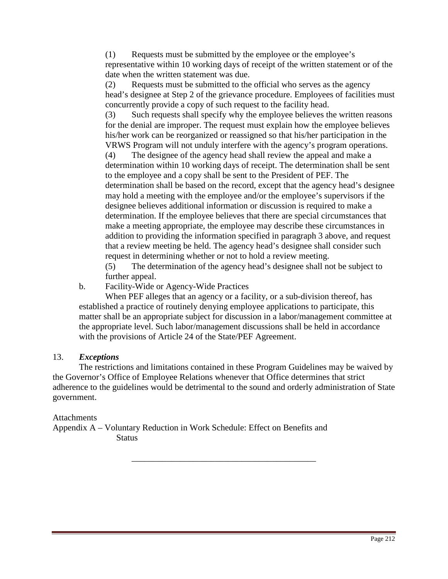(1) Requests must be submitted by the employee or the employee's representative within 10 working days of receipt of the written statement or of the date when the written statement was due.

(2) Requests must be submitted to the official who serves as the agency head's designee at Step 2 of the grievance procedure. Employees of facilities must concurrently provide a copy of such request to the facility head.

(3) Such requests shall specify why the employee believes the written reasons for the denial are improper. The request must explain how the employee believes his/her work can be reorganized or reassigned so that his/her participation in the VRWS Program will not unduly interfere with the agency's program operations.

(4) The designee of the agency head shall review the appeal and make a determination within 10 working days of receipt. The determination shall be sent to the employee and a copy shall be sent to the President of PEF. The determination shall be based on the record, except that the agency head's designee may hold a meeting with the employee and/or the employee's supervisors if the designee believes additional information or discussion is required to make a determination. If the employee believes that there are special circumstances that make a meeting appropriate, the employee may describe these circumstances in addition to providing the information specified in paragraph 3 above, and request that a review meeting be held. The agency head's designee shall consider such request in determining whether or not to hold a review meeting.

(5) The determination of the agency head's designee shall not be subject to further appeal.

b. Facility-Wide or Agency-Wide Practices

When PEF alleges that an agency or a facility, or a sub-division thereof, has established a practice of routinely denying employee applications to participate, this matter shall be an appropriate subject for discussion in a labor/management committee at the appropriate level. Such labor/management discussions shall be held in accordance with the provisions of Article 24 of the State/PEF Agreement.

## 13. *Exceptions*

The restrictions and limitations contained in these Program Guidelines may be waived by the Governor's Office of Employee Relations whenever that Office determines that strict adherence to the guidelines would be detrimental to the sound and orderly administration of State government.

\_\_\_\_\_\_\_\_\_\_\_\_\_\_\_\_\_\_\_\_\_\_\_\_\_\_\_\_\_\_\_\_\_\_\_\_\_\_\_\_\_\_

# Attachments

Appendix A – Voluntary Reduction in Work Schedule: Effect on Benefits and **Status**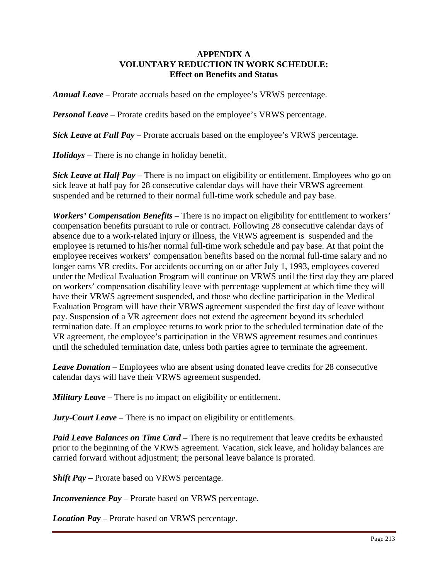## **APPENDIX A VOLUNTARY REDUCTION IN WORK SCHEDULE: Effect on Benefits and Status**

*Annual Leave* – Prorate accruals based on the employee's VRWS percentage.

*Personal Leave* – Prorate credits based on the employee's VRWS percentage.

*Sick Leave at Full Pay* – Prorate accruals based on the employee's VRWS percentage.

*Holidays* – There is no change in holiday benefit.

*Sick Leave at Half Pay* – There is no impact on eligibility or entitlement. Employees who go on sick leave at half pay for 28 consecutive calendar days will have their VRWS agreement suspended and be returned to their normal full-time work schedule and pay base.

*Workers' Compensation Benefits* – There is no impact on eligibility for entitlement to workers' compensation benefits pursuant to rule or contract. Following 28 consecutive calendar days of absence due to a work-related injury or illness, the VRWS agreement is suspended and the employee is returned to his/her normal full-time work schedule and pay base. At that point the employee receives workers' compensation benefits based on the normal full-time salary and no longer earns VR credits. For accidents occurring on or after July 1, 1993, employees covered under the Medical Evaluation Program will continue on VRWS until the first day they are placed on workers' compensation disability leave with percentage supplement at which time they will have their VRWS agreement suspended, and those who decline participation in the Medical Evaluation Program will have their VRWS agreement suspended the first day of leave without pay. Suspension of a VR agreement does not extend the agreement beyond its scheduled termination date. If an employee returns to work prior to the scheduled termination date of the VR agreement, the employee's participation in the VRWS agreement resumes and continues until the scheduled termination date, unless both parties agree to terminate the agreement.

*Leave Donation* – Employees who are absent using donated leave credits for 28 consecutive calendar days will have their VRWS agreement suspended.

*Military Leave* – There is no impact on eligibility or entitlement.

*Jury-Court Leave* – There is no impact on eligibility or entitlements.

*Paid Leave Balances on Time Card* – There is no requirement that leave credits be exhausted prior to the beginning of the VRWS agreement. Vacation, sick leave, and holiday balances are carried forward without adjustment; the personal leave balance is prorated.

*Shift Pay* – Prorate based on VRWS percentage.

*Inconvenience Pay* – Prorate based on VRWS percentage.

*Location Pay* – Prorate based on VRWS percentage.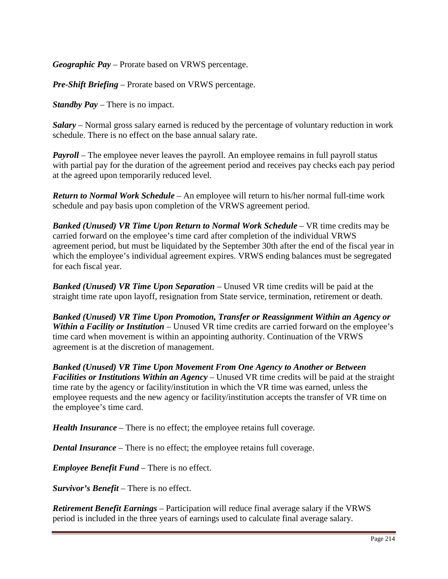*Geographic Pay* – Prorate based on VRWS percentage.

*Pre-Shift Briefing* – Prorate based on VRWS percentage.

*Standby Pay* – There is no impact.

*Salary* – Normal gross salary earned is reduced by the percentage of voluntary reduction in work schedule. There is no effect on the base annual salary rate.

*Payroll* – The employee never leaves the payroll. An employee remains in full payroll status with partial pay for the duration of the agreement period and receives pay checks each pay period at the agreed upon temporarily reduced level.

*Return to Normal Work Schedule* – An employee will return to his/her normal full-time work schedule and pay basis upon completion of the VRWS agreement period.

*Banked (Unused) VR Time Upon Return to Normal Work Schedule* – VR time credits may be carried forward on the employee's time card after completion of the individual VRWS agreement period, but must be liquidated by the September 30th after the end of the fiscal year in which the employee's individual agreement expires. VRWS ending balances must be segregated for each fiscal year.

*Banked (Unused) VR Time Upon Separation* – Unused VR time credits will be paid at the straight time rate upon layoff, resignation from State service, termination, retirement or death.

*Banked (Unused) VR Time Upon Promotion, Transfer or Reassignment Within an Agency or Within a Facility or Institution* – Unused VR time credits are carried forward on the employee's time card when movement is within an appointing authority. Continuation of the VRWS agreement is at the discretion of management.

*Banked (Unused) VR Time Upon Movement From One Agency to Another or Between Facilities or Institutions Within an Agency* – Unused VR time credits will be paid at the straight time rate by the agency or facility/institution in which the VR time was earned, unless the employee requests and the new agency or facility/institution accepts the transfer of VR time on the employee's time card.

*Health Insurance* – There is no effect; the employee retains full coverage.

*Dental Insurance* – There is no effect; the employee retains full coverage.

*Employee Benefit Fund* – There is no effect.

*Survivor's Benefit* – There is no effect.

*Retirement Benefit Earnings* – Participation will reduce final average salary if the VRWS period is included in the three years of earnings used to calculate final average salary.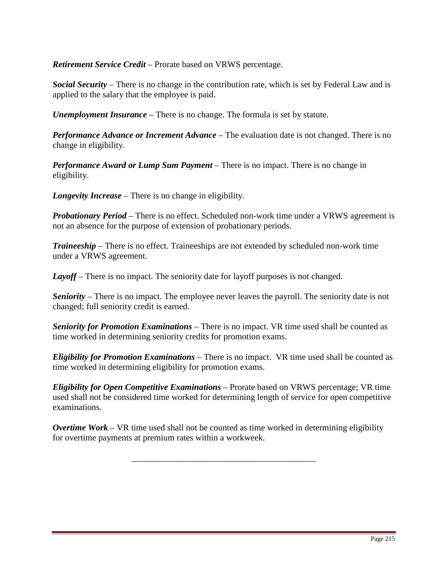*Retirement Service Credit* – Prorate based on VRWS percentage.

*Social Security* – There is no change in the contribution rate, which is set by Federal Law and is applied to the salary that the employee is paid.

*Unemployment Insurance* – There is no change. The formula is set by statute.

*Performance Advance or Increment Advance* – The evaluation date is not changed. There is no change in eligibility.

*Performance Award or Lump Sum Payment* – There is no impact. There is no change in eligibility.

*Longevity Increase* – There is no change in eligibility.

*Probationary Period* – There is no effect. Scheduled non-work time under a VRWS agreement is not an absence for the purpose of extension of probationary periods.

*Traineeship* – There is no effect. Traineeships are not extended by scheduled non-work time under a VRWS agreement.

Layoff – There is no impact. The seniority date for layoff purposes is not changed.

*Seniority* – There is no impact. The employee never leaves the payroll. The seniority date is not changed; full seniority credit is earned.

*Seniority for Promotion Examinations* – There is no impact. VR time used shall be counted as time worked in determining seniority credits for promotion exams.

*Eligibility for Promotion Examinations* – There is no impact. VR time used shall be counted as time worked in determining eligibility for promotion exams.

*Eligibility for Open Competitive Examinations* – Prorate based on VRWS percentage; VR time used shall not be considered time worked for determining length of service for open competitive examinations.

*Overtime Work* – VR time used shall not be counted as time worked in determining eligibility for overtime payments at premium rates within a workweek.

\_\_\_\_\_\_\_\_\_\_\_\_\_\_\_\_\_\_\_\_\_\_\_\_\_\_\_\_\_\_\_\_\_\_\_\_\_\_\_\_\_\_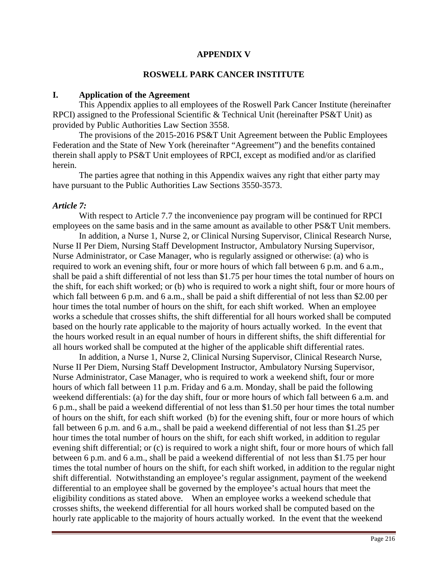## **APPENDIX V**

#### **ROSWELL PARK CANCER INSTITUTE**

#### **I. Application of the Agreement**

This Appendix applies to all employees of the Roswell Park Cancer Institute (hereinafter RPCI) assigned to the Professional Scientific & Technical Unit (hereinafter PS&T Unit) as provided by Public Authorities Law Section 3558.

 The provisions of the 2015-2016 PS&T Unit Agreement between the Public Employees Federation and the State of New York (hereinafter "Agreement") and the benefits contained therein shall apply to PS&T Unit employees of RPCI, except as modified and/or as clarified herein.

The parties agree that nothing in this Appendix waives any right that either party may have pursuant to the Public Authorities Law Sections 3550-3573.

#### *Article 7:*

 With respect to Article 7.7 the inconvenience pay program will be continued for RPCI employees on the same basis and in the same amount as available to other PS&T Unit members.

 In addition, a Nurse 1, Nurse 2, or Clinical Nursing Supervisor, Clinical Research Nurse, Nurse II Per Diem, Nursing Staff Development Instructor, Ambulatory Nursing Supervisor, Nurse Administrator, or Case Manager, who is regularly assigned or otherwise: (a) who is required to work an evening shift, four or more hours of which fall between 6 p.m. and 6 a.m., shall be paid a shift differential of not less than \$1.75 per hour times the total number of hours on the shift, for each shift worked; or (b) who is required to work a night shift, four or more hours of which fall between 6 p.m. and 6 a.m., shall be paid a shift differential of not less than \$2.00 per hour times the total number of hours on the shift, for each shift worked. When an employee works a schedule that crosses shifts, the shift differential for all hours worked shall be computed based on the hourly rate applicable to the majority of hours actually worked. In the event that the hours worked result in an equal number of hours in different shifts, the shift differential for all hours worked shall be computed at the higher of the applicable shift differential rates.

 In addition, a Nurse 1, Nurse 2, Clinical Nursing Supervisor, Clinical Research Nurse, Nurse II Per Diem, Nursing Staff Development Instructor, Ambulatory Nursing Supervisor, Nurse Administrator, Case Manager, who is required to work a weekend shift, four or more hours of which fall between 11 p.m. Friday and 6 a.m. Monday, shall be paid the following weekend differentials: (a) for the day shift, four or more hours of which fall between 6 a.m. and 6 p.m., shall be paid a weekend differential of not less than \$1.50 per hour times the total number of hours on the shift, for each shift worked (b) for the evening shift, four or more hours of which fall between 6 p.m. and 6 a.m., shall be paid a weekend differential of not less than \$1.25 per hour times the total number of hours on the shift, for each shift worked, in addition to regular evening shift differential; or (c) is required to work a night shift, four or more hours of which fall between 6 p.m. and 6 a.m., shall be paid a weekend differential of not less than \$1.75 per hour times the total number of hours on the shift, for each shift worked, in addition to the regular night shift differential. Notwithstanding an employee's regular assignment, payment of the weekend differential to an employee shall be governed by the employee's actual hours that meet the eligibility conditions as stated above. When an employee works a weekend schedule that crosses shifts, the weekend differential for all hours worked shall be computed based on the hourly rate applicable to the majority of hours actually worked. In the event that the weekend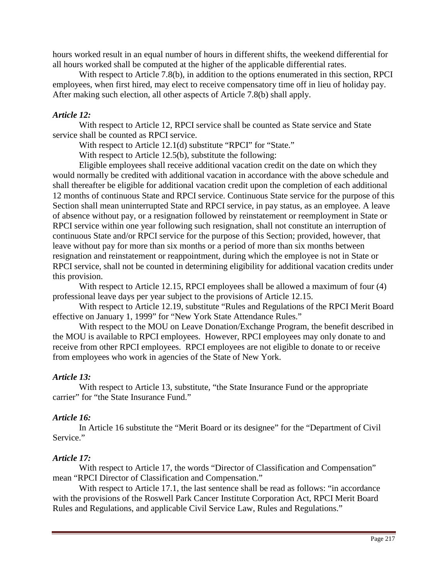hours worked result in an equal number of hours in different shifts, the weekend differential for all hours worked shall be computed at the higher of the applicable differential rates.

With respect to Article 7.8(b), in addition to the options enumerated in this section, RPCI employees, when first hired, may elect to receive compensatory time off in lieu of holiday pay. After making such election, all other aspects of Article 7.8(b) shall apply.

### *Article 12:*

With respect to Article 12, RPCI service shall be counted as State service and State service shall be counted as RPCI service.

With respect to Article 12.1(d) substitute "RPCI" for "State."

With respect to Article 12.5(b), substitute the following:

Eligible employees shall receive additional vacation credit on the date on which they would normally be credited with additional vacation in accordance with the above schedule and shall thereafter be eligible for additional vacation credit upon the completion of each additional 12 months of continuous State and RPCI service. Continuous State service for the purpose of this Section shall mean uninterrupted State and RPCI service, in pay status, as an employee. A leave of absence without pay, or a resignation followed by reinstatement or reemployment in State or RPCI service within one year following such resignation, shall not constitute an interruption of continuous State and/or RPCI service for the purpose of this Section; provided, however, that leave without pay for more than six months or a period of more than six months between resignation and reinstatement or reappointment, during which the employee is not in State or RPCI service, shall not be counted in determining eligibility for additional vacation credits under this provision.

With respect to Article 12.15, RPCI employees shall be allowed a maximum of four (4) professional leave days per year subject to the provisions of Article 12.15.

With respect to Article 12.19, substitute "Rules and Regulations of the RPCI Merit Board effective on January 1, 1999" for "New York State Attendance Rules."

With respect to the MOU on Leave Donation/Exchange Program, the benefit described in the MOU is available to RPCI employees. However, RPCI employees may only donate to and receive from other RPCI employees. RPCI employees are not eligible to donate to or receive from employees who work in agencies of the State of New York.

#### *Article 13:*

With respect to Article 13, substitute, "the State Insurance Fund or the appropriate carrier" for "the State Insurance Fund."

#### *Article 16:*

In Article 16 substitute the "Merit Board or its designee" for the "Department of Civil Service."

#### *Article 17:*

With respect to Article 17, the words "Director of Classification and Compensation" mean "RPCI Director of Classification and Compensation."

With respect to Article 17.1, the last sentence shall be read as follows: "in accordance with the provisions of the Roswell Park Cancer Institute Corporation Act, RPCI Merit Board Rules and Regulations, and applicable Civil Service Law, Rules and Regulations."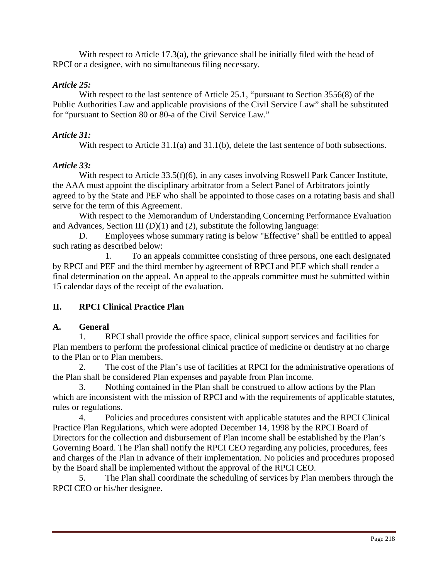With respect to Article 17.3(a), the grievance shall be initially filed with the head of RPCI or a designee, with no simultaneous filing necessary.

### *Article 25:*

With respect to the last sentence of Article 25.1, "pursuant to Section 3556(8) of the Public Authorities Law and applicable provisions of the Civil Service Law" shall be substituted for "pursuant to Section 80 or 80-a of the Civil Service Law."

### *Article 31:*

With respect to Article 31.1(a) and 31.1(b), delete the last sentence of both subsections.

#### *Article 33:*

With respect to Article 33.5(f)(6), in any cases involving Roswell Park Cancer Institute, the AAA must appoint the disciplinary arbitrator from a Select Panel of Arbitrators jointly agreed to by the State and PEF who shall be appointed to those cases on a rotating basis and shall serve for the term of this Agreement.

With respect to the Memorandum of Understanding Concerning Performance Evaluation and Advances, Section III  $(D)(1)$  and  $(2)$ , substitute the following language:

D. Employees whose summary rating is below "Effective" shall be entitled to appeal such rating as described below:

1. To an appeals committee consisting of three persons, one each designated by RPCI and PEF and the third member by agreement of RPCI and PEF which shall render a final determination on the appeal. An appeal to the appeals committee must be submitted within 15 calendar days of the receipt of the evaluation.

# **II. RPCI Clinical Practice Plan**

#### **A. General**

1. RPCI shall provide the office space, clinical support services and facilities for Plan members to perform the professional clinical practice of medicine or dentistry at no charge to the Plan or to Plan members.

2. The cost of the Plan's use of facilities at RPCI for the administrative operations of the Plan shall be considered Plan expenses and payable from Plan income.

3. Nothing contained in the Plan shall be construed to allow actions by the Plan which are inconsistent with the mission of RPCI and with the requirements of applicable statutes, rules or regulations.

4. Policies and procedures consistent with applicable statutes and the RPCI Clinical Practice Plan Regulations, which were adopted December 14, 1998 by the RPCI Board of Directors for the collection and disbursement of Plan income shall be established by the Plan's Governing Board. The Plan shall notify the RPCI CEO regarding any policies, procedures, fees and charges of the Plan in advance of their implementation. No policies and procedures proposed by the Board shall be implemented without the approval of the RPCI CEO.

5. The Plan shall coordinate the scheduling of services by Plan members through the RPCI CEO or his/her designee.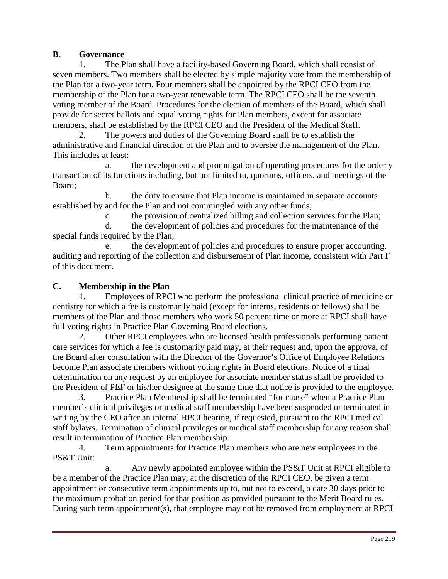# **B. Governance**

1. The Plan shall have a facility-based Governing Board, which shall consist of seven members. Two members shall be elected by simple majority vote from the membership of the Plan for a two-year term. Four members shall be appointed by the RPCI CEO from the membership of the Plan for a two-year renewable term. The RPCI CEO shall be the seventh voting member of the Board. Procedures for the election of members of the Board, which shall provide for secret ballots and equal voting rights for Plan members, except for associate members, shall be established by the RPCI CEO and the President of the Medical Staff.

The powers and duties of the Governing Board shall be to establish the administrative and financial direction of the Plan and to oversee the management of the Plan. This includes at least:

a. the development and promulgation of operating procedures for the orderly transaction of its functions including, but not limited to, quorums, officers, and meetings of the Board;

b. the duty to ensure that Plan income is maintained in separate accounts established by and for the Plan and not commingled with any other funds;

c. the provision of centralized billing and collection services for the Plan;

d. the development of policies and procedures for the maintenance of the special funds required by the Plan;

e. the development of policies and procedures to ensure proper accounting, auditing and reporting of the collection and disbursement of Plan income, consistent with Part F of this document.

### **C. Membership in the Plan**

1. Employees of RPCI who perform the professional clinical practice of medicine or dentistry for which a fee is customarily paid (except for interns, residents or fellows) shall be members of the Plan and those members who work 50 percent time or more at RPCI shall have full voting rights in Practice Plan Governing Board elections.

2. Other RPCI employees who are licensed health professionals performing patient care services for which a fee is customarily paid may, at their request and, upon the approval of the Board after consultation with the Director of the Governor's Office of Employee Relations become Plan associate members without voting rights in Board elections. Notice of a final determination on any request by an employee for associate member status shall be provided to the President of PEF or his/her designee at the same time that notice is provided to the employee.

3. Practice Plan Membership shall be terminated "for cause" when a Practice Plan member's clinical privileges or medical staff membership have been suspended or terminated in writing by the CEO after an internal RPCI hearing, if requested, pursuant to the RPCI medical staff bylaws. Termination of clinical privileges or medical staff membership for any reason shall result in termination of Practice Plan membership.

4. Term appointments for Practice Plan members who are new employees in the PS&T Unit:

a. Any newly appointed employee within the PS&T Unit at RPCI eligible to be a member of the Practice Plan may, at the discretion of the RPCI CEO, be given a term appointment or consecutive term appointments up to, but not to exceed, a date 30 days prior to the maximum probation period for that position as provided pursuant to the Merit Board rules. During such term appointment(s), that employee may not be removed from employment at RPCI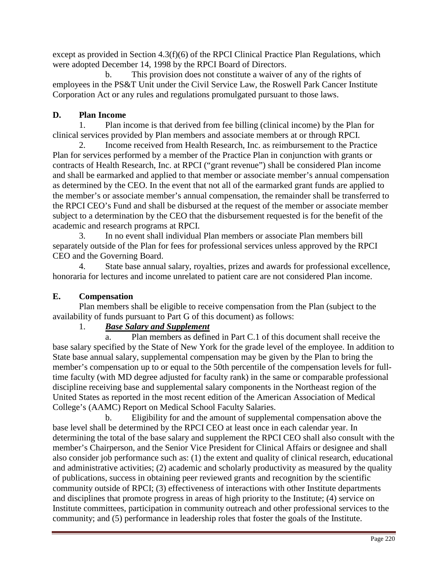except as provided in Section 4.3(f)(6) of the RPCI Clinical Practice Plan Regulations, which were adopted December 14, 1998 by the RPCI Board of Directors.

b. This provision does not constitute a waiver of any of the rights of employees in the PS&T Unit under the Civil Service Law, the Roswell Park Cancer Institute Corporation Act or any rules and regulations promulgated pursuant to those laws.

# **D. Plan Income**

1. Plan income is that derived from fee billing (clinical income) by the Plan for clinical services provided by Plan members and associate members at or through RPCI.

2. Income received from Health Research, Inc. as reimbursement to the Practice Plan for services performed by a member of the Practice Plan in conjunction with grants or contracts of Health Research, Inc. at RPCI ("grant revenue") shall be considered Plan income and shall be earmarked and applied to that member or associate member's annual compensation as determined by the CEO. In the event that not all of the earmarked grant funds are applied to the member's or associate member's annual compensation, the remainder shall be transferred to the RPCI CEO's Fund and shall be disbursed at the request of the member or associate member subject to a determination by the CEO that the disbursement requested is for the benefit of the academic and research programs at RPCI.

3. In no event shall individual Plan members or associate Plan members bill separately outside of the Plan for fees for professional services unless approved by the RPCI CEO and the Governing Board.

4. State base annual salary, royalties, prizes and awards for professional excellence, honoraria for lectures and income unrelated to patient care are not considered Plan income.

# **E. Compensation**

Plan members shall be eligible to receive compensation from the Plan (subject to the availability of funds pursuant to Part G of this document) as follows:

# 1. *Base Salary and Supplement*

a. Plan members as defined in Part C.1 of this document shall receive the base salary specified by the State of New York for the grade level of the employee. In addition to State base annual salary, supplemental compensation may be given by the Plan to bring the member's compensation up to or equal to the 50th percentile of the compensation levels for fulltime faculty (with MD degree adjusted for faculty rank) in the same or comparable professional discipline receiving base and supplemental salary components in the Northeast region of the United States as reported in the most recent edition of the American Association of Medical College's (AAMC) Report on Medical School Faculty Salaries.

b. Eligibility for and the amount of supplemental compensation above the base level shall be determined by the RPCI CEO at least once in each calendar year. In determining the total of the base salary and supplement the RPCI CEO shall also consult with the member's Chairperson, and the Senior Vice President for Clinical Affairs or designee and shall also consider job performance such as: (1) the extent and quality of clinical research, educational and administrative activities; (2) academic and scholarly productivity as measured by the quality of publications, success in obtaining peer reviewed grants and recognition by the scientific community outside of RPCI; (3) effectiveness of interactions with other Institute departments and disciplines that promote progress in areas of high priority to the Institute; (4) service on Institute committees, participation in community outreach and other professional services to the community; and (5) performance in leadership roles that foster the goals of the Institute.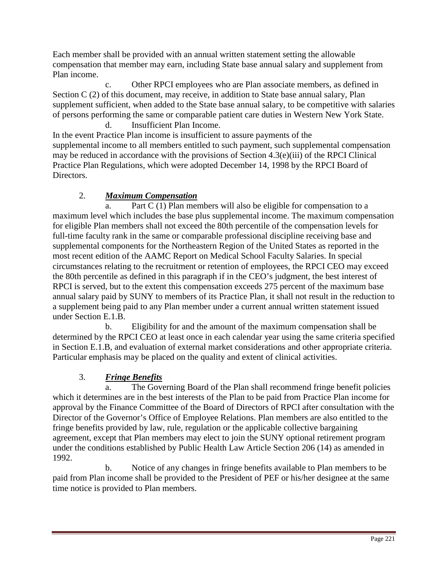Each member shall be provided with an annual written statement setting the allowable compensation that member may earn, including State base annual salary and supplement from Plan income.

c. Other RPCI employees who are Plan associate members, as defined in Section C (2) of this document, may receive, in addition to State base annual salary, Plan supplement sufficient, when added to the State base annual salary, to be competitive with salaries of persons performing the same or comparable patient care duties in Western New York State. d. Insufficient Plan Income.

In the event Practice Plan income is insufficient to assure payments of the supplemental income to all members entitled to such payment, such supplemental compensation may be reduced in accordance with the provisions of Section 4.3(e)(iii) of the RPCI Clinical Practice Plan Regulations, which were adopted December 14, 1998 by the RPCI Board of Directors.

# 2. *Maximum Compensation*

a. Part C (1) Plan members will also be eligible for compensation to a maximum level which includes the base plus supplemental income. The maximum compensation for eligible Plan members shall not exceed the 80th percentile of the compensation levels for full-time faculty rank in the same or comparable professional discipline receiving base and supplemental components for the Northeastern Region of the United States as reported in the most recent edition of the AAMC Report on Medical School Faculty Salaries. In special circumstances relating to the recruitment or retention of employees, the RPCI CEO may exceed the 80th percentile as defined in this paragraph if in the CEO's judgment, the best interest of RPCI is served, but to the extent this compensation exceeds 275 percent of the maximum base annual salary paid by SUNY to members of its Practice Plan, it shall not result in the reduction to a supplement being paid to any Plan member under a current annual written statement issued under Section E.1.B.

b. Eligibility for and the amount of the maximum compensation shall be determined by the RPCI CEO at least once in each calendar year using the same criteria specified in Section E.1.B, and evaluation of external market considerations and other appropriate criteria. Particular emphasis may be placed on the quality and extent of clinical activities.

# 3. *Fringe Benefits*

a. The Governing Board of the Plan shall recommend fringe benefit policies which it determines are in the best interests of the Plan to be paid from Practice Plan income for approval by the Finance Committee of the Board of Directors of RPCI after consultation with the Director of the Governor's Office of Employee Relations. Plan members are also entitled to the fringe benefits provided by law, rule, regulation or the applicable collective bargaining agreement, except that Plan members may elect to join the SUNY optional retirement program under the conditions established by Public Health Law Article Section 206 (14) as amended in 1992.

b. Notice of any changes in fringe benefits available to Plan members to be paid from Plan income shall be provided to the President of PEF or his/her designee at the same time notice is provided to Plan members.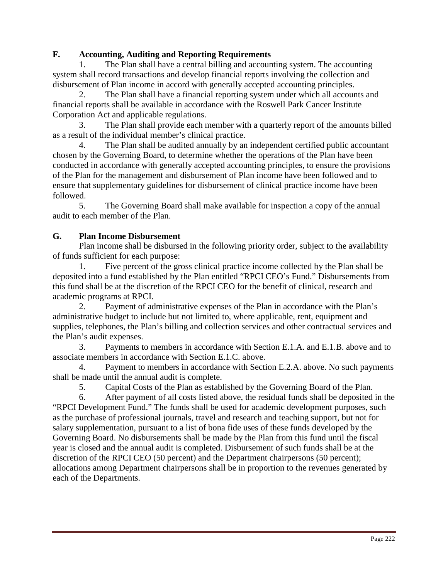# **F. Accounting, Auditing and Reporting Requirements**

1. The Plan shall have a central billing and accounting system. The accounting system shall record transactions and develop financial reports involving the collection and disbursement of Plan income in accord with generally accepted accounting principles.

2. The Plan shall have a financial reporting system under which all accounts and financial reports shall be available in accordance with the Roswell Park Cancer Institute Corporation Act and applicable regulations.

3. The Plan shall provide each member with a quarterly report of the amounts billed as a result of the individual member's clinical practice.

4. The Plan shall be audited annually by an independent certified public accountant chosen by the Governing Board, to determine whether the operations of the Plan have been conducted in accordance with generally accepted accounting principles, to ensure the provisions of the Plan for the management and disbursement of Plan income have been followed and to ensure that supplementary guidelines for disbursement of clinical practice income have been followed.

5. The Governing Board shall make available for inspection a copy of the annual audit to each member of the Plan.

# **G. Plan Income Disbursement**

Plan income shall be disbursed in the following priority order, subject to the availability of funds sufficient for each purpose:

1. Five percent of the gross clinical practice income collected by the Plan shall be deposited into a fund established by the Plan entitled "RPCI CEO's Fund." Disbursements from this fund shall be at the discretion of the RPCI CEO for the benefit of clinical, research and academic programs at RPCI.

2. Payment of administrative expenses of the Plan in accordance with the Plan's administrative budget to include but not limited to, where applicable, rent, equipment and supplies, telephones, the Plan's billing and collection services and other contractual services and the Plan's audit expenses.

3. Payments to members in accordance with Section E.1.A. and E.1.B. above and to associate members in accordance with Section E.1.C. above.

4. Payment to members in accordance with Section E.2.A. above. No such payments shall be made until the annual audit is complete.

5. Capital Costs of the Plan as established by the Governing Board of the Plan.

6. After payment of all costs listed above, the residual funds shall be deposited in the "RPCI Development Fund." The funds shall be used for academic development purposes, such as the purchase of professional journals, travel and research and teaching support, but not for salary supplementation, pursuant to a list of bona fide uses of these funds developed by the Governing Board. No disbursements shall be made by the Plan from this fund until the fiscal year is closed and the annual audit is completed. Disbursement of such funds shall be at the discretion of the RPCI CEO (50 percent) and the Department chairpersons (50 percent); allocations among Department chairpersons shall be in proportion to the revenues generated by each of the Departments.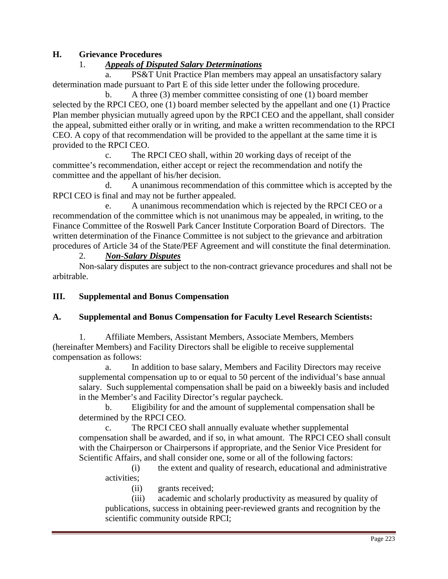# **H. Grievance Procedures**

### 1. *Appeals of Disputed Salary Determinations*

a. PS&T Unit Practice Plan members may appeal an unsatisfactory salary determination made pursuant to Part E of this side letter under the following procedure.

b. A three (3) member committee consisting of one (1) board member selected by the RPCI CEO, one (1) board member selected by the appellant and one (1) Practice Plan member physician mutually agreed upon by the RPCI CEO and the appellant, shall consider the appeal, submitted either orally or in writing, and make a written recommendation to the RPCI CEO. A copy of that recommendation will be provided to the appellant at the same time it is provided to the RPCI CEO.

c. The RPCI CEO shall, within 20 working days of receipt of the committee's recommendation, either accept or reject the recommendation and notify the committee and the appellant of his/her decision.

d. A unanimous recommendation of this committee which is accepted by the RPCI CEO is final and may not be further appealed.

e. A unanimous recommendation which is rejected by the RPCI CEO or a recommendation of the committee which is not unanimous may be appealed, in writing, to the Finance Committee of the Roswell Park Cancer Institute Corporation Board of Directors. The written determination of the Finance Committee is not subject to the grievance and arbitration procedures of Article 34 of the State/PEF Agreement and will constitute the final determination.

#### 2. *Non-Salary Disputes*

Non-salary disputes are subject to the non-contract grievance procedures and shall not be arbitrable.

#### **III. Supplemental and Bonus Compensation**

#### **A. Supplemental and Bonus Compensation for Faculty Level Research Scientists:**

1. Affiliate Members, Assistant Members, Associate Members, Members (hereinafter Members) and Facility Directors shall be eligible to receive supplemental compensation as follows:

a. In addition to base salary, Members and Facility Directors may receive supplemental compensation up to or equal to 50 percent of the individual's base annual salary. Such supplemental compensation shall be paid on a biweekly basis and included in the Member's and Facility Director's regular paycheck.

b. Eligibility for and the amount of supplemental compensation shall be determined by the RPCI CEO.

c. The RPCI CEO shall annually evaluate whether supplemental compensation shall be awarded, and if so, in what amount. The RPCI CEO shall consult with the Chairperson or Chairpersons if appropriate, and the Senior Vice President for Scientific Affairs, and shall consider one, some or all of the following factors:

(i) the extent and quality of research, educational and administrative activities;

(ii) grants received;

(iii) academic and scholarly productivity as measured by quality of publications, success in obtaining peer-reviewed grants and recognition by the scientific community outside RPCI;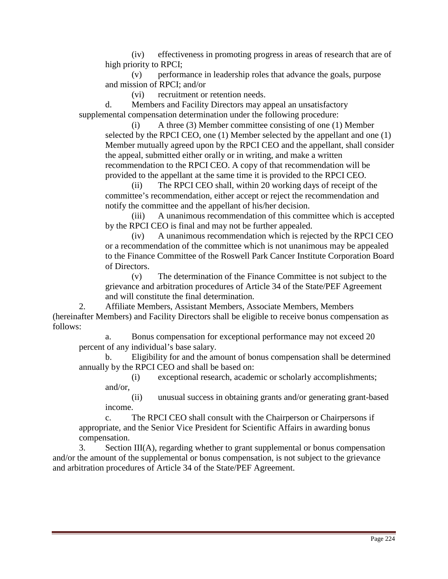(iv) effectiveness in promoting progress in areas of research that are of high priority to RPCI;

(v) performance in leadership roles that advance the goals, purpose and mission of RPCI; and/or

(vi) recruitment or retention needs.

d. Members and Facility Directors may appeal an unsatisfactory supplemental compensation determination under the following procedure:

(i) A three (3) Member committee consisting of one (1) Member selected by the RPCI CEO, one (1) Member selected by the appellant and one (1) Member mutually agreed upon by the RPCI CEO and the appellant, shall consider the appeal, submitted either orally or in writing, and make a written recommendation to the RPCI CEO. A copy of that recommendation will be provided to the appellant at the same time it is provided to the RPCI CEO.

(ii) The RPCI CEO shall, within 20 working days of receipt of the committee's recommendation, either accept or reject the recommendation and notify the committee and the appellant of his/her decision.

(iii) A unanimous recommendation of this committee which is accepted by the RPCI CEO is final and may not be further appealed.

(iv) A unanimous recommendation which is rejected by the RPCI CEO or a recommendation of the committee which is not unanimous may be appealed to the Finance Committee of the Roswell Park Cancer Institute Corporation Board of Directors.

(v) The determination of the Finance Committee is not subject to the grievance and arbitration procedures of Article 34 of the State/PEF Agreement and will constitute the final determination.

2. Affiliate Members, Assistant Members, Associate Members, Members (hereinafter Members) and Facility Directors shall be eligible to receive bonus compensation as follows:

a. Bonus compensation for exceptional performance may not exceed 20 percent of any individual's base salary.

b. Eligibility for and the amount of bonus compensation shall be determined annually by the RPCI CEO and shall be based on:

(i) exceptional research, academic or scholarly accomplishments; and/or,

(ii) unusual success in obtaining grants and/or generating grant-based income.

c. The RPCI CEO shall consult with the Chairperson or Chairpersons if appropriate, and the Senior Vice President for Scientific Affairs in awarding bonus compensation.

3. Section III(A), regarding whether to grant supplemental or bonus compensation and/or the amount of the supplemental or bonus compensation, is not subject to the grievance and arbitration procedures of Article 34 of the State/PEF Agreement.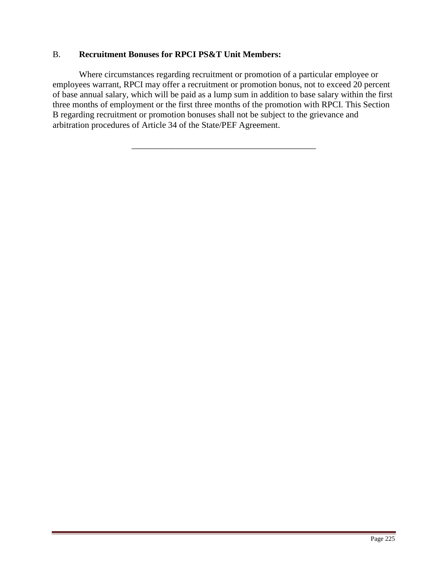# B. **Recruitment Bonuses for RPCI PS&T Unit Members:**

Where circumstances regarding recruitment or promotion of a particular employee or employees warrant, RPCI may offer a recruitment or promotion bonus, not to exceed 20 percent of base annual salary, which will be paid as a lump sum in addition to base salary within the first three months of employment or the first three months of the promotion with RPCI. This Section B regarding recruitment or promotion bonuses shall not be subject to the grievance and arbitration procedures of Article 34 of the State/PEF Agreement.

\_\_\_\_\_\_\_\_\_\_\_\_\_\_\_\_\_\_\_\_\_\_\_\_\_\_\_\_\_\_\_\_\_\_\_\_\_\_\_\_\_\_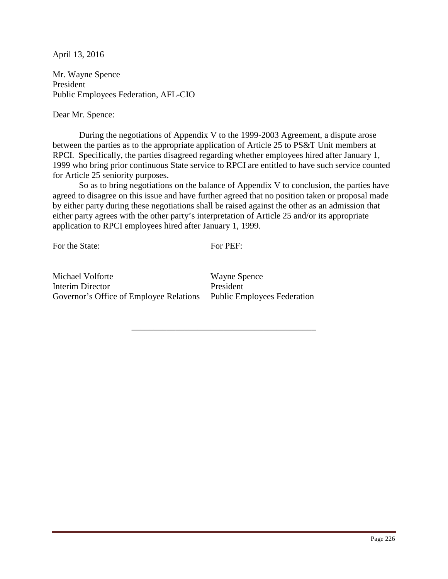Mr. Wayne Spence President Public Employees Federation, AFL-CIO

Dear Mr. Spence:

 During the negotiations of Appendix V to the 1999-2003 Agreement, a dispute arose between the parties as to the appropriate application of Article 25 to PS&T Unit members at RPCI. Specifically, the parties disagreed regarding whether employees hired after January 1, 1999 who bring prior continuous State service to RPCI are entitled to have such service counted for Article 25 seniority purposes.

 So as to bring negotiations on the balance of Appendix V to conclusion, the parties have agreed to disagree on this issue and have further agreed that no position taken or proposal made by either party during these negotiations shall be raised against the other as an admission that either party agrees with the other party's interpretation of Article 25 and/or its appropriate application to RPCI employees hired after January 1, 1999.

For the State:

For PEF:

\_\_\_\_\_\_\_\_\_\_\_\_\_\_\_\_\_\_\_\_\_\_\_\_\_\_\_\_\_\_\_\_\_\_\_\_\_\_\_\_\_\_

Michael Volforte Interim Director Governor's Office of Employee Relations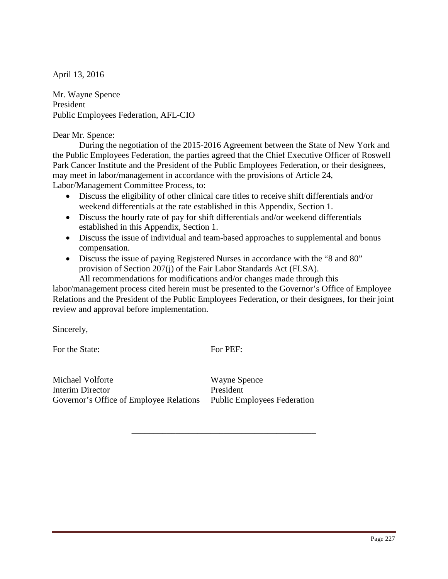Mr. Wayne Spence President Public Employees Federation, AFL-CIO

#### Dear Mr. Spence:

 During the negotiation of the 2015-2016 Agreement between the State of New York and the Public Employees Federation, the parties agreed that the Chief Executive Officer of Roswell Park Cancer Institute and the President of the Public Employees Federation, or their designees, may meet in labor/management in accordance with the provisions of Article 24, Labor/Management Committee Process, to:

- Discuss the eligibility of other clinical care titles to receive shift differentials and/or weekend differentials at the rate established in this Appendix, Section 1.
- Discuss the hourly rate of pay for shift differentials and/or weekend differentials established in this Appendix, Section 1.
- Discuss the issue of individual and team-based approaches to supplemental and bonus compensation.
- Discuss the issue of paying Registered Nurses in accordance with the "8 and 80" provision of Section 207(j) of the Fair Labor Standards Act (FLSA).

 All recommendations for modifications and/or changes made through this labor/management process cited herein must be presented to the Governor's Office of Employee Relations and the President of the Public Employees Federation, or their designees, for their joint review and approval before implementation.

Sincerely,

For the State: For PEF:

\_\_\_\_\_\_\_\_\_\_\_\_\_\_\_\_\_\_\_\_\_\_\_\_\_\_\_\_\_\_\_\_\_\_\_\_\_\_\_\_\_\_

Michael Volforte Interim Director Governor's Office of Employee Relations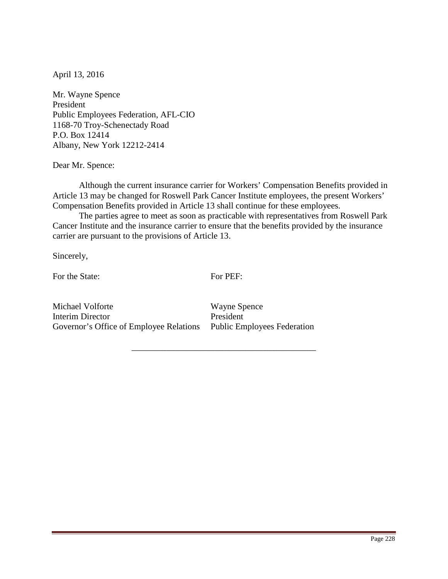Mr. Wayne Spence President Public Employees Federation, AFL-CIO 1168-70 Troy-Schenectady Road P.O. Box 12414 Albany, New York 12212-2414

Dear Mr. Spence:

 Although the current insurance carrier for Workers' Compensation Benefits provided in Article 13 may be changed for Roswell Park Cancer Institute employees, the present Workers' Compensation Benefits provided in Article 13 shall continue for these employees.

The parties agree to meet as soon as practicable with representatives from Roswell Park Cancer Institute and the insurance carrier to ensure that the benefits provided by the insurance carrier are pursuant to the provisions of Article 13.

Sincerely,

For the State:

For PEF:

\_\_\_\_\_\_\_\_\_\_\_\_\_\_\_\_\_\_\_\_\_\_\_\_\_\_\_\_\_\_\_\_\_\_\_\_\_\_\_\_\_\_

Michael Volforte Interim Director Governor's Office of Employee Relations Public Employees Federation

Wayne Spence President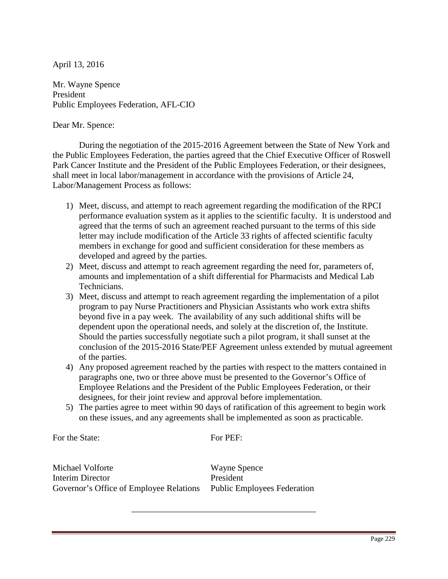Mr. Wayne Spence President Public Employees Federation, AFL-CIO

#### Dear Mr. Spence:

 During the negotiation of the 2015-2016 Agreement between the State of New York and the Public Employees Federation, the parties agreed that the Chief Executive Officer of Roswell Park Cancer Institute and the President of the Public Employees Federation, or their designees, shall meet in local labor/management in accordance with the provisions of Article 24, Labor/Management Process as follows:

- 1) Meet, discuss, and attempt to reach agreement regarding the modification of the RPCI performance evaluation system as it applies to the scientific faculty. It is understood and agreed that the terms of such an agreement reached pursuant to the terms of this side letter may include modification of the Article 33 rights of affected scientific faculty members in exchange for good and sufficient consideration for these members as developed and agreed by the parties.
- 2) Meet, discuss and attempt to reach agreement regarding the need for, parameters of, amounts and implementation of a shift differential for Pharmacists and Medical Lab Technicians.
- 3) Meet, discuss and attempt to reach agreement regarding the implementation of a pilot program to pay Nurse Practitioners and Physician Assistants who work extra shifts beyond five in a pay week. The availability of any such additional shifts will be dependent upon the operational needs, and solely at the discretion of, the Institute. Should the parties successfully negotiate such a pilot program, it shall sunset at the conclusion of the 2015-2016 State/PEF Agreement unless extended by mutual agreement of the parties.
- 4) Any proposed agreement reached by the parties with respect to the matters contained in paragraphs one, two or three above must be presented to the Governor's Office of Employee Relations and the President of the Public Employees Federation, or their designees, for their joint review and approval before implementation.
- 5) The parties agree to meet within 90 days of ratification of this agreement to begin work on these issues, and any agreements shall be implemented as soon as practicable.

For the State:

For PEF:

\_\_\_\_\_\_\_\_\_\_\_\_\_\_\_\_\_\_\_\_\_\_\_\_\_\_\_\_\_\_\_\_\_\_\_\_\_\_\_\_\_\_

Michael Volforte Interim Director Governor's Office of Employee Relations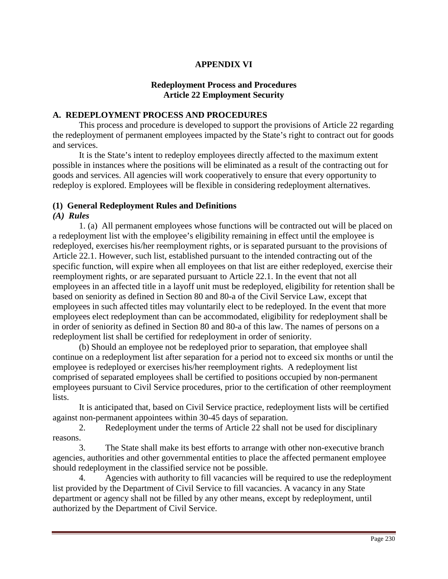# **APPENDIX VI**

### **Redeployment Process and Procedures Article 22 Employment Security**

### **A. REDEPLOYMENT PROCESS AND PROCEDURES**

 This process and procedure is developed to support the provisions of Article 22 regarding the redeployment of permanent employees impacted by the State's right to contract out for goods and services.

It is the State's intent to redeploy employees directly affected to the maximum extent possible in instances where the positions will be eliminated as a result of the contracting out for goods and services. All agencies will work cooperatively to ensure that every opportunity to redeploy is explored. Employees will be flexible in considering redeployment alternatives.

#### **(1) General Redeployment Rules and Definitions**

#### *(A) Rules*

 1. (a) All permanent employees whose functions will be contracted out will be placed on a redeployment list with the employee's eligibility remaining in effect until the employee is redeployed, exercises his/her reemployment rights, or is separated pursuant to the provisions of Article 22.1. However, such list, established pursuant to the intended contracting out of the specific function, will expire when all employees on that list are either redeployed, exercise their reemployment rights, or are separated pursuant to Article 22.1. In the event that not all employees in an affected title in a layoff unit must be redeployed, eligibility for retention shall be based on seniority as defined in Section 80 and 80-a of the Civil Service Law, except that employees in such affected titles may voluntarily elect to be redeployed. In the event that more employees elect redeployment than can be accommodated, eligibility for redeployment shall be in order of seniority as defined in Section 80 and 80-a of this law. The names of persons on a redeployment list shall be certified for redeployment in order of seniority.

 (b) Should an employee not be redeployed prior to separation, that employee shall continue on a redeployment list after separation for a period not to exceed six months or until the employee is redeployed or exercises his/her reemployment rights. A redeployment list comprised of separated employees shall be certified to positions occupied by non-permanent employees pursuant to Civil Service procedures, prior to the certification of other reemployment lists.

It is anticipated that, based on Civil Service practice, redeployment lists will be certified against non-permanent appointees within 30-45 days of separation.

 2. Redeployment under the terms of Article 22 shall not be used for disciplinary reasons.

 3. The State shall make its best efforts to arrange with other non-executive branch agencies, authorities and other governmental entities to place the affected permanent employee should redeployment in the classified service not be possible.

 4. Agencies with authority to fill vacancies will be required to use the redeployment list provided by the Department of Civil Service to fill vacancies. A vacancy in any State department or agency shall not be filled by any other means, except by redeployment, until authorized by the Department of Civil Service.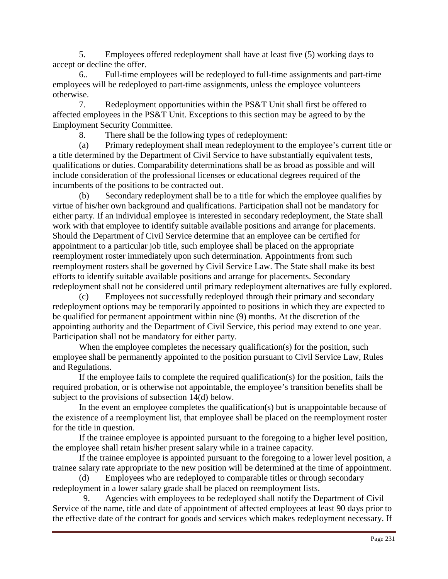5. Employees offered redeployment shall have at least five (5) working days to accept or decline the offer.

 6.. Full-time employees will be redeployed to full-time assignments and part-time employees will be redeployed to part-time assignments, unless the employee volunteers otherwise.

 7. Redeployment opportunities within the PS&T Unit shall first be offered to affected employees in the PS&T Unit. Exceptions to this section may be agreed to by the Employment Security Committee.

8. There shall be the following types of redeployment:

(a) Primary redeployment shall mean redeployment to the employee's current title or a title determined by the Department of Civil Service to have substantially equivalent tests, qualifications or duties. Comparability determinations shall be as broad as possible and will include consideration of the professional licenses or educational degrees required of the incumbents of the positions to be contracted out.

(b) Secondary redeployment shall be to a title for which the employee qualifies by virtue of his/her own background and qualifications. Participation shall not be mandatory for either party. If an individual employee is interested in secondary redeployment, the State shall work with that employee to identify suitable available positions and arrange for placements. Should the Department of Civil Service determine that an employee can be certified for appointment to a particular job title, such employee shall be placed on the appropriate reemployment roster immediately upon such determination. Appointments from such reemployment rosters shall be governed by Civil Service Law. The State shall make its best efforts to identify suitable available positions and arrange for placements. Secondary redeployment shall not be considered until primary redeployment alternatives are fully explored.

(c) Employees not successfully redeployed through their primary and secondary redeployment options may be temporarily appointed to positions in which they are expected to be qualified for permanent appointment within nine (9) months. At the discretion of the appointing authority and the Department of Civil Service, this period may extend to one year. Participation shall not be mandatory for either party.

When the employee completes the necessary qualification(s) for the position, such employee shall be permanently appointed to the position pursuant to Civil Service Law, Rules and Regulations.

If the employee fails to complete the required qualification(s) for the position, fails the required probation, or is otherwise not appointable, the employee's transition benefits shall be subject to the provisions of subsection 14(d) below.

 In the event an employee completes the qualification(s) but is unappointable because of the existence of a reemployment list, that employee shall be placed on the reemployment roster for the title in question.

 If the trainee employee is appointed pursuant to the foregoing to a higher level position, the employee shall retain his/her present salary while in a trainee capacity.

If the trainee employee is appointed pursuant to the foregoing to a lower level position, a trainee salary rate appropriate to the new position will be determined at the time of appointment.

(d) Employees who are redeployed to comparable titles or through secondary redeployment in a lower salary grade shall be placed on reemployment lists.

 9. Agencies with employees to be redeployed shall notify the Department of Civil Service of the name, title and date of appointment of affected employees at least 90 days prior to the effective date of the contract for goods and services which makes redeployment necessary. If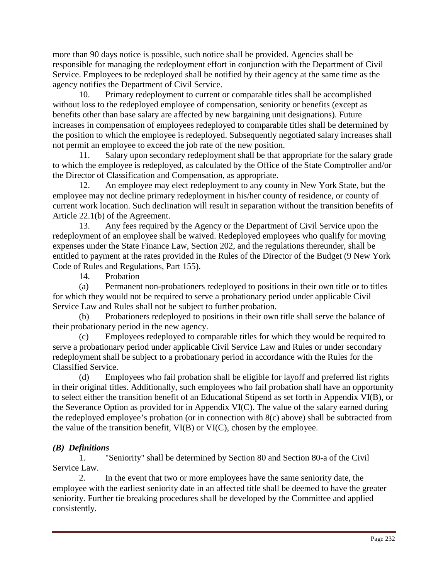more than 90 days notice is possible, such notice shall be provided. Agencies shall be responsible for managing the redeployment effort in conjunction with the Department of Civil Service. Employees to be redeployed shall be notified by their agency at the same time as the agency notifies the Department of Civil Service.

 10. Primary redeployment to current or comparable titles shall be accomplished without loss to the redeployed employee of compensation, seniority or benefits (except as benefits other than base salary are affected by new bargaining unit designations). Future increases in compensation of employees redeployed to comparable titles shall be determined by the position to which the employee is redeployed. Subsequently negotiated salary increases shall not permit an employee to exceed the job rate of the new position.

 11. Salary upon secondary redeployment shall be that appropriate for the salary grade to which the employee is redeployed, as calculated by the Office of the State Comptroller and/or the Director of Classification and Compensation, as appropriate.

 12. An employee may elect redeployment to any county in New York State, but the employee may not decline primary redeployment in his/her county of residence, or county of current work location. Such declination will result in separation without the transition benefits of Article 22.1(b) of the Agreement.

 13. Any fees required by the Agency or the Department of Civil Service upon the redeployment of an employee shall be waived. Redeployed employees who qualify for moving expenses under the State Finance Law, Section 202, and the regulations thereunder, shall be entitled to payment at the rates provided in the Rules of the Director of the Budget (9 New York Code of Rules and Regulations, Part 155).

14. Probation

(a) Permanent non-probationers redeployed to positions in their own title or to titles for which they would not be required to serve a probationary period under applicable Civil Service Law and Rules shall not be subject to further probation.

(b) Probationers redeployed to positions in their own title shall serve the balance of their probationary period in the new agency.

(c) Employees redeployed to comparable titles for which they would be required to serve a probationary period under applicable Civil Service Law and Rules or under secondary redeployment shall be subject to a probationary period in accordance with the Rules for the Classified Service.

(d) Employees who fail probation shall be eligible for layoff and preferred list rights in their original titles. Additionally, such employees who fail probation shall have an opportunity to select either the transition benefit of an Educational Stipend as set forth in Appendix VI(B), or the Severance Option as provided for in Appendix VI(C). The value of the salary earned during the redeployed employee's probation (or in connection with 8(c) above) shall be subtracted from the value of the transition benefit, VI(B) or VI(C), chosen by the employee.

# *(B) Definitions*

 1. "Seniority" shall be determined by Section 80 and Section 80-a of the Civil Service Law.

 2. In the event that two or more employees have the same seniority date, the employee with the earliest seniority date in an affected title shall be deemed to have the greater seniority. Further tie breaking procedures shall be developed by the Committee and applied consistently.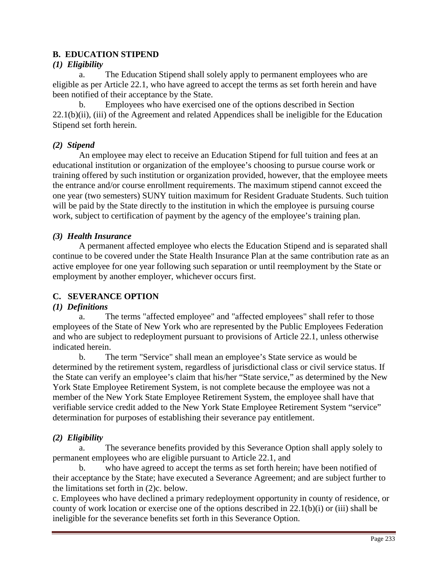# **B. EDUCATION STIPEND**

### *(1) Eligibility*

a. The Education Stipend shall solely apply to permanent employees who are eligible as per Article 22.1, who have agreed to accept the terms as set forth herein and have been notified of their acceptance by the State.

 b. Employees who have exercised one of the options described in Section 22.1(b)(ii), (iii) of the Agreement and related Appendices shall be ineligible for the Education Stipend set forth herein.

# *(2) Stipend*

An employee may elect to receive an Education Stipend for full tuition and fees at an educational institution or organization of the employee's choosing to pursue course work or training offered by such institution or organization provided, however, that the employee meets the entrance and/or course enrollment requirements. The maximum stipend cannot exceed the one year (two semesters) SUNY tuition maximum for Resident Graduate Students. Such tuition will be paid by the State directly to the institution in which the employee is pursuing course work, subject to certification of payment by the agency of the employee's training plan.

### *(3) Health Insurance*

A permanent affected employee who elects the Education Stipend and is separated shall continue to be covered under the State Health Insurance Plan at the same contribution rate as an active employee for one year following such separation or until reemployment by the State or employment by another employer, whichever occurs first.

# **C. SEVERANCE OPTION**

#### *(1) Definitions*

a. The terms "affected employee" and "affected employees" shall refer to those employees of the State of New York who are represented by the Public Employees Federation and who are subject to redeployment pursuant to provisions of Article 22.1, unless otherwise indicated herein.

 b. The term "Service" shall mean an employee's State service as would be determined by the retirement system, regardless of jurisdictional class or civil service status. If the State can verify an employee's claim that his/her "State service," as determined by the New York State Employee Retirement System, is not complete because the employee was not a member of the New York State Employee Retirement System, the employee shall have that verifiable service credit added to the New York State Employee Retirement System "service" determination for purposes of establishing their severance pay entitlement.

# *(2) Eligibility*

a. The severance benefits provided by this Severance Option shall apply solely to permanent employees who are eligible pursuant to Article 22.1, and

 b. who have agreed to accept the terms as set forth herein; have been notified of their acceptance by the State; have executed a Severance Agreement; and are subject further to the limitations set forth in (2)c. below.

c. Employees who have declined a primary redeployment opportunity in county of residence, or county of work location or exercise one of the options described in 22.1(b)(i) or (iii) shall be ineligible for the severance benefits set forth in this Severance Option.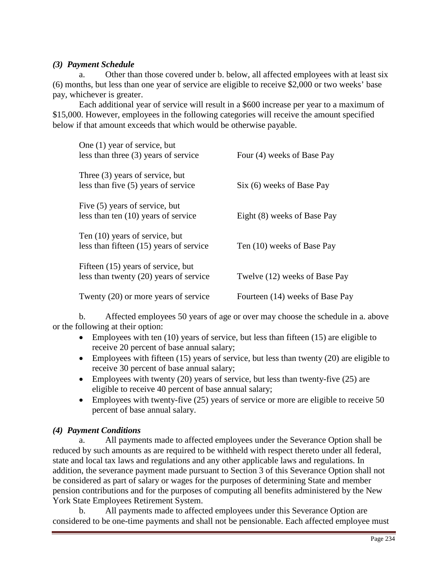### *(3) Payment Schedule*

a. Other than those covered under b. below, all affected employees with at least six (6) months, but less than one year of service are eligible to receive \$2,000 or two weeks' base pay, whichever is greater.

Each additional year of service will result in a \$600 increase per year to a maximum of \$15,000. However, employees in the following categories will receive the amount specified below if that amount exceeds that which would be otherwise payable.

| One (1) year of service, but<br>less than three $(3)$ years of service       | Four (4) weeks of Base Pay      |
|------------------------------------------------------------------------------|---------------------------------|
| Three (3) years of service, but<br>less than five (5) years of service       | Six (6) weeks of Base Pay       |
| Five (5) years of service, but<br>less than ten (10) years of service        | Eight (8) weeks of Base Pay     |
| Ten (10) years of service, but<br>less than fifteen (15) years of service    | Ten (10) weeks of Base Pay      |
| Fifteen (15) years of service, but<br>less than twenty (20) years of service | Twelve (12) weeks of Base Pay   |
| Twenty (20) or more years of service                                         | Fourteen (14) weeks of Base Pay |

 b. Affected employees 50 years of age or over may choose the schedule in a. above or the following at their option:

- Employees with ten (10) years of service, but less than fifteen (15) are eligible to receive 20 percent of base annual salary;
- Employees with fifteen (15) years of service, but less than twenty (20) are eligible to receive 30 percent of base annual salary;
- Employees with twenty  $(20)$  years of service, but less than twenty-five  $(25)$  are eligible to receive 40 percent of base annual salary;
- Employees with twenty-five (25) years of service or more are eligible to receive 50 percent of base annual salary.

# *(4) Payment Conditions*

a. All payments made to affected employees under the Severance Option shall be reduced by such amounts as are required to be withheld with respect thereto under all federal, state and local tax laws and regulations and any other applicable laws and regulations. In addition, the severance payment made pursuant to Section 3 of this Severance Option shall not be considered as part of salary or wages for the purposes of determining State and member pension contributions and for the purposes of computing all benefits administered by the New York State Employees Retirement System.

 b. All payments made to affected employees under this Severance Option are considered to be one-time payments and shall not be pensionable. Each affected employee must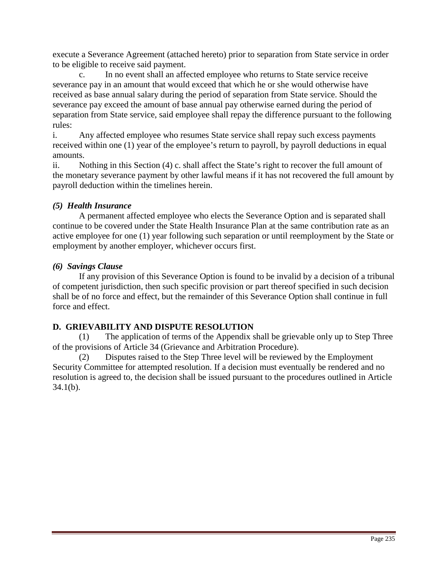execute a Severance Agreement (attached hereto) prior to separation from State service in order to be eligible to receive said payment.

c. In no event shall an affected employee who returns to State service receive severance pay in an amount that would exceed that which he or she would otherwise have received as base annual salary during the period of separation from State service. Should the severance pay exceed the amount of base annual pay otherwise earned during the period of separation from State service, said employee shall repay the difference pursuant to the following rules:

i. Any affected employee who resumes State service shall repay such excess payments received within one (1) year of the employee's return to payroll, by payroll deductions in equal amounts.

ii. Nothing in this Section (4) c. shall affect the State's right to recover the full amount of the monetary severance payment by other lawful means if it has not recovered the full amount by payroll deduction within the timelines herein.

# *(5) Health Insurance*

A permanent affected employee who elects the Severance Option and is separated shall continue to be covered under the State Health Insurance Plan at the same contribution rate as an active employee for one (1) year following such separation or until reemployment by the State or employment by another employer, whichever occurs first.

# *(6) Savings Clause*

 If any provision of this Severance Option is found to be invalid by a decision of a tribunal of competent jurisdiction, then such specific provision or part thereof specified in such decision shall be of no force and effect, but the remainder of this Severance Option shall continue in full force and effect.

# **D. GRIEVABILITY AND DISPUTE RESOLUTION**

(1) The application of terms of the Appendix shall be grievable only up to Step Three of the provisions of Article 34 (Grievance and Arbitration Procedure).

(2) Disputes raised to the Step Three level will be reviewed by the Employment Security Committee for attempted resolution. If a decision must eventually be rendered and no resolution is agreed to, the decision shall be issued pursuant to the procedures outlined in Article 34.1(b).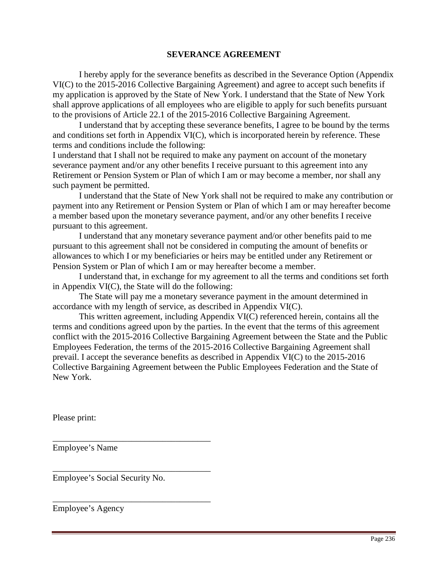#### **SEVERANCE AGREEMENT**

I hereby apply for the severance benefits as described in the Severance Option (Appendix VI(C) to the 2015-2016 Collective Bargaining Agreement) and agree to accept such benefits if my application is approved by the State of New York. I understand that the State of New York shall approve applications of all employees who are eligible to apply for such benefits pursuant to the provisions of Article 22.1 of the 2015-2016 Collective Bargaining Agreement.

 I understand that by accepting these severance benefits, I agree to be bound by the terms and conditions set forth in Appendix VI(C), which is incorporated herein by reference. These terms and conditions include the following:

I understand that I shall not be required to make any payment on account of the monetary severance payment and/or any other benefits I receive pursuant to this agreement into any Retirement or Pension System or Plan of which I am or may become a member, nor shall any such payment be permitted.

 I understand that the State of New York shall not be required to make any contribution or payment into any Retirement or Pension System or Plan of which I am or may hereafter become a member based upon the monetary severance payment, and/or any other benefits I receive pursuant to this agreement.

I understand that any monetary severance payment and/or other benefits paid to me pursuant to this agreement shall not be considered in computing the amount of benefits or allowances to which I or my beneficiaries or heirs may be entitled under any Retirement or Pension System or Plan of which I am or may hereafter become a member.

 I understand that, in exchange for my agreement to all the terms and conditions set forth in Appendix VI(C), the State will do the following:

The State will pay me a monetary severance payment in the amount determined in accordance with my length of service, as described in Appendix VI(C).

 This written agreement, including Appendix VI(C) referenced herein, contains all the terms and conditions agreed upon by the parties. In the event that the terms of this agreement conflict with the 2015-2016 Collective Bargaining Agreement between the State and the Public Employees Federation, the terms of the 2015-2016 Collective Bargaining Agreement shall prevail. I accept the severance benefits as described in Appendix VI(C) to the 2015-2016 Collective Bargaining Agreement between the Public Employees Federation and the State of New York.

Please print:

Employee's Name

Employee's Social Security No.

\_\_\_\_\_\_\_\_\_\_\_\_\_\_\_\_\_\_\_\_\_\_\_\_\_\_\_\_\_\_\_\_\_\_\_\_

\_\_\_\_\_\_\_\_\_\_\_\_\_\_\_\_\_\_\_\_\_\_\_\_\_\_\_\_\_\_\_\_\_\_\_\_

\_\_\_\_\_\_\_\_\_\_\_\_\_\_\_\_\_\_\_\_\_\_\_\_\_\_\_\_\_\_\_\_\_\_\_\_

Employee's Agency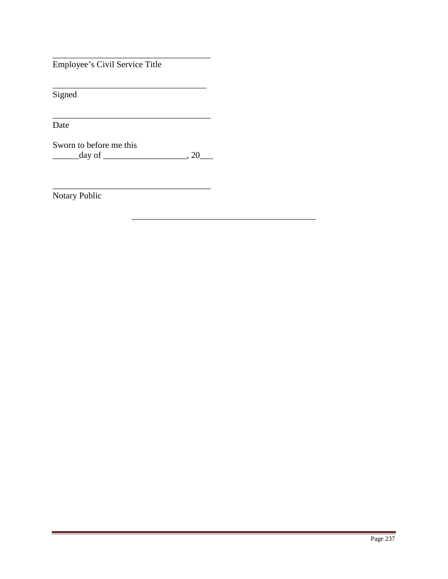Employee's Civil Service Title

Signed

Date

Sworn to before me this  $\frac{day \text{ of } (x,y) \text{ of } (x,y) \text{ of } (x,y) \text{ of } (x,y) \text{ of } (x,y) \text{ of } (x,y)$ 

Notary Public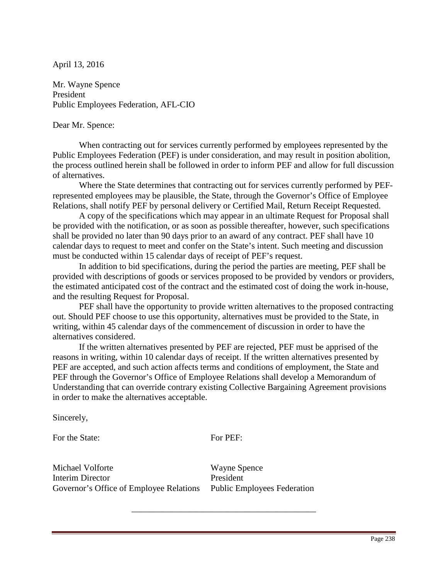Mr. Wayne Spence President Public Employees Federation, AFL-CIO

#### Dear Mr. Spence:

When contracting out for services currently performed by employees represented by the Public Employees Federation (PEF) is under consideration, and may result in position abolition, the process outlined herein shall be followed in order to inform PEF and allow for full discussion of alternatives.

Where the State determines that contracting out for services currently performed by PEFrepresented employees may be plausible, the State, through the Governor's Office of Employee Relations, shall notify PEF by personal delivery or Certified Mail, Return Receipt Requested.

 A copy of the specifications which may appear in an ultimate Request for Proposal shall be provided with the notification, or as soon as possible thereafter, however, such specifications shall be provided no later than 90 days prior to an award of any contract. PEF shall have 10 calendar days to request to meet and confer on the State's intent. Such meeting and discussion must be conducted within 15 calendar days of receipt of PEF's request.

 In addition to bid specifications, during the period the parties are meeting, PEF shall be provided with descriptions of goods or services proposed to be provided by vendors or providers, the estimated anticipated cost of the contract and the estimated cost of doing the work in-house, and the resulting Request for Proposal.

 PEF shall have the opportunity to provide written alternatives to the proposed contracting out. Should PEF choose to use this opportunity, alternatives must be provided to the State, in writing, within 45 calendar days of the commencement of discussion in order to have the alternatives considered.

If the written alternatives presented by PEF are rejected, PEF must be apprised of the reasons in writing, within 10 calendar days of receipt. If the written alternatives presented by PEF are accepted, and such action affects terms and conditions of employment, the State and PEF through the Governor's Office of Employee Relations shall develop a Memorandum of Understanding that can override contrary existing Collective Bargaining Agreement provisions in order to make the alternatives acceptable.

Sincerely,

For the State: For PEF:

\_\_\_\_\_\_\_\_\_\_\_\_\_\_\_\_\_\_\_\_\_\_\_\_\_\_\_\_\_\_\_\_\_\_\_\_\_\_\_\_\_\_

Michael Volforte Interim Director Governor's Office of Employee Relations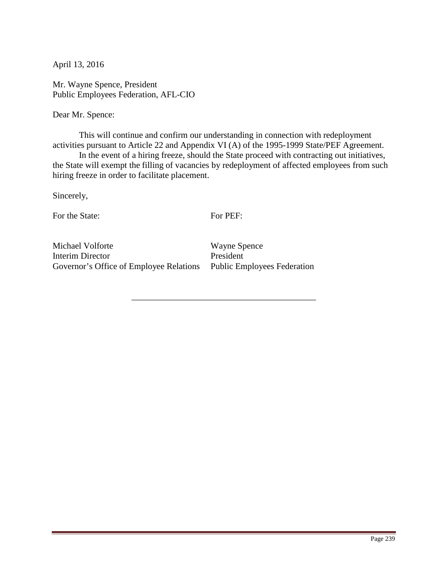Mr. Wayne Spence, President Public Employees Federation, AFL-CIO

Dear Mr. Spence:

 This will continue and confirm our understanding in connection with redeployment activities pursuant to Article 22 and Appendix VI (A) of the 1995-1999 State/PEF Agreement.

 In the event of a hiring freeze, should the State proceed with contracting out initiatives, the State will exempt the filling of vacancies by redeployment of affected employees from such hiring freeze in order to facilitate placement.

Sincerely,

For the State:

For PEF:

\_\_\_\_\_\_\_\_\_\_\_\_\_\_\_\_\_\_\_\_\_\_\_\_\_\_\_\_\_\_\_\_\_\_\_\_\_\_\_\_\_\_

Michael Volforte Interim Director Governor's Office of Employee Relations Public Employees Federation

Wayne Spence President